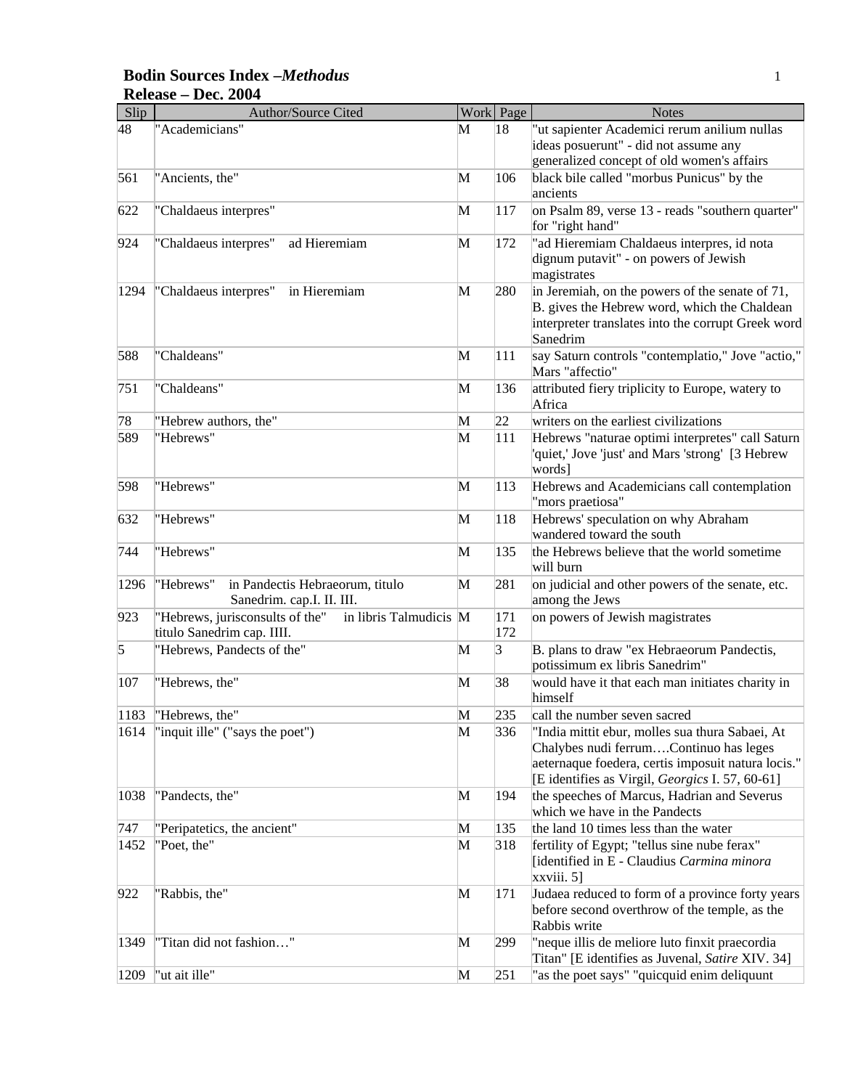#### **Bodin Sources Index –***Methodus* 1 **Release – Dec. 2004**

| Slip | Author/Source Cited                                                                     |   | Work Page  | <b>Notes</b>                                                                                                                                                                                       |
|------|-----------------------------------------------------------------------------------------|---|------------|----------------------------------------------------------------------------------------------------------------------------------------------------------------------------------------------------|
| 48   | "Academicians"                                                                          | M | 18         | "ut sapienter Academici rerum anilium nullas<br>ideas posuerunt" - did not assume any                                                                                                              |
| 561  | "Ancients, the"                                                                         | M | 106        | generalized concept of old women's affairs<br>black bile called "morbus Punicus" by the<br>ancients                                                                                                |
| 622  | "Chaldaeus interpres"                                                                   | M | 117        | on Psalm 89, verse 13 - reads "southern quarter"<br>for "right hand"                                                                                                                               |
| 924  | ad Hieremiam<br>"Chaldaeus interpres"                                                   | M | 172        | "ad Hieremiam Chaldaeus interpres, id nota<br>dignum putavit" - on powers of Jewish<br>magistrates                                                                                                 |
| 1294 | "Chaldaeus interpres"<br>in Hieremiam                                                   | M | 280        | in Jeremiah, on the powers of the senate of 71,<br>B. gives the Hebrew word, which the Chaldean<br>interpreter translates into the corrupt Greek word<br>Sanedrim                                  |
| 588  | "Chaldeans"                                                                             | M | 111        | say Saturn controls "contemplatio," Jove "actio,"<br>Mars "affectio"                                                                                                                               |
| 751  | "Chaldeans"                                                                             | M | 136        | attributed fiery triplicity to Europe, watery to<br>Africa                                                                                                                                         |
| 78   | "Hebrew authors, the"                                                                   | M | 22         | writers on the earliest civilizations                                                                                                                                                              |
| 589  | "Hebrews"                                                                               | M | 111        | Hebrews "naturae optimi interpretes" call Saturn<br>'quiet,' Jove 'just' and Mars 'strong' [3 Hebrew<br>words]                                                                                     |
| 598  | "Hebrews"                                                                               | M | 113        | Hebrews and Academicians call contemplation<br>"mors praetiosa"                                                                                                                                    |
| 632  | "Hebrews"                                                                               | M | 118        | Hebrews' speculation on why Abraham<br>wandered toward the south                                                                                                                                   |
| 744  | "Hebrews"                                                                               | M | 135        | the Hebrews believe that the world sometime<br>will burn                                                                                                                                           |
| 1296 | in Pandectis Hebraeorum, titulo<br>"Hebrews"<br>Sanedrim. cap.I. II. III.               | M | 281        | on judicial and other powers of the senate, etc.<br>among the Jews                                                                                                                                 |
| 923  | "Hebrews, jurisconsults of the"<br>in libris Talmudicis M<br>titulo Sanedrim cap. IIII. |   | 171<br>172 | on powers of Jewish magistrates                                                                                                                                                                    |
| 5    | "Hebrews, Pandects of the"                                                              | M | 3          | B. plans to draw "ex Hebraeorum Pandectis,<br>potissimum ex libris Sanedrim"                                                                                                                       |
| 107  | "Hebrews, the"                                                                          | M | 38         | would have it that each man initiates charity in<br>himself                                                                                                                                        |
| 1183 | "Hebrews, the"                                                                          | M | 235        | call the number seven sacred                                                                                                                                                                       |
| 1614 | "inquit ille" ("says the poet")                                                         | M | 336        | "India mittit ebur, molles sua thura Sabaei, At<br>Chalybes nudi ferrumContinuo has leges<br>aeternaque foedera, certis imposuit natura locis."<br>[E identifies as Virgil, Georgics I. 57, 60-61] |
| 1038 | "Pandects, the"                                                                         | M | 194        | the speeches of Marcus, Hadrian and Severus<br>which we have in the Pandects                                                                                                                       |
| 747  | "Peripatetics, the ancient"                                                             | M | 135        | the land 10 times less than the water                                                                                                                                                              |
| 1452 | "Poet, the"                                                                             | M | 318        | fertility of Egypt; "tellus sine nube ferax"<br>[identified in E - Claudius Carmina minora<br>$xxviii. 5$ ]                                                                                        |
| 922  | "Rabbis, the"                                                                           | M | 171        | Judaea reduced to form of a province forty years<br>before second overthrow of the temple, as the<br>Rabbis write                                                                                  |
| 1349 | "Titan did not fashion"                                                                 | M | 299        | "neque illis de meliore luto finxit praecordia<br>Titan" [E identifies as Juvenal, Satire XIV. 34]                                                                                                 |
| 1209 | "ut ait ille"                                                                           | M | 251        | "as the poet says" "quicquid enim deliquunt                                                                                                                                                        |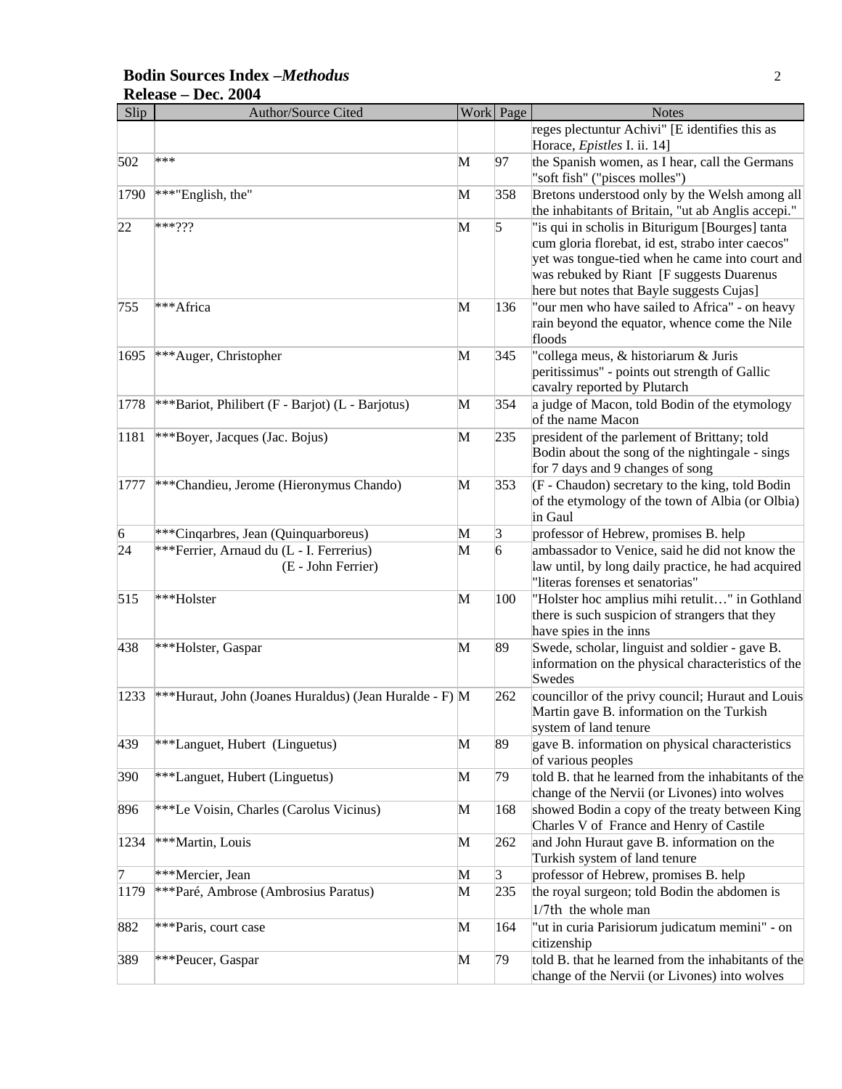#### **Bodin Sources Index –***Methodus* 2 **Release – Dec. 2004**

| Slip            | Author/Source Cited                                    |   | Work Page      | <b>Notes</b>                                                                                         |
|-----------------|--------------------------------------------------------|---|----------------|------------------------------------------------------------------------------------------------------|
|                 |                                                        |   |                | reges plectuntur Achivi" [E identifies this as<br>Horace, Epistles I. ii. 14]                        |
| 502             | ***                                                    | M | 97             | the Spanish women, as I hear, call the Germans<br>"soft fish" ("pisces molles")                      |
| 1790            | ***"English, the"                                      | M | 358            | Bretons understood only by the Welsh among all<br>the inhabitants of Britain, "ut ab Anglis accepi." |
| 22              | $***???$                                               | M | 5              | "is qui in scholis in Biturigum [Bourges] tanta                                                      |
|                 |                                                        |   |                | cum gloria florebat, id est, strabo inter caecos"                                                    |
|                 |                                                        |   |                | yet was tongue-tied when he came into court and                                                      |
|                 |                                                        |   |                | was rebuked by Riant [F suggests Duarenus                                                            |
| 755             | ***Africa                                              | M | 136            | here but notes that Bayle suggests Cujas]<br>"our men who have sailed to Africa" - on heavy          |
|                 |                                                        |   |                | rain beyond the equator, whence come the Nile                                                        |
|                 |                                                        |   |                | floods                                                                                               |
| 1695            | ***Auger, Christopher                                  | M | 345            | "collega meus, & historiarum & Juris                                                                 |
|                 |                                                        |   |                | peritissimus" - points out strength of Gallic                                                        |
|                 |                                                        |   |                | cavalry reported by Plutarch                                                                         |
| 1778            | ***Bariot, Philibert (F - Barjot) (L - Barjotus)       | M | 354            | a judge of Macon, told Bodin of the etymology<br>of the name Macon                                   |
| 1181            | ***Boyer, Jacques (Jac. Bojus)                         | M | 235            | president of the parlement of Brittany; told                                                         |
|                 |                                                        |   |                | Bodin about the song of the nightingale - sings                                                      |
|                 | ***Chandieu, Jerome (Hieronymus Chando)                |   | 353            | for 7 days and 9 changes of song<br>(F - Chaudon) secretary to the king, told Bodin                  |
| 1777            |                                                        | M |                | of the etymology of the town of Albia (or Olbia)                                                     |
|                 |                                                        |   |                | in Gaul                                                                                              |
| $\vert 6 \vert$ | ***Cinqarbres, Jean (Quinquarboreus)                   | M | 3              | professor of Hebrew, promises B. help                                                                |
| 24              | *** Ferrier, Arnaud du (L - I. Ferrerius)              | M | 6              | ambassador to Venice, said he did not know the                                                       |
|                 | (E - John Ferrier)                                     |   |                | law until, by long daily practice, he had acquired<br>"literas forenses et senatorias"               |
| 515             | ***Holster                                             | M | 100            | "Holster hoc amplius mihi retulit" in Gothland                                                       |
|                 |                                                        |   |                | there is such suspicion of strangers that they                                                       |
|                 |                                                        | M | 89             | have spies in the inns<br>Swede, scholar, linguist and soldier - gave B.                             |
| 438             | ***Holster, Gaspar                                     |   |                | information on the physical characteristics of the                                                   |
|                 |                                                        |   |                | Swedes                                                                                               |
| 1233            | ***Huraut, John (Joanes Huraldus) (Jean Huralde - F) M |   | 262            | councillor of the privy council; Huraut and Louis                                                    |
|                 |                                                        |   |                | Martin gave B. information on the Turkish                                                            |
|                 |                                                        |   |                | system of land tenure                                                                                |
| 439             | ***Languet, Hubert (Linguetus)                         | M | 89             | gave B. information on physical characteristics                                                      |
|                 |                                                        | M | 79             | of various peoples<br>told B. that he learned from the inhabitants of the                            |
| 390             | ***Languet, Hubert (Linguetus)                         |   |                | change of the Nervii (or Livones) into wolves                                                        |
| 896             | ***Le Voisin, Charles (Carolus Vicinus)                | M | 168            | showed Bodin a copy of the treaty between King                                                       |
|                 |                                                        |   |                | Charles V of France and Henry of Castile                                                             |
| 1234            | ***Martin, Louis                                       | M | 262            | and John Huraut gave B. information on the                                                           |
|                 |                                                        |   |                | Turkish system of land tenure                                                                        |
| 7               | ***Mercier, Jean                                       | M | $\overline{3}$ | professor of Hebrew, promises B. help                                                                |
| 1179            | ***Paré, Ambrose (Ambrosius Paratus)                   | M | 235            | the royal surgeon; told Bodin the abdomen is                                                         |
|                 |                                                        |   |                | 1/7th the whole man                                                                                  |
| 882             | ***Paris, court case                                   | M | 164            | "ut in curia Parisiorum judicatum memini" - on                                                       |
|                 |                                                        |   |                | citizenship                                                                                          |
| 389             | ***Peucer, Gaspar                                      | M | 79             | told B. that he learned from the inhabitants of the<br>change of the Nervii (or Livones) into wolves |
|                 |                                                        |   |                |                                                                                                      |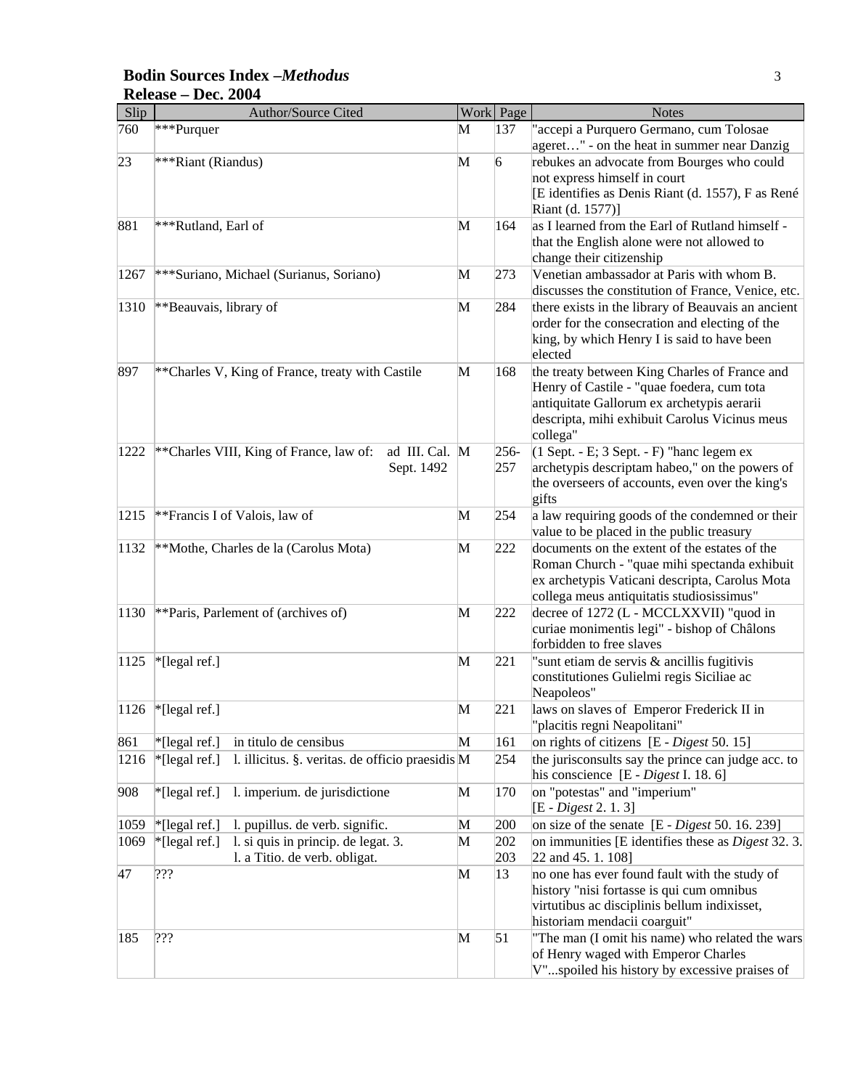#### **Bodin Sources Index –***Methodus* 3 **Release – Dec. 2004**

| Slip | Author/Source Cited                                                                   |   | Work Page      | <b>Notes</b>                                                                                                                                                                                           |
|------|---------------------------------------------------------------------------------------|---|----------------|--------------------------------------------------------------------------------------------------------------------------------------------------------------------------------------------------------|
| 760  | ***Purquer                                                                            | M | 137            | "accepi a Purquero Germano, cum Tolosae<br>ageret" - on the heat in summer near Danzig                                                                                                                 |
| 23   | ***Riant (Riandus)                                                                    | M | 6              | rebukes an advocate from Bourges who could<br>not express himself in court<br>[E identifies as Denis Riant (d. 1557), F as René<br>Riant (d. 1577)]                                                    |
| 881  | ***Rutland, Earl of                                                                   | M | 164            | as I learned from the Earl of Rutland himself -<br>that the English alone were not allowed to<br>change their citizenship                                                                              |
| 1267 | *** Suriano, Michael (Surianus, Soriano)                                              | M | 273            | Venetian ambassador at Paris with whom B.<br>discusses the constitution of France, Venice, etc.                                                                                                        |
| 1310 | **Beauvais, library of                                                                | M | 284            | there exists in the library of Beauvais an ancient<br>order for the consecration and electing of the<br>king, by which Henry I is said to have been<br>elected                                         |
| 897  | ** Charles V, King of France, treaty with Castile                                     | M | 168            | the treaty between King Charles of France and<br>Henry of Castile - "quae foedera, cum tota<br>antiquitate Gallorum ex archetypis aerarii<br>descripta, mihi exhibuit Carolus Vicinus meus<br>collega" |
| 1222 | ** Charles VIII, King of France, law of:<br>ad III. Cal. M<br>Sept. 1492              |   | $256 -$<br>257 | $(1$ Sept. - E; 3 Sept. - F) "hanc legem ex<br>archetypis descriptam habeo," on the powers of<br>the overseers of accounts, even over the king's<br>gifts                                              |
| 1215 | ** Francis I of Valois, law of                                                        | M | 254            | a law requiring goods of the condemned or their<br>value to be placed in the public treasury                                                                                                           |
| 1132 | **Mothe, Charles de la (Carolus Mota)                                                 | M | 222            | documents on the extent of the estates of the<br>Roman Church - "quae mihi spectanda exhibuit<br>ex archetypis Vaticani descripta, Carolus Mota<br>collega meus antiquitatis studiosissimus"           |
| 1130 | ** Paris, Parlement of (archives of)                                                  | M | 222            | decree of 1272 (L - MCCLXXVII) "quod in<br>curiae monimentis legi" - bishop of Châlons<br>forbidden to free slaves                                                                                     |
| 1125 | *[legal ref.]                                                                         | M | 221            | "sunt etiam de servis & ancillis fugitivis<br>constitutiones Gulielmi regis Siciliae ac<br>Neapoleos"                                                                                                  |
| 1126 | $*$ [legal ref.]                                                                      | M | 221            | laws on slaves of Emperor Frederick II in<br>'placitis regni Neapolitani"                                                                                                                              |
| 861  | *[legal ref.]<br>in titulo de censibus                                                | M | 161            | on rights of citizens [E - Digest 50. 15]                                                                                                                                                              |
| 1216 | *[legal ref.]<br>l. illicitus. §. veritas. de officio praesidis M                     |   | 254            | the jurisconsults say the prince can judge acc. to<br>his conscience [E - Digest I. 18. 6]                                                                                                             |
| 908  | *[legal ref.]<br>1. imperium. de jurisdictione                                        | M | 170            | on "potestas" and "imperium"<br>[E - Digest 2. 1. 3]                                                                                                                                                   |
| 1059 | *[legal ref.]<br>l. pupillus. de verb. signific.                                      | M | 200            | on size of the senate $[E - Digest\ 50.16.239]$                                                                                                                                                        |
| 1069 | *[legal ref.]<br>1. si quis in princip. de legat. 3.<br>l. a Titio. de verb. obligat. | M | 202<br>203     | on immunities [E identifies these as <i>Digest</i> 32.3.<br>22 and 45. 1. 108]                                                                                                                         |
| 47   | ???                                                                                   | M | 13             | no one has ever found fault with the study of<br>history "nisi fortasse is qui cum omnibus<br>virtutibus ac disciplinis bellum indixisset,<br>historiam mendacii coarguit"                             |
| 185  | ???                                                                                   | M | 51             | "The man (I omit his name) who related the wars<br>of Henry waged with Emperor Charles<br>V"spoiled his history by excessive praises of                                                                |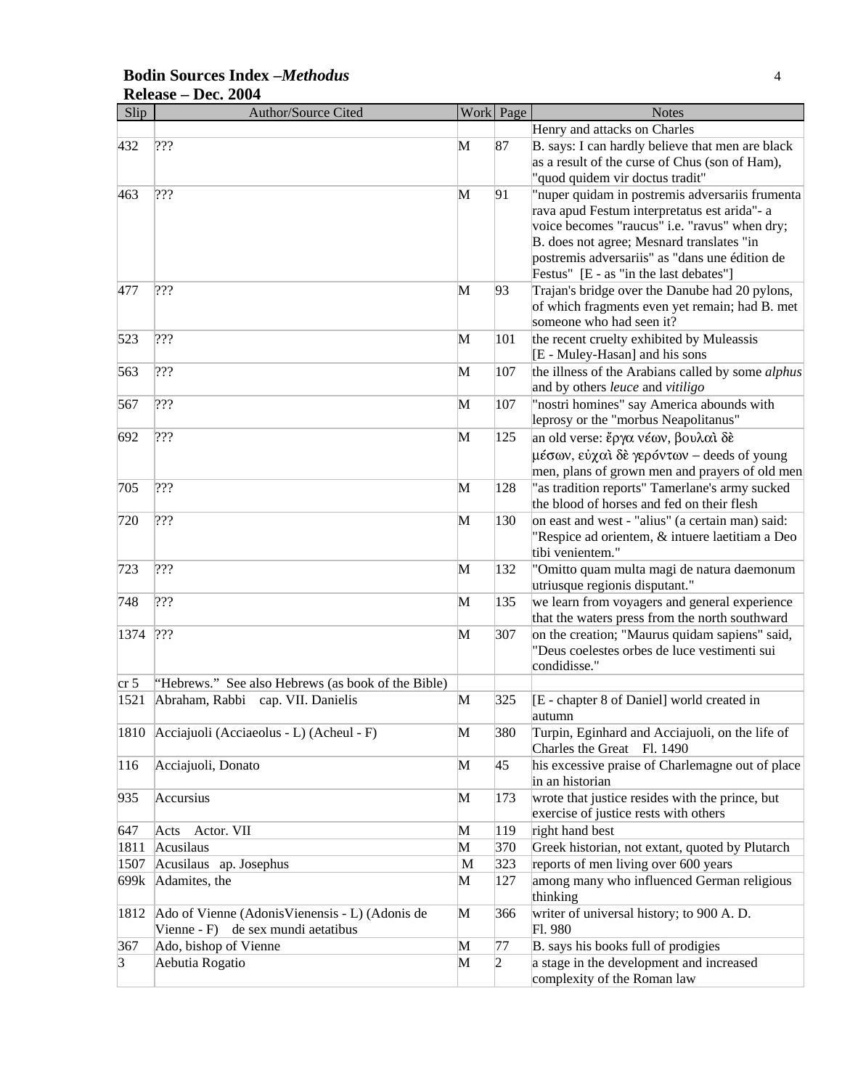#### **Bodin Sources Index –***Methodus* 4 **Release – Dec. 2004**

| Slip            | Author/Source Cited                                |   | Work Page | <b>Notes</b>                                                                                                                          |
|-----------------|----------------------------------------------------|---|-----------|---------------------------------------------------------------------------------------------------------------------------------------|
|                 |                                                    |   |           | Henry and attacks on Charles                                                                                                          |
| 432             | 222                                                | M | 87        | B. says: I can hardly believe that men are black<br>as a result of the curse of Chus (son of Ham),<br>"quod quidem vir doctus tradit" |
| 463             | 222                                                | M | 91        | "nuper quidam in postremis adversariis frumenta                                                                                       |
|                 |                                                    |   |           | rava apud Festum interpretatus est arida"- a                                                                                          |
|                 |                                                    |   |           | voice becomes "raucus" i.e. "ravus" when dry;                                                                                         |
|                 |                                                    |   |           | B. does not agree; Mesnard translates "in                                                                                             |
|                 |                                                    |   |           | postremis adversariis" as "dans une édition de                                                                                        |
|                 |                                                    |   |           | Festus" [E - as "in the last debates"]                                                                                                |
| 477             | 222                                                | M | 93        | Trajan's bridge over the Danube had 20 pylons,                                                                                        |
|                 |                                                    |   |           | of which fragments even yet remain; had B. met                                                                                        |
|                 |                                                    |   |           | someone who had seen it?                                                                                                              |
| 523             | ???                                                | M | 101       | the recent cruelty exhibited by Muleassis<br>[E - Muley-Hasan] and his sons                                                           |
| 563             | ???                                                | M | 107       | the illness of the Arabians called by some alphus                                                                                     |
|                 |                                                    |   |           | and by others leuce and vitiligo                                                                                                      |
| 567             | ???                                                | M | 107       | "nostri homines" say America abounds with                                                                                             |
|                 |                                                    |   |           | leprosy or the "morbus Neapolitanus"                                                                                                  |
| 692             | ???                                                | M | 125       | an old verse: ἔργα νέων, βουλαὶ δε                                                                                                    |
|                 |                                                    |   |           | μέσων, εύχαι δε γερόντων – deeds of young                                                                                             |
|                 |                                                    |   |           | men, plans of grown men and prayers of old men                                                                                        |
| 705             | 222                                                | M | 128       | "as tradition reports" Tamerlane's army sucked                                                                                        |
|                 |                                                    |   |           | the blood of horses and fed on their flesh                                                                                            |
| 720             | ???                                                | M | 130       | on east and west - "alius" (a certain man) said:                                                                                      |
|                 |                                                    |   |           | "Respice ad orientem, & intuere laetitiam a Deo                                                                                       |
|                 | 222                                                |   |           | tibi venientem."                                                                                                                      |
| 723             |                                                    | M | 132       | "Omitto quam multa magi de natura daemonum<br>utriusque regionis disputant."                                                          |
| 748             | ???                                                | M | 135       | we learn from voyagers and general experience                                                                                         |
|                 |                                                    |   |           | that the waters press from the north southward                                                                                        |
| 1374            | ???                                                | M | 307       | on the creation; "Maurus quidam sapiens" said,                                                                                        |
|                 |                                                    |   |           | "Deus coelestes orbes de luce vestimenti sui<br>condidisse."                                                                          |
| cr <sub>5</sub> | "Hebrews." See also Hebrews (as book of the Bible) |   |           |                                                                                                                                       |
| 1521            | Abraham, Rabbi cap. VII. Danielis                  | M | 325       | [E - chapter 8 of Daniel] world created in                                                                                            |
|                 |                                                    |   |           | autumn                                                                                                                                |
|                 | 1810 Acciajuoli (Acciaeolus - L) (Acheul - F)      | M | 380       | Turpin, Eginhard and Acciajuoli, on the life of                                                                                       |
|                 |                                                    |   |           | Charles the Great Fl. 1490                                                                                                            |
| 116             | Acciajuoli, Donato                                 | M | 45        | his excessive praise of Charlemagne out of place                                                                                      |
|                 |                                                    |   |           | in an historian                                                                                                                       |
| 935             | Accursius                                          | M | 173       | wrote that justice resides with the prince, but                                                                                       |
|                 |                                                    |   |           | exercise of justice rests with others                                                                                                 |
| 647             | Actor. VII<br>Acts                                 | M | 119       | right hand best                                                                                                                       |
| 1811            | Acusilaus                                          | M | 370       | Greek historian, not extant, quoted by Plutarch                                                                                       |
| 1507            | Acusilaus ap. Josephus                             | M | 323       | reports of men living over 600 years                                                                                                  |
| 699k            | Adamites, the                                      | M | 127       | among many who influenced German religious<br>thinking                                                                                |
| 1812            | Ado of Vienne (Adonis Vienensis - L) (Adonis de    | M | 366       | writer of universal history; to 900 A.D.                                                                                              |
|                 | Vienne - F) de sex mundi aetatibus                 |   |           | Fl. 980                                                                                                                               |
| 367             | Ado, bishop of Vienne                              | M | 77        | B. says his books full of prodigies                                                                                                   |
| 3               | Aebutia Rogatio                                    | M | 2         | a stage in the development and increased                                                                                              |
|                 |                                                    |   |           | complexity of the Roman law                                                                                                           |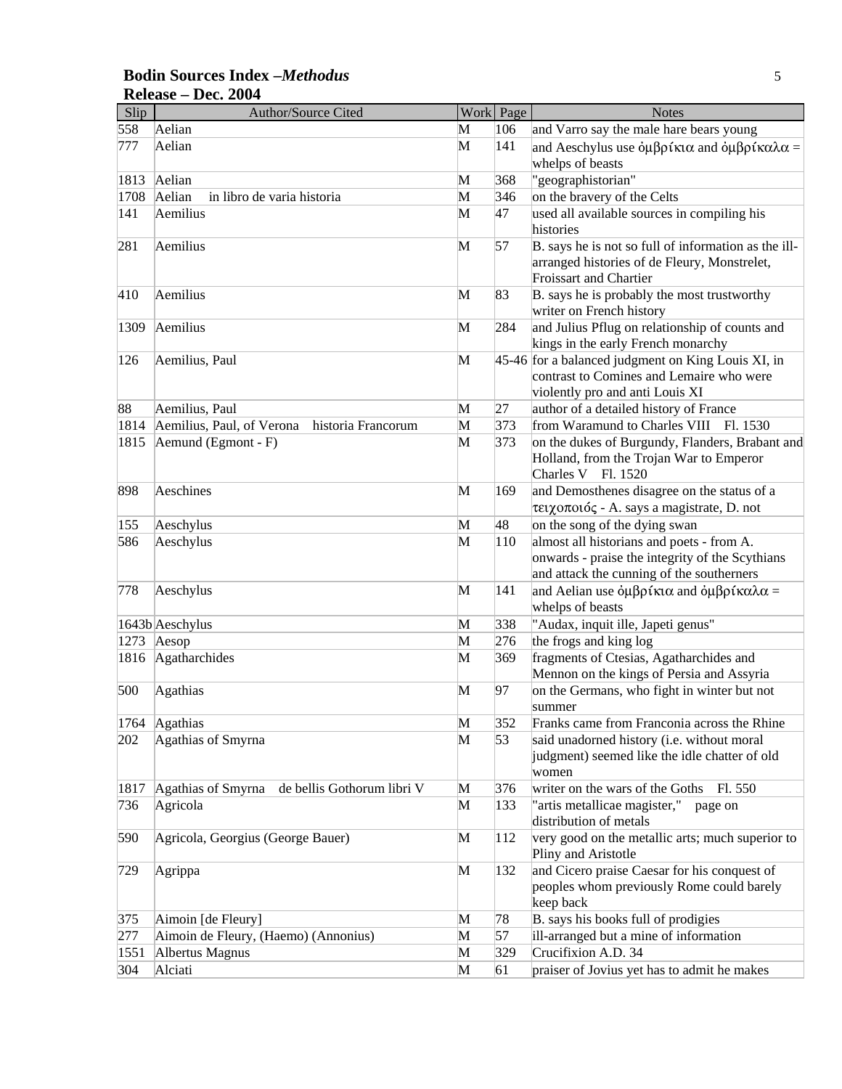#### **Bodin Sources Index –***Methodus* 5 **Release – Dec. 2004**

| Slip | Author/Source Cited                              |              | Work Page | <b>Notes</b>                                                                                                                                                             |
|------|--------------------------------------------------|--------------|-----------|--------------------------------------------------------------------------------------------------------------------------------------------------------------------------|
| 558  | Aelian                                           | M            | 106       | and Varro say the male hare bears young                                                                                                                                  |
| 777  | Aelian                                           | M            | 141       | and Aeschylus use $\dot{\phi} \mu \beta \rho \dot{\alpha} \kappa \alpha$ and $\dot{\phi} \mu \beta \rho \dot{\alpha} \kappa \alpha \lambda \alpha =$<br>whelps of beasts |
| 1813 | Aelian                                           | M            | 368       | "geographistorian"                                                                                                                                                       |
| 1708 | Aelian<br>in libro de varia historia             | M            | 346       | on the bravery of the Celts                                                                                                                                              |
| 141  | Aemilius                                         | M            | 47        | used all available sources in compiling his                                                                                                                              |
|      |                                                  |              |           | histories                                                                                                                                                                |
| 281  | Aemilius                                         | M            | 57        | B. says he is not so full of information as the ill-<br>arranged histories of de Fleury, Monstrelet,<br><b>Froissart and Chartier</b>                                    |
| 410  | Aemilius                                         | M            | 83        | B. says he is probably the most trustworthy<br>writer on French history                                                                                                  |
| 1309 | Aemilius                                         | M            | 284       | and Julius Pflug on relationship of counts and<br>kings in the early French monarchy                                                                                     |
| 126  | Aemilius, Paul                                   | M            |           | 45-46 for a balanced judgment on King Louis XI, in<br>contrast to Comines and Lemaire who were<br>violently pro and anti Louis XI                                        |
| 88   | Aemilius, Paul                                   | M            | 27        | author of a detailed history of France                                                                                                                                   |
| 1814 | Aemilius, Paul, of Verona historia Francorum     | M            | 373       | from Waramund to Charles VIII Fl. 1530                                                                                                                                   |
| 1815 | Aemund (Egmont - F)                              | M            | 373       | on the dukes of Burgundy, Flanders, Brabant and<br>Holland, from the Trojan War to Emperor<br>Charles V Fl. 1520                                                         |
| 898  | Aeschines                                        | M            | 169       | and Demosthenes disagree on the status of a<br>τειχοποιός - A. says a magistrate, D. not                                                                                 |
| 155  | Aeschylus                                        | M            | 48        | on the song of the dying swan                                                                                                                                            |
| 586  | Aeschylus                                        | M            | 110       | almost all historians and poets - from A.<br>onwards - praise the integrity of the Scythians<br>and attack the cunning of the southerners                                |
| 778  | Aeschylus                                        | M            | 141       | and Aelian use $\dot{\phi} \mu \beta \rho \hat{\imath} \kappa \alpha$ and $\dot{\phi} \mu \beta \rho \hat{\imath} \kappa \alpha \lambda \alpha =$<br>whelps of beasts    |
|      | 1643b Aeschylus                                  | M            | 338       | "Audax, inquit ille, Japeti genus"                                                                                                                                       |
| 1273 | Aesop                                            | M            | 276       | the frogs and king log                                                                                                                                                   |
| 1816 | Agatharchides                                    | M            | 369       | fragments of Ctesias, Agatharchides and<br>Mennon on the kings of Persia and Assyria                                                                                     |
| 500  | Agathias                                         | M            | 97        | on the Germans, who fight in winter but not<br>summer                                                                                                                    |
|      | 1764 Agathias                                    | M            | 352       | Franks came from Franconia across the Rhine                                                                                                                              |
| 202  | Agathias of Smyrna                               | M            | 53        | said unadorned history (i.e. without moral<br>judgment) seemed like the idle chatter of old<br>women                                                                     |
| 1817 | Agathias of Smyrna<br>de bellis Gothorum libri V | $\mathbf{M}$ | 376       | writer on the wars of the Goths<br>Fl. 550                                                                                                                               |
| 736  | Agricola                                         | M            | 133       | "artis metallicae magister,"<br>page on<br>distribution of metals                                                                                                        |
| 590  | Agricola, Georgius (George Bauer)                | M            | 112       | very good on the metallic arts; much superior to<br>Pliny and Aristotle                                                                                                  |
| 729  | Agrippa                                          | M            | 132       | and Cicero praise Caesar for his conquest of<br>peoples whom previously Rome could barely<br>keep back                                                                   |
| 375  | Aimoin [de Fleury]                               | M            | 78        | B. says his books full of prodigies                                                                                                                                      |
| 277  | Aimoin de Fleury, (Haemo) (Annonius)             | M            | 57        | ill-arranged but a mine of information                                                                                                                                   |
| 1551 | Albertus Magnus                                  | M            | 329       | Crucifixion A.D. 34                                                                                                                                                      |
| 304  | Alciati                                          | M            | 61        | praiser of Jovius yet has to admit he makes                                                                                                                              |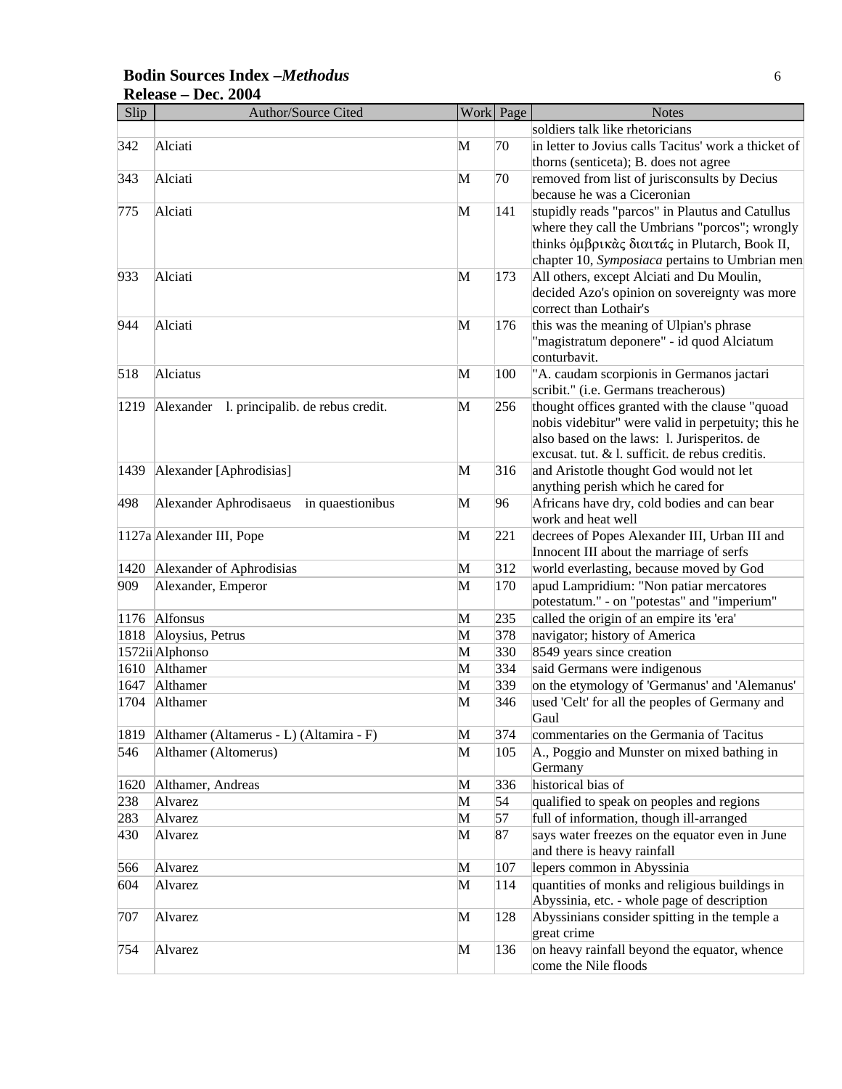#### **Bodin Sources Index –***Methodus* 6 **Release – Dec. 2004**

| Slip | Author/Source Cited                        |   | Work Page | <b>Notes</b>                                                                                  |
|------|--------------------------------------------|---|-----------|-----------------------------------------------------------------------------------------------|
|      |                                            |   |           | soldiers talk like rhetoricians                                                               |
| 342  | Alciati                                    | M | 70        | in letter to Jovius calls Tacitus' work a thicket of<br>thorns (senticeta); B. does not agree |
| 343  | Alciati                                    | М | 70        | removed from list of jurisconsults by Decius                                                  |
|      |                                            |   |           | because he was a Ciceronian                                                                   |
| 775  | Alciati                                    | M | 141       | stupidly reads "parcos" in Plautus and Catullus                                               |
|      |                                            |   |           | where they call the Umbrians "porcos"; wrongly                                                |
|      |                                            |   |           | thinks όμβρικάς διαιτάς in Plutarch, Book II,                                                 |
|      |                                            |   |           | chapter 10, Symposiaca pertains to Umbrian men                                                |
| 933  | Alciati                                    | M | 173       | All others, except Alciati and Du Moulin,                                                     |
|      |                                            |   |           | decided Azo's opinion on sovereignty was more                                                 |
|      |                                            |   |           | correct than Lothair's                                                                        |
| 944  | Alciati                                    | M | 176       | this was the meaning of Ulpian's phrase                                                       |
|      |                                            |   |           | "magistratum deponere" - id quod Alciatum                                                     |
|      |                                            |   |           | conturbavit.                                                                                  |
| 518  | Alciatus                                   | M | 100       | "A. caudam scorpionis in Germanos jactari                                                     |
|      |                                            |   |           | scribit." (i.e. Germans treacherous)                                                          |
| 1219 | Alexander 1. principalib. de rebus credit. | M | 256       | thought offices granted with the clause "quoad                                                |
|      |                                            |   |           | nobis videbitur" were valid in perpetuity; this he                                            |
|      |                                            |   |           | also based on the laws: 1. Jurisperitos. de                                                   |
|      |                                            |   |           | excusat. tut. & l. sufficit. de rebus creditis.                                               |
| 1439 | Alexander [Aphrodisias]                    | M | 316       | and Aristotle thought God would not let                                                       |
|      |                                            |   |           | anything perish which he cared for                                                            |
| 498  | Alexander Aphrodisaeus in quaestionibus    | M | 96        | Africans have dry, cold bodies and can bear                                                   |
|      |                                            |   |           | work and heat well                                                                            |
|      | 1127a Alexander III, Pope                  | M | 221       | decrees of Popes Alexander III, Urban III and                                                 |
|      |                                            |   |           | Innocent III about the marriage of serfs                                                      |
| 1420 | Alexander of Aphrodisias                   | M | 312       | world everlasting, because moved by God                                                       |
| 909  | Alexander, Emperor                         | M | 170       | apud Lampridium: "Non patiar mercatores<br>potestatum." - on "potestas" and "imperium"        |
|      | 1176 Alfonsus                              | M | 235       | called the origin of an empire its 'era'                                                      |
|      | 1818 Aloysius, Petrus                      | M | 378       | navigator; history of America                                                                 |
|      | 1572ii Alphonso                            | M | 330       | 8549 years since creation                                                                     |
|      | 1610 Althamer                              | M | 334       | said Germans were indigenous                                                                  |
| 1647 | Althamer                                   | M | 339       | on the etymology of 'Germanus' and 'Alemanus'                                                 |
| 1704 | Althamer                                   | M | 346       | used 'Celt' for all the peoples of Germany and                                                |
|      |                                            |   |           | Gaul                                                                                          |
| 1819 | Althamer (Altamerus - L) (Altamira - F)    | M | 374       | commentaries on the Germania of Tacitus                                                       |
| 546  | Althamer (Altomerus)                       | M | 105       | A., Poggio and Munster on mixed bathing in                                                    |
|      |                                            |   |           | Germany                                                                                       |
| 1620 | Althamer, Andreas                          | M | 336       | historical bias of                                                                            |
| 238  | Alvarez                                    | M | 54        | qualified to speak on peoples and regions                                                     |
| 283  | Alvarez                                    | M | 57        | full of information, though ill-arranged                                                      |
| 430  | Alvarez                                    | M | 87        | says water freezes on the equator even in June                                                |
|      |                                            |   |           | and there is heavy rainfall                                                                   |
| 566  | Alvarez                                    | M | 107       | lepers common in Abyssinia                                                                    |
| 604  | Alvarez                                    | M | 114       | quantities of monks and religious buildings in                                                |
|      |                                            |   |           | Abyssinia, etc. - whole page of description                                                   |
| 707  | Alvarez                                    | M | 128       | Abyssinians consider spitting in the temple a<br>great crime                                  |
| 754  | Alvarez                                    | M | 136       | on heavy rainfall beyond the equator, whence                                                  |
|      |                                            |   |           | come the Nile floods                                                                          |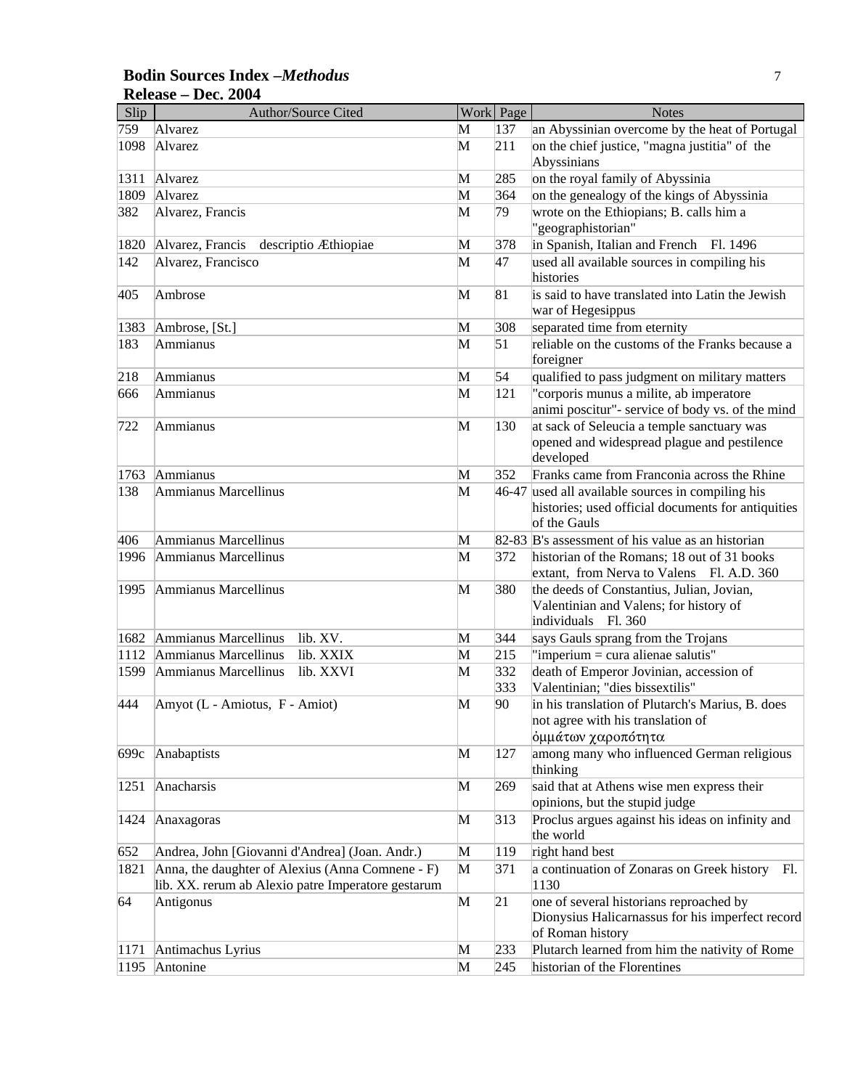#### **Bodin Sources Index –***Methodus* 7 **Release – Dec. 2004**

| Slip | Author/Source Cited                                |   | Work Page | <b>Notes</b>                                                                             |
|------|----------------------------------------------------|---|-----------|------------------------------------------------------------------------------------------|
| 759  | Alvarez                                            | M | 137       | an Abyssinian overcome by the heat of Portugal                                           |
| 1098 | Alvarez                                            | M | 211       | on the chief justice, "magna justitia" of the<br>Abyssinians                             |
| 1311 | Alvarez                                            | M | 285       | on the royal family of Abyssinia                                                         |
| 1809 | Alvarez                                            | M | 364       | on the genealogy of the kings of Abyssinia                                               |
| 382  | Alvarez, Francis                                   | M | 79        | wrote on the Ethiopians; B. calls him a                                                  |
|      |                                                    |   |           | "geographistorian"                                                                       |
| 1820 | Alvarez, Francis descriptio Æthiopiae              | M | 378       | in Spanish, Italian and French<br>Fl. 1496                                               |
| 142  | Alvarez, Francisco                                 | M | 47        | used all available sources in compiling his                                              |
|      |                                                    |   |           | histories                                                                                |
| 405  | Ambrose                                            | M | 81        | is said to have translated into Latin the Jewish                                         |
|      |                                                    |   |           | war of Hegesippus                                                                        |
| 1383 | Ambrose, [St.]                                     | M | 308       | separated time from eternity                                                             |
| 183  | Ammianus                                           | M | 51        | reliable on the customs of the Franks because a<br>foreigner                             |
| 218  | Ammianus                                           | M | 54        | qualified to pass judgment on military matters                                           |
| 666  | Ammianus                                           | M | 121       | "corporis munus a milite, ab imperatore                                                  |
|      |                                                    |   |           | animi poscitur"- service of body vs. of the mind                                         |
| 722  | Ammianus                                           | M | 130       | at sack of Seleucia a temple sanctuary was                                               |
|      |                                                    |   |           | opened and widespread plague and pestilence                                              |
|      |                                                    |   |           | developed                                                                                |
| 1763 | Ammianus                                           | M | 352       | Franks came from Franconia across the Rhine                                              |
| 138  | Ammianus Marcellinus                               | M |           | 46-47 used all available sources in compiling his                                        |
|      |                                                    |   |           | histories; used official documents for antiquities                                       |
|      |                                                    |   |           | of the Gauls                                                                             |
| 406  | Ammianus Marcellinus                               | M |           | 82-83 B's assessment of his value as an historian                                        |
| 1996 | Ammianus Marcellinus                               | M | 372       | historian of the Romans; 18 out of 31 books<br>extant, from Nerva to Valens Fl. A.D. 360 |
| 1995 | Ammianus Marcellinus                               | M | 380       | the deeds of Constantius, Julian, Jovian,                                                |
|      |                                                    |   |           | Valentinian and Valens; for history of                                                   |
|      |                                                    |   |           | individuals Fl. 360                                                                      |
| 1682 | Ammianus Marcellinus<br>lib. XV.                   | M | 344       | says Gauls sprang from the Trojans                                                       |
| 1112 | Ammianus Marcellinus<br>lib. XXIX                  | M | 215       | "imperium = cura alienae salutis"                                                        |
| 1599 | Ammianus Marcellinus<br>lib. XXVI                  | M | 332       | death of Emperor Jovinian, accession of                                                  |
|      |                                                    |   | 333       | Valentinian; "dies bissextilis"                                                          |
| 444  | Amyot (L - Amiotus, F - Amiot)                     | M | 90        | in his translation of Plutarch's Marius, B. does                                         |
|      |                                                    |   |           | not agree with his translation of                                                        |
|      |                                                    |   |           | όμμάτων χαροπότητα                                                                       |
| 699c | Anabaptists                                        | M | 127       | among many who influenced German religious                                               |
|      |                                                    |   |           | thinking                                                                                 |
| 1251 | Anacharsis                                         | M | 269       | said that at Athens wise men express their                                               |
|      |                                                    |   |           | opinions, but the stupid judge                                                           |
| 1424 | Anaxagoras                                         | M | 313       | Proclus argues against his ideas on infinity and<br>the world                            |
| 652  | Andrea, John [Giovanni d'Andrea] (Joan. Andr.)     | M | 119       | right hand best                                                                          |
| 1821 | Anna, the daughter of Alexius (Anna Comnene - F)   | M | 371       | a continuation of Zonaras on Greek history Fl.                                           |
|      | lib. XX. rerum ab Alexio patre Imperatore gestarum |   |           | 1130                                                                                     |
| 64   | Antigonus                                          | M | 21        | one of several historians reproached by                                                  |
|      |                                                    |   |           | Dionysius Halicarnassus for his imperfect record                                         |
|      |                                                    |   |           | of Roman history                                                                         |
| 1171 | Antimachus Lyrius                                  | M | 233       | Plutarch learned from him the nativity of Rome                                           |
| 1195 | Antonine                                           | M | 245       | historian of the Florentines                                                             |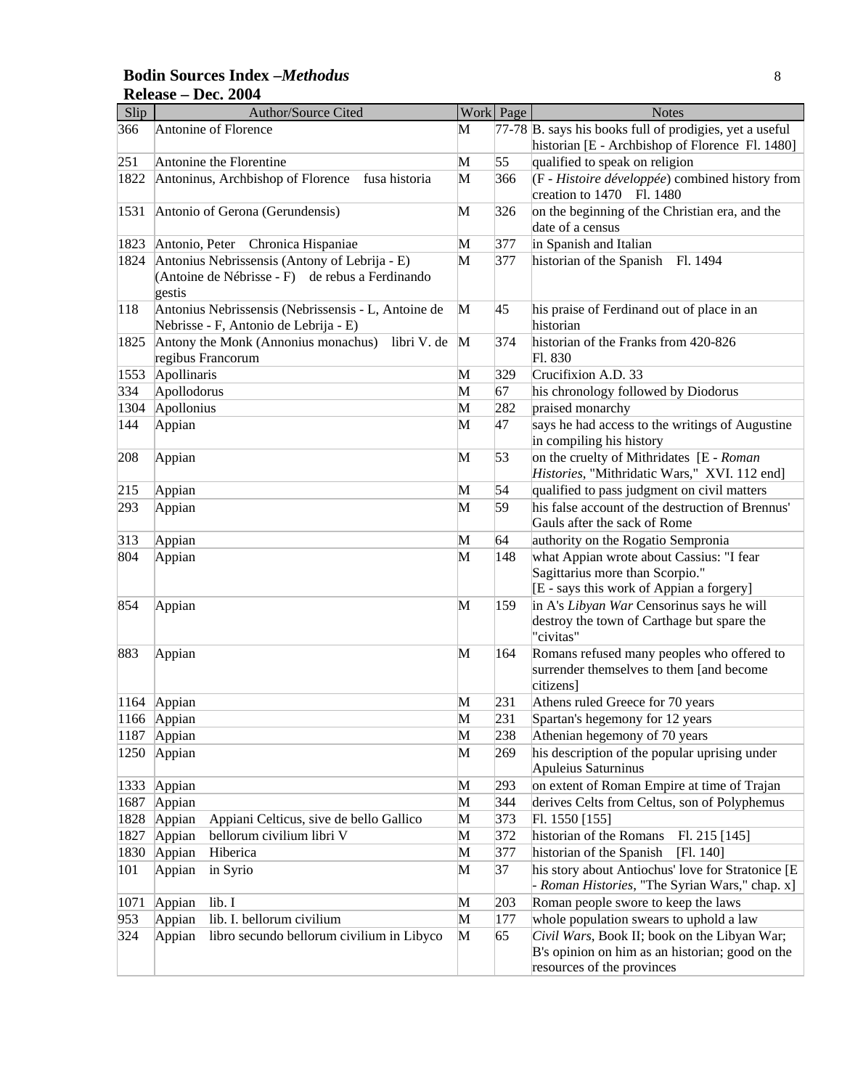#### **Bodin Sources Index –***Methodus* 8 **Release – Dec. 2004**

| Slip | Author/Source Cited                                                                                        |              | Work Page | <b>Notes</b>                                                                                                            |
|------|------------------------------------------------------------------------------------------------------------|--------------|-----------|-------------------------------------------------------------------------------------------------------------------------|
| 366  | Antonine of Florence                                                                                       | М            |           | 77-78 B. says his books full of prodigies, yet a useful                                                                 |
|      |                                                                                                            |              |           | historian [E - Archbishop of Florence Fl. 1480]                                                                         |
| 251  | Antonine the Florentine                                                                                    | M            | 55        | qualified to speak on religion                                                                                          |
| 1822 | Antoninus, Archbishop of Florence<br>fusa historia                                                         | M            | 366       | $(F - Histoire \ développée)$ combined history from<br>creation to 1470 Fl. 1480                                        |
| 1531 | Antonio of Gerona (Gerundensis)                                                                            | M            | 326       | on the beginning of the Christian era, and the<br>date of a census                                                      |
| 1823 | Antonio, Peter Chronica Hispaniae                                                                          | M            | 377       | in Spanish and Italian                                                                                                  |
| 1824 | Antonius Nebrissensis (Antony of Lebrija - E)<br>(Antoine de Nébrisse - F) de rebus a Ferdinando<br>gestis | M            | 377       | historian of the Spanish<br>Fl. 1494                                                                                    |
| 118  | Antonius Nebrissensis (Nebrissensis - L, Antoine de<br>Nebrisse - F, Antonio de Lebrija - E)               | M            | 45        | his praise of Ferdinand out of place in an<br>historian                                                                 |
| 1825 | Antony the Monk (Annonius monachus)<br>libri V. de<br>regibus Francorum                                    | $\mathbf{M}$ | 374       | historian of the Franks from 420-826<br>Fl. 830                                                                         |
| 1553 | Apollinaris                                                                                                | M            | 329       | Crucifixion A.D. 33                                                                                                     |
| 334  | Apollodorus                                                                                                | M            | 67        | his chronology followed by Diodorus                                                                                     |
| 1304 | Apollonius                                                                                                 | M            | 282       | praised monarchy                                                                                                        |
| 144  | Appian                                                                                                     | M            | 47        | says he had access to the writings of Augustine<br>in compiling his history                                             |
| 208  | Appian                                                                                                     | M            | 53        | on the cruelty of Mithridates [E - Roman<br>Histories, "Mithridatic Wars," XVI. 112 end]                                |
| 215  | Appian                                                                                                     | M            | 54        | qualified to pass judgment on civil matters                                                                             |
| 293  | Appian                                                                                                     | M            | 59        | his false account of the destruction of Brennus'<br>Gauls after the sack of Rome                                        |
| 313  | Appian                                                                                                     | M            | 64        | authority on the Rogatio Sempronia                                                                                      |
| 804  | Appian                                                                                                     | M            | 148       | what Appian wrote about Cassius: "I fear<br>Sagittarius more than Scorpio."<br>[E - says this work of Appian a forgery] |
| 854  | Appian                                                                                                     | М            | 159       | in A's Libyan War Censorinus says he will<br>destroy the town of Carthage but spare the<br>"civitas"                    |
| 883  | Appian                                                                                                     | M            | 164       | Romans refused many peoples who offered to<br>surrender themselves to them [and become<br>citizens]                     |
|      | 1164 Appian                                                                                                | M            | 231       | Athens ruled Greece for 70 years                                                                                        |
|      | 1166 Appian                                                                                                | M            | 231       | Spartan's hegemony for 12 years                                                                                         |
| 1187 | Appian                                                                                                     | M            | 238       | Athenian hegemony of 70 years                                                                                           |
| 1250 | Appian                                                                                                     | M            | 269       | his description of the popular uprising under<br>Apuleius Saturninus                                                    |
| 1333 | Appian                                                                                                     | M            | 293       | on extent of Roman Empire at time of Trajan                                                                             |
| 1687 | Appian                                                                                                     | M            | 344       | derives Celts from Celtus, son of Polyphemus                                                                            |
| 1828 | Appiani Celticus, sive de bello Gallico<br>Appian                                                          | M            | 373       | Fl. $1550$ [155]                                                                                                        |
| 1827 | bellorum civilium libri V<br>Appian                                                                        | M            | 372       | historian of the Romans<br>Fl. 215 [145]                                                                                |
| 1830 | Hiberica<br>Appian                                                                                         | M            | 377       | historian of the Spanish<br>[Fl. 140]                                                                                   |
| 101  | in Syrio<br>Appian                                                                                         | M            | 37        | his story about Antiochus' love for Stratonice [E<br>- Roman Histories, "The Syrian Wars," chap. x]                     |
| 1071 | Appian<br>lib. I                                                                                           | M            | 203       | Roman people swore to keep the laws                                                                                     |
| 953  | lib. I. bellorum civilium<br>Appian                                                                        | M            | 177       | whole population swears to uphold a law                                                                                 |
| 324  | libro secundo bellorum civilium in Libyco<br>Appian                                                        | M            | 65        | Civil Wars, Book II; book on the Libyan War;<br>B's opinion on him as an historian; good on the                         |
|      |                                                                                                            |              |           | resources of the provinces                                                                                              |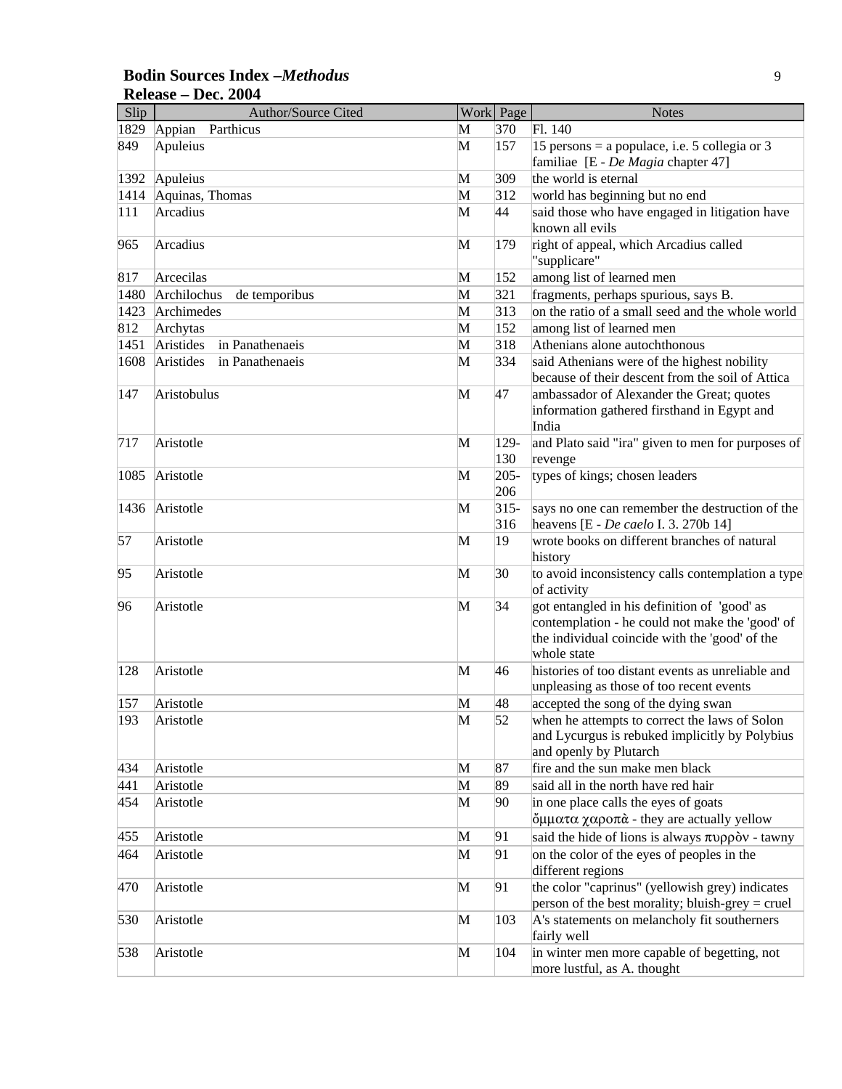| <b>Bodin Sources Index -Methodus</b> |  |
|--------------------------------------|--|
| Release – Dec. 2004                  |  |

| Slip | Author/Source Cited          |   | Work Page      | <b>Notes</b>                                                                            |
|------|------------------------------|---|----------------|-----------------------------------------------------------------------------------------|
| 1829 | Parthicus<br>Appian          | M | 370            | Fl. 140                                                                                 |
| 849  | Apuleius                     | M | 157            | 15 persons = a populace, i.e. 5 collegia or 3                                           |
|      |                              |   |                | familiae [E - De Magia chapter 47]                                                      |
| 1392 | Apuleius                     | M | 309            | the world is eternal                                                                    |
| 1414 | Aquinas, Thomas              | M | 312            | world has beginning but no end                                                          |
| 111  | Arcadius                     | M | 44             | said those who have engaged in litigation have                                          |
|      |                              |   |                | known all evils                                                                         |
| 965  | Arcadius                     | M | 179            | right of appeal, which Arcadius called                                                  |
|      |                              |   |                | "supplicare"                                                                            |
| 817  | Arcecilas                    | M | 152            | among list of learned men                                                               |
| 1480 | Archilochus<br>de temporibus | M | 321            | fragments, perhaps spurious, says B.                                                    |
| 1423 | Archimedes                   | M | 313            | on the ratio of a small seed and the whole world                                        |
| 812  | Archytas                     | M | 152            | among list of learned men                                                               |
| 1451 | Aristides<br>in Panathenaeis | M | 318            | Athenians alone autochthonous                                                           |
| 1608 | Aristides<br>in Panathenaeis | M | 334            | said Athenians were of the highest nobility                                             |
|      |                              |   |                | because of their descent from the soil of Attica                                        |
| 147  | Aristobulus                  | M | 47             | ambassador of Alexander the Great; quotes                                               |
|      |                              |   |                | information gathered firsthand in Egypt and                                             |
|      |                              |   |                | India                                                                                   |
| 717  | Aristotle                    | M | 129-           | and Plato said "ira" given to men for purposes of                                       |
|      |                              |   | 130            | revenge                                                                                 |
| 1085 | Aristotle                    | M | $205 -$<br>206 | types of kings; chosen leaders                                                          |
|      |                              |   |                |                                                                                         |
| 1436 | Aristotle                    | M | $315 -$<br>316 | says no one can remember the destruction of the<br>heavens [E - De caelo I. 3. 270b 14] |
| 57   | Aristotle                    | M | 19             | wrote books on different branches of natural                                            |
|      |                              |   |                | history                                                                                 |
| 95   | Aristotle                    | M | 30             | to avoid inconsistency calls contemplation a type                                       |
|      |                              |   |                | of activity                                                                             |
| 96   | Aristotle                    | M | 34             | got entangled in his definition of 'good' as                                            |
|      |                              |   |                | contemplation - he could not make the 'good' of                                         |
|      |                              |   |                | the individual coincide with the 'good' of the                                          |
|      |                              |   |                | whole state                                                                             |
| 128  | Aristotle                    | M | 46             | histories of too distant events as unreliable and                                       |
|      |                              |   |                | unpleasing as those of too recent events                                                |
| 157  | Aristotle                    | M | 48             | accepted the song of the dying swan                                                     |
| 193  | Aristotle                    | M | 52             | when he attempts to correct the laws of Solon                                           |
|      |                              |   |                | and Lycurgus is rebuked implicitly by Polybius                                          |
|      |                              |   |                | and openly by Plutarch                                                                  |
| 434  | Aristotle                    | M | 87             | fire and the sun make men black                                                         |
| 441  | Aristotle                    | M | 89             | said all in the north have red hair                                                     |
| 454  | Aristotle                    | M | 90             | in one place calls the eyes of goats                                                    |
|      |                              |   |                | $\phi$ μματα χαροπά - they are actually yellow                                          |
| 455  | Aristotle                    | M | 91             | said the hide of lions is always $\pi \nu \rho \rho \delta \nu$ - tawny                 |
| 464  | Aristotle                    | M | 91             | on the color of the eyes of peoples in the                                              |
|      |                              |   |                | different regions                                                                       |
| 470  | Aristotle                    | M | 91             | the color "caprinus" (yellowish grey) indicates                                         |
|      |                              |   |                | person of the best morality; bluish-grey = cruel                                        |
| 530  | Aristotle                    | M | 103            | A's statements on melancholy fit southerners                                            |
|      |                              |   |                | fairly well                                                                             |
| 538  | Aristotle                    | M | 104            | in winter men more capable of begetting, not                                            |
|      |                              |   |                | more lustful, as A. thought                                                             |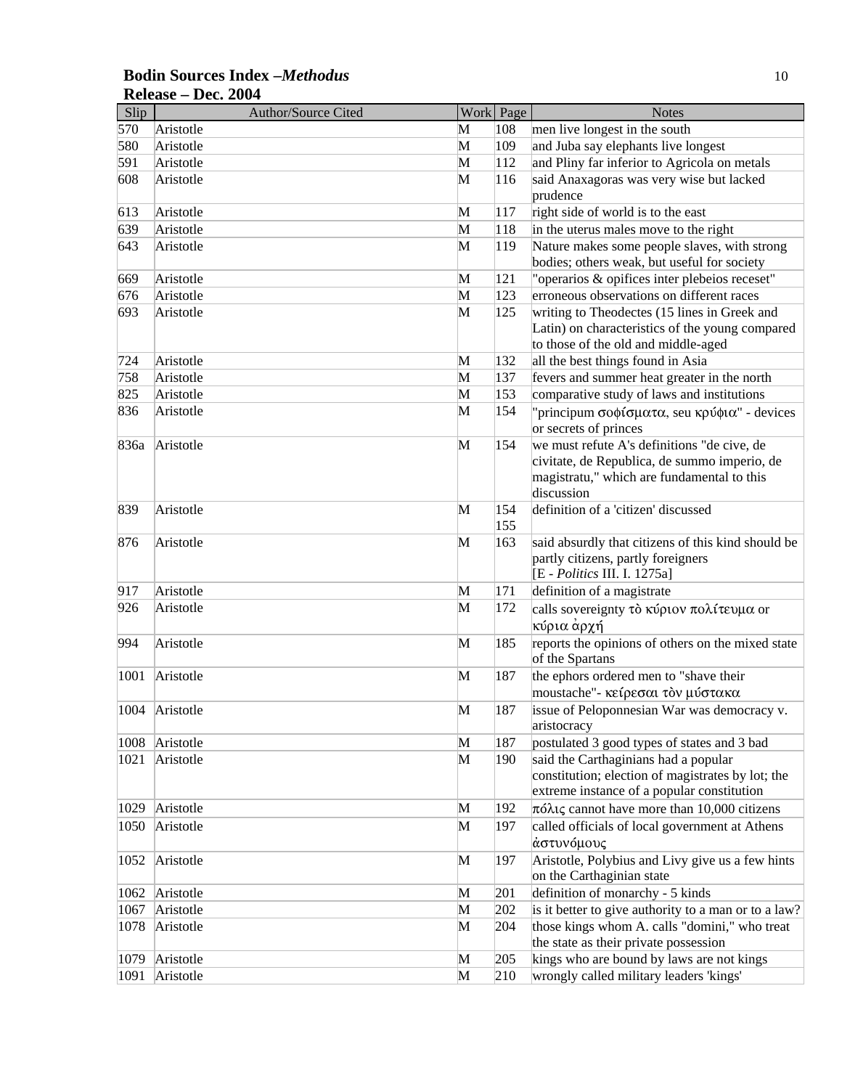| Slip | Author/Source Cited | Work Page |     | <b>Notes</b>                                         |
|------|---------------------|-----------|-----|------------------------------------------------------|
| 570  | Aristotle           | M         | 108 | men live longest in the south                        |
| 580  | Aristotle           | M         | 109 | and Juba say elephants live longest                  |
| 591  | Aristotle           | M         | 112 | and Pliny far inferior to Agricola on metals         |
| 608  | Aristotle           | M         | 116 | said Anaxagoras was very wise but lacked             |
|      |                     |           |     | prudence                                             |
| 613  | Aristotle           | M         | 117 | right side of world is to the east                   |
| 639  | Aristotle           | M         | 118 | in the uterus males move to the right                |
| 643  | Aristotle           | M         | 119 | Nature makes some people slaves, with strong         |
|      |                     |           |     | bodies; others weak, but useful for society          |
| 669  | Aristotle           | M         | 121 | "operarios & opifices inter plebeios receset"        |
| 676  | Aristotle           | M         | 123 | erroneous observations on different races            |
| 693  | Aristotle           | M         | 125 | writing to Theodectes (15 lines in Greek and         |
|      |                     |           |     | Latin) on characteristics of the young compared      |
|      |                     |           |     | to those of the old and middle-aged                  |
| 724  | Aristotle           | M         | 132 | all the best things found in Asia                    |
| 758  | Aristotle           | M         | 137 | fevers and summer heat greater in the north          |
| 825  | Aristotle           | M         | 153 | comparative study of laws and institutions           |
| 836  | Aristotle           | M         | 154 | "principum σοφίσματα, seu κρύφια" - devices          |
|      |                     |           |     | or secrets of princes                                |
| 836a | Aristotle           | M         | 154 | we must refute A's definitions "de cive, de          |
|      |                     |           |     | civitate, de Republica, de summo imperio, de         |
|      |                     |           |     | magistratu," which are fundamental to this           |
|      |                     |           |     | discussion                                           |
| 839  | Aristotle           | M         | 154 | definition of a 'citizen' discussed                  |
|      |                     |           | 155 |                                                      |
| 876  | Aristotle           | M         | 163 | said absurdly that citizens of this kind should be   |
|      |                     |           |     | partly citizens, partly foreigners                   |
|      |                     |           |     | [E - Politics III. I. 1275a]                         |
| 917  | Aristotle           | M         | 171 | definition of a magistrate                           |
| 926  | Aristotle           | M         | 172 | calls sovereignty το κύριον πολίτευμα or             |
|      |                     |           |     | κύρια ἀρχή                                           |
| 994  | Aristotle           | M         | 185 | reports the opinions of others on the mixed state    |
|      |                     |           |     | of the Spartans                                      |
| 1001 | Aristotle           | M         | 187 | the ephors ordered men to "shave their               |
|      |                     |           |     | moustache"- κείρεσαι τον μύστακα                     |
| 1004 | Aristotle           | M         | 187 | issue of Peloponnesian War was democracy v.          |
|      |                     |           |     | aristocracy                                          |
| 1008 | Aristotle           | M         | 187 | postulated 3 good types of states and 3 bad          |
| 1021 | Aristotle           | M         | 190 | said the Carthaginians had a popular                 |
|      |                     |           |     | constitution; election of magistrates by lot; the    |
|      |                     |           |     | extreme instance of a popular constitution           |
| 1029 | Aristotle           | M         | 192 | πόλις cannot have more than 10,000 citizens          |
| 1050 | Aristotle           | M         | 197 | called officials of local government at Athens       |
|      |                     |           |     | αστυνόμους                                           |
| 1052 | Aristotle           | M         | 197 | Aristotle, Polybius and Livy give us a few hints     |
|      |                     |           |     | on the Carthaginian state                            |
| 1062 | Aristotle           | M         | 201 | definition of monarchy - 5 kinds                     |
| 1067 | Aristotle           | M         | 202 | is it better to give authority to a man or to a law? |
| 1078 | Aristotle           | M         | 204 | those kings whom A. calls "domini," who treat        |
|      |                     |           |     | the state as their private possession                |
| 1079 | Aristotle           | M         | 205 | kings who are bound by laws are not kings            |
| 1091 | Aristotle           | M         | 210 | wrongly called military leaders 'kings'              |

## **Bodin Sources Index –***Methodus* 10 **Release – Dec. 2004**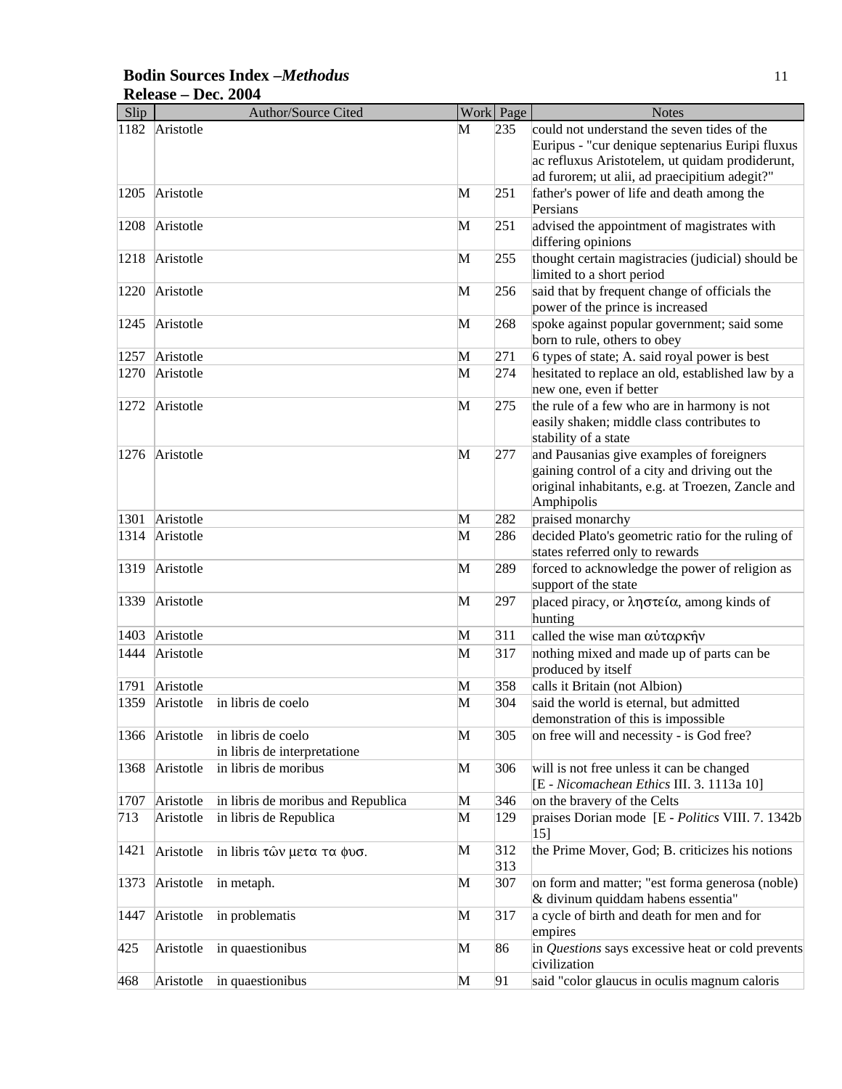| Slip |                | Author/Source Cited                |   | Work Page | <b>Notes</b>                                                                               |
|------|----------------|------------------------------------|---|-----------|--------------------------------------------------------------------------------------------|
| 1182 | Aristotle      |                                    | M | 235       | could not understand the seven tides of the                                                |
|      |                |                                    |   |           | Euripus - "cur denique septenarius Euripi fluxus                                           |
|      |                |                                    |   |           | ac refluxus Aristotelem, ut quidam prodiderunt,                                            |
|      |                |                                    |   |           | ad furorem; ut alii, ad praecipitium adegit?"                                              |
| 1205 | Aristotle      |                                    | M | 251       | father's power of life and death among the                                                 |
|      |                |                                    |   |           | Persians                                                                                   |
| 1208 | Aristotle      |                                    | M | 251       | advised the appointment of magistrates with                                                |
|      |                |                                    |   |           | differing opinions                                                                         |
| 1218 | Aristotle      |                                    | M | 255       | thought certain magistracies (judicial) should be                                          |
|      |                |                                    |   |           | limited to a short period                                                                  |
| 1220 | Aristotle      |                                    | M | 256       | said that by frequent change of officials the                                              |
|      |                |                                    |   |           | power of the prince is increased                                                           |
| 1245 | Aristotle      |                                    | M | 268       | spoke against popular government; said some                                                |
|      |                |                                    |   |           | born to rule, others to obey                                                               |
| 1257 | Aristotle      |                                    | M | 271       | 6 types of state; A. said royal power is best                                              |
| 1270 | Aristotle      |                                    | M | 274       | hesitated to replace an old, established law by a                                          |
|      |                |                                    |   |           | new one, even if better                                                                    |
|      |                |                                    |   |           |                                                                                            |
| 1272 | Aristotle      |                                    | M | 275       | the rule of a few who are in harmony is not                                                |
|      |                |                                    |   |           | easily shaken; middle class contributes to                                                 |
|      |                |                                    |   |           | stability of a state                                                                       |
| 1276 | Aristotle      |                                    | M | 277       | and Pausanias give examples of foreigners                                                  |
|      |                |                                    |   |           | gaining control of a city and driving out the                                              |
|      |                |                                    |   |           | original inhabitants, e.g. at Troezen, Zancle and                                          |
|      |                |                                    |   |           | Amphipolis                                                                                 |
| 1301 | Aristotle      |                                    | M | 282       | praised monarchy                                                                           |
| 1314 | Aristotle      |                                    | M | 286       | decided Plato's geometric ratio for the ruling of                                          |
|      |                |                                    |   |           | states referred only to rewards                                                            |
| 1319 | Aristotle      |                                    | M | 289       | forced to acknowledge the power of religion as                                             |
|      |                |                                    |   |           | support of the state                                                                       |
| 1339 | Aristotle      |                                    | M | 297       | placed piracy, or $\lambda \eta \sigma \tau \epsilon \mathfrak{c} \alpha$ , among kinds of |
|      |                |                                    |   |           | hunting                                                                                    |
| 1403 | Aristotle      |                                    | M | 311       | called the wise man αύταρκήν                                                               |
| 1444 | Aristotle      |                                    | M | 317       | nothing mixed and made up of parts can be                                                  |
|      |                |                                    |   |           | produced by itself                                                                         |
| 1791 | Aristotle      |                                    | M | 358       | calls it Britain (not Albion)                                                              |
| 1359 | Aristotle      | in libris de coelo                 | M | 304       | said the world is eternal, but admitted                                                    |
|      |                |                                    |   |           | demonstration of this is impossible.                                                       |
|      | 1366 Aristotle | in libris de coelo                 | M | 305       | on free will and necessity - is God free?                                                  |
|      |                | in libris de interpretatione       |   |           |                                                                                            |
| 1368 | Aristotle      | in libris de moribus               | M | 306       | will is not free unless it can be changed                                                  |
|      |                |                                    |   |           | [E - Nicomachean Ethics III. 3. 1113a 10]                                                  |
| 1707 | Aristotle      | in libris de moribus and Republica | M | 346       | on the bravery of the Celts                                                                |
| 713  | Aristotle      | in libris de Republica             | M | 129       | praises Dorian mode [E - Politics VIII. 7. 1342b                                           |
|      |                |                                    |   |           | 15]                                                                                        |
| 1421 |                |                                    | M | 312       | the Prime Mover, God; B. criticizes his notions                                            |
|      | Aristotle      | in libris τῶν μετα τα φυσ.         |   | 313       |                                                                                            |
| 1373 | Aristotle      | in metaph.                         | M | 307       | on form and matter; "est forma generosa (noble)                                            |
|      |                |                                    |   |           | & divinum quiddam habens essentia"                                                         |
|      |                |                                    |   |           |                                                                                            |
| 1447 | Aristotle      | in problematis                     | M | 317       | a cycle of birth and death for men and for                                                 |
|      |                |                                    |   |           | empires                                                                                    |
| 425  | Aristotle      | in quaestionibus                   | M | 86        | in Questions says excessive heat or cold prevents                                          |
|      |                |                                    |   |           | civilization                                                                               |
| 468  | Aristotle      | in quaestionibus                   | M | 91        | said "color glaucus in oculis magnum caloris                                               |

## **Bodin Sources Index –***Methodus* 11 **Release – Dec. 2004**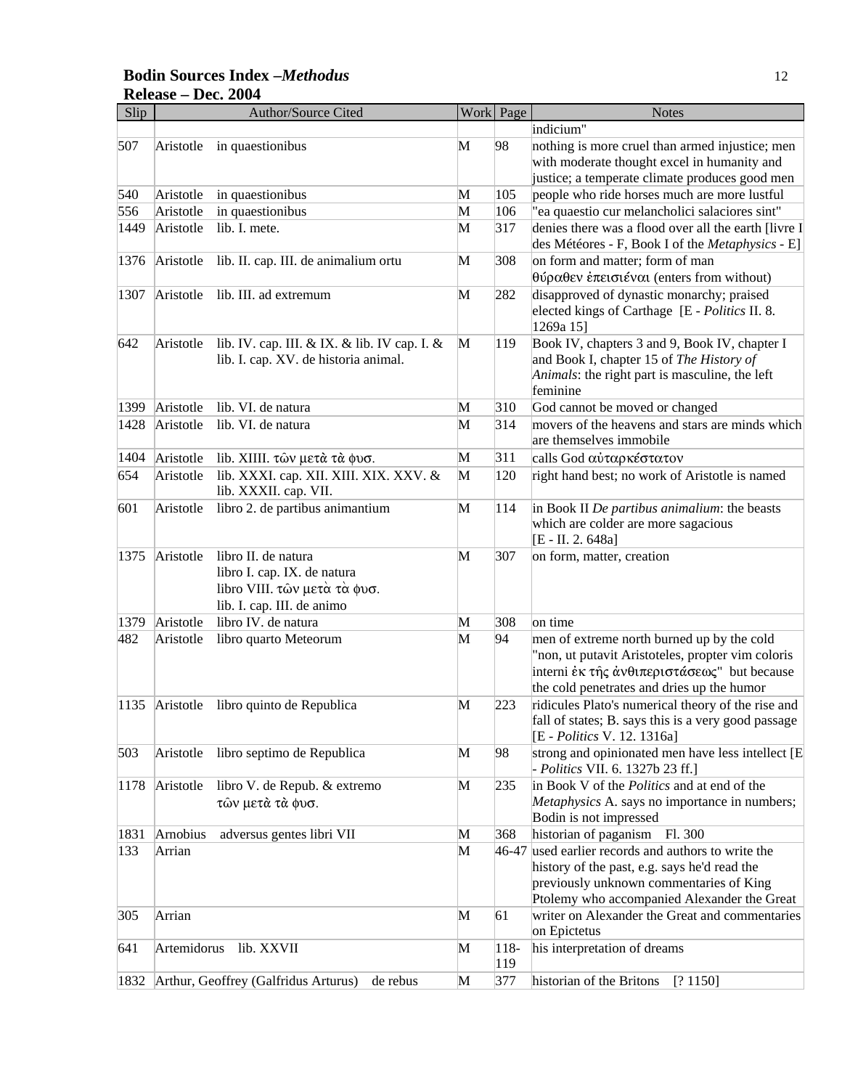#### **Bodin Sources Index –***Methodus* 12 **Release – Dec. 2004**

| Slip |             | <b>Author/Source Cited</b>                                                           |   | Work Page | <b>Notes</b>                                                                                              |
|------|-------------|--------------------------------------------------------------------------------------|---|-----------|-----------------------------------------------------------------------------------------------------------|
|      |             |                                                                                      |   |           | indicium"                                                                                                 |
| 507  | Aristotle   | in quaestionibus                                                                     | M | 98        | nothing is more cruel than armed injustice; men                                                           |
|      |             |                                                                                      |   |           | with moderate thought excel in humanity and                                                               |
|      |             |                                                                                      |   |           | justice; a temperate climate produces good men                                                            |
| 540  | Aristotle   | in quaestionibus                                                                     | M | 105       | people who ride horses much are more lustful                                                              |
| 556  | Aristotle   | in quaestionibus                                                                     | M | 106       | "ea quaestio cur melancholici salaciores sint"                                                            |
| 1449 | Aristotle   | lib. I. mete.                                                                        | M | 317       | denies there was a flood over all the earth [livre I                                                      |
|      |             |                                                                                      |   |           | des Météores - F, Book I of the Metaphysics - E]                                                          |
| 1376 | Aristotle   | lib. II. cap. III. de animalium ortu                                                 | M | 308       | on form and matter; form of man                                                                           |
|      |             |                                                                                      |   |           | θύραθεν έπεισιέναι (enters from without)                                                                  |
| 1307 | Aristotle   | lib. III. ad extremum                                                                | M | 282       | disapproved of dynastic monarchy; praised                                                                 |
|      |             |                                                                                      |   |           | elected kings of Carthage [E - Politics II. 8.                                                            |
| 642  |             |                                                                                      | M | 119       | 1269a 15]                                                                                                 |
|      | Aristotle   | lib. IV. cap. III. & IX. & lib. IV cap. I. &<br>lib. I. cap. XV. de historia animal. |   |           | Book IV, chapters 3 and 9, Book IV, chapter I<br>and Book I, chapter 15 of The History of                 |
|      |             |                                                                                      |   |           | Animals: the right part is masculine, the left                                                            |
|      |             |                                                                                      |   |           | feminine                                                                                                  |
| 1399 | Aristotle   | lib. VI. de natura                                                                   | M | 310       | God cannot be moved or changed                                                                            |
| 1428 | Aristotle   | lib. VI. de natura                                                                   | M | 314       | movers of the heavens and stars are minds which                                                           |
|      |             |                                                                                      |   |           | are themselves immobile                                                                                   |
| 1404 | Aristotle   | lib. XIIII. των μετά τά φυσ.                                                         | M | 311       | calls God αύταρκέστατον                                                                                   |
| 654  | Aristotle   | lib. XXXI. cap. XII. XIII. XIX. XXV. &                                               | M | 120       | right hand best; no work of Aristotle is named                                                            |
|      |             | lib. XXXII. cap. VII.                                                                |   |           |                                                                                                           |
| 601  | Aristotle   | libro 2. de partibus animantium                                                      | M | 114       | in Book II De partibus animalium: the beasts                                                              |
|      |             |                                                                                      |   |           | which are colder are more sagacious                                                                       |
|      |             |                                                                                      |   |           | [E - II. 2. 648a]                                                                                         |
| 1375 | Aristotle   | libro II. de natura                                                                  | M | 307       | on form, matter, creation                                                                                 |
|      |             | libro I. cap. IX. de natura                                                          |   |           |                                                                                                           |
|      |             | libro VIII. των μετά τά φυσ.                                                         |   |           |                                                                                                           |
|      |             | lib. I. cap. III. de animo                                                           |   |           |                                                                                                           |
| 1379 | Aristotle   | libro IV. de natura                                                                  | M | 308       | on time                                                                                                   |
| 482  | Aristotle   | libro quarto Meteorum                                                                | M | 94        | men of extreme north burned up by the cold                                                                |
|      |             |                                                                                      |   |           | "non, ut putavit Aristoteles, propter vim coloris                                                         |
|      |             |                                                                                      |   |           | interni έκ της άνθιπεριστάσεως" but because                                                               |
|      |             |                                                                                      |   |           | the cold penetrates and dries up the humor                                                                |
|      |             | 1135 Aristotle libro quinto de Republica                                             | M | 223       | ridicules Plato's numerical theory of the rise and<br>fall of states; B. says this is a very good passage |
|      |             |                                                                                      |   |           | [E - <i>Politics</i> V. 12. 1316a]                                                                        |
| 503  | Aristotle   | libro septimo de Republica                                                           | M | 98        | strong and opinionated men have less intellect [E]                                                        |
|      |             |                                                                                      |   |           | - Politics VII. 6. 1327b 23 ff.]                                                                          |
| 1178 | Aristotle   | libro V. de Repub. & extremo                                                         | M | 235       | in Book V of the <i>Politics</i> and at end of the                                                        |
|      |             | τών μετά τά φυσ.                                                                     |   |           | Metaphysics A. says no importance in numbers;                                                             |
|      |             |                                                                                      |   |           | Bodin is not impressed                                                                                    |
| 1831 | Arnobius    | adversus gentes libri VII                                                            | M | 368       | historian of paganism Fl. 300                                                                             |
| 133  | Arrian      |                                                                                      | M |           | 46-47 used earlier records and authors to write the                                                       |
|      |             |                                                                                      |   |           | history of the past, e.g. says he'd read the                                                              |
|      |             |                                                                                      |   |           | previously unknown commentaries of King                                                                   |
|      |             |                                                                                      |   |           | Ptolemy who accompanied Alexander the Great                                                               |
| 305  | Arrian      |                                                                                      | M | 61        | writer on Alexander the Great and commentaries                                                            |
|      |             |                                                                                      |   |           | on Epictetus                                                                                              |
| 641  | Artemidorus | lib. XXVII                                                                           | M | 118-      | his interpretation of dreams                                                                              |
|      |             |                                                                                      |   | 119       |                                                                                                           |
| 1832 |             | Arthur, Geoffrey (Galfridus Arturus)<br>de rebus                                     | M | 377       | historian of the Britons<br>[? 1150]                                                                      |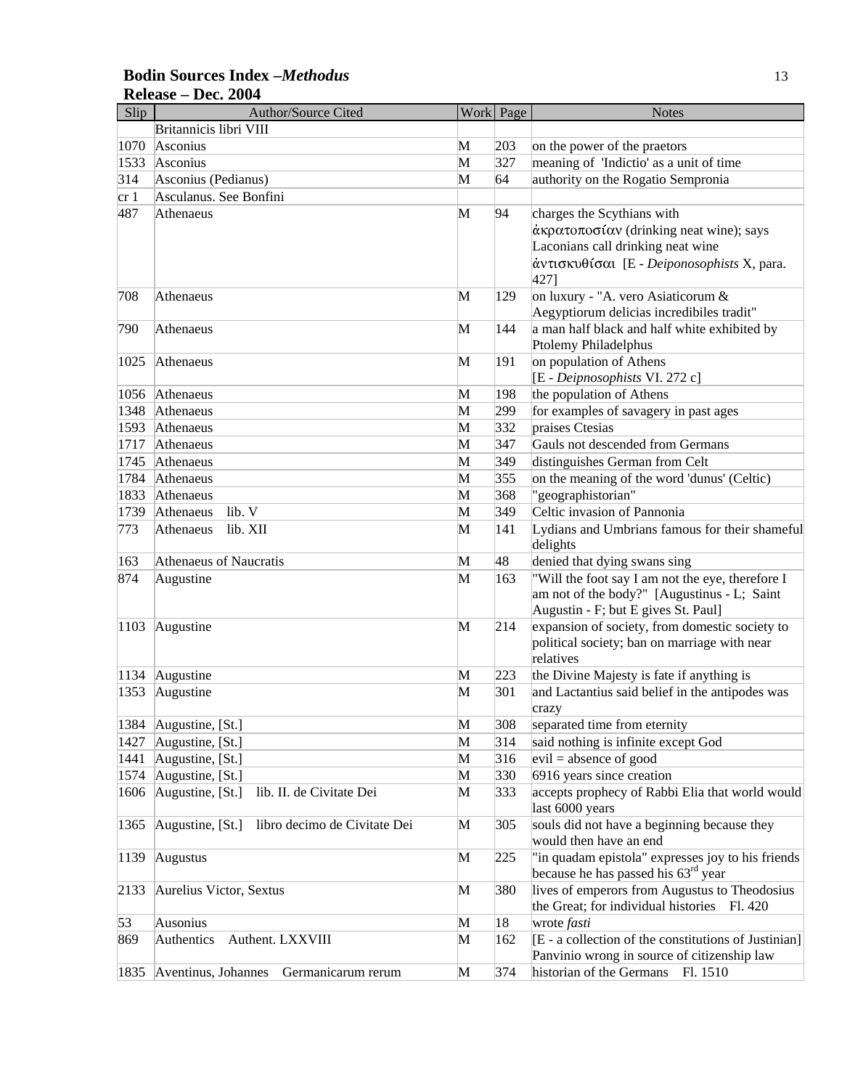#### **Bodin Sources Index –***Methodus* 13 **Release – Dec. 2004**

| Slip | <b>Author/Source Cited</b>                       |   | Work Page | <b>Notes</b>                                                                |
|------|--------------------------------------------------|---|-----------|-----------------------------------------------------------------------------|
|      | Britannicis libri VIII                           |   |           |                                                                             |
| 1070 | Asconius                                         | M | 203       | on the power of the praetors                                                |
| 1533 | Asconius                                         | M | 327       | meaning of 'Indictio' as a unit of time                                     |
| 314  | Asconius (Pedianus)                              | M | 64        | authority on the Rogatio Sempronia                                          |
| cr1  | Asculanus. See Bonfini                           |   |           |                                                                             |
| 487  | Athenaeus                                        | M | 94        | charges the Scythians with                                                  |
|      |                                                  |   |           | άκρατοποσίαν (drinking neat wine); says                                     |
|      |                                                  |   |           | Laconians call drinking neat wine                                           |
|      |                                                  |   |           | άντισκυθίσαι [E - Deiponosophists X, para.                                  |
|      |                                                  |   |           | 427]                                                                        |
| 708  | Athenaeus                                        | M | 129       | on luxury - "A. vero Asiaticorum &                                          |
|      |                                                  |   |           | Aegyptiorum delicias incredibiles tradit"                                   |
| 790  | Athenaeus                                        | M | 144       | a man half black and half white exhibited by                                |
|      |                                                  |   |           | Ptolemy Philadelphus                                                        |
| 1025 | Athenaeus                                        | M | 191       | on population of Athens                                                     |
|      |                                                  |   |           | [E - Deipnosophists VI. 272 c]                                              |
| 1056 | Athenaeus                                        | M | 198       | the population of Athens                                                    |
| 1348 | Athenaeus                                        | M | 299       | for examples of savagery in past ages                                       |
| 1593 | Athenaeus                                        | M | 332       | praises Ctesias                                                             |
| 1717 | Athenaeus                                        | M | 347       | Gauls not descended from Germans                                            |
| 1745 | Athenaeus                                        | M | 349       | distinguishes German from Celt                                              |
| 1784 | Athenaeus                                        | M | 355       | on the meaning of the word 'dunus' (Celtic)                                 |
| 1833 | Athenaeus                                        | M | 368       | "geographistorian"                                                          |
| 1739 | lib. V<br>Athenaeus                              | M | 349       | Celtic invasion of Pannonia                                                 |
| 773  | lib. XII<br>Athenaeus                            | M | 141       | Lydians and Umbrians famous for their shameful<br>delights                  |
| 163  | Athenaeus of Naucratis                           | M | 48        | denied that dying swans sing                                                |
| 874  | Augustine                                        | M | 163       | "Will the foot say I am not the eye, therefore I                            |
|      |                                                  |   |           | am not of the body?" [Augustinus - L; Saint                                 |
|      |                                                  |   |           | Augustin - F; but E gives St. Paul]                                         |
| 1103 | Augustine                                        | M | 214       | expansion of society, from domestic society to                              |
|      |                                                  |   |           | political society; ban on marriage with near                                |
|      |                                                  |   |           | relatives                                                                   |
| 1134 | Augustine                                        | M | 223       | the Divine Majesty is fate if anything is                                   |
| 1353 | Augustine                                        | M | 301       | and Lactantius said belief in the antipodes was                             |
|      |                                                  |   |           | crazy                                                                       |
|      | 1384 Augustine, [St.]                            | M | 308       | separated time from eternity                                                |
| 1427 | Augustine, [St.]                                 | M | 314       | said nothing is infinite except God                                         |
| 1441 | Augustine, [St.]                                 | M | 316       | $\vert \text{eval} \vert = \text{absence of good}$                          |
| 1574 | Augustine, [St.]                                 | M | 330       | 6916 years since creation                                                   |
| 1606 | Augustine, [St.]<br>lib. II. de Civitate Dei     | M | 333       | accepts prophecy of Rabbi Elia that world would                             |
|      |                                                  |   |           | last 6000 years                                                             |
| 1365 | Augustine, [St.]<br>libro decimo de Civitate Dei | M | 305       | souls did not have a beginning because they                                 |
|      |                                                  |   |           | would then have an end<br>"in quadam epistola" expresses joy to his friends |
| 1139 | Augustus                                         | M | 225       | because he has passed his $63rd$ year                                       |
|      |                                                  |   |           | lives of emperors from Augustus to Theodosius                               |
| 2133 | Aurelius Victor, Sextus                          | M | 380       | the Great; for individual histories Fl. 420                                 |
| 53   | Ausonius                                         | M | 18        | wrote fasti                                                                 |
| 869  | Authentics<br>Authent. LXXVIII                   | M | 162       | [E - a collection of the constitutions of Justinian]                        |
|      |                                                  |   |           | Panvinio wrong in source of citizenship law                                 |
| 1835 | Aventinus, Johannes<br>Germanicarum rerum        | M | 374       | historian of the Germans Fl. 1510                                           |
|      |                                                  |   |           |                                                                             |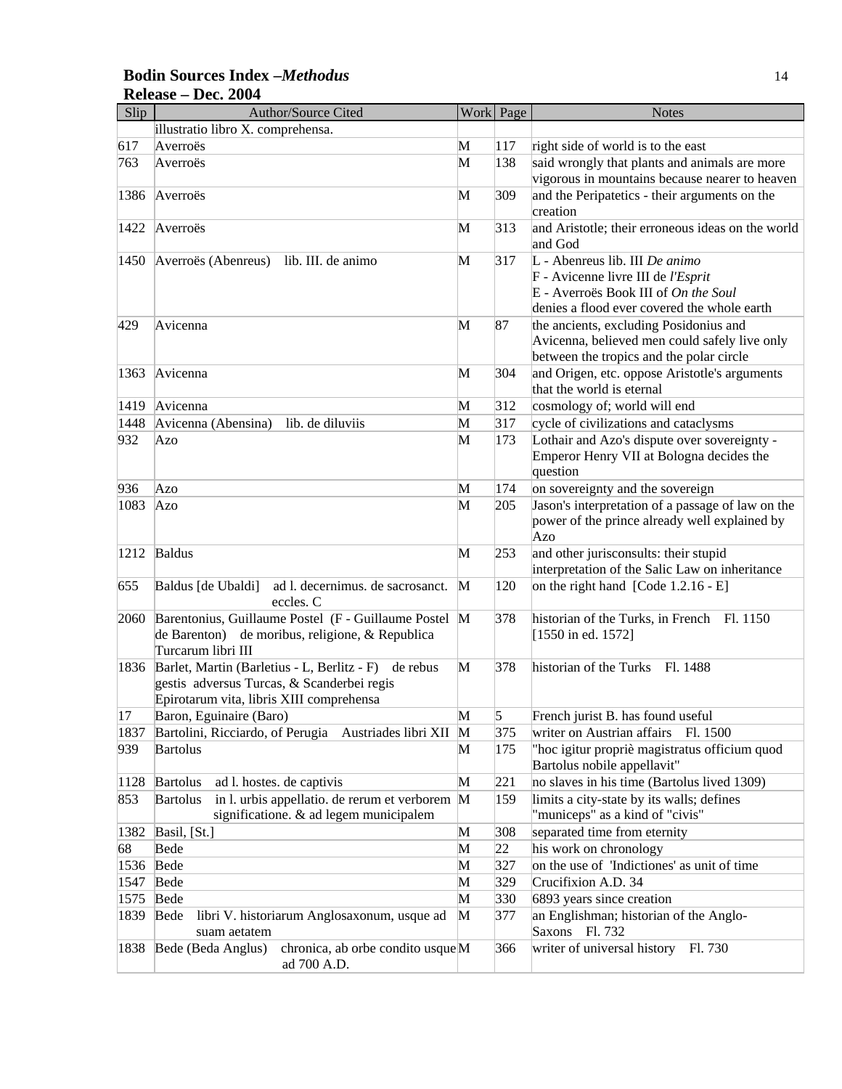#### **Bodin Sources Index –***Methodus* 14 **Release – Dec. 2004**

| Slip | <b>Author/Source Cited</b>                                                                                                                        |              | Work Page | <b>Notes</b>                                                                                                                                                |
|------|---------------------------------------------------------------------------------------------------------------------------------------------------|--------------|-----------|-------------------------------------------------------------------------------------------------------------------------------------------------------------|
|      | illustratio libro X. comprehensa.                                                                                                                 |              |           |                                                                                                                                                             |
| 617  | Averroës                                                                                                                                          | M            | 117       | right side of world is to the east                                                                                                                          |
| 763  | Averroës                                                                                                                                          | M            | 138       | said wrongly that plants and animals are more                                                                                                               |
|      |                                                                                                                                                   |              |           | vigorous in mountains because nearer to heaven                                                                                                              |
| 1386 | Averroës                                                                                                                                          | М            | 309       | and the Peripatetics - their arguments on the<br>creation                                                                                                   |
| 1422 | Averroës                                                                                                                                          | M            | 313       | and Aristotle; their erroneous ideas on the world<br>and God                                                                                                |
| 1450 | Averroës (Abenreus)<br>lib. III. de animo                                                                                                         | M            | 317       | L - Abenreus lib. III De animo<br>F - Avicenne livre III de l'Esprit<br>E - Averroës Book III of On the Soul<br>denies a flood ever covered the whole earth |
| 429  | Avicenna                                                                                                                                          | M            | 87        | the ancients, excluding Posidonius and<br>Avicenna, believed men could safely live only<br>between the tropics and the polar circle                         |
| 1363 | Avicenna                                                                                                                                          | М            | 304       | and Origen, etc. oppose Aristotle's arguments<br>that the world is eternal                                                                                  |
| 1419 | Avicenna                                                                                                                                          | M            | 312       | cosmology of; world will end                                                                                                                                |
| 1448 | Avicenna (Abensina)<br>lib. de diluviis                                                                                                           | M            | 317       | cycle of civilizations and cataclysms                                                                                                                       |
| 932  | Azo                                                                                                                                               | M            | 173       | Lothair and Azo's dispute over sovereignty -<br>Emperor Henry VII at Bologna decides the<br>question                                                        |
| 936  | Azo                                                                                                                                               | M            | 174       | on sovereignty and the sovereign                                                                                                                            |
| 1083 | Azo                                                                                                                                               | М            | 205       | Jason's interpretation of a passage of law on the<br>power of the prince already well explained by<br>Azo                                                   |
| 1212 | <b>Baldus</b>                                                                                                                                     | M            | 253       | and other jurisconsults: their stupid<br>interpretation of the Salic Law on inheritance                                                                     |
| 655  | Baldus [de Ubaldi]<br>ad l. decernimus. de sacrosanct.<br>eccles. C                                                                               | $\mathbf{M}$ | 120       | on the right hand [Code 1.2.16 - E]                                                                                                                         |
| 2060 | Barentonius, Guillaume Postel (F - Guillaume Postel M<br>de Barenton) de moribus, religione, & Republica<br>Turcarum libri III                    |              | 378       | historian of the Turks, in French Fl. 1150<br>[1550 in ed. 1572]                                                                                            |
| 1836 | Barlet, Martin (Barletius - L, Berlitz - F)<br>de rebus<br>gestis adversus Turcas, & Scanderbei regis<br>Epirotarum vita, libris XIII comprehensa | M            | 378       | historian of the Turks<br>Fl. 1488                                                                                                                          |
| 17   | Baron, Eguinaire (Baro)                                                                                                                           | M            | 5         | French jurist B. has found useful                                                                                                                           |
| 1837 | Bartolini, Ricciardo, of Perugia Austriades libri XII                                                                                             | M            | 375       | writer on Austrian affairs Fl. 1500                                                                                                                         |
| 939  | <b>Bartolus</b>                                                                                                                                   | M            | 175       | "hoc igitur propriè magistratus officium quod<br>Bartolus nobile appellavit"                                                                                |
| 1128 | <b>Bartolus</b><br>ad l. hostes. de captivis                                                                                                      | М            | 221       | no slaves in his time (Bartolus lived 1309)                                                                                                                 |
| 853  | in l. urbis appellatio. de rerum et verborem M<br><b>Bartolus</b><br>significatione. & ad legem municipalem                                       |              | 159       | limits a city-state by its walls; defines<br>"municeps" as a kind of "civis"                                                                                |
| 1382 | Basil, [St.]                                                                                                                                      | M            | 308       | separated time from eternity                                                                                                                                |
| 68   | Bede                                                                                                                                              | M            | 22        | his work on chronology                                                                                                                                      |
| 1536 | Bede                                                                                                                                              | M            | 327       | on the use of 'Indictiones' as unit of time                                                                                                                 |
| 1547 | Bede                                                                                                                                              | M            | 329       | Crucifixion A.D. 34                                                                                                                                         |
| 1575 | Bede                                                                                                                                              | M            | 330       | 6893 years since creation                                                                                                                                   |
| 1839 | Bede<br>libri V. historiarum Anglosaxonum, usque ad<br>suam aetatem                                                                               | M            | 377       | an Englishman; historian of the Anglo-<br>Saxons Fl. 732                                                                                                    |
| 1838 | Bede (Beda Anglus)<br>chronica, ab orbe condito usqueM<br>ad 700 A.D.                                                                             |              | 366       | writer of universal history<br>Fl. 730                                                                                                                      |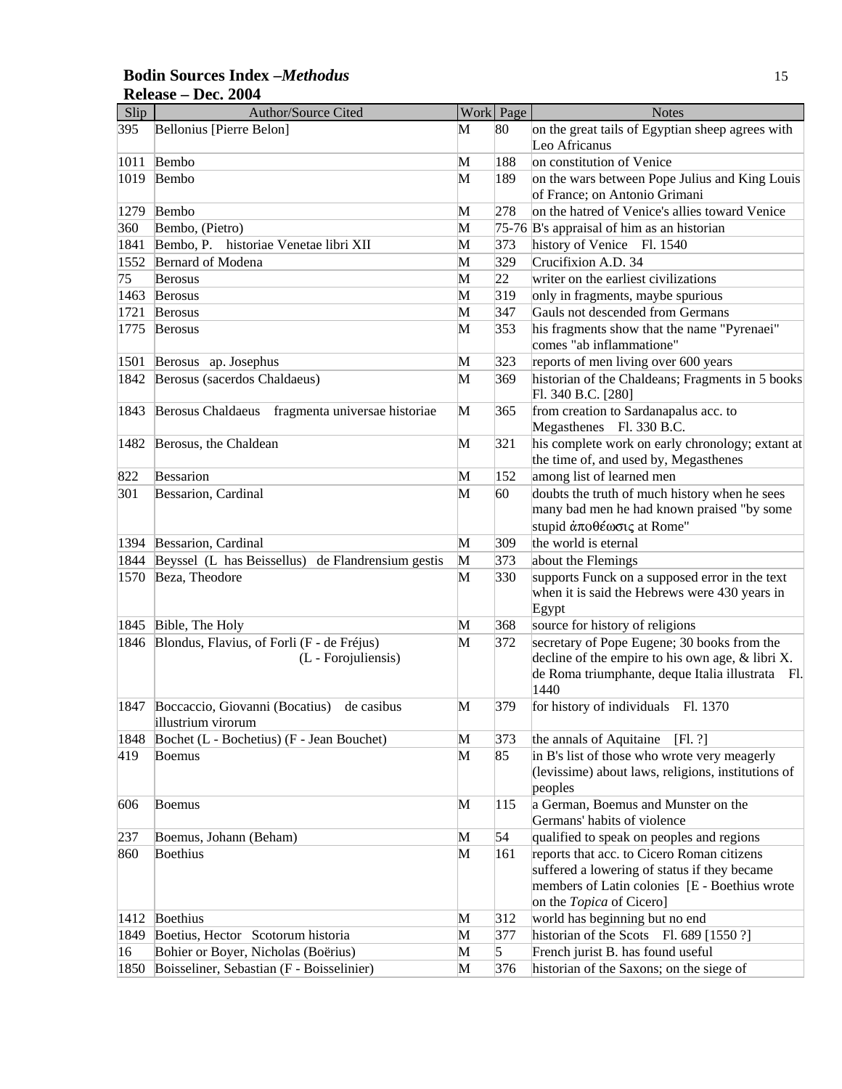#### Slip Author/Source Cited Work Page Notes 395 Bellonius [Pierre Belon] M 80 on the great tails of Egyptian sheep agrees with Leo Africanus 1011 Bembo M 188 on constitution of Venice 1019 Bembo **M** 189 on the wars between Pope Julius and King Louis of France; on Antonio Grimani 1279 Bembo **M** 278 on the hatred of Venice's allies toward Venice 360 Bembo, (Pietro) M 75-76 B's appraisal of him as an historian 1841 Bembo, P. historiae Venetae libri XII M 373 history of Venice Fl. 1540 1552 Bernard of Modena M 329 Crucifixion A.D. 34  $75$  Berosus **M** 22 writer on the earliest civilizations 1463 Berosus M 319 only in fragments, maybe spurious 1721 Berosus M 347 Gauls not descended from Germans 1775 Berosus M 353 his fragments show that the name "Pyrenaei" comes "ab inflammatione" 1501 Berosus ap. Josephus M 323 reports of men living over 600 years 1842 Berosus (sacerdos Chaldaeus) M 369 historian of the Chaldeans; Fragments in 5 books Fl. 340 B.C. [280] 1843 Berosus Chaldaeus fragmenta universae historiae M 365 from creation to Sardanapalus acc. to Megasthenes Fl. 330 B.C. 1482 Berosus, the Chaldean M 321 his complete work on early chronology; extant at the time of, and used by, Megasthenes 822 Bessarion M 152 among list of learned men 301 Bessarion, Cardinal M 60 doubts the truth of much history when he sees many bad men he had known praised "by some stupid άποθέωσις at Rome" 1394 Bessarion, Cardinal **M** 309 the world is eternal 1844 Beyssel (L has Beissellus) de Flandrensium gestis M 373 about the Flemings 1570 Beza, Theodore M 330 supports Funck on a supposed error in the text when it is said the Hebrews were 430 years in Egypt 1845 Bible, The Holy M 368 source for history of religions 1846 Blondus, Flavius, of Forli (F - de Fréjus) (L - Forojuliensis) M 372 secretary of Pope Eugene; 30 books from the decline of the empire to his own age, & libri X. de Roma triumphante, deque Italia illustrata Fl. 1440 1847 Boccaccio, Giovanni (Bocatius) de casibus illustrium virorum M 379 for history of individuals Fl. 1370 1848 Bochet (L - Bochetius) (F - Jean Bouchet) M 373 the annals of Aquitaine [Fl. ?] 419 Boemus M 85 in B's list of those who wrote very meagerly (levissime) about laws, religions, institutions of peoples 606 Boemus M 115 a German, Boemus and Munster on the Germans' habits of violence 237 Boemus, Johann (Beham) M 54 qualified to speak on peoples and regions 860 Boethius M 161 reports that acc. to Cicero Roman citizens suffered a lowering of status if they became members of Latin colonies [E - Boethius wrote on the *Topica* of Cicero] 1412 Boethius M 312 world has beginning but no end 1849 Boetius, Hector Scotorum historia M 377 historian of the Scots Fl. 689 [1550 ?] 16 Bohier or Boyer, Nicholas (Boërius) M 5 French jurist B. has found useful 1850 Boisseliner, Sebastian (F - Boisselinier) M 376 historian of the Saxons; on the siege of

#### **Bodin Sources Index –***Methodus* 15 **Release – Dec. 2004**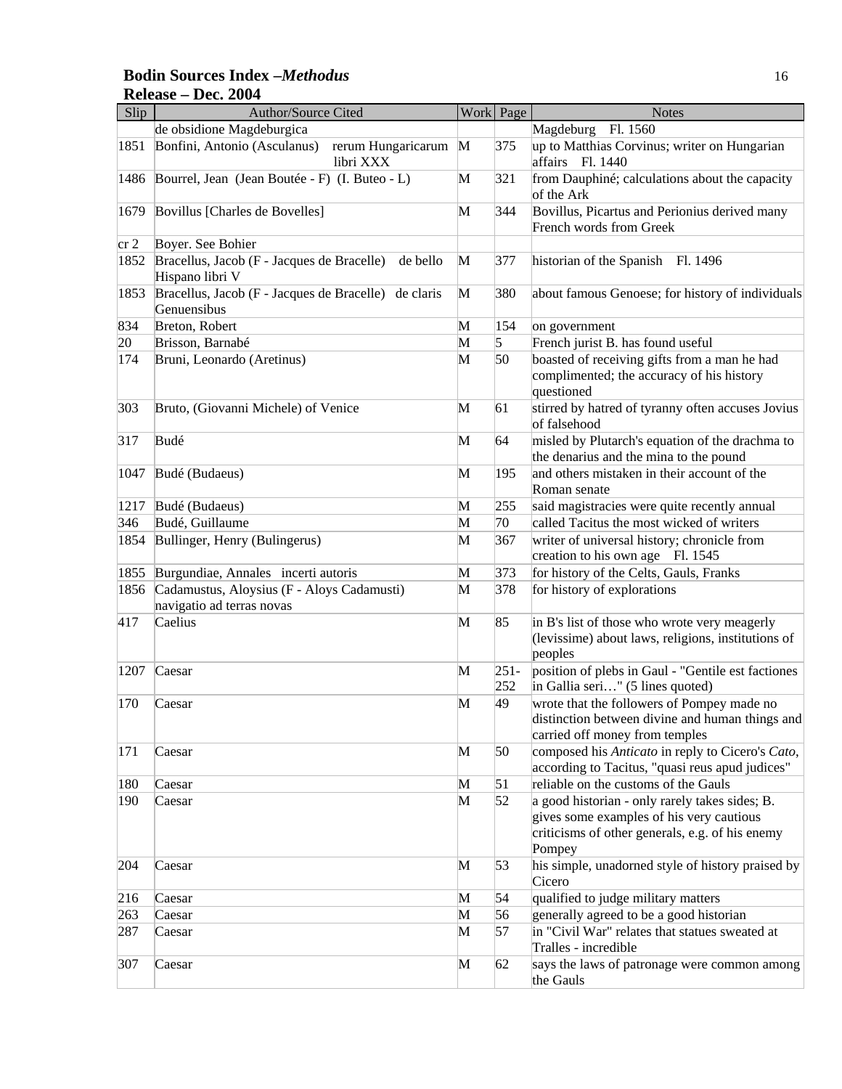#### **Bodin Sources Index –***Methodus* 16 **Release – Dec. 2004**

| Slip   | Author/Source Cited                                                       | Work | Page           | <b>Notes</b>                                                                                                                                            |
|--------|---------------------------------------------------------------------------|------|----------------|---------------------------------------------------------------------------------------------------------------------------------------------------------|
|        | de obsidione Magdeburgica                                                 |      |                | Magdeburg Fl. 1560                                                                                                                                      |
| 1851   | Bonfini, Antonio (Asculanus)<br>rerum Hungaricarum M<br>libri XXX         |      | 375            | up to Matthias Corvinus; writer on Hungarian<br>affairs Fl. 1440                                                                                        |
| 1486   | Bourrel, Jean (Jean Boutée - F) (I. Buteo - L)                            | M    | 321            | from Dauphiné; calculations about the capacity<br>of the Ark                                                                                            |
| 1679   | Bovillus [Charles de Bovelles]                                            | M    | 344            | Bovillus, Picartus and Perionius derived many<br>French words from Greek                                                                                |
| $cr$ 2 | Boyer. See Bohier                                                         |      |                |                                                                                                                                                         |
| 1852   | Bracellus, Jacob (F - Jacques de Bracelle)<br>de bello<br>Hispano libri V | M    | 377            | historian of the Spanish Fl. 1496                                                                                                                       |
| 1853   | Bracellus, Jacob (F - Jacques de Bracelle) de claris<br>Genuensibus       | M    | 380            | about famous Genoese; for history of individuals                                                                                                        |
| 834    | Breton, Robert                                                            | M    | 154            | on government                                                                                                                                           |
| 20     | Brisson, Barnabé                                                          | M    | 5              | French jurist B. has found useful                                                                                                                       |
| 174    | Bruni, Leonardo (Aretinus)                                                | M    | 50             | boasted of receiving gifts from a man he had<br>complimented; the accuracy of his history<br>questioned                                                 |
| 303    | Bruto, (Giovanni Michele) of Venice                                       | M    | 61             | stirred by hatred of tyranny often accuses Jovius<br>of falsehood                                                                                       |
| 317    | Budé                                                                      | M    | 64             | misled by Plutarch's equation of the drachma to<br>the denarius and the mina to the pound                                                               |
| 1047   | Budé (Budaeus)                                                            | M    | 195            | and others mistaken in their account of the<br>Roman senate                                                                                             |
| 1217   | Budé (Budaeus)                                                            | M    | 255            | said magistracies were quite recently annual                                                                                                            |
| 346    | Budé, Guillaume                                                           | M    | 70             | called Tacitus the most wicked of writers                                                                                                               |
| 1854   | Bullinger, Henry (Bulingerus)                                             | M    | 367            | writer of universal history; chronicle from<br>creation to his own age Fl. 1545                                                                         |
| 1855   | Burgundiae, Annales incerti autoris                                       | M    | 373            | for history of the Celts, Gauls, Franks                                                                                                                 |
| 1856   | Cadamustus, Aloysius (F - Aloys Cadamusti)<br>navigatio ad terras novas   | M    | 378            | for history of explorations                                                                                                                             |
| 417    | Caelius                                                                   | M    | 85             | in B's list of those who wrote very meagerly<br>(levissime) about laws, religions, institutions of<br>peoples                                           |
| 1207   | Caesar                                                                    | M    | $251 -$<br>252 | position of plebs in Gaul - "Gentile est factiones<br>in Gallia seri" (5 lines quoted)                                                                  |
| 170    | Caesar                                                                    | M    | 49             | wrote that the followers of Pompey made no<br>distinction between divine and human things and<br>carried off money from temples                         |
| 171    | Caesar                                                                    | M    | 50             | composed his Anticato in reply to Cicero's Cato,<br>according to Tacitus, "quasi reus apud judices"                                                     |
| 180    | Caesar                                                                    | M    | 51             | reliable on the customs of the Gauls                                                                                                                    |
| 190    | Caesar                                                                    | M    | 52             | a good historian - only rarely takes sides; B.<br>gives some examples of his very cautious<br>criticisms of other generals, e.g. of his enemy<br>Pompey |
| 204    | Caesar                                                                    | M    | 53             | his simple, unadorned style of history praised by<br>Cicero                                                                                             |
| 216    | Caesar                                                                    | M    | 54             | qualified to judge military matters                                                                                                                     |
| 263    | Caesar                                                                    | M    | 56             | generally agreed to be a good historian                                                                                                                 |
| 287    | Caesar                                                                    | M    | 57             | in "Civil War" relates that statues sweated at<br>Tralles - incredible                                                                                  |
| 307    | Caesar                                                                    | M    | 62             | says the laws of patronage were common among<br>the Gauls                                                                                               |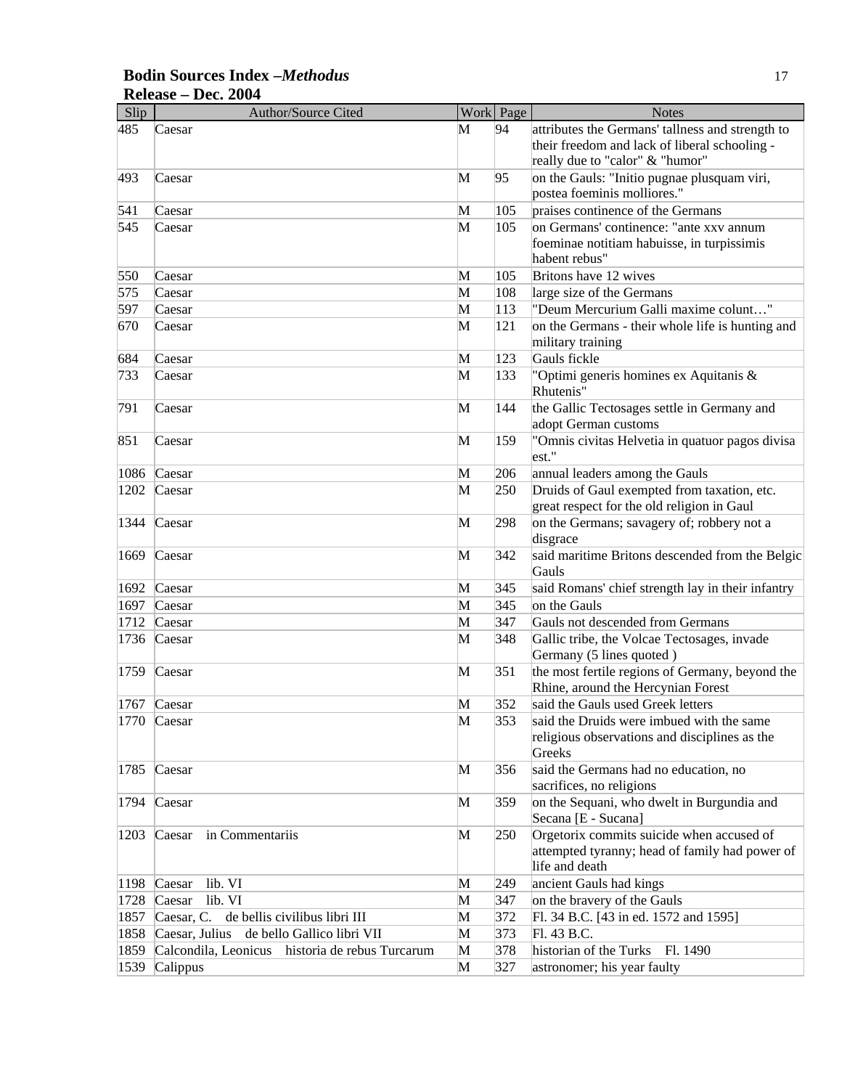| Slip | Author/Source Cited                              |   | Work Page | <b>Notes</b>                                             |
|------|--------------------------------------------------|---|-----------|----------------------------------------------------------|
| 485  | Caesar                                           | М | 94        | attributes the Germans' tallness and strength to         |
|      |                                                  |   |           | their freedom and lack of liberal schooling -            |
|      |                                                  |   |           | really due to "calor" & "humor"                          |
| 493  | Caesar                                           | M | 95        | on the Gauls: "Initio pugnae plusquam viri,              |
|      |                                                  |   |           | postea foeminis molliores."                              |
| 541  | Caesar                                           | M | 105       | praises continence of the Germans                        |
| 545  | Caesar                                           | M | 105       | on Germans' continence: "ante xxv annum                  |
|      |                                                  |   |           | foeminae notitiam habuisse, in turpissimis               |
|      |                                                  |   |           | habent rebus"                                            |
| 550  | Caesar                                           | M | 105       | Britons have 12 wives                                    |
| 575  | Caesar                                           | M | 108       | large size of the Germans                                |
| 597  | Caesar                                           | M | 113       | "Deum Mercurium Galli maxime colunt"                     |
| 670  | Caesar                                           | M | 121       | on the Germans - their whole life is hunting and         |
|      |                                                  |   |           | military training                                        |
| 684  | Caesar                                           | M | 123       | Gauls fickle                                             |
| 733  | Caesar                                           | M | 133       | "Optimi generis homines ex Aquitanis &<br>Rhutenis"      |
| 791  | Caesar                                           | M | 144       | the Gallic Tectosages settle in Germany and              |
|      |                                                  |   |           | adopt German customs                                     |
| 851  | Caesar                                           | M | 159       | "Omnis civitas Helvetia in quatuor pagos divisa          |
|      |                                                  |   |           | est."                                                    |
| 1086 | Caesar                                           | M | 206       | annual leaders among the Gauls                           |
| 1202 | Caesar                                           | M | 250       | Druids of Gaul exempted from taxation, etc.              |
|      |                                                  |   |           | great respect for the old religion in Gaul               |
| 1344 | Caesar                                           | M | 298       | on the Germans; savagery of; robbery not a               |
|      |                                                  |   |           | disgrace                                                 |
| 1669 | Caesar                                           | M | 342       | said maritime Britons descended from the Belgic<br>Gauls |
| 1692 | Caesar                                           | M | 345       | said Romans' chief strength lay in their infantry        |
| 1697 | Caesar                                           | M | 345       | on the Gauls                                             |
| 1712 | Caesar                                           | M | 347       | Gauls not descended from Germans                         |
| 1736 | Caesar                                           | M | 348       | Gallic tribe, the Volcae Tectosages, invade              |
|      |                                                  |   |           | Germany (5 lines quoted)                                 |
| 1759 | Caesar                                           | M | 351       | the most fertile regions of Germany, beyond the          |
|      |                                                  |   |           | Rhine, around the Hercynian Forest                       |
|      | 1767 Caesar                                      | M | 352       | said the Gauls used Greek letters                        |
|      | 1770 Caesar                                      | M | 353       | said the Druids were imbued with the same                |
|      |                                                  |   |           | religious observations and disciplines as the            |
|      |                                                  |   |           | Greeks                                                   |
| 1785 | Caesar                                           | M | 356       | said the Germans had no education, no                    |
|      |                                                  |   |           | sacrifices, no religions                                 |
| 1794 | Caesar                                           | M | 359       | on the Sequani, who dwelt in Burgundia and               |
|      |                                                  |   |           | Secana [E - Sucana]                                      |
| 1203 | Caesar<br>in Commentariis                        | M | 250       | Orgetorix commits suicide when accused of                |
|      |                                                  |   |           | attempted tyranny; head of family had power of           |
|      |                                                  |   |           | life and death                                           |
| 1198 | lib. VI<br>Caesar                                | M | 249       | ancient Gauls had kings                                  |
|      | lib. VI<br>1728 Caesar                           | M | 347       | on the bravery of the Gauls                              |
|      | de bellis civilibus libri III<br>1857 Caesar, C. | M | 372       | Fl. 34 B.C. [43 in ed. 1572 and 1595]                    |
| 1858 | Caesar, Julius de bello Gallico libri VII        | M | 373       | Fl. 43 B.C.                                              |
| 1859 | Calcondila, Leonicus historia de rebus Turcarum  | M | 378       | historian of the Turks<br>Fl. 1490                       |
| 1539 | Calippus                                         | M | 327       | astronomer; his year faulty                              |

# **Bodin Sources Index –***Methodus* 17 **Release – Dec. 2004**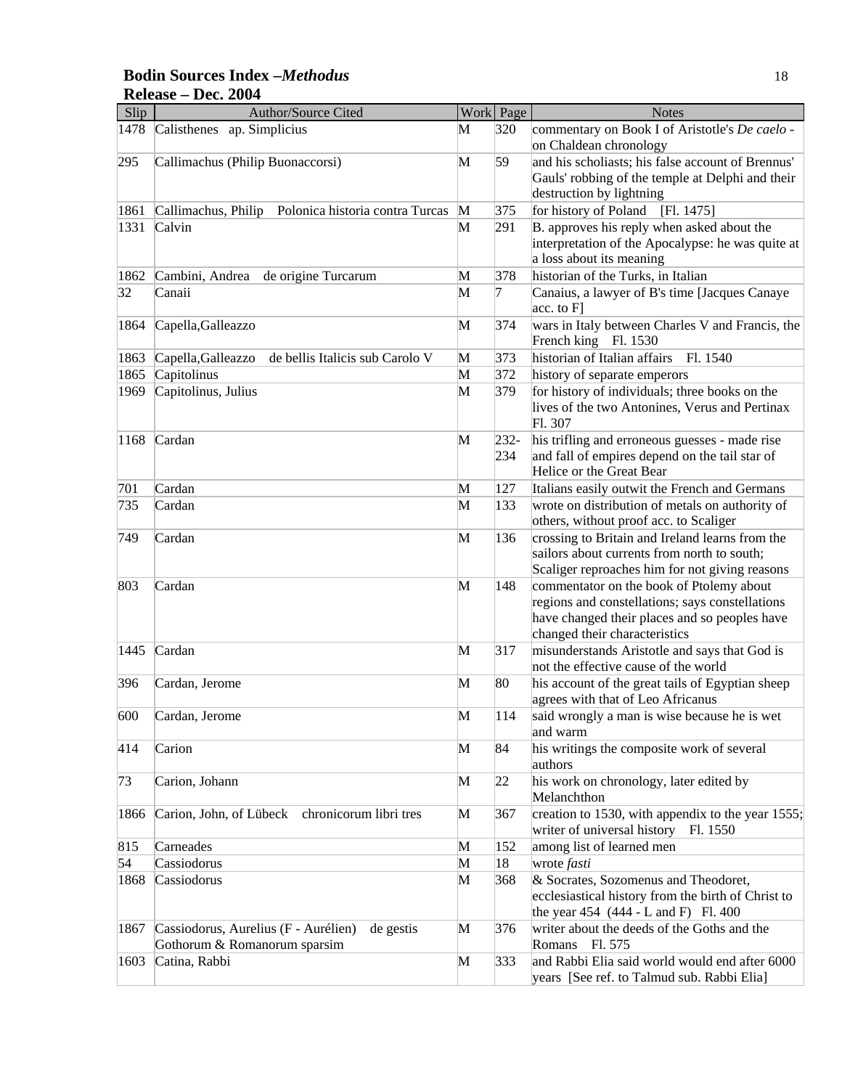#### **Bodin Sources Index –***Methodus* 18 **Release – Dec. 2004**

| Slip | Author/Source Cited                                    |   | Work Page | <b>Notes</b>                                                                                 |
|------|--------------------------------------------------------|---|-----------|----------------------------------------------------------------------------------------------|
| 1478 | Calisthenes ap. Simplicius                             | М | 320       | commentary on Book I of Aristotle's De caelo -                                               |
|      |                                                        |   |           | on Chaldean chronology                                                                       |
| 295  | Callimachus (Philip Buonaccorsi)                       | M | 59        | and his scholiasts; his false account of Brennus'                                            |
|      |                                                        |   |           | Gauls' robbing of the temple at Delphi and their                                             |
|      |                                                        |   |           | destruction by lightning                                                                     |
| 1861 | Polonica historia contra Turcas<br>Callimachus, Philip | M | 375       | for history of Poland<br>[F1. 1475]                                                          |
| 1331 | Calvin                                                 | M | 291       | B. approves his reply when asked about the                                                   |
|      |                                                        |   |           | interpretation of the Apocalypse: he was quite at                                            |
|      |                                                        |   |           | a loss about its meaning                                                                     |
| 1862 | de origine Turcarum<br>Cambini, Andrea                 | M | 378       | historian of the Turks, in Italian                                                           |
| 32   | Canaii                                                 | M | 7         | Canaius, a lawyer of B's time [Jacques Canaye]<br>acc. to F]                                 |
| 1864 | Capella, Galleazzo                                     | M | 374       | wars in Italy between Charles V and Francis, the                                             |
|      |                                                        |   |           | French king Fl. 1530                                                                         |
| 1863 | Capella, Galleazzo<br>de bellis Italicis sub Carolo V  | M | 373       | historian of Italian affairs<br>Fl. 1540                                                     |
| 1865 | Capitolinus                                            | M | 372       | history of separate emperors                                                                 |
| 1969 | Capitolinus, Julius                                    | M | 379       | for history of individuals; three books on the                                               |
|      |                                                        |   |           | lives of the two Antonines, Verus and Pertinax                                               |
|      |                                                        |   |           | Fl. 307                                                                                      |
| 1168 | Cardan                                                 | M | $232 -$   | his trifling and erroneous guesses - made rise                                               |
|      |                                                        |   | 234       | and fall of empires depend on the tail star of                                               |
|      |                                                        |   |           | Helice or the Great Bear                                                                     |
| 701  | Cardan                                                 | M | 127       | Italians easily outwit the French and Germans                                                |
| 735  | Cardan                                                 | M | 133       | wrote on distribution of metals on authority of                                              |
|      |                                                        |   |           | others, without proof acc. to Scaliger                                                       |
| 749  | Cardan                                                 | M | 136       | crossing to Britain and Ireland learns from the                                              |
|      |                                                        |   |           | sailors about currents from north to south;                                                  |
|      |                                                        |   |           | Scaliger reproaches him for not giving reasons                                               |
| 803  | Cardan                                                 | M | 148       | commentator on the book of Ptolemy about                                                     |
|      |                                                        |   |           | regions and constellations; says constellations                                              |
|      |                                                        |   |           | have changed their places and so peoples have                                                |
|      |                                                        |   |           | changed their characteristics                                                                |
| 1445 | Cardan                                                 | M | 317       | misunderstands Aristotle and says that God is                                                |
|      |                                                        |   |           | not the effective cause of the world                                                         |
| 396  | Cardan, Jerome                                         | M | 80        | his account of the great tails of Egyptian sheep<br>agrees with that of Leo Africanus        |
| 600  | Cardan, Jerome                                         | М | 114       |                                                                                              |
|      |                                                        |   |           | said wrongly a man is wise because he is wet<br>and warm                                     |
| 414  | Carion                                                 | M | 84        | his writings the composite work of several<br>authors                                        |
| 73   | Carion, Johann                                         | M | 22        | his work on chronology, later edited by                                                      |
|      |                                                        |   |           | Melanchthon                                                                                  |
| 1866 | Carion, John, of Lübeck chronicorum libri tres         | М | 367       | creation to 1530, with appendix to the year 1555;<br>writer of universal history<br>Fl. 1550 |
| 815  | Carneades                                              | M | 152       | among list of learned men                                                                    |
| 54   | Cassiodorus                                            | M | 18        | wrote fasti                                                                                  |
| 1868 | Cassiodorus                                            | M | 368       | & Socrates, Sozomenus and Theodoret,                                                         |
|      |                                                        |   |           | ecclesiastical history from the birth of Christ to                                           |
|      |                                                        |   |           | the year $454 (444 - L$ and F) Fl. $400$                                                     |
| 1867 | Cassiodorus, Aurelius (F - Aurélien)<br>de gestis      | M | 376       | writer about the deeds of the Goths and the                                                  |
|      | Gothorum & Romanorum sparsim                           |   |           | Romans Fl. 575                                                                               |
| 1603 | Catina, Rabbi                                          | M | 333       | and Rabbi Elia said world would end after 6000                                               |
|      |                                                        |   |           | years [See ref. to Talmud sub. Rabbi Elia]                                                   |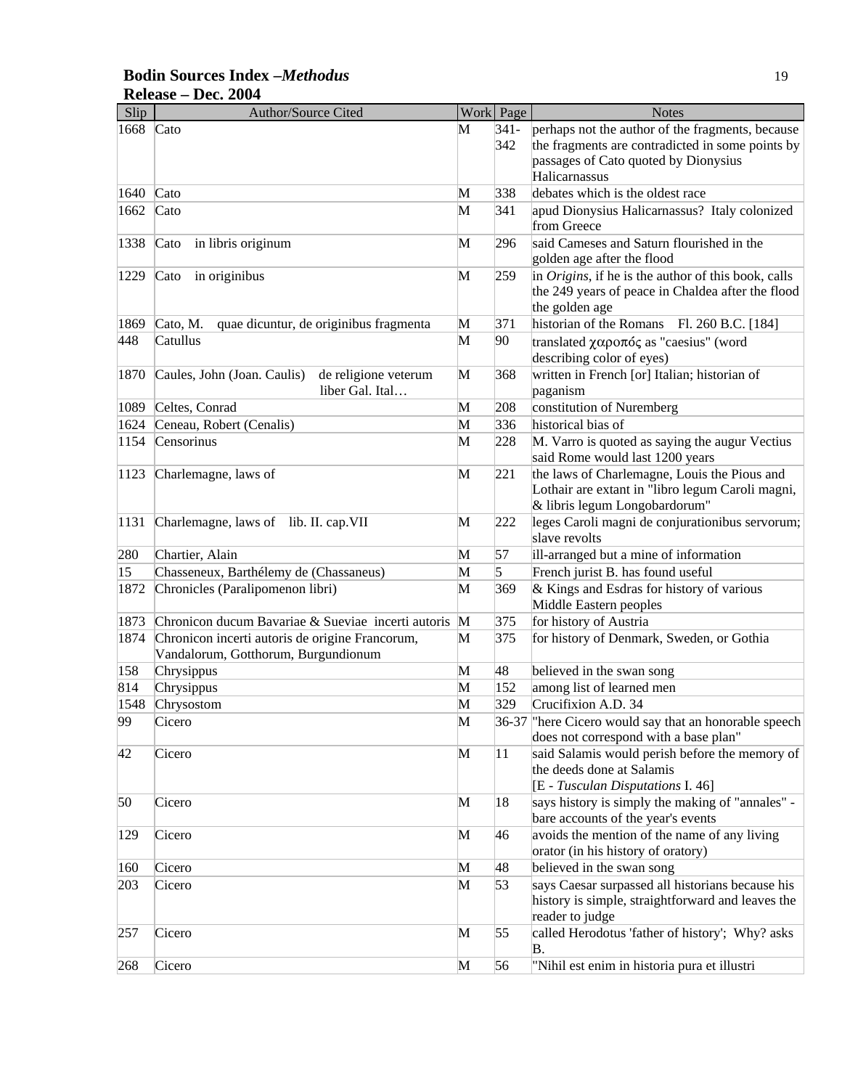## **Bodin Sources Index –***Methodus* 19 **Release – Dec. 2004**

| Slip         | <b>Author/Source Cited</b>                          |   | Work Page | <b>Notes</b>                                          |
|--------------|-----------------------------------------------------|---|-----------|-------------------------------------------------------|
| 1668         | Cato                                                | M | $341-$    | perhaps not the author of the fragments, because      |
|              |                                                     |   | 342       | the fragments are contradicted in some points by      |
|              |                                                     |   |           | passages of Cato quoted by Dionysius                  |
|              |                                                     |   |           | Halicarnassus                                         |
| 1640         | Cato                                                | M | 338       | debates which is the oldest race                      |
| 1662         | Cato                                                | M | 341       | apud Dionysius Halicarnassus? Italy colonized         |
|              |                                                     |   |           | from Greece                                           |
| 1338         | $\text{Cato}$<br>in libris originum                 | M | 296       | said Cameses and Saturn flourished in the             |
|              |                                                     |   |           | golden age after the flood                            |
| 1229         | $\text{Cato}$<br>in originibus                      | M | 259       | in Origins, if he is the author of this book, calls   |
|              |                                                     |   |           | the 249 years of peace in Chaldea after the flood     |
|              |                                                     |   |           | the golden age                                        |
| 1869         | quae dicuntur, de originibus fragmenta<br>Cato, M.  | M | 371       | historian of the Romans Fl. 260 B.C. [184]            |
| 448          | Catullus                                            | M | 90        | translated χαροπός as "caesius" (word                 |
|              |                                                     |   |           |                                                       |
|              |                                                     |   |           | describing color of eyes)                             |
| 1870         | Caules, John (Joan. Caulis)<br>de religione veterum | M | 368       | written in French [or] Italian; historian of          |
|              | liber Gal. Ital                                     |   |           | paganism                                              |
| 1089         | Celtes, Conrad                                      | M | 208       | constitution of Nuremberg                             |
| 1624         | Ceneau, Robert (Cenalis)                            | M | 336       | historical bias of                                    |
| 1154         | Censorinus                                          | M | 228       | M. Varro is quoted as saying the augur Vectius        |
|              |                                                     |   |           | said Rome would last 1200 years                       |
| 1123         | Charlemagne, laws of                                | M | 221       | the laws of Charlemagne, Louis the Pious and          |
|              |                                                     |   |           | Lothair are extant in "libro legum Caroli magni,      |
|              |                                                     |   |           | & libris legum Longobardorum"                         |
| 1131         | Charlemagne, laws of lib. II. cap. VII              | M | 222       | leges Caroli magni de conjurationibus servorum;       |
|              |                                                     |   |           | slave revolts                                         |
| 280          | Chartier, Alain                                     | M | 57        | ill-arranged but a mine of information                |
| $ 15\rangle$ | Chasseneux, Barthélemy de (Chassaneus)              | M | 5         | French jurist B. has found useful                     |
| 1872         | Chronicles (Paralipomenon libri)                    | M | 369       | & Kings and Esdras for history of various             |
|              |                                                     |   |           | Middle Eastern peoples                                |
| 1873         | Chronicon ducum Bavariae & Sueviae incerti autoris  | M | 375       | for history of Austria                                |
| 1874         | Chronicon incerti autoris de origine Francorum,     | M | 375       | for history of Denmark, Sweden, or Gothia             |
|              | Vandalorum, Gotthorum, Burgundionum                 |   |           |                                                       |
| 158          | Chrysippus                                          | M | 48        | believed in the swan song                             |
| 814          | Chrysippus                                          | M | 152       | among list of learned men                             |
| 1548         | Chrysostom                                          | M | 329       | Crucifixion A.D. 34                                   |
| 99           | Cicero                                              | M |           | 36-37 There Cicero would say that an honorable speech |
|              |                                                     |   |           | does not correspond with a base plan"                 |
| 42           | Cicero                                              | M | 11        | said Salamis would perish before the memory of        |
|              |                                                     |   |           | the deeds done at Salamis                             |
|              |                                                     |   |           | [E - Tusculan Disputations I. 46]                     |
| 50           | Cicero                                              | M | 18        | says history is simply the making of "annales" -      |
|              |                                                     |   |           | bare accounts of the year's events                    |
| 129          | Cicero                                              | M | 46        | avoids the mention of the name of any living          |
|              |                                                     |   |           | orator (in his history of oratory)                    |
|              |                                                     |   |           |                                                       |
| 160          | Cicero                                              | M | 48        | believed in the swan song                             |
| 203          | Cicero                                              | M | 53        | says Caesar surpassed all historians because his      |
|              |                                                     |   |           | history is simple, straightforward and leaves the     |
|              |                                                     |   |           | reader to judge                                       |
| 257          | Cicero                                              | M | 55        | called Herodotus 'father of history'; Why? asks       |
|              |                                                     |   |           | Β.                                                    |
| 268          | Cicero                                              | M | 56        | "Nihil est enim in historia pura et illustri          |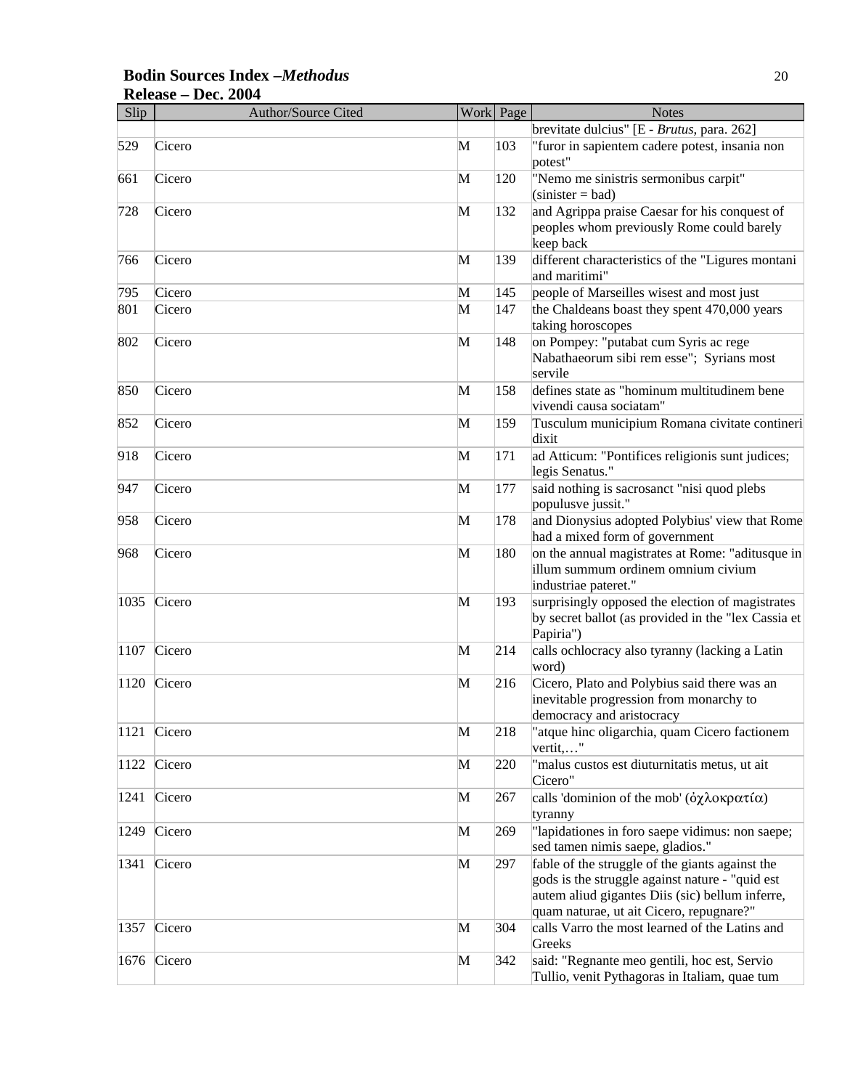#### **Bodin Sources Index –***Methodus* 20 **Release – Dec. 2004**

| Slip | Author/Source Cited |   | Work Page | <b>Notes</b>                                                                                                                                                                                      |
|------|---------------------|---|-----------|---------------------------------------------------------------------------------------------------------------------------------------------------------------------------------------------------|
|      |                     |   |           | brevitate dulcius" [E - Brutus, para. 262]                                                                                                                                                        |
| 529  | Cicero              | M | 103       | "furor in sapientem cadere potest, insania non<br>potest"                                                                                                                                         |
| 661  | Cicero              | M | 120       | "Nemo me sinistris sermonibus carpit"<br>$(sinister = bad)$                                                                                                                                       |
| 728  | Cicero              | M | 132       | and Agrippa praise Caesar for his conquest of<br>peoples whom previously Rome could barely<br>keep back                                                                                           |
| 766  | Cicero              | M | 139       | different characteristics of the "Ligures montani<br>and maritimi"                                                                                                                                |
| 795  | Cicero              | M | 145       | people of Marseilles wisest and most just                                                                                                                                                         |
| 801  | Cicero              | M | 147       | the Chaldeans boast they spent 470,000 years<br>taking horoscopes                                                                                                                                 |
| 802  | Cicero              | M | 148       | on Pompey: "putabat cum Syris ac rege<br>Nabathaeorum sibi rem esse"; Syrians most<br>servile                                                                                                     |
| 850  | Cicero              | M | 158       | defines state as "hominum multitudinem bene<br>vivendi causa sociatam"                                                                                                                            |
| 852  | Cicero              | M | 159       | Tusculum municipium Romana civitate contineri<br>dixit                                                                                                                                            |
| 918  | Cicero              | M | 171       | ad Atticum: "Pontifices religionis sunt judices;<br>legis Senatus."                                                                                                                               |
| 947  | Cicero              | M | 177       | said nothing is sacrosanct "nisi quod plebs<br>populusve jussit."                                                                                                                                 |
| 958  | Cicero              | M | 178       | and Dionysius adopted Polybius' view that Rome<br>had a mixed form of government                                                                                                                  |
| 968  | Cicero              | M | 180       | on the annual magistrates at Rome: "aditusque in<br>illum summum ordinem omnium civium<br>industriae pateret."                                                                                    |
| 1035 | Cicero              | M | 193       | surprisingly opposed the election of magistrates<br>by secret ballot (as provided in the "lex Cassia et<br>Papiria")                                                                              |
| 1107 | Cicero              | M | 214       | calls ochlocracy also tyranny (lacking a Latin<br>word)                                                                                                                                           |
| 1120 | Cicero              | M | 216       | Cicero, Plato and Polybius said there was an<br>inevitable progression from monarchy to<br>democracy and aristocracy                                                                              |
| 1121 | Cicero              | M | 218       | "atque hinc oligarchia, quam Cicero factionem<br>vertit,"                                                                                                                                         |
| 1122 | Cicero              | M | 220       | "malus custos est diuturnitatis metus, ut ait<br>Cicero"                                                                                                                                          |
| 1241 | Cicero              | M | 267       | calls 'dominion of the mob' ( $\partial \chi \lambda$ οκρατία)<br>tyranny                                                                                                                         |
| 1249 | Cicero              | M | 269       | "lapidationes in foro saepe vidimus: non saepe;<br>sed tamen nimis saepe, gladios."                                                                                                               |
| 1341 | Cicero              | M | 297       | fable of the struggle of the giants against the<br>gods is the struggle against nature - "quid est<br>autem aliud gigantes Diis (sic) bellum inferre,<br>quam naturae, ut ait Cicero, repugnare?" |
| 1357 | Cicero              | M | 304       | calls Varro the most learned of the Latins and<br>Greeks                                                                                                                                          |
| 1676 | Cicero              | M | 342       | said: "Regnante meo gentili, hoc est, Servio<br>Tullio, venit Pythagoras in Italiam, quae tum                                                                                                     |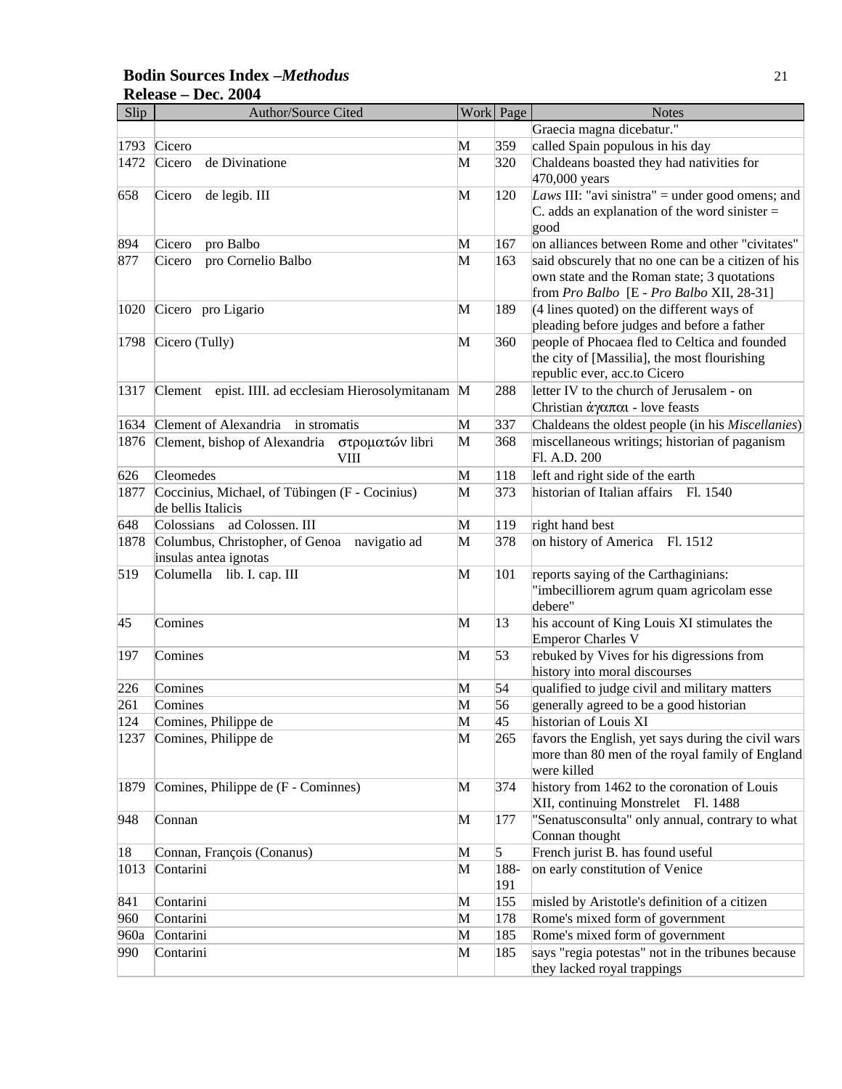#### **Bodin Sources Index –***Methodus* 21 **Release – Dec. 2004**

| Slip | Author/Source Cited                                                   |   | Work Page   | <b>Notes</b>                                                                                                                                   |
|------|-----------------------------------------------------------------------|---|-------------|------------------------------------------------------------------------------------------------------------------------------------------------|
|      |                                                                       |   |             | Graecia magna dicebatur."                                                                                                                      |
| 1793 | Cicero                                                                | M | 359         | called Spain populous in his day                                                                                                               |
| 1472 | Cicero<br>de Divinatione                                              | M | 320         | Chaldeans boasted they had nativities for<br>470,000 years                                                                                     |
| 658  | de legib. III<br>Cicero                                               | M | 120         | Laws III: "avi sinistra" = under good omens; and<br>C. adds an explanation of the word sinister $=$<br>good                                    |
| 894  | Cicero<br>pro Balbo                                                   | M | 167         | on alliances between Rome and other "civitates"                                                                                                |
| 877  | pro Cornelio Balbo<br>Cicero                                          | М | 163         | said obscurely that no one can be a citizen of his<br>own state and the Roman state; 3 quotations<br>from Pro Balbo [E - Pro Balbo XII, 28-31] |
| 1020 | Cicero pro Ligario                                                    | M | 189         | (4 lines quoted) on the different ways of<br>pleading before judges and before a father                                                        |
| 1798 | Cicero (Tully)                                                        | M | 360         | people of Phocaea fled to Celtica and founded<br>the city of [Massilia], the most flourishing<br>republic ever, acc.to Cicero                  |
| 1317 | Clement epist. IIII. ad ecclesiam Hierosolymitanam M                  |   | 288         | letter IV to the church of Jerusalem - on<br>Christian $\dot{\alpha}$ y $\alpha \pi \alpha$ - love feasts                                      |
| 1634 | Clement of Alexandria<br>in stromatis                                 | M | 337         | Chaldeans the oldest people (in his Miscellanies)                                                                                              |
| 1876 | Clement, bishop of Alexandria<br>στροματών libri<br>VIII              | M | 368         | miscellaneous writings; historian of paganism<br>Fl. A.D. 200                                                                                  |
| 626  | Cleomedes                                                             | M | 118         | left and right side of the earth                                                                                                               |
| 1877 | Coccinius, Michael, of Tübingen (F - Cocinius)<br>de bellis Italicis  | M | 373         | historian of Italian affairs<br>Fl. 1540                                                                                                       |
| 648  | Colossians<br>ad Colossen. III                                        | M | 119         | right hand best                                                                                                                                |
| 1878 | Columbus, Christopher, of Genoa navigatio ad<br>insulas antea ignotas | M | 378         | on history of America Fl. 1512                                                                                                                 |
| 519  | Columella lib. I. cap. III                                            | M | 101         | reports saying of the Carthaginians:<br>"imbecilliorem agrum quam agricolam esse<br>debere"                                                    |
| 45   | Comines                                                               | M | 13          | his account of King Louis XI stimulates the<br><b>Emperor Charles V</b>                                                                        |
| 197  | Comines                                                               | M | 53          | rebuked by Vives for his digressions from<br>history into moral discourses                                                                     |
| 226  | Comines                                                               | M | 54          | qualified to judge civil and military matters                                                                                                  |
| 261  | Comines                                                               | M | 56          | generally agreed to be a good historian                                                                                                        |
| 124  | Comines, Philippe de                                                  | M | 45          | historian of Louis XI                                                                                                                          |
| 1237 | Comines, Philippe de                                                  | M | 265         | favors the English, yet says during the civil wars<br>more than 80 men of the royal family of England<br>were killed                           |
| 1879 | Comines, Philippe de (F - Cominnes)                                   | M | 374         | history from 1462 to the coronation of Louis<br>XII, continuing Monstrelet Fl. 1488                                                            |
| 948  | Connan                                                                | M | 177         | "Senatusconsulta" only annual, contrary to what<br>Connan thought                                                                              |
| 18   | Connan, François (Conanus)                                            | M | 5           | French jurist B. has found useful                                                                                                              |
| 1013 | Contarini                                                             | M | 188-<br>191 | on early constitution of Venice                                                                                                                |
| 841  | Contarini                                                             | M | 155         | misled by Aristotle's definition of a citizen                                                                                                  |
| 960  | Contarini                                                             | M | 178         | Rome's mixed form of government                                                                                                                |
| 960a | Contarini                                                             | M | 185         | Rome's mixed form of government                                                                                                                |
| 990  | Contarini                                                             | M | 185         | says "regia potestas" not in the tribunes because<br>they lacked royal trappings                                                               |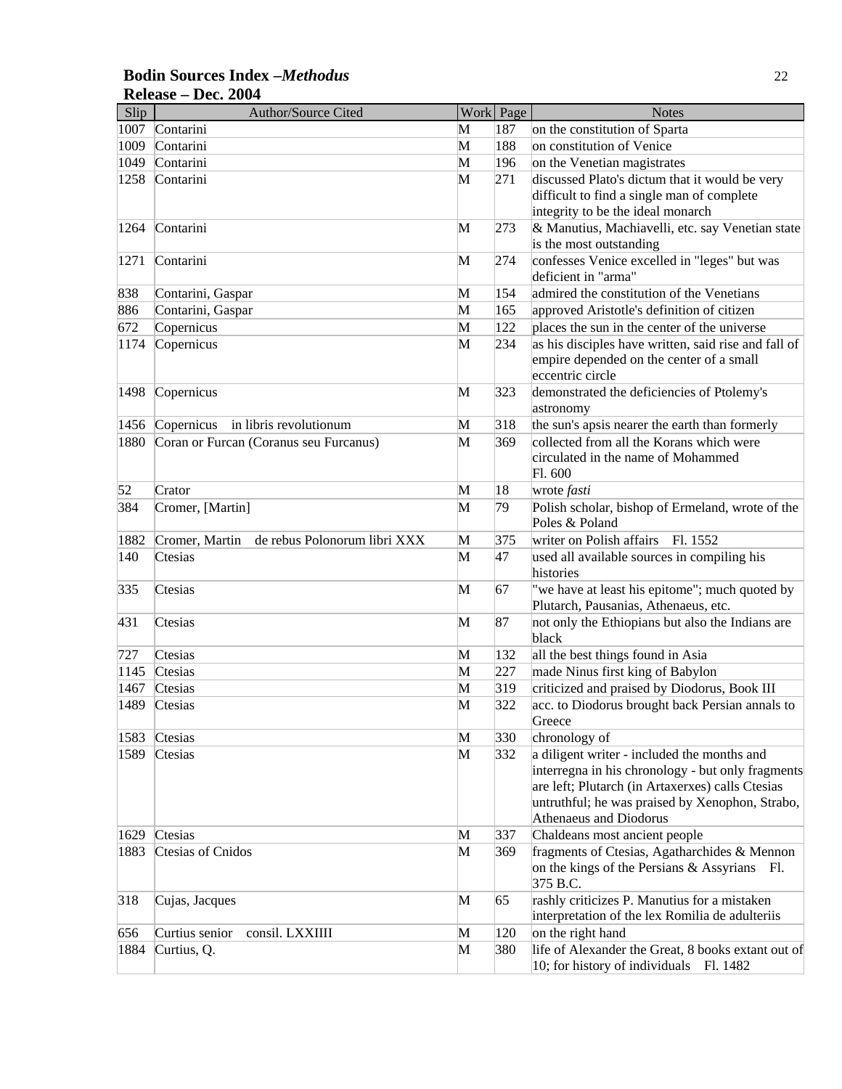#### **Bodin Sources Index –***Methodus* 22 **Release – Dec. 2004**

| Slip | Author/Source Cited                            |   | Work Page | <b>Notes</b>                                                                                                                                                                                                                      |
|------|------------------------------------------------|---|-----------|-----------------------------------------------------------------------------------------------------------------------------------------------------------------------------------------------------------------------------------|
| 1007 | Contarini                                      | M | 187       | on the constitution of Sparta                                                                                                                                                                                                     |
| 1009 | Contarini                                      | M | 188       | on constitution of Venice                                                                                                                                                                                                         |
| 1049 | Contarini                                      | M | 196       | on the Venetian magistrates                                                                                                                                                                                                       |
| 1258 | Contarini                                      | M | 271       | discussed Plato's dictum that it would be very                                                                                                                                                                                    |
|      |                                                |   |           | difficult to find a single man of complete                                                                                                                                                                                        |
|      |                                                |   |           | integrity to be the ideal monarch                                                                                                                                                                                                 |
| 1264 | Contarini                                      | M | 273       | & Manutius, Machiavelli, etc. say Venetian state                                                                                                                                                                                  |
|      |                                                |   |           | is the most outstanding                                                                                                                                                                                                           |
| 1271 | Contarini                                      | M | 274       | confesses Venice excelled in "leges" but was                                                                                                                                                                                      |
|      |                                                |   |           | deficient in "arma"                                                                                                                                                                                                               |
| 838  | Contarini, Gaspar                              | M | 154       | admired the constitution of the Venetians                                                                                                                                                                                         |
| 886  | Contarini, Gaspar                              | M | 165       | approved Aristotle's definition of citizen                                                                                                                                                                                        |
| 672  | Copernicus                                     | M | 122       | places the sun in the center of the universe                                                                                                                                                                                      |
| 1174 | Copernicus                                     | M | 234       | as his disciples have written, said rise and fall of<br>empire depended on the center of a small<br>eccentric circle                                                                                                              |
| 1498 | Copernicus                                     | M | 323       | demonstrated the deficiencies of Ptolemy's<br>astronomy                                                                                                                                                                           |
| 1456 | Copernicus in libris revolutionum              | M | 318       | the sun's apsis nearer the earth than formerly                                                                                                                                                                                    |
| 1880 | Coran or Furcan (Coranus seu Furcanus)         | M | 369       | collected from all the Korans which were                                                                                                                                                                                          |
|      |                                                |   |           | circulated in the name of Mohammed<br>Fl. 600                                                                                                                                                                                     |
| 52   | Crator                                         | M | 18        | wrote <i>fasti</i>                                                                                                                                                                                                                |
| 384  | Cromer, [Martin]                               | M | 79        | Polish scholar, bishop of Ermeland, wrote of the<br>Poles & Poland                                                                                                                                                                |
| 1882 | de rebus Polonorum libri XXX<br>Cromer, Martin | M | 375       | writer on Polish affairs<br>Fl. 1552                                                                                                                                                                                              |
| 140  | Ctesias                                        | M | 47        | used all available sources in compiling his<br>histories                                                                                                                                                                          |
| 335  | Ctesias                                        | M | 67        | "we have at least his epitome"; much quoted by<br>Plutarch, Pausanias, Athenaeus, etc.                                                                                                                                            |
| 431  | Ctesias                                        | M | 87        | not only the Ethiopians but also the Indians are                                                                                                                                                                                  |
|      |                                                |   |           | black                                                                                                                                                                                                                             |
| 727  | Ctesias                                        | M | 132       | all the best things found in Asia                                                                                                                                                                                                 |
| 1145 | Ctesias                                        | M | 227       | made Ninus first king of Babylon                                                                                                                                                                                                  |
| 1467 | Ctesias                                        | M | 319       | criticized and praised by Diodorus, Book III                                                                                                                                                                                      |
| 1489 | Ctesias                                        | M | 322       | acc. to Diodorus brought back Persian annals to<br>Greece                                                                                                                                                                         |
| 1583 | Ctesias                                        | M | 330       | chronology of                                                                                                                                                                                                                     |
| 1589 | Ctesias                                        | M | 332       | a diligent writer - included the months and<br>interregna in his chronology - but only fragments<br>are left; Plutarch (in Artaxerxes) calls Ctesias<br>untruthful; he was praised by Xenophon, Strabo,<br>Athenaeus and Diodorus |
| 1629 | Ctesias                                        | M | 337       | Chaldeans most ancient people                                                                                                                                                                                                     |
| 1883 | Ctesias of Cnidos                              | M | 369       | fragments of Ctesias, Agatharchides & Mennon<br>on the kings of the Persians & Assyrians Fl.<br>375 B.C.                                                                                                                          |
| 318  | Cujas, Jacques                                 | M | 65        | rashly criticizes P. Manutius for a mistaken<br>interpretation of the lex Romilia de adulteriis                                                                                                                                   |
| 656  | Curtius senior<br>consil. LXXIIII              | M | 120       | on the right hand                                                                                                                                                                                                                 |
| 1884 | Curtius, Q.                                    | M | 380       | life of Alexander the Great, 8 books extant out of<br>10; for history of individuals Fl. 1482                                                                                                                                     |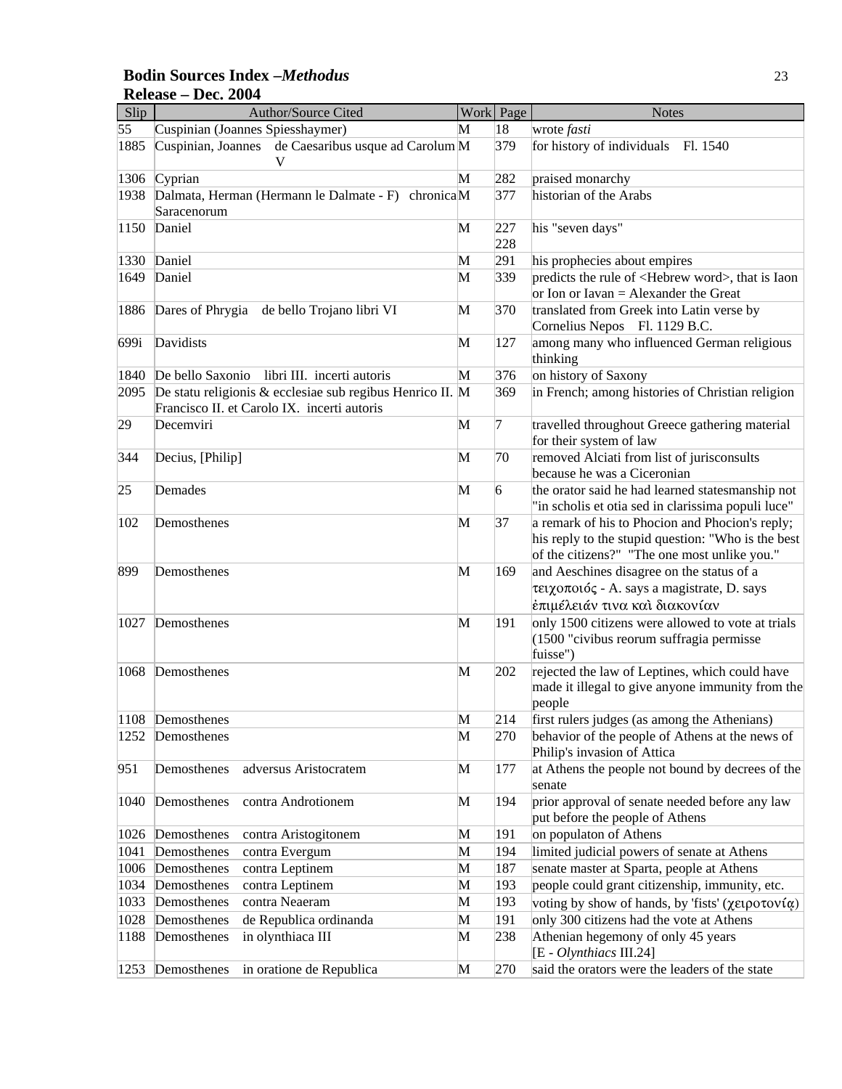## **Bodin Sources Index –***Methodus* 23 **Release – Dec. 2004**

| Slip | <b>Author/Source Cited</b>                                                                               |   | Work Page  | <b>Notes</b>                                                                                                                                          |
|------|----------------------------------------------------------------------------------------------------------|---|------------|-------------------------------------------------------------------------------------------------------------------------------------------------------|
| 55   | Cuspinian (Joannes Spiesshaymer)                                                                         | М | 18         | wrote fasti                                                                                                                                           |
| 1885 | de Caesaribus usque ad Carolum M<br>Cuspinian, Joannes<br>V                                              |   | 379        | for history of individuals Fl. 1540                                                                                                                   |
| 1306 | Cyprian                                                                                                  | M | 282        | praised monarchy                                                                                                                                      |
| 1938 | Dalmata, Herman (Hermann le Dalmate - F) chronicaM<br>Saracenorum                                        |   | 377        | historian of the Arabs                                                                                                                                |
| 1150 | Daniel                                                                                                   | M | 227<br>228 | his "seven days"                                                                                                                                      |
| 1330 | Daniel                                                                                                   | M | 291        | his prophecies about empires                                                                                                                          |
| 1649 | Daniel                                                                                                   | M | 339        | predicts the rule of <hebrew word="">, that is Iaon<br/>or Ion or Iavan = Alexander the Great</hebrew>                                                |
| 1886 | Dares of Phrygia de bello Trojano libri VI                                                               | M | 370        | translated from Greek into Latin verse by<br>Cornelius Nepos Fl. 1129 B.C.                                                                            |
| 699i | Davidists                                                                                                | M | 127        | among many who influenced German religious<br>thinking                                                                                                |
| 1840 | libri III. incerti autoris<br>De bello Saxonio                                                           | M | 376        | on history of Saxony                                                                                                                                  |
| 2095 | De statu religionis & ecclesiae sub regibus Henrico II. M<br>Francisco II. et Carolo IX. incerti autoris |   | 369        | in French; among histories of Christian religion                                                                                                      |
| 29   | Decemviri                                                                                                | M | 7          | travelled throughout Greece gathering material<br>for their system of law                                                                             |
| 344  | Decius, [Philip]                                                                                         | M | 70         | removed Alciati from list of jurisconsults                                                                                                            |
|      |                                                                                                          |   |            | because he was a Ciceronian                                                                                                                           |
| 25   | Demades                                                                                                  | M | 6          | the orator said he had learned statesmanship not<br>"in scholis et otia sed in clarissima populi luce"                                                |
| 102  | Demosthenes                                                                                              | M | 37         | a remark of his to Phocion and Phocion's reply;<br>his reply to the stupid question: "Who is the best<br>of the citizens?" "The one most unlike you." |
| 899  | Demosthenes                                                                                              | M | 169        | and Aeschines disagree on the status of a<br>τειχοποιός - A. says a magistrate, D. says<br>έπιμέλειάν τινα και διακονίαν                              |
| 1027 | Demosthenes                                                                                              | M | 191        | only 1500 citizens were allowed to vote at trials<br>$(1500$ "civibus reorum suffragia permisse<br>fuisse")                                           |
| 1068 | Demosthenes                                                                                              | M | 202        | rejected the law of Leptines, which could have<br>made it illegal to give anyone immunity from the<br>people                                          |
|      | 1108 Demosthenes                                                                                         | M | 214        | first rulers judges (as among the Athenians)                                                                                                          |
| 1252 | Demosthenes                                                                                              | M | 270        | behavior of the people of Athens at the news of<br>Philip's invasion of Attica                                                                        |
| 951  | adversus Aristocratem<br>Demosthenes                                                                     | M | 177        | at Athens the people not bound by decrees of the<br>senate                                                                                            |
| 1040 | Demosthenes<br>contra Androtionem                                                                        | M | 194        | prior approval of senate needed before any law<br>put before the people of Athens                                                                     |
| 1026 | contra Aristogitonem<br>Demosthenes                                                                      | M | 191        | on populaton of Athens                                                                                                                                |
| 1041 | Demosthenes<br>contra Evergum                                                                            | M | 194        | limited judicial powers of senate at Athens                                                                                                           |
| 1006 | Demosthenes<br>contra Leptinem                                                                           | M | 187        | senate master at Sparta, people at Athens                                                                                                             |
| 1034 | Demosthenes<br>contra Leptinem                                                                           | M | 193        | people could grant citizenship, immunity, etc.                                                                                                        |
| 1033 | Demosthenes<br>contra Neaeram                                                                            | M | 193        | voting by show of hands, by 'fists' (χειροτονία)                                                                                                      |
| 1028 | de Republica ordinanda<br>Demosthenes                                                                    | M | 191        | only 300 citizens had the vote at Athens                                                                                                              |
| 1188 | in olynthiaca III<br>Demosthenes                                                                         | M | 238        | Athenian hegemony of only 45 years<br>[E - Olynthiacs III.24]                                                                                         |
| 1253 | Demosthenes<br>in oratione de Republica                                                                  | M | 270        | said the orators were the leaders of the state                                                                                                        |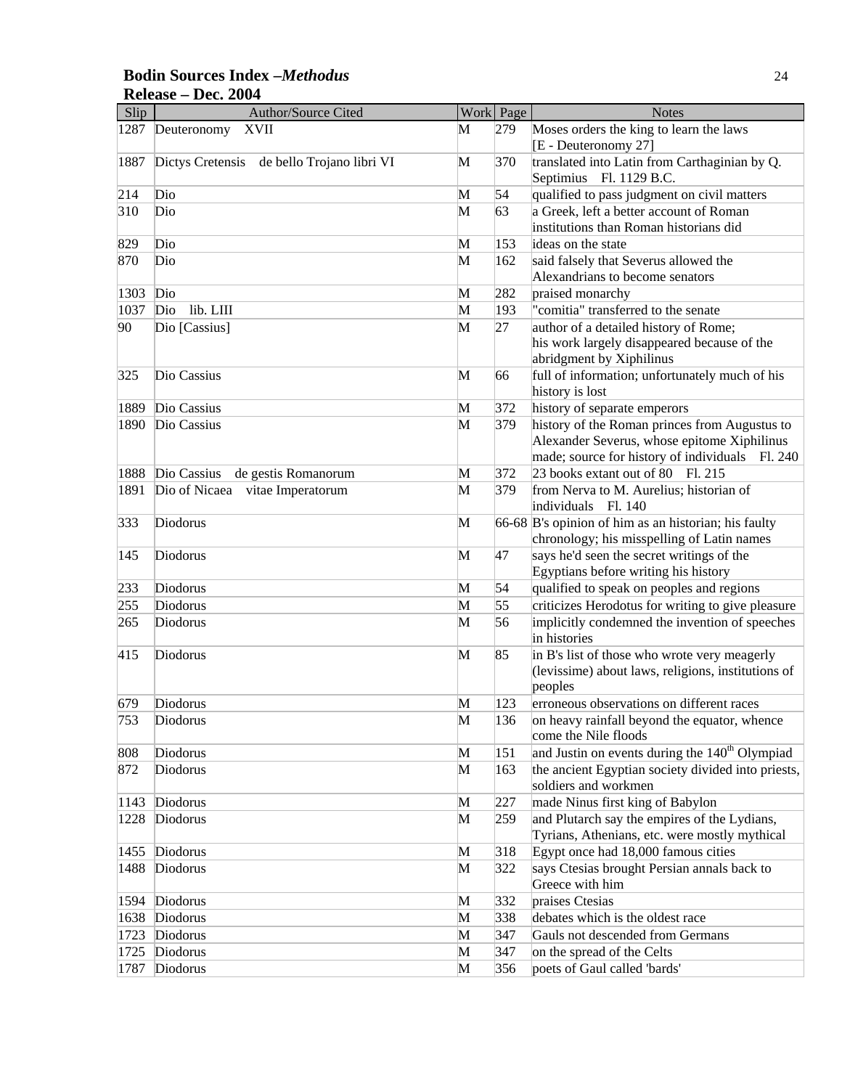#### **Bodin Sources Index –***Methodus* 24 **Release – Dec. 2004**

| Slip | Author/Source Cited                        |   | Work Page | <b>Notes</b>                                                                                                  |
|------|--------------------------------------------|---|-----------|---------------------------------------------------------------------------------------------------------------|
| 1287 | <b>XVII</b><br>Deuteronomy                 | М | 279       | Moses orders the king to learn the laws<br>[E - Deuteronomy 27]                                               |
| 1887 | Dictys Cretensis de bello Trojano libri VI | M | 370       | translated into Latin from Carthaginian by Q.<br>Septimius Fl. 1129 B.C.                                      |
| 214  | Dio                                        | M | 54        | qualified to pass judgment on civil matters                                                                   |
| 310  | Dio                                        | M | 63        | a Greek, left a better account of Roman                                                                       |
|      |                                            |   |           | institutions than Roman historians did                                                                        |
| 829  | Dio                                        | M | 153       | ideas on the state                                                                                            |
| 870  | Dio                                        | M | 162       | said falsely that Severus allowed the                                                                         |
|      |                                            |   |           | Alexandrians to become senators                                                                               |
| 1303 | Dio                                        | M | 282       | praised monarchy                                                                                              |
| 1037 | lib. LIII<br>Dio                           | M | 193       | "comitia" transferred to the senate                                                                           |
| 90   | Dio [Cassius]                              | M | 27        | author of a detailed history of Rome;                                                                         |
|      |                                            |   |           | his work largely disappeared because of the                                                                   |
|      |                                            |   |           | abridgment by Xiphilinus                                                                                      |
| 325  | Dio Cassius                                | M | 66        | full of information; unfortunately much of his                                                                |
|      |                                            |   |           | history is lost                                                                                               |
| 1889 | Dio Cassius                                | M | 372       | history of separate emperors                                                                                  |
| 1890 | Dio Cassius                                | M | 379       | history of the Roman princes from Augustus to                                                                 |
|      |                                            |   |           | Alexander Severus, whose epitome Xiphilinus                                                                   |
|      |                                            |   |           | made; source for history of individuals Fl. 240                                                               |
| 1888 | Dio Cassius<br>de gestis Romanorum         | M | 372       | 23 books extant out of 80 Fl. 215                                                                             |
| 1891 | Dio of Nicaea vitae Imperatorum            | M | 379       | from Nerva to M. Aurelius; historian of<br>individuals Fl. 140                                                |
| 333  | Diodorus                                   | M |           | 66-68 B's opinion of him as an historian; his faulty<br>chronology; his misspelling of Latin names            |
| 145  | Diodorus                                   | M | 47        | says he'd seen the secret writings of the<br>Egyptians before writing his history                             |
| 233  | Diodorus                                   | M | 54        | qualified to speak on peoples and regions                                                                     |
| 255  | Diodorus                                   | M | 55        | criticizes Herodotus for writing to give pleasure                                                             |
| 265  | Diodorus                                   | M | 56        | implicitly condemned the invention of speeches<br>in histories                                                |
| 415  | Diodorus                                   | M | 85        | in B's list of those who wrote very meagerly<br>(levissime) about laws, religions, institutions of<br>peoples |
| 679  | Diodorus                                   | M | 123       | erroneous observations on different races                                                                     |
| 753  | Diodorus                                   | M | 136       | on heavy rainfall beyond the equator, whence<br>come the Nile floods                                          |
| 808  | Diodorus                                   | M | 151       | and Justin on events during the 140 <sup>th</sup> Olympiad                                                    |
| 872  | Diodorus                                   | M | 163       | the ancient Egyptian society divided into priests,<br>soldiers and workmen                                    |
| 1143 | Diodorus                                   | M | 227       | made Ninus first king of Babylon                                                                              |
| 1228 | Diodorus                                   | M | 259       | and Plutarch say the empires of the Lydians,                                                                  |
|      |                                            |   |           | Tyrians, Athenians, etc. were mostly mythical                                                                 |
| 1455 | Diodorus                                   | M | 318       | Egypt once had 18,000 famous cities                                                                           |
| 1488 | Diodorus                                   | M | 322       | says Ctesias brought Persian annals back to                                                                   |
|      |                                            |   |           | Greece with him                                                                                               |
| 1594 | Diodorus                                   | M | 332       | praises Ctesias                                                                                               |
| 1638 | Diodorus                                   | M | 338       | debates which is the oldest race                                                                              |
| 1723 | Diodorus                                   | M | 347       | Gauls not descended from Germans                                                                              |
| 1725 | Diodorus                                   | M | 347       | on the spread of the Celts                                                                                    |
| 1787 | Diodorus                                   | M | 356       | poets of Gaul called 'bards'                                                                                  |
|      |                                            |   |           |                                                                                                               |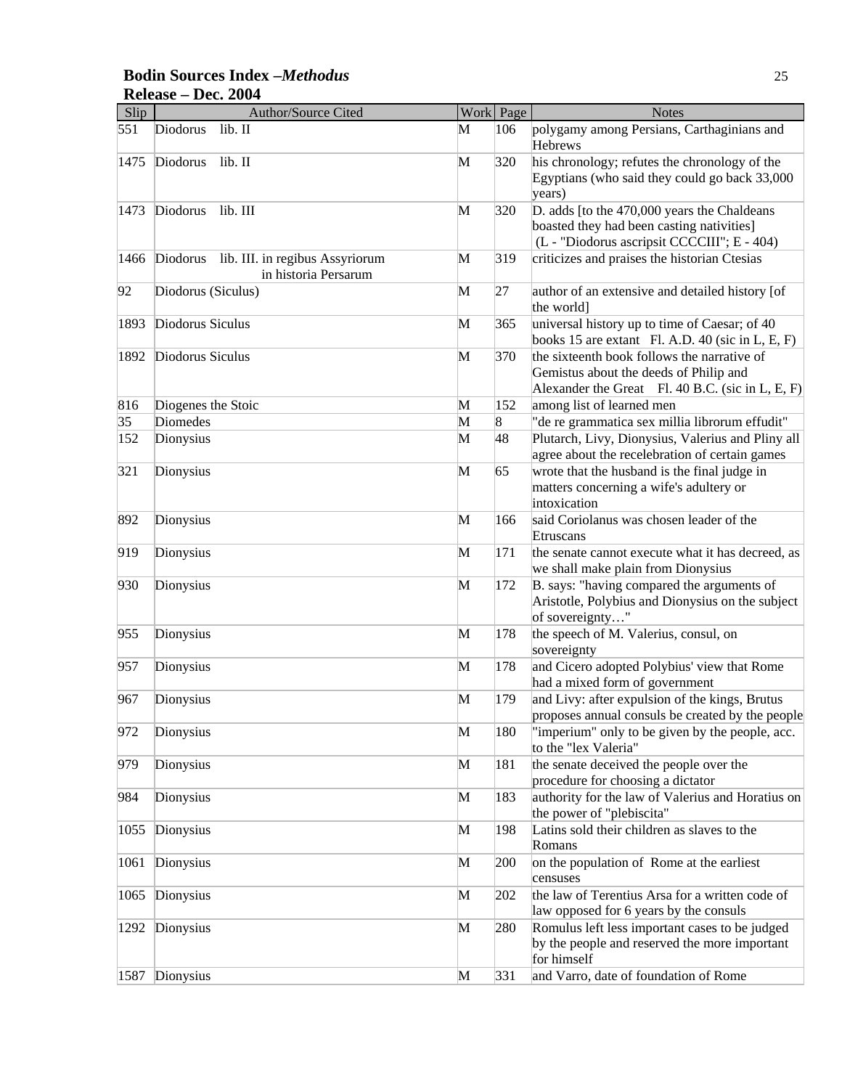#### **Bodin Sources Index –***Methodus* 25 **Release – Dec. 2004**

| Slip | Author/Source Cited                                                 |   | Work Page | <b>Notes</b>                                                                                                                              |
|------|---------------------------------------------------------------------|---|-----------|-------------------------------------------------------------------------------------------------------------------------------------------|
| 551  | lib. II<br>Diodorus                                                 | М | 106       | polygamy among Persians, Carthaginians and<br>Hebrews                                                                                     |
| 1475 | Diodorus<br>lib. II                                                 | M | 320       | his chronology; refutes the chronology of the<br>Egyptians (who said they could go back 33,000<br>years)                                  |
| 1473 | Diodorus<br>lib. III                                                | M | 320       | D. adds [to the 470,000 years the Chaldeans<br>boasted they had been casting nativities]<br>(L - "Diodorus ascripsit CCCCIII"; E - 404)   |
| 1466 | Diodorus<br>lib. III. in regibus Assyriorum<br>in historia Persarum | M | 319       | criticizes and praises the historian Ctesias                                                                                              |
| 92   | Diodorus (Siculus)                                                  | M | 27        | author of an extensive and detailed history [of<br>the world]                                                                             |
| 1893 | Diodorus Siculus                                                    | M | 365       | universal history up to time of Caesar; of 40<br>books 15 are extant Fl. A.D. 40 (sic in $L, E, F$ )                                      |
| 1892 | Diodorus Siculus                                                    | M | 370       | the sixteenth book follows the narrative of<br>Gemistus about the deeds of Philip and<br>Alexander the Great Fl. 40 B.C. (sic in L, E, F) |
| 816  | Diogenes the Stoic                                                  | M | 152       | among list of learned men                                                                                                                 |
| 35   | Diomedes                                                            | M | 8         | "de re grammatica sex millia librorum effudit"                                                                                            |
| 152  | Dionysius                                                           | M | 48        | Plutarch, Livy, Dionysius, Valerius and Pliny all<br>agree about the recelebration of certain games                                       |
| 321  | Dionysius                                                           | M | 65        | wrote that the husband is the final judge in<br>matters concerning a wife's adultery or<br>intoxication                                   |
| 892  | Dionysius                                                           | M | 166       | said Coriolanus was chosen leader of the<br>Etruscans                                                                                     |
| 919  | Dionysius                                                           | M | 171       | the senate cannot execute what it has decreed, as<br>we shall make plain from Dionysius                                                   |
| 930  | Dionysius                                                           | M | 172       | B. says: "having compared the arguments of<br>Aristotle, Polybius and Dionysius on the subject<br>of sovereignty"                         |
| 955  | Dionysius                                                           | M | 178       | the speech of M. Valerius, consul, on<br>sovereignty                                                                                      |
| 957  | Dionysius                                                           | M | 178       | and Cicero adopted Polybius' view that Rome<br>had a mixed form of government                                                             |
| 967  | Dionysius                                                           | M | 179       | and Livy: after expulsion of the kings, Brutus<br>proposes annual consuls be created by the people                                        |
| 972  | Dionysius                                                           | M | 180       | "imperium" only to be given by the people, acc.<br>to the "lex Valeria"                                                                   |
| 979  | Dionysius                                                           | M | 181       | the senate deceived the people over the<br>procedure for choosing a dictator                                                              |
| 984  | Dionysius                                                           | M | 183       | authority for the law of Valerius and Horatius on<br>the power of "plebiscita"                                                            |
| 1055 | Dionysius                                                           | M | 198       | Latins sold their children as slaves to the<br>Romans                                                                                     |
| 1061 | Dionysius                                                           | M | 200       | on the population of Rome at the earliest<br>censuses                                                                                     |
| 1065 | Dionysius                                                           | M | 202       | the law of Terentius Arsa for a written code of<br>law opposed for 6 years by the consuls                                                 |
| 1292 | Dionysius                                                           | M | 280       | Romulus left less important cases to be judged<br>by the people and reserved the more important<br>for himself                            |
| 1587 | Dionysius                                                           | M | 331       | and Varro, date of foundation of Rome                                                                                                     |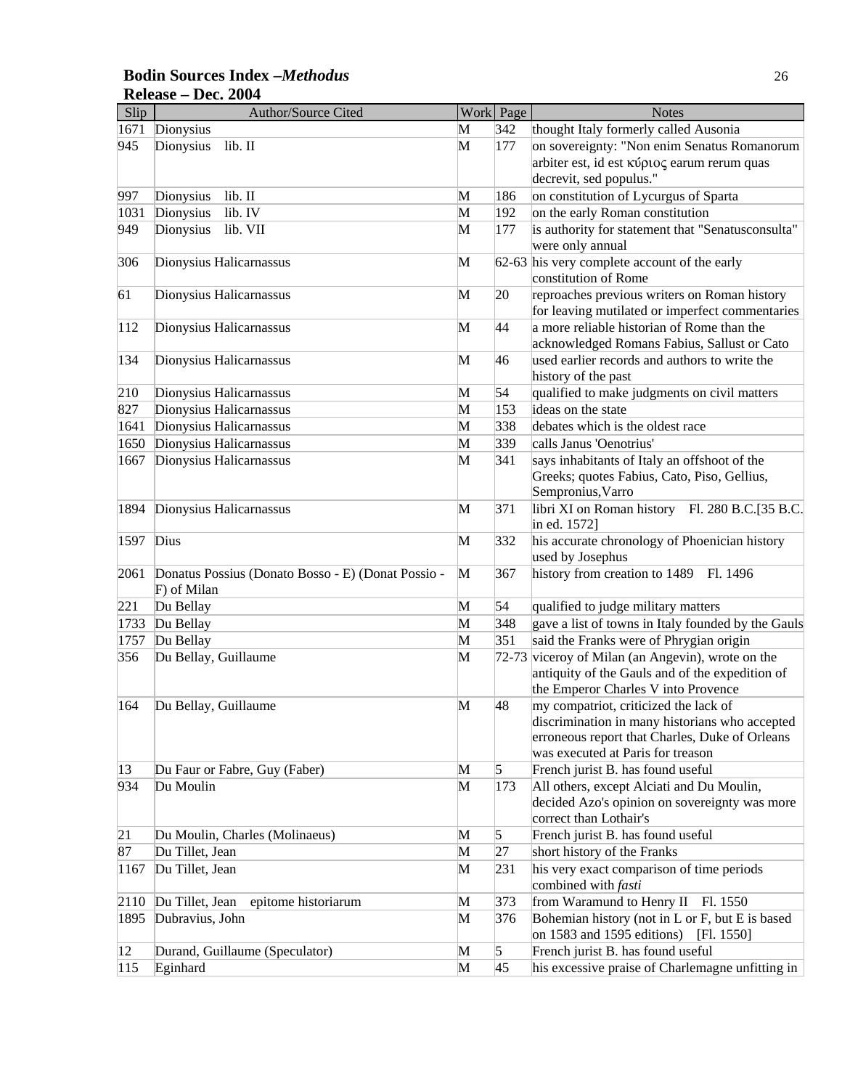#### **Bodin Sources Index –***Methodus* 26 **Release – Dec. 2004**

| Slip         | Author/Source Cited                                |              | Work Page      | <b>Notes</b>                                       |
|--------------|----------------------------------------------------|--------------|----------------|----------------------------------------------------|
| 1671         | Dionysius                                          | M            | 342            | thought Italy formerly called Ausonia              |
| 945          | lib. II<br>Dionysius                               | M            | 177            | on sovereignty: "Non enim Senatus Romanorum        |
|              |                                                    |              |                | arbiter est, id est κύριος earum rerum quas        |
|              |                                                    |              |                | decrevit, sed populus."                            |
| 997          | lib. II<br>Dionysius                               | M            | 186            | on constitution of Lycurgus of Sparta              |
| 1031         | lib. IV<br>Dionysius                               | M            | 192            | on the early Roman constitution                    |
| 949          | Dionysius<br>lib. VII                              | M            | 177            | is authority for statement that "Senatusconsulta"  |
|              |                                                    |              |                | were only annual                                   |
| 306          | Dionysius Halicarnassus                            | M            |                | 62-63 his very complete account of the early       |
|              |                                                    |              |                | constitution of Rome                               |
| 61           | Dionysius Halicarnassus                            | M            | 20             | reproaches previous writers on Roman history       |
|              |                                                    |              |                | for leaving mutilated or imperfect commentaries    |
| 112          | Dionysius Halicarnassus                            | M            | 44             | a more reliable historian of Rome than the         |
|              |                                                    |              |                | acknowledged Romans Fabius, Sallust or Cato        |
| 134          | Dionysius Halicarnassus                            | M            | 46             | used earlier records and authors to write the      |
|              |                                                    |              |                | history of the past                                |
| 210          | Dionysius Halicarnassus                            | M            | 54             | qualified to make judgments on civil matters       |
| 827          | Dionysius Halicarnassus                            | M            | 153            | ideas on the state                                 |
| 1641         | Dionysius Halicarnassus                            | M            | 338            | debates which is the oldest race                   |
| 1650         | Dionysius Halicarnassus                            | M            | 339            | calls Janus 'Oenotrius'                            |
| 1667         | Dionysius Halicarnassus                            | M            | 341            | says inhabitants of Italy an offshoot of the       |
|              |                                                    |              |                | Greeks; quotes Fabius, Cato, Piso, Gellius,        |
|              |                                                    |              |                | Sempronius, Varro                                  |
| 1894         | Dionysius Halicarnassus                            | M            | 371            | libri XI on Roman history Fl. 280 B.C.[35 B.C.     |
|              |                                                    |              |                | in ed. 1572]                                       |
| 1597         | Dius                                               | M            | 332            | his accurate chronology of Phoenician history      |
|              |                                                    |              |                | used by Josephus                                   |
| 2061         | Donatus Possius (Donato Bosso - E) (Donat Possio - | $\mathbf{M}$ | 367            | history from creation to 1489<br>Fl. 1496          |
|              | F) of Milan                                        |              |                |                                                    |
| 221          | Du Bellay                                          | M            | 54             | qualified to judge military matters                |
| 1733         | Du Bellay                                          | M            | 348            | gave a list of towns in Italy founded by the Gauls |
| 1757         | Du Bellay                                          | M            | 351            | said the Franks were of Phrygian origin            |
| 356          | Du Bellay, Guillaume                               | M            |                | 72-73 viceroy of Milan (an Angevin), wrote on the  |
|              |                                                    |              |                | antiquity of the Gauls and of the expedition of    |
|              |                                                    |              |                | the Emperor Charles V into Provence                |
| 164          | Du Bellay, Guillaume                               | M            | 48             | my compatriot, criticized the lack of              |
|              |                                                    |              |                | discrimination in many historians who accepted     |
|              |                                                    |              |                | erroneous report that Charles, Duke of Orleans     |
|              |                                                    |              |                | was executed at Paris for treason                  |
| $ 13\rangle$ | Du Faur or Fabre, Guy (Faber)                      | M            | 5              | French jurist B. has found useful                  |
| 934          | Du Moulin                                          | M            | 173            | All others, except Alciati and Du Moulin,          |
|              |                                                    |              |                | decided Azo's opinion on sovereignty was more      |
|              |                                                    |              |                | correct than Lothair's                             |
| 21           | Du Moulin, Charles (Molinaeus)                     | M            | $\overline{5}$ | French jurist B. has found useful                  |
| 87           | Du Tillet, Jean                                    | M            | 27             | short history of the Franks                        |
| 1167         | Du Tillet, Jean                                    | M            | 231            | his very exact comparison of time periods          |
|              |                                                    |              |                | combined with fasti                                |
| 2110         | Du Tillet, Jean<br>epitome historiarum             | M            | 373            | from Waramund to Henry II Fl. 1550                 |
| 1895         | Dubravius, John                                    | M            | 376            | Bohemian history (not in L or F, but E is based    |
|              |                                                    |              |                | on 1583 and 1595 editions)<br>[Fl. 1550]           |
| 12           | Durand, Guillaume (Speculator)                     | M            | 5              | French jurist B. has found useful                  |
| 115          | Eginhard                                           | M            | 45             | his excessive praise of Charlemagne unfitting in   |
|              |                                                    |              |                |                                                    |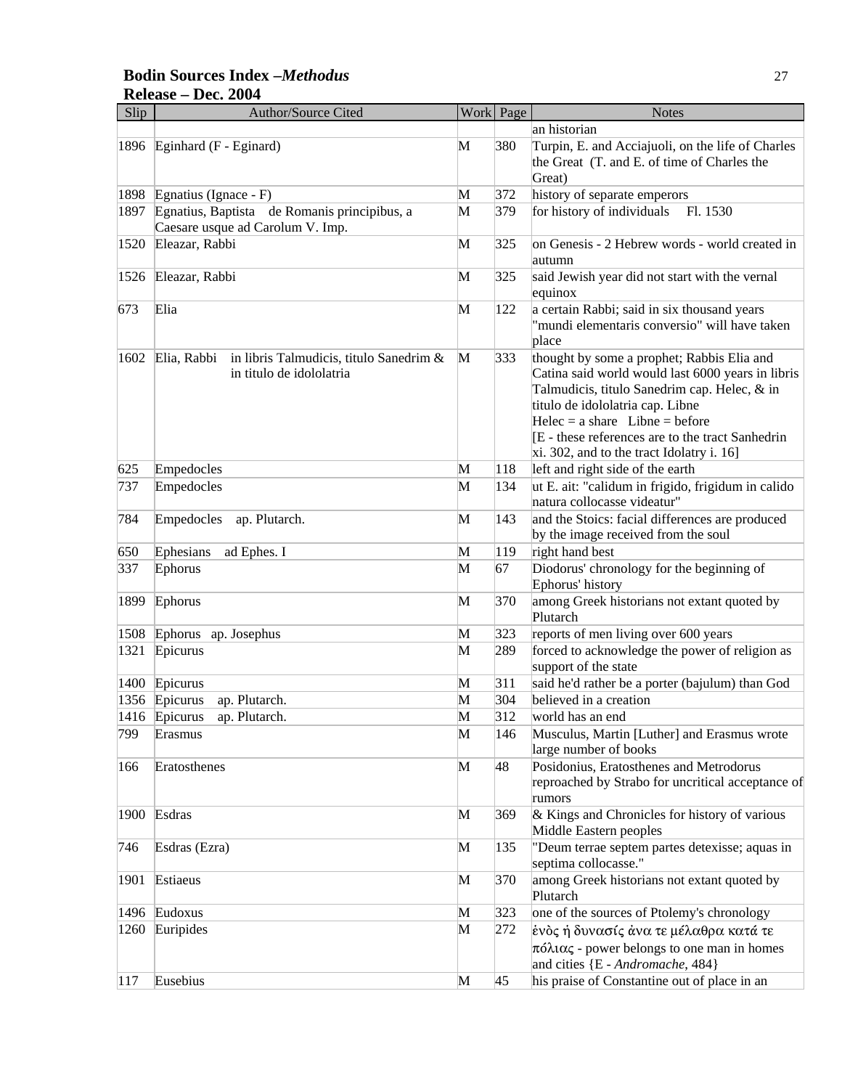#### **Bodin Sources Index –***Methodus* 27 **Release – Dec. 2004**

| Slip | <b>Author/Source Cited</b>                                                       |   | Work Page | <b>Notes</b>                                                                                                                                                                                                                                                                                                               |
|------|----------------------------------------------------------------------------------|---|-----------|----------------------------------------------------------------------------------------------------------------------------------------------------------------------------------------------------------------------------------------------------------------------------------------------------------------------------|
|      |                                                                                  |   |           | an historian                                                                                                                                                                                                                                                                                                               |
| 1896 | Eginhard (F - Eginard)                                                           | M | 380       | Turpin, E. and Acciajuoli, on the life of Charles<br>the Great (T. and E. of time of Charles the<br>Great)                                                                                                                                                                                                                 |
| 1898 | Egnatius (Ignace - F)                                                            | M | 372       | history of separate emperors                                                                                                                                                                                                                                                                                               |
| 1897 | Egnatius, Baptista de Romanis principibus, a<br>Caesare usque ad Carolum V. Imp. | M | 379       | for history of individuals<br>Fl. 1530                                                                                                                                                                                                                                                                                     |
| 1520 | Eleazar, Rabbi                                                                   | M | 325       | on Genesis - 2 Hebrew words - world created in<br>autumn                                                                                                                                                                                                                                                                   |
| 1526 | Eleazar, Rabbi                                                                   | M | 325       | said Jewish year did not start with the vernal<br>equinox                                                                                                                                                                                                                                                                  |
| 673  | Elia                                                                             | M | 122       | a certain Rabbi; said in six thousand years<br>"mundi elementaris conversio" will have taken<br>place                                                                                                                                                                                                                      |
| 1602 | Elia, Rabbi in libris Talmudicis, titulo Sanedrim &<br>in titulo de idololatria  | M | 333       | thought by some a prophet; Rabbis Elia and<br>Catina said world would last 6000 years in libris<br>Talmudicis, titulo Sanedrim cap. Helec, & in<br>titulo de idololatria cap. Libne<br>$Helec = a share$ Libne = before<br>E - these references are to the tract Sanhedrin<br>$xi$ . 302, and to the tract Idolatry i. 16] |
| 625  | Empedocles                                                                       | M | 118       | left and right side of the earth                                                                                                                                                                                                                                                                                           |
| 737  | Empedocles                                                                       | M | 134       | ut E. ait: "calidum in frigido, frigidum in calido<br>natura collocasse videatur"                                                                                                                                                                                                                                          |
| 784  | Empedocles<br>ap. Plutarch.                                                      | M | 143       | and the Stoics: facial differences are produced<br>by the image received from the soul                                                                                                                                                                                                                                     |
| 650  | Ephesians<br>ad Ephes. I                                                         | M | 119       | right hand best                                                                                                                                                                                                                                                                                                            |
| 337  | Ephorus                                                                          | M | 67        | Diodorus' chronology for the beginning of<br>Ephorus' history                                                                                                                                                                                                                                                              |
| 1899 | Ephorus                                                                          | M | 370       | among Greek historians not extant quoted by<br>Plutarch                                                                                                                                                                                                                                                                    |
| 1508 | Ephorus ap. Josephus                                                             | M | 323       | reports of men living over 600 years                                                                                                                                                                                                                                                                                       |
| 1321 | Epicurus                                                                         | M | 289       | forced to acknowledge the power of religion as<br>support of the state                                                                                                                                                                                                                                                     |
| 1400 | Epicurus                                                                         | M | 311       | said he'd rather be a porter (bajulum) than God                                                                                                                                                                                                                                                                            |
| 1356 | Epicurus<br>ap. Plutarch.                                                        | M | 304       | believed in a creation                                                                                                                                                                                                                                                                                                     |
| 1416 | Epicurus<br>ap. Plutarch.                                                        | M | 312       | world has an end                                                                                                                                                                                                                                                                                                           |
| 799  | Erasmus                                                                          | M | 146       | Musculus, Martin [Luther] and Erasmus wrote<br>large number of books                                                                                                                                                                                                                                                       |
| 166  | Eratosthenes                                                                     | M | 48        | Posidonius, Eratosthenes and Metrodorus<br>reproached by Strabo for uncritical acceptance of<br>rumors                                                                                                                                                                                                                     |
| 1900 | Esdras                                                                           | M | 369       | & Kings and Chronicles for history of various<br>Middle Eastern peoples                                                                                                                                                                                                                                                    |
| 746  | Esdras (Ezra)                                                                    | M | 135       | "Deum terrae septem partes detexisse; aquas in<br>septima collocasse."                                                                                                                                                                                                                                                     |
| 1901 | Estiaeus                                                                         | M | 370       | among Greek historians not extant quoted by<br>Plutarch                                                                                                                                                                                                                                                                    |
| 1496 | Eudoxus                                                                          | M | 323       | one of the sources of Ptolemy's chronology                                                                                                                                                                                                                                                                                 |
| 1260 | Euripides                                                                        | M | 272       | ένδς ή δυνασίς άνα τε μέλαθρα κατά τε<br>$\pi$ όλιας - power belongs to one man in homes<br>and cities {E - Andromache, 484}                                                                                                                                                                                               |
| 117  | Eusebius                                                                         | M | 45        | his praise of Constantine out of place in an                                                                                                                                                                                                                                                                               |
|      |                                                                                  |   |           |                                                                                                                                                                                                                                                                                                                            |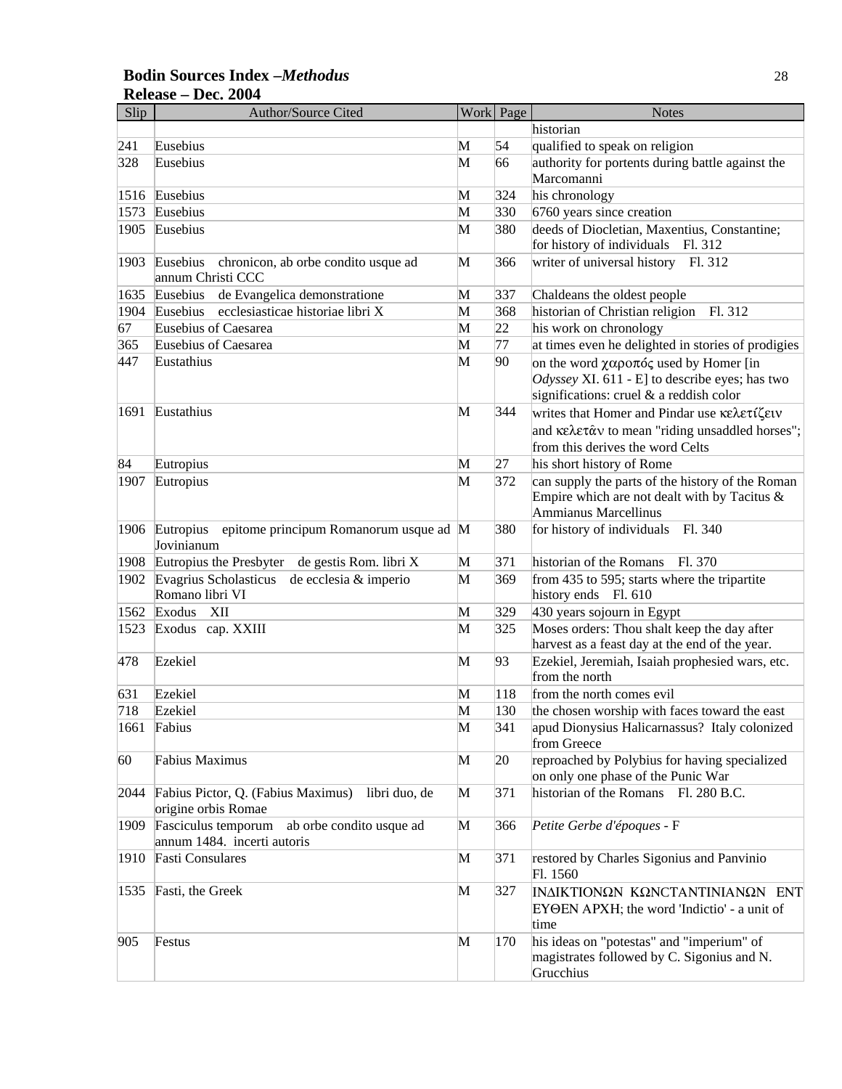#### **Bodin Sources Index –***Methodus* 28 **Release – Dec. 2004**

| Slip | Author/Source Cited                                                            |   | Work Page | <b>Notes</b>                                                                                                                                        |
|------|--------------------------------------------------------------------------------|---|-----------|-----------------------------------------------------------------------------------------------------------------------------------------------------|
|      |                                                                                |   |           | historian                                                                                                                                           |
| 241  | Eusebius                                                                       | M | 54        | qualified to speak on religion                                                                                                                      |
| 328  | Eusebius                                                                       | M | 66        | authority for portents during battle against the<br>Marcomanni                                                                                      |
| 1516 | Eusebius                                                                       | М | 324       | his chronology                                                                                                                                      |
| 1573 | Eusebius                                                                       | M | 330       | 6760 years since creation                                                                                                                           |
| 1905 | Eusebius                                                                       | M | 380       | deeds of Diocletian, Maxentius, Constantine;                                                                                                        |
|      |                                                                                |   |           | for history of individuals Fl. 312                                                                                                                  |
| 1903 | Eusebius<br>chronicon, ab orbe condito usque ad<br>annum Christi CCC           | M | 366       | writer of universal history Fl. 312                                                                                                                 |
| 1635 | Eusebius<br>de Evangelica demonstratione                                       | M | 337       | Chaldeans the oldest people                                                                                                                         |
| 1904 | ecclesiasticae historiae libri X<br>Eusebius                                   | M | 368       | historian of Christian religion<br>Fl. 312                                                                                                          |
| 67   | <b>Eusebius of Caesarea</b>                                                    | M | 22        | his work on chronology                                                                                                                              |
| 365  | <b>Eusebius of Caesarea</b>                                                    | M | 77        | at times even he delighted in stories of prodigies                                                                                                  |
| 447  | Eustathius                                                                     | M | 90        | on the word $\chi \alpha \rho$ on the set by Homer [in<br>Odyssey XI. 611 - E] to describe eyes; has two<br>significations: cruel & a reddish color |
| 1691 | Eustathius                                                                     | M | 344       | writes that Homer and Pindar use κελετίζειν                                                                                                         |
|      |                                                                                |   |           | and κελετάν to mean "riding unsaddled horses";                                                                                                      |
|      |                                                                                |   |           | from this derives the word Celts                                                                                                                    |
| 84   | Eutropius                                                                      | M | 27        | his short history of Rome                                                                                                                           |
| 1907 | Eutropius                                                                      | M | 372       | can supply the parts of the history of the Roman                                                                                                    |
|      |                                                                                |   |           | Empire which are not dealt with by Tacitus $\&$<br>Ammianus Marcellinus                                                                             |
|      | epitome principum Romanorum usque ad M<br>1906 Eutropius<br>Jovinianum         |   | 380       | for history of individuals Fl. 340                                                                                                                  |
| 1908 | Eutropius the Presbyter<br>de gestis Rom. libri X                              | M | 371       | historian of the Romans<br>Fl. 370                                                                                                                  |
| 1902 | Evagrius Scholasticus<br>de ecclesia & imperio                                 | M | 369       | from 435 to 595; starts where the tripartite                                                                                                        |
|      | Romano libri VI                                                                |   |           | history ends Fl. 610                                                                                                                                |
| 1562 | XII<br>Exodus                                                                  | M | 329       | 430 years sojourn in Egypt                                                                                                                          |
| 1523 | Exodus cap. XXIII                                                              | M | 325       | Moses orders: Thou shalt keep the day after<br>harvest as a feast day at the end of the year.                                                       |
| 478  | Ezekiel                                                                        | M | 93        | Ezekiel, Jeremiah, Isaiah prophesied wars, etc.<br>from the north                                                                                   |
| 631  | Ezekiel                                                                        | M | 118       | from the north comes evil                                                                                                                           |
| 718  | Ezekiel                                                                        | M | 130       | the chosen worship with faces toward the east                                                                                                       |
| 1661 | Fabius                                                                         | M | 341       | apud Dionysius Halicarnassus? Italy colonized<br>from Greece                                                                                        |
| 60   | Fabius Maximus                                                                 | M | 20        | reproached by Polybius for having specialized<br>on only one phase of the Punic War                                                                 |
| 2044 | Fabius Pictor, Q. (Fabius Maximus)<br>libri duo, de<br>origine orbis Romae     | M | 371       | historian of the Romans<br>Fl. 280 B.C.                                                                                                             |
| 1909 | Fasciculus temporum<br>ab orbe condito usque ad<br>annum 1484. incerti autoris | M | 366       | Petite Gerbe d'époques - F                                                                                                                          |
| 1910 | <b>Fasti Consulares</b>                                                        | M | 371       | restored by Charles Sigonius and Panvinio<br>Fl. 1560                                                                                               |
| 1535 | Fasti, the Greek                                                               | M | 327       | INΔIKTIONΩN KΩNCTANTINIANΩN ENT<br>EYOEN APXH; the word 'Indictio' - a unit of<br>time                                                              |
| 905  | Festus                                                                         | М | 170       | his ideas on "potestas" and "imperium" of<br>magistrates followed by C. Sigonius and N.<br>Grucchius                                                |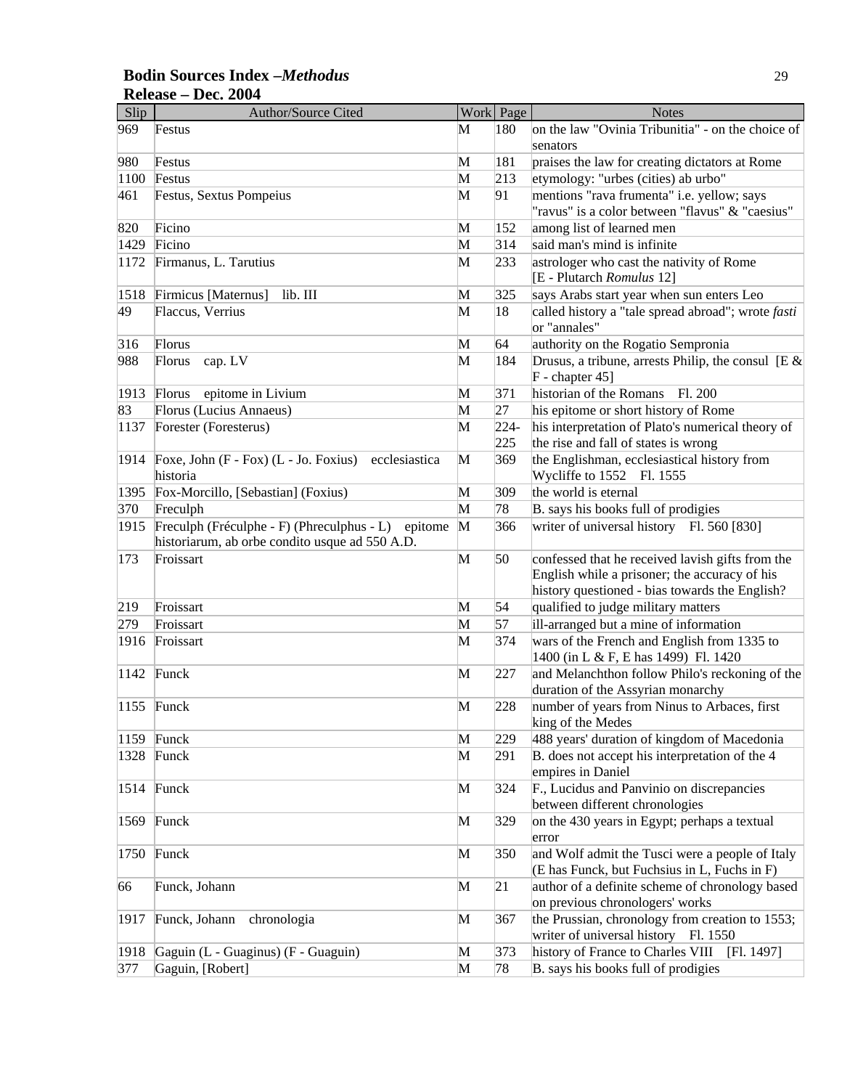| <b>Bodin Sources Index -Methodus</b> |  |
|--------------------------------------|--|
| Release – Dec. 2004                  |  |

| Slip | Author/Source Cited                                                                                  |   | Work Page | <b>Notes</b>                                                                                                                                        |
|------|------------------------------------------------------------------------------------------------------|---|-----------|-----------------------------------------------------------------------------------------------------------------------------------------------------|
| 969  | Festus                                                                                               | M | 180       | on the law "Ovinia Tribunitia" - on the choice of<br>senators                                                                                       |
| 980  | Festus                                                                                               | M | 181       | praises the law for creating dictators at Rome                                                                                                      |
| 1100 | Festus                                                                                               | M | 213       | etymology: "urbes (cities) ab urbo"                                                                                                                 |
| 461  | Festus, Sextus Pompeius                                                                              | M | 91        | mentions "rava frumenta" i.e. yellow; says                                                                                                          |
|      |                                                                                                      |   |           | "ravus" is a color between "flavus" & "caesius"                                                                                                     |
| 820  | Ficino                                                                                               | M | 152       | among list of learned men                                                                                                                           |
| 1429 | Ficino                                                                                               | M | 314       | said man's mind is infinite                                                                                                                         |
| 1172 | Firmanus, L. Tarutius                                                                                | M | 233       | astrologer who cast the nativity of Rome<br>[E - Plutarch Romulus 12]                                                                               |
| 1518 | lib. III<br>Firmicus [Maternus]                                                                      | M | 325       | says Arabs start year when sun enters Leo                                                                                                           |
| 49   | Flaccus, Verrius                                                                                     | M | 18        | called history a "tale spread abroad"; wrote fasti<br>or "annales"                                                                                  |
| 316  | Florus                                                                                               | M | 64        | authority on the Rogatio Sempronia                                                                                                                  |
| 988  | cap. LV<br>Florus                                                                                    | M | 184       | Drusus, a tribune, arrests Philip, the consul [E $\&$                                                                                               |
|      |                                                                                                      |   |           | $F -$ chapter 45]                                                                                                                                   |
| 1913 | Florus<br>epitome in Livium                                                                          | M | 371       | historian of the Romans<br>Fl. 200                                                                                                                  |
| 83   | Florus (Lucius Annaeus)                                                                              | M | 27        | his epitome or short history of Rome                                                                                                                |
| 1137 | Forester (Foresterus)                                                                                | M | $224 -$   | his interpretation of Plato's numerical theory of                                                                                                   |
|      |                                                                                                      |   | 225       | the rise and fall of states is wrong                                                                                                                |
| 1914 | Foxe, John $(F - Fox)$ $(L - Jo. Foxius)$<br>ecclesiastica<br>historia                               | M | 369       | the Englishman, ecclesiastical history from<br>Wycliffe to 1552 Fl. 1555                                                                            |
| 1395 | Fox-Morcillo, [Sebastian] (Foxius)                                                                   | M | 309       | the world is eternal                                                                                                                                |
| 370  | Freculph                                                                                             | M | 78        | B. says his books full of prodigies                                                                                                                 |
| 1915 | Freculph (Fréculphe - F) (Phreculphus - L) epitome<br>historiarum, ab orbe condito usque ad 550 A.D. | M | 366       | writer of universal history Fl. 560 [830]                                                                                                           |
| 173  | Froissart                                                                                            | M | 50        | confessed that he received lavish gifts from the<br>English while a prisoner; the accuracy of his<br>history questioned - bias towards the English? |
| 219  | Froissart                                                                                            | M | 54        | qualified to judge military matters                                                                                                                 |
| 279  | Froissart                                                                                            | M | 57        | ill-arranged but a mine of information                                                                                                              |
| 1916 | Froissart                                                                                            | M | 374       | wars of the French and English from 1335 to<br>1400 (in L & F, E has 1499) Fl. 1420                                                                 |
| 1142 | Funck                                                                                                | M | 227       | and Melanchthon follow Philo's reckoning of the<br>duration of the Assyrian monarchy                                                                |
| 1155 | Funck                                                                                                | M | 228       | number of years from Ninus to Arbaces, first<br>king of the Medes                                                                                   |
| 1159 | Funck                                                                                                | M | 229       | 488 years' duration of kingdom of Macedonia                                                                                                         |
| 1328 | Funck                                                                                                | M | 291       | B. does not accept his interpretation of the 4<br>empires in Daniel                                                                                 |
| 1514 | Funck                                                                                                | M | 324       | F., Lucidus and Panvinio on discrepancies<br>between different chronologies                                                                         |
| 1569 | Funck                                                                                                | M | 329       | on the 430 years in Egypt; perhaps a textual<br>error                                                                                               |
| 1750 | Funck                                                                                                | M | 350       | and Wolf admit the Tusci were a people of Italy<br>(E has Funck, but Fuchsius in L, Fuchs in F)                                                     |
| 66   | Funck, Johann                                                                                        | M | 21        | author of a definite scheme of chronology based<br>on previous chronologers' works                                                                  |
| 1917 | Funck, Johann<br>chronologia                                                                         | M | 367       | the Prussian, chronology from creation to 1553;                                                                                                     |
|      |                                                                                                      |   |           | writer of universal history Fl. 1550                                                                                                                |
| 1918 | Gaguin (L - Guaginus) (F - Guaguin)                                                                  | M | 373       | history of France to Charles VIII<br>[Fl. 1497]                                                                                                     |
| 377  | Gaguin, [Robert]                                                                                     | M | 78        | B. says his books full of prodigies                                                                                                                 |
|      |                                                                                                      |   |           |                                                                                                                                                     |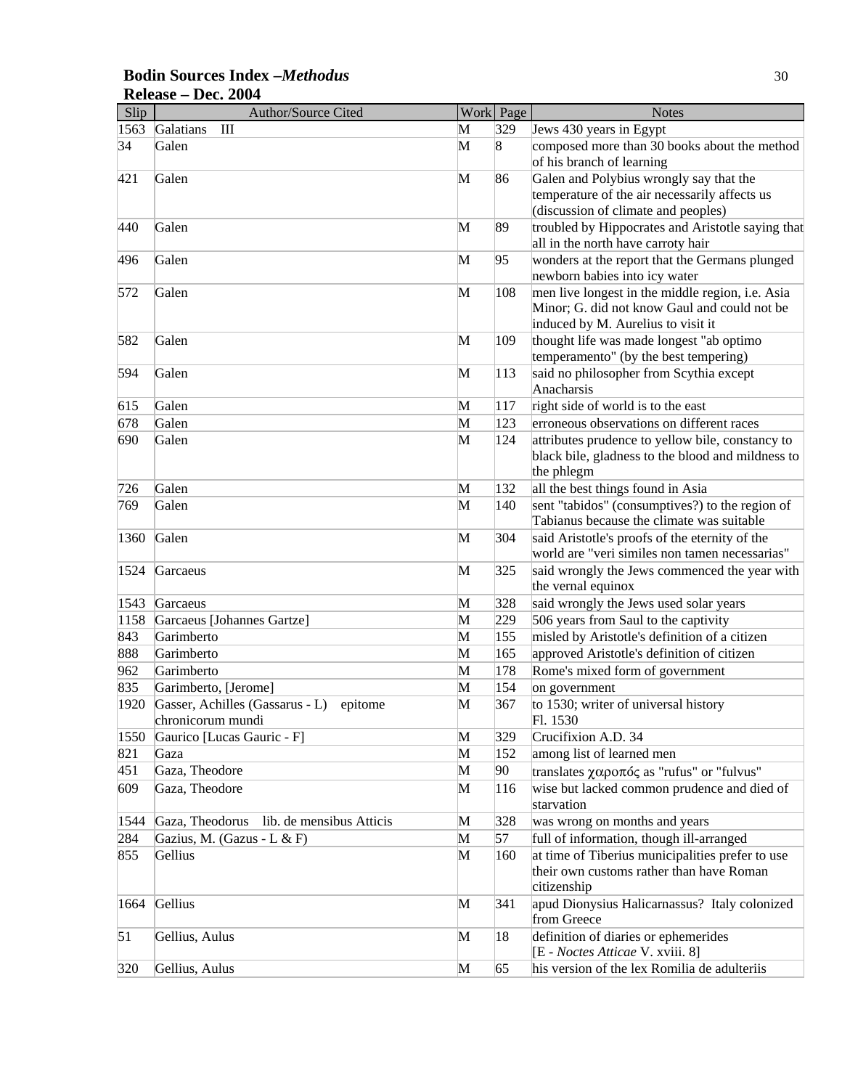#### **Bodin Sources Index –***Methodus* 30 **Release – Dec. 2004**

| Slip | Author/Source Cited                         |   | Work Page | <b>Notes</b>                                                                      |
|------|---------------------------------------------|---|-----------|-----------------------------------------------------------------------------------|
| 1563 | Galatians<br>III                            | M | 329       | Jews 430 years in Egypt                                                           |
| 34   | Galen                                       | M | 8         | composed more than 30 books about the method                                      |
|      |                                             |   |           | of his branch of learning                                                         |
| 421  | Galen                                       | M | 86        | Galen and Polybius wrongly say that the                                           |
|      |                                             |   |           | temperature of the air necessarily affects us                                     |
|      |                                             |   |           | (discussion of climate and peoples)                                               |
| 440  | Galen                                       | M | 89        | troubled by Hippocrates and Aristotle saying that                                 |
|      |                                             |   |           | all in the north have carroty hair                                                |
| 496  | Galen                                       | M | 95        | wonders at the report that the Germans plunged                                    |
|      |                                             |   |           | newborn babies into icy water                                                     |
| 572  | Galen                                       | M | 108       | men live longest in the middle region, i.e. Asia                                  |
|      |                                             |   |           | Minor; G. did not know Gaul and could not be                                      |
|      |                                             |   |           | induced by M. Aurelius to visit it                                                |
| 582  | Galen                                       | M | 109       | thought life was made longest "ab optimo<br>temperamento" (by the best tempering) |
| 594  | Galen                                       | M | 113       | said no philosopher from Scythia except                                           |
|      |                                             |   |           | Anacharsis                                                                        |
| 615  | Galen                                       | M | 117       | right side of world is to the east                                                |
| 678  | Galen                                       | M | 123       | erroneous observations on different races                                         |
| 690  | Galen                                       | M | 124       | attributes prudence to yellow bile, constancy to                                  |
|      |                                             |   |           | black bile, gladness to the blood and mildness to                                 |
|      |                                             |   |           | the phlegm                                                                        |
| 726  | Galen                                       | M | 132       | all the best things found in Asia                                                 |
| 769  | Galen                                       | M | 140       | sent "tabidos" (consumptives?) to the region of                                   |
|      |                                             |   |           | Tabianus because the climate was suitable                                         |
| 1360 | Galen                                       | M | 304       | said Aristotle's proofs of the eternity of the                                    |
|      |                                             |   |           | world are "veri similes non tamen necessarias"                                    |
| 1524 | Garcaeus                                    | M | 325       | said wrongly the Jews commenced the year with                                     |
|      |                                             |   |           | the vernal equinox                                                                |
| 1543 | Garcaeus                                    | M | 328       | said wrongly the Jews used solar years                                            |
| 1158 | Garcaeus [Johannes Gartze]                  | M | 229       | 506 years from Saul to the captivity                                              |
| 843  | Garimberto                                  | M | 155       | misled by Aristotle's definition of a citizen                                     |
| 888  | Garimberto                                  | M | 165       | approved Aristotle's definition of citizen                                        |
| 962  | Garimberto                                  | M | 178       | Rome's mixed form of government                                                   |
| 835  | Garimberto, [Jerome]                        | M | 154       | on government                                                                     |
| 1920 | Gasser, Achilles (Gassarus - L)<br>epitome  | M | 367       | to 1530; writer of universal history                                              |
|      | chronicorum mundi                           |   |           | Fl. 1530                                                                          |
| 1550 | Gaurico [Lucas Gauric - F]                  | M | 329       | Crucifixion A.D. 34                                                               |
| 821  | Gaza                                        | M | 152       | among list of learned men                                                         |
| 451  | Gaza, Theodore                              | M | 90        | translates χαροπός as "rufus" or "fulvus"                                         |
| 609  | Gaza, Theodore                              | M | 116       | wise but lacked common prudence and died of                                       |
|      |                                             |   |           | starvation                                                                        |
| 1544 | Gaza, Theodorus<br>lib. de mensibus Atticis | M | 328       | was wrong on months and years                                                     |
| 284  | Gazius, M. (Gazus - L & F)                  | M | 57        | full of information, though ill-arranged                                          |
| 855  | Gellius                                     | M | 160       | at time of Tiberius municipalities prefer to use                                  |
|      |                                             |   |           | their own customs rather than have Roman                                          |
|      |                                             |   |           | citizenship                                                                       |
| 1664 | Gellius                                     | M | 341       | apud Dionysius Halicarnassus? Italy colonized                                     |
|      |                                             |   |           | from Greece                                                                       |
| 51   | Gellius, Aulus                              | M | 18        | definition of diaries or ephemerides                                              |
|      |                                             |   |           | [E - Noctes Atticae V. xviii. 8]                                                  |
| 320  | Gellius, Aulus                              | M | 65        | his version of the lex Romilia de adulteriis                                      |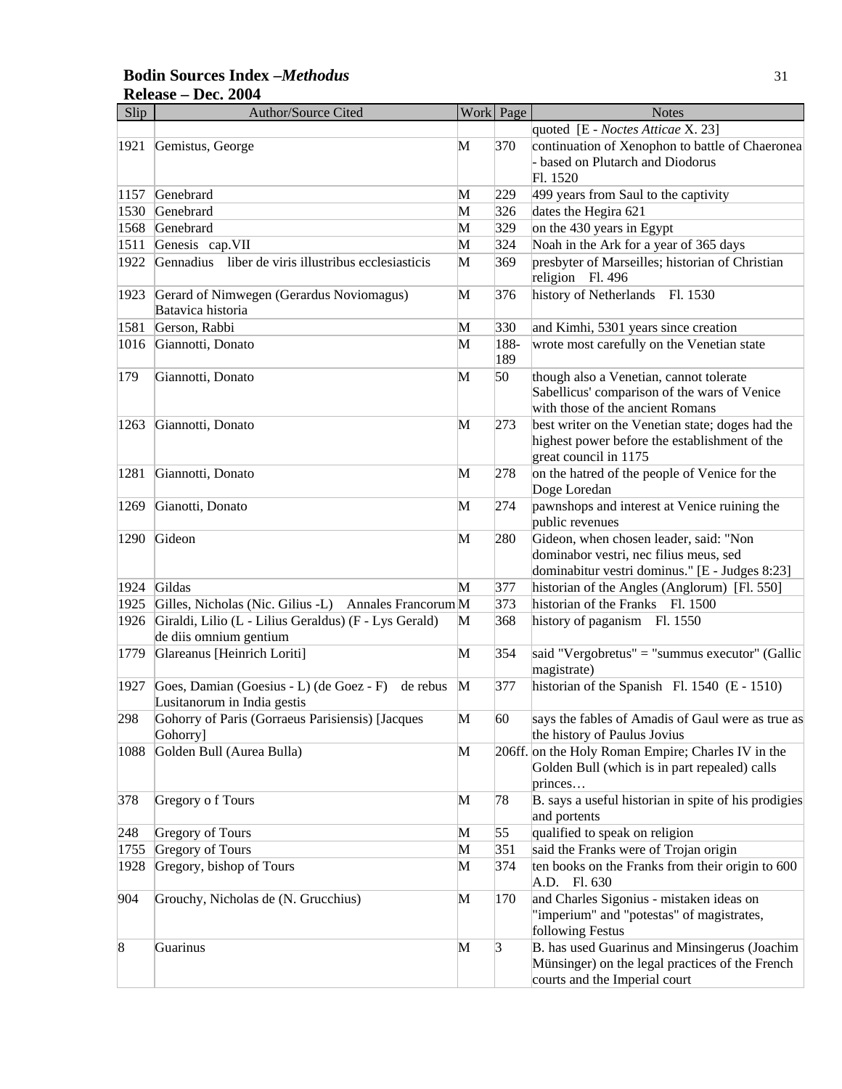#### **Bodin Sources Index –***Methodus* 31 **Release – Dec. 2004**

| Slip      | Author/Source Cited                                   |              | Work Page | <b>Notes</b>                                                           |
|-----------|-------------------------------------------------------|--------------|-----------|------------------------------------------------------------------------|
|           |                                                       |              |           | quoted [E - Noctes Atticae X. 23]                                      |
| 1921      | Gemistus, George                                      | M            | 370       | continuation of Xenophon to battle of Chaeronea                        |
|           |                                                       |              |           | based on Plutarch and Diodorus                                         |
|           |                                                       |              |           | Fl. 1520                                                               |
| 1157      | Genebrard                                             | M            | 229       | 499 years from Saul to the captivity                                   |
| 1530      | Genebrard                                             | M            | 326       | dates the Hegira 621                                                   |
| 1568      | Genebrard                                             | M            | 329       | on the 430 years in Egypt                                              |
| 1511      | Genesis cap.VII                                       | M            | 324       | Noah in the Ark for a year of 365 days                                 |
| 1922      | Gennadius liber de viris illustribus ecclesiasticis   | M            | 369       | presbyter of Marseilles; historian of Christian                        |
|           |                                                       |              |           | religion Fl. 496                                                       |
| 1923      | Gerard of Nimwegen (Gerardus Noviomagus)              | M            | 376       | history of Netherlands Fl. 1530                                        |
|           | Batavica historia                                     |              |           |                                                                        |
| 1581      | Gerson, Rabbi                                         | M            | 330       | and Kimhi, 5301 years since creation                                   |
| 1016      | Giannotti, Donato                                     | M            | 188-      | wrote most carefully on the Venetian state                             |
|           |                                                       |              | 189       |                                                                        |
| 179       | Giannotti, Donato                                     | M            | 50        | though also a Venetian, cannot tolerate                                |
|           |                                                       |              |           | Sabellicus' comparison of the wars of Venice                           |
|           |                                                       |              |           | with those of the ancient Romans                                       |
| 1263      | Giannotti, Donato                                     | M            | 273       | best writer on the Venetian state; doges had the                       |
|           |                                                       |              |           | highest power before the establishment of the<br>great council in 1175 |
| 1281      | Giannotti, Donato                                     | M            | 278       | on the hatred of the people of Venice for the                          |
|           |                                                       |              |           | Doge Loredan                                                           |
| 1269      | Gianotti, Donato                                      | M            | 274       | pawnshops and interest at Venice ruining the                           |
|           |                                                       |              |           | public revenues                                                        |
| 1290      | Gideon                                                | M            | 280       | Gideon, when chosen leader, said: "Non                                 |
|           |                                                       |              |           | dominabor vestri, nec filius meus, sed                                 |
|           |                                                       |              |           | dominabitur vestri dominus." [E - Judges 8:23]                         |
| 1924      | Gildas                                                | M            | 377       | historian of the Angles (Anglorum) [Fl. 550]                           |
| 1925      | Gilles, Nicholas (Nic. Gilius -L) Annales Francorum M |              | 373       | historian of the Franks Fl. 1500                                       |
| 1926      | Giraldi, Lilio (L - Lilius Geraldus) (F - Lys Gerald) | $\mathbf{M}$ | 368       | history of paganism Fl. 1550                                           |
|           | de diis omnium gentium                                |              |           |                                                                        |
| 1779      | Glareanus [Heinrich Loriti]                           | M            | 354       | said "Vergobretus" = "summus executor" (Gallic                         |
|           |                                                       |              |           | magistrate)                                                            |
| 1927      | Goes, Damian (Goesius - L) (de Goez - F)<br>de rebus  | M            | 377       | historian of the Spanish Fl. 1540 (E - 1510)                           |
|           | Lusitanorum in India gestis                           |              |           |                                                                        |
| 298       | Gohorry of Paris (Gorraeus Parisiensis) [Jacques      | M            | 60        | says the fables of Amadis of Gaul were as true as                      |
|           | Gohorry]                                              |              |           | the history of Paulus Jovius                                           |
| 1088      | Golden Bull (Aurea Bulla)                             | M            |           | 206ff. on the Holy Roman Empire; Charles IV in the                     |
|           |                                                       |              |           | Golden Bull (which is in part repealed) calls                          |
|           |                                                       |              |           | princes                                                                |
| 378       | Gregory of Tours                                      | $\mathbf{M}$ | 78        | B. says a useful historian in spite of his prodigies                   |
|           |                                                       |              |           | and portents                                                           |
| 248       | <b>Gregory of Tours</b>                               | M            | 55        | qualified to speak on religion                                         |
| 1755      | Gregory of Tours                                      | M            | 351       | said the Franks were of Trojan origin                                  |
| 1928      | Gregory, bishop of Tours                              | M            | 374       | ten books on the Franks from their origin to 600<br>A.D. Fl. 630       |
| 904       | Grouchy, Nicholas de (N. Grucchius)                   | $\mathbf{M}$ | 170       | and Charles Sigonius - mistaken ideas on                               |
|           |                                                       |              |           | "imperium" and "potestas" of magistrates,                              |
|           |                                                       |              |           | following Festus                                                       |
| $\vert 8$ | Guarinus                                              | $\mathbf{M}$ | $\beta$   | B. has used Guarinus and Minsingerus (Joachim                          |
|           |                                                       |              |           | Münsinger) on the legal practices of the French                        |
|           |                                                       |              |           | courts and the Imperial court                                          |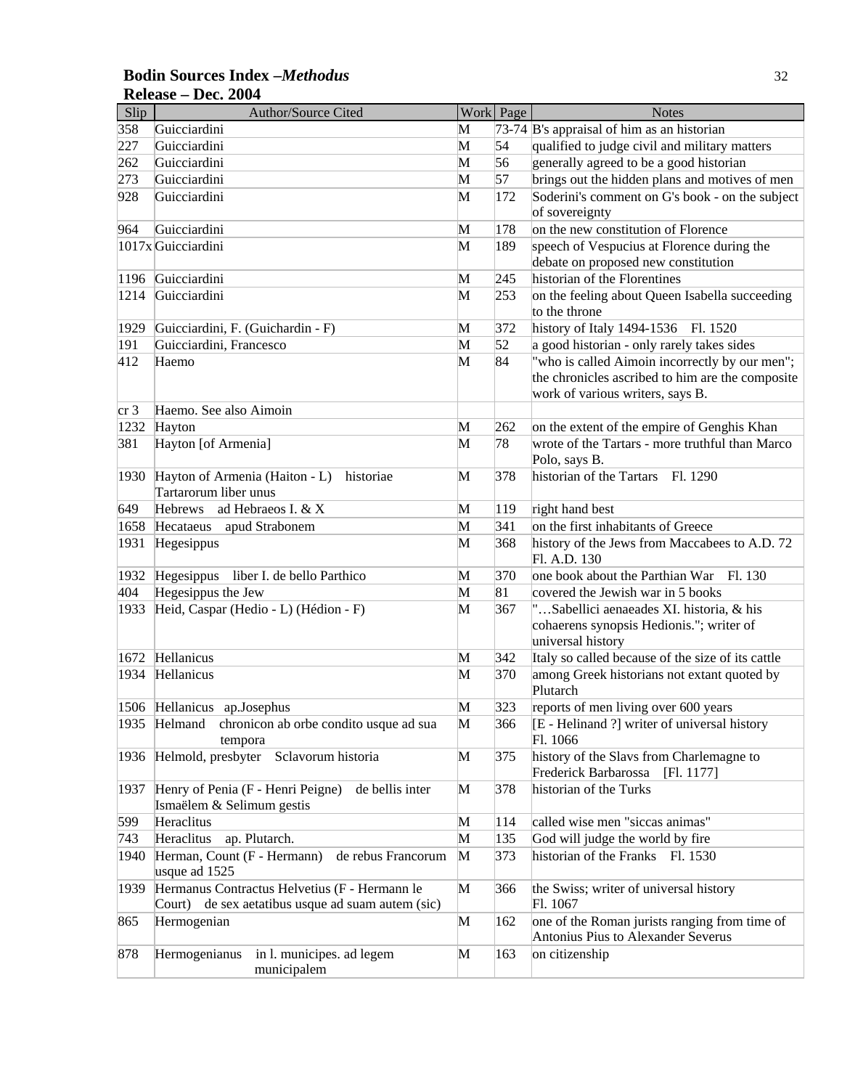#### **Bodin Sources Index –***Methodus* 32 **Release – Dec. 2004**

| Slip            | <b>Author/Source Cited</b>                           |        | Work Page  | <b>Notes</b>                                             |
|-----------------|------------------------------------------------------|--------|------------|----------------------------------------------------------|
| 358             | Guicciardini                                         | M      |            | 73-74 $\overline{B}$ 's appraisal of him as an historian |
| 227             | Guicciardini                                         | M      | 54         | qualified to judge civil and military matters            |
| 262             | Guicciardini                                         | M      | 56         | generally agreed to be a good historian                  |
| 273             | Guicciardini                                         | M      | 57         | brings out the hidden plans and motives of men           |
| 928             | Guicciardini                                         | M      | 172        | Soderini's comment on G's book - on the subject          |
|                 |                                                      |        |            | of sovereignty                                           |
| 964             | Guicciardini                                         | M      | 178        | on the new constitution of Florence                      |
|                 | 1017x Guicciardini                                   | M      | 189        | speech of Vespucius at Florence during the               |
|                 |                                                      |        |            | debate on proposed new constitution                      |
| 1196            | Guicciardini                                         | M      | 245        | historian of the Florentines                             |
| 1214            | Guicciardini                                         | M      | 253        | on the feeling about Queen Isabella succeeding           |
|                 |                                                      |        |            | to the throne                                            |
| 1929            | Guicciardini, F. (Guichardin - F)                    | M      | 372        | history of Italy 1494-1536<br>Fl. 1520                   |
| 191             | Guicciardini, Francesco                              | M      | 52         | a good historian - only rarely takes sides               |
| 412             | Haemo                                                | M      | 84         | "who is called Aimoin incorrectly by our men";           |
|                 |                                                      |        |            | the chronicles ascribed to him are the composite         |
|                 |                                                      |        |            | work of various writers, says B.                         |
| cr <sub>3</sub> | Haemo. See also Aimoin                               |        |            |                                                          |
| 1232            | Hayton                                               | M      | 262        | on the extent of the empire of Genghis Khan              |
| 381             | Hayton [of Armenia]                                  | M      | 78         | wrote of the Tartars - more truthful than Marco          |
|                 |                                                      |        |            | Polo, says B.                                            |
| 1930            | Hayton of Armenia (Haiton - L)<br>historiae          | M      | 378        | historian of the Tartars Fl. 1290                        |
|                 | Tartarorum liber unus                                |        |            |                                                          |
| 649             | Hebrews ad Hebraeos I. & X                           | M      | 119        | right hand best                                          |
| 1658            | Hecataeus apud Strabonem                             | M      | 341        | on the first inhabitants of Greece                       |
| 1931            | Hegesippus                                           | M      | 368        | history of the Jews from Maccabees to A.D. 72            |
|                 |                                                      |        |            | Fl. A.D. 130                                             |
| 1932            | Hegesippus liber I. de bello Parthico                | M      | 370        | one book about the Parthian War<br>Fl. 130               |
| 404             | Hegesippus the Jew                                   | M      | 81         | covered the Jewish war in 5 books                        |
| 1933            | Heid, Caspar (Hedio - L) (Hédion - F)                | M      | 367        | "Sabellici aenaeades XI. historia, & his                 |
|                 |                                                      |        |            | cohaerens synopsis Hedionis."; writer of                 |
|                 | Hellanicus                                           |        |            | universal history                                        |
| 1672<br>1934    | Hellanicus                                           | M<br>M | 342<br>370 | Italy so called because of the size of its cattle        |
|                 |                                                      |        |            | among Greek historians not extant quoted by<br>Plutarch  |
|                 | 1506 Hellanicus ap.Josephus                          | M      | 323        | reports of men living over 600 years                     |
|                 | 1935 Helmand chronicon ab orbe condito usque ad sua  | M      | 366        | [E - Helinand ?] writer of universal history             |
|                 | tempora                                              |        |            | Fl. 1066                                                 |
| 1936            | Helmold, presbyter<br>Sclavorum historia             | M      | 375        | history of the Slavs from Charlemagne to                 |
|                 |                                                      |        |            | Frederick Barbarossa<br>[F1.1177]                        |
| 1937            | Henry of Penia (F - Henri Peigne)<br>de bellis inter | M      | 378        | historian of the Turks                                   |
|                 | Ismaëlem & Selimum gestis                            |        |            |                                                          |
| 599             | Heraclitus                                           | M      | 114        | called wise men "siccas animas"                          |
| 743             | ap. Plutarch.<br>Heraclitus                          | M      | 135        | God will judge the world by fire                         |
| 1940            | Herman, Count (F - Hermann)<br>de rebus Francorum    | M      | 373        | historian of the Franks Fl. 1530                         |
|                 | usque ad 1525                                        |        |            |                                                          |
| 1939            | Hermanus Contractus Helvetius (F - Hermann le        | M      | 366        | the Swiss; writer of universal history                   |
|                 | de sex aetatibus usque ad suam autem (sic)<br>Court) |        |            | Fl. 1067                                                 |
| 865             | Hermogenian                                          | M      | 162        | one of the Roman jurists ranging from time of            |
|                 |                                                      |        |            | Antonius Pius to Alexander Severus                       |
| 878             | in l. municipes. ad legem<br>Hermogenianus           | M      | 163        | on citizenship                                           |
|                 | municipalem                                          |        |            |                                                          |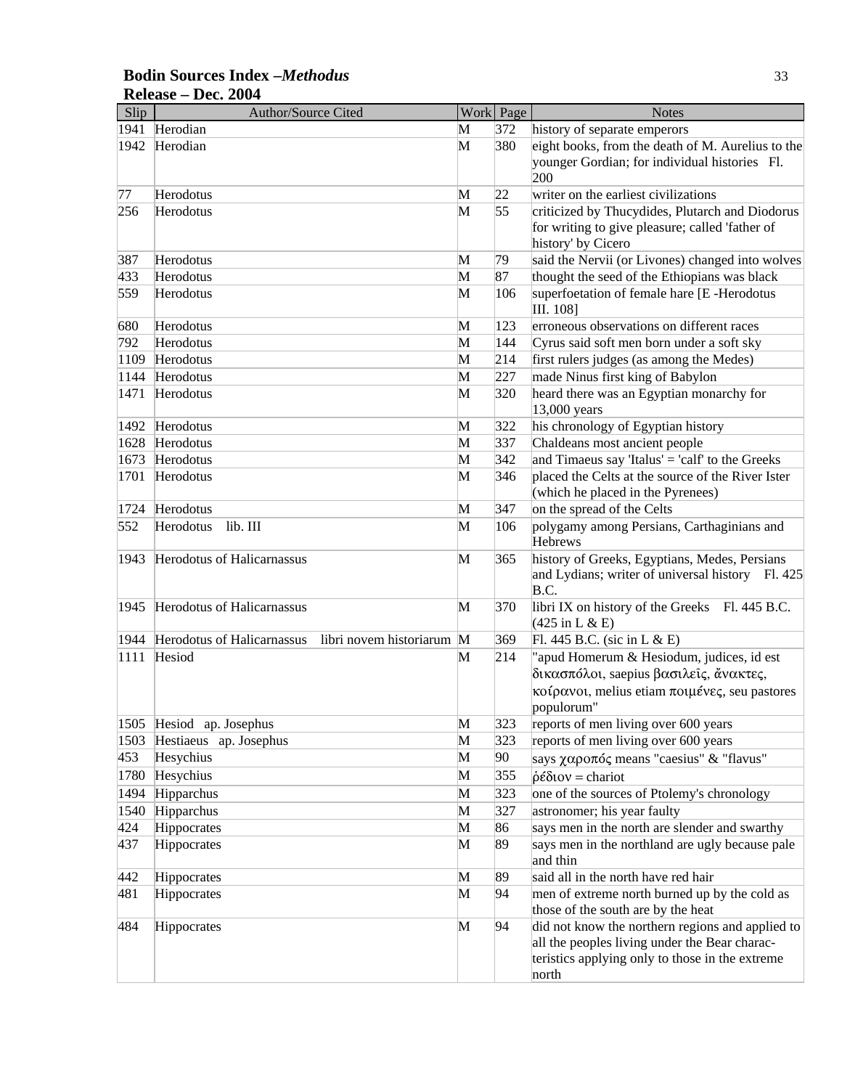## **Bodin Sources Index –***Methodus* 33 **Release – Dec. 2004**

| Slip | Author/Source Cited                                     |   | Work Page | <b>Notes</b>                                                                                              |
|------|---------------------------------------------------------|---|-----------|-----------------------------------------------------------------------------------------------------------|
| 1941 | Herodian                                                | M | 372       | history of separate emperors                                                                              |
| 1942 | Herodian                                                | M | 380       | eight books, from the death of M. Aurelius to the                                                         |
|      |                                                         |   |           | younger Gordian; for individual histories Fl.<br>200                                                      |
| 77   | Herodotus                                               | M | 22        | writer on the earliest civilizations                                                                      |
| 256  | Herodotus                                               | M | 55        | criticized by Thucydides, Plutarch and Diodorus                                                           |
|      |                                                         |   |           | for writing to give pleasure; called 'father of                                                           |
|      |                                                         |   |           | history' by Cicero                                                                                        |
| 387  | Herodotus                                               | M | 79        | said the Nervii (or Livones) changed into wolves                                                          |
| 433  | Herodotus                                               | M | 87        | thought the seed of the Ethiopians was black                                                              |
| 559  | Herodotus                                               | M | 106       | superfoetation of female hare [E-Herodotus<br>III. 108]                                                   |
| 680  | Herodotus                                               | M | 123       | erroneous observations on different races                                                                 |
| 792  | Herodotus                                               | M | 144       | Cyrus said soft men born under a soft sky                                                                 |
| 1109 | Herodotus                                               | M | 214       | first rulers judges (as among the Medes)                                                                  |
| 1144 | Herodotus                                               | M | 227       | made Ninus first king of Babylon                                                                          |
| 1471 | Herodotus                                               | M | 320       | heard there was an Egyptian monarchy for                                                                  |
|      |                                                         |   |           | 13,000 years                                                                                              |
| 1492 | Herodotus                                               | M | 322       | his chronology of Egyptian history                                                                        |
| 1628 | Herodotus                                               | M | 337       | Chaldeans most ancient people                                                                             |
| 1673 | Herodotus                                               | M | 342       | and Timaeus say 'Italus' = 'calf' to the Greeks                                                           |
| 1701 | Herodotus                                               | M | 346       | placed the Celts at the source of the River Ister<br>(which he placed in the Pyrenees)                    |
| 1724 | Herodotus                                               | M | 347       | on the spread of the Celts                                                                                |
| 552  | lib. III<br>Herodotus                                   | M | 106       | polygamy among Persians, Carthaginians and<br>Hebrews                                                     |
| 1943 | Herodotus of Halicarnassus                              | M | 365       | history of Greeks, Egyptians, Medes, Persians<br>and Lydians; writer of universal history Fl. 425<br>B.C. |
| 1945 | Herodotus of Halicarnassus                              | M | 370       | libri IX on history of the Greeks Fl. 445 B.C.<br>$(425 \text{ in L} \& \text{E})$                        |
| 1944 | Herodotus of Halicarnassus<br>libri novem historiarum M |   | 369       | Fl. 445 B.C. (sic in L & E)                                                                               |
| 1111 | Hesiod                                                  | M | 214       | "apud Homerum & Hesiodum, judices, id est                                                                 |
|      |                                                         |   |           | δικασπόλοι, saepius βασιλείς, άνακτες,                                                                    |
|      |                                                         |   |           | κοίρανοι, melius etiam ποιμένες, seu pastores                                                             |
|      |                                                         |   |           | populorum"                                                                                                |
|      | 1505 Hesiod ap. Josephus                                | M | 323       | reports of men living over 600 years                                                                      |
| 1503 | Hestiaeus ap. Josephus                                  | M | 323       | reports of men living over 600 years                                                                      |
| 453  | Hesychius                                               | M | 90        | says χαροπός means "caesius" & "flavus"                                                                   |
| 1780 | Hesychius                                               | M | 355       | $\dot{\rho} \hat{\epsilon} \delta \omega v = \text{chariot}$                                              |
| 1494 | Hipparchus                                              | M | 323       | one of the sources of Ptolemy's chronology                                                                |
| 1540 | Hipparchus                                              | M | 327       | astronomer; his year faulty                                                                               |
| 424  | Hippocrates                                             | M | 86        | says men in the north are slender and swarthy                                                             |
| 437  | Hippocrates                                             | M | 89        | says men in the northland are ugly because pale<br>and thin                                               |
| 442  | Hippocrates                                             | M | 89        | said all in the north have red hair                                                                       |
| 481  | Hippocrates                                             | M | 94        | men of extreme north burned up by the cold as<br>those of the south are by the heat                       |
| 484  | Hippocrates                                             | M | 94        | did not know the northern regions and applied to                                                          |
|      |                                                         |   |           | all the peoples living under the Bear charac-                                                             |
|      |                                                         |   |           | teristics applying only to those in the extreme                                                           |
|      |                                                         |   |           | north                                                                                                     |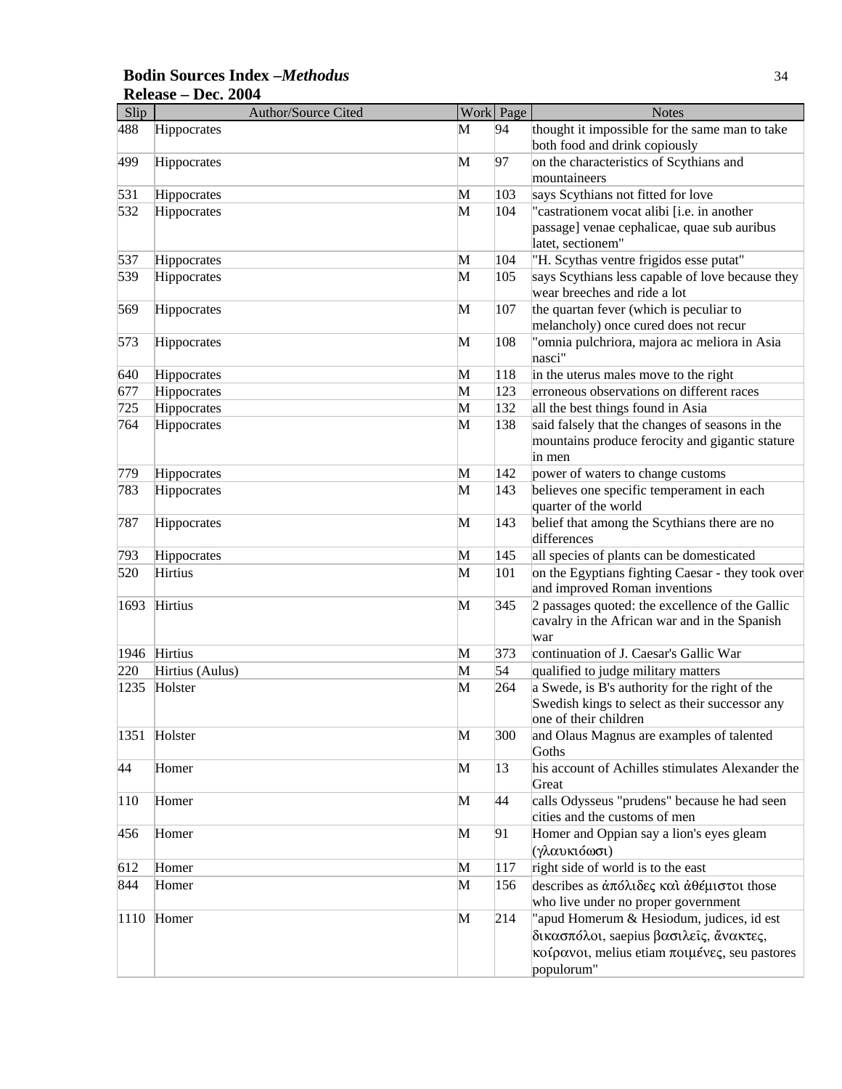#### **Bodin Sources Index –***Methodus* 34 **Release – Dec. 2004**

| Slip | <b>Author/Source Cited</b> |   | Work Page | <b>Notes</b>                                                                                                                                       |
|------|----------------------------|---|-----------|----------------------------------------------------------------------------------------------------------------------------------------------------|
| 488  | Hippocrates                | M | 94        | thought it impossible for the same man to take<br>both food and drink copiously                                                                    |
| 499  | Hippocrates                | M | 97        | on the characteristics of Scythians and<br>mountaineers                                                                                            |
| 531  | Hippocrates                | M | 103       | says Scythians not fitted for love                                                                                                                 |
| 532  | Hippocrates                | M | 104       | "castrationem vocat alibi [i.e. in another<br>passage] venae cephalicae, quae sub auribus<br>latet, sectionem"                                     |
| 537  | Hippocrates                | M | 104       | "H. Scythas ventre frigidos esse putat"                                                                                                            |
| 539  | Hippocrates                | M | 105       | says Scythians less capable of love because they<br>wear breeches and ride a lot                                                                   |
| 569  | Hippocrates                | M | 107       | the quartan fever (which is peculiar to<br>melancholy) once cured does not recur                                                                   |
| 573  | Hippocrates                | M | 108       | "omnia pulchriora, majora ac meliora in Asia<br>nasci"                                                                                             |
| 640  | Hippocrates                | M | 118       | in the uterus males move to the right                                                                                                              |
| 677  | Hippocrates                | M | 123       | erroneous observations on different races                                                                                                          |
| 725  | Hippocrates                | M | 132       | all the best things found in Asia                                                                                                                  |
| 764  | Hippocrates                | M | 138       | said falsely that the changes of seasons in the<br>mountains produce ferocity and gigantic stature<br>in men                                       |
| 779  | Hippocrates                | M | 142       | power of waters to change customs                                                                                                                  |
| 783  | Hippocrates                | M | 143       | believes one specific temperament in each<br>quarter of the world                                                                                  |
| 787  | Hippocrates                | M | 143       | belief that among the Scythians there are no<br>differences                                                                                        |
| 793  | Hippocrates                | M | 145       | all species of plants can be domesticated                                                                                                          |
| 520  | Hirtius                    | M | 101       | on the Egyptians fighting Caesar - they took over<br>and improved Roman inventions                                                                 |
| 1693 | Hirtius                    | M | 345       | 2 passages quoted: the excellence of the Gallic<br>cavalry in the African war and in the Spanish<br>war                                            |
|      | 1946 Hirtius               | M | 373       | continuation of J. Caesar's Gallic War                                                                                                             |
| 220  | Hirtius (Aulus)            | M | 54        | qualified to judge military matters                                                                                                                |
| 1235 | Holster                    | M | 264       | a Swede, is B's authority for the right of the<br>Swedish kings to select as their successor any<br>one of their children                          |
| 1351 | Holster                    | M | 300       | and Olaus Magnus are examples of talented<br>Goths                                                                                                 |
| 44   | Homer                      | M | 13        | his account of Achilles stimulates Alexander the<br>Great                                                                                          |
| 110  | Homer                      | M | 44        | calls Odysseus "prudens" because he had seen<br>cities and the customs of men                                                                      |
| 456  | Homer                      | M | 91        | Homer and Oppian say a lion's eyes gleam<br>(γλαυκιόωσι)                                                                                           |
| 612  | Homer                      | M | 117       | right side of world is to the east                                                                                                                 |
| 844  | Homer                      | M | 156       | describes as απόλιδες και αθέμιστοι those<br>who live under no proper government                                                                   |
|      | $ 1110$ Homer              | M | 214       | 'apud Homerum & Hesiodum, judices, id est<br>δικασπόλοι, saepius βασιλείς, άνακτες,<br>κοίρανοι, melius etiam ποιμένες, seu pastores<br>populorum" |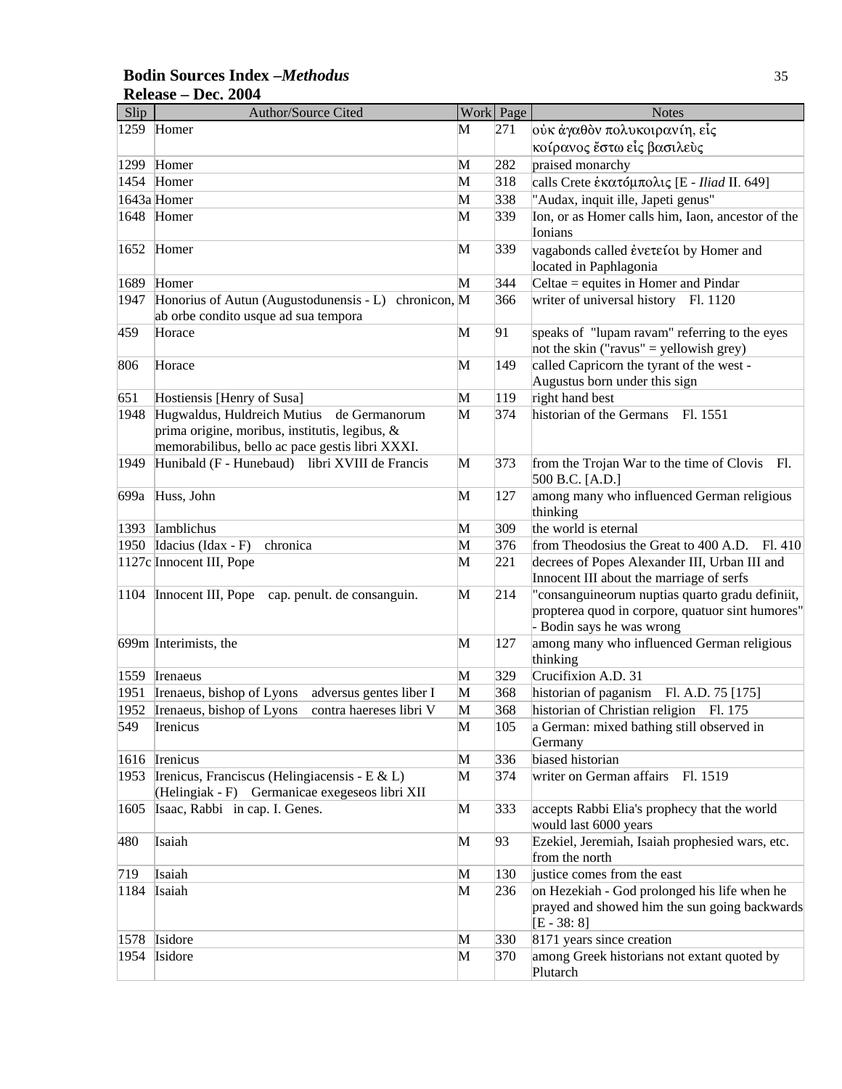#### **Bodin Sources Index –***Methodus* 35 **Release – Dec. 2004**

| Slip | Author/Source Cited                                                                                                                               |              | Work Page | <b>Notes</b>                                                                                                                     |
|------|---------------------------------------------------------------------------------------------------------------------------------------------------|--------------|-----------|----------------------------------------------------------------------------------------------------------------------------------|
| 1259 | Homer                                                                                                                                             | M            | 271       | ούκ άγαθον πολυκοιρανίη, είς                                                                                                     |
|      |                                                                                                                                                   |              |           | κοίρανος ἔστω εἶς βασιλεὺς                                                                                                       |
| 1299 | Homer                                                                                                                                             | M            | 282       | praised monarchy                                                                                                                 |
| 1454 | Homer                                                                                                                                             | M            | 318       | calls Crete εκατόμπολις [Ε - Iliad II. 649]                                                                                      |
|      | 1643a Homer                                                                                                                                       | M            | 338       | "Audax, inquit ille, Japeti genus"                                                                                               |
|      | 1648 Homer                                                                                                                                        | M            | 339       | Ion, or as Homer calls him, Iaon, ancestor of the<br>Ionians                                                                     |
| 1652 | Homer                                                                                                                                             | M            | 339       | vagabonds called ένετείοι by Homer and                                                                                           |
|      |                                                                                                                                                   |              |           | located in Paphlagonia                                                                                                           |
| 1689 | Homer                                                                                                                                             | M            | 344       | Celtae = equites in Homer and Pindar                                                                                             |
| 1947 | Honorius of Autun (Augustodunensis - L) chronicon, M<br>ab orbe condito usque ad sua tempora                                                      |              | 366       | writer of universal history Fl. 1120                                                                                             |
| 459  | Horace                                                                                                                                            | M            | 91        | speaks of "lupam ravam" referring to the eyes                                                                                    |
|      |                                                                                                                                                   |              |           | not the skin ("ravus" = yellowish grey)                                                                                          |
| 806  | Horace                                                                                                                                            | M            | 149       | called Capricorn the tyrant of the west -<br>Augustus born under this sign                                                       |
| 651  | Hostiensis [Henry of Susa]                                                                                                                        | M            | 119       | right hand best                                                                                                                  |
| 1948 | Hugwaldus, Huldreich Mutius<br>de Germanorum<br>prima origine, moribus, institutis, legibus, &<br>memorabilibus, bello ac pace gestis libri XXXI. | M            | 374       | historian of the Germans<br>Fl. 1551                                                                                             |
| 1949 | Hunibald (F - Hunebaud) libri XVIII de Francis                                                                                                    | M            | 373       | from the Trojan War to the time of Clovis Fl.<br>500 B.C. [A.D.]                                                                 |
| 699a | Huss, John                                                                                                                                        | M            | 127       | among many who influenced German religious<br>thinking                                                                           |
| 1393 | Iamblichus                                                                                                                                        | M            | 309       | the world is eternal                                                                                                             |
| 1950 | Idacius (Idax - F)<br>chronica                                                                                                                    | M            | 376       | from Theodosius the Great to 400 A.D.<br>Fl. 410                                                                                 |
|      | 1127c Innocent III, Pope                                                                                                                          | M            | 221       | decrees of Popes Alexander III, Urban III and<br>Innocent III about the marriage of serfs                                        |
| 1104 | Innocent III, Pope<br>cap. penult. de consanguin.                                                                                                 | M            | 214       | "consanguineorum nuptias quarto gradu definiit,<br>propterea quod in corpore, quatuor sint humores"<br>- Bodin says he was wrong |
|      | 699m Interimists, the                                                                                                                             | M            | 127       | among many who influenced German religious<br>thinking                                                                           |
| 1559 | Irenaeus                                                                                                                                          | $\mathbf{M}$ | 329       | Crucifixion A.D. 31                                                                                                              |
| 1951 | Irenaeus, bishop of Lyons<br>adversus gentes liber I                                                                                              | M            | 368       | historian of paganism Fl. A.D. 75 [175]                                                                                          |
| 1952 | Irenaeus, bishop of Lyons<br>contra haereses libri V                                                                                              | M            | 368       | historian of Christian religion Fl. 175                                                                                          |
| 549  | Irenicus                                                                                                                                          | M            | 105       | a German: mixed bathing still observed in<br>Germany                                                                             |
| 1616 | Irenicus                                                                                                                                          | M            | 336       | biased historian                                                                                                                 |
| 1953 | Irenicus, Franciscus (Helingiacensis - E & L)<br>Germanicae exegeseos libri XII<br>(Helingiak - F)                                                | M            | 374       | writer on German affairs<br>Fl. 1519                                                                                             |
| 1605 | Isaac, Rabbi in cap. I. Genes.                                                                                                                    | M            | 333       | accepts Rabbi Elia's prophecy that the world<br>would last 6000 years                                                            |
| 480  | Isaiah                                                                                                                                            | M            | 93        | Ezekiel, Jeremiah, Isaiah prophesied wars, etc.<br>from the north                                                                |
| 719  | Isaiah                                                                                                                                            | M            | 130       | justice comes from the east                                                                                                      |
| 1184 | Isaiah                                                                                                                                            | $\mathbf{M}$ | 236       | on Hezekiah - God prolonged his life when he<br>prayed and showed him the sun going backwards<br>$[E - 38: 8]$                   |
| 1578 | Isidore                                                                                                                                           | M            | 330       | 8171 years since creation                                                                                                        |
| 1954 | Isidore                                                                                                                                           | M            | 370       | among Greek historians not extant quoted by<br>Plutarch                                                                          |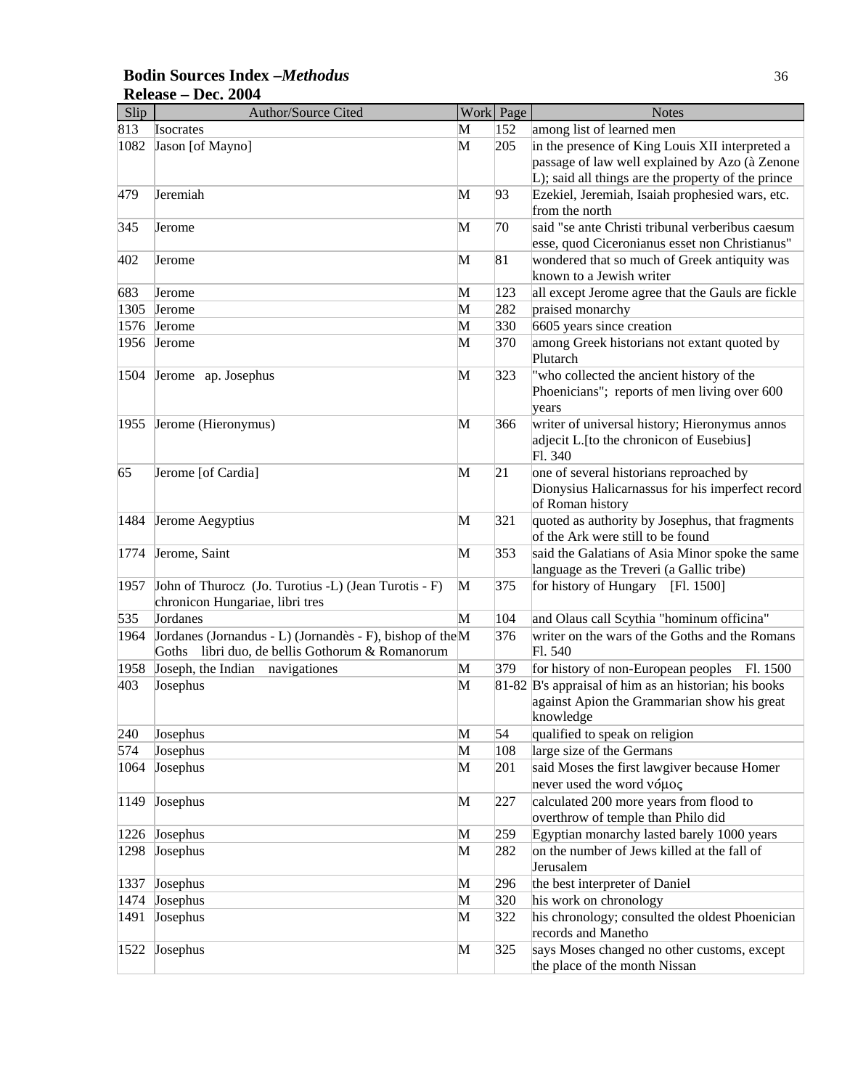#### **Bodin Sources Index –***Methodus* 36 **Release – Dec. 2004**

| Slip | Author/Source Cited                                       |              | Work Page | <b>Notes</b>                                                                                |
|------|-----------------------------------------------------------|--------------|-----------|---------------------------------------------------------------------------------------------|
| 813  | Isocrates                                                 | M            | 152       | among list of learned men                                                                   |
| 1082 | Jason [of Mayno]                                          | M            | 205       | in the presence of King Louis XII interpreted a                                             |
|      |                                                           |              |           | passage of law well explained by Azo (à Zenone                                              |
|      |                                                           |              |           | L); said all things are the property of the prince                                          |
| 479  | Jeremiah                                                  | M            | 93        | Ezekiel, Jeremiah, Isaiah prophesied wars, etc.                                             |
|      |                                                           |              |           | from the north                                                                              |
| 345  | Jerome                                                    | M            | 70        | said "se ante Christi tribunal verberibus caesum                                            |
|      |                                                           |              |           | esse, quod Ciceronianus esset non Christianus"                                              |
| 402  | Jerome                                                    | M            | 81        | wondered that so much of Greek antiquity was                                                |
|      |                                                           |              |           | known to a Jewish writer                                                                    |
| 683  | Jerome                                                    | M            | 123       | all except Jerome agree that the Gauls are fickle                                           |
| 1305 | Jerome                                                    | M            | 282       | praised monarchy                                                                            |
| 1576 | Jerome                                                    | M            | 330       | 6605 years since creation                                                                   |
| 1956 | Jerome                                                    | M            | 370       | among Greek historians not extant quoted by<br>Plutarch                                     |
| 1504 | Jerome ap. Josephus                                       | M            | 323       | "who collected the ancient history of the                                                   |
|      |                                                           |              |           | Phoenicians"; reports of men living over 600                                                |
|      |                                                           |              |           | years                                                                                       |
| 1955 | Jerome (Hieronymus)                                       | M            | 366       | writer of universal history; Hieronymus annos                                               |
|      |                                                           |              |           | adjecit L. [to the chronicon of Eusebius]                                                   |
|      |                                                           |              |           | Fl. 340                                                                                     |
| 65   | Jerome [of Cardia]                                        | M            | 21        | one of several historians reproached by                                                     |
|      |                                                           |              |           | Dionysius Halicarnassus for his imperfect record                                            |
|      |                                                           |              |           | of Roman history                                                                            |
| 1484 | Jerome Aegyptius                                          | M            | 321       | quoted as authority by Josephus, that fragments                                             |
|      |                                                           |              |           | of the Ark were still to be found                                                           |
| 1774 | Jerome, Saint                                             | M            | 353       | said the Galatians of Asia Minor spoke the same<br>language as the Treveri (a Gallic tribe) |
| 1957 | John of Thurocz (Jo. Turotius -L) (Jean Turotis - F)      | M            | 375       | for history of Hungary<br>[Fl. 1500]                                                        |
|      | chronicon Hungariae, libri tres                           |              |           |                                                                                             |
| 535  | Jordanes                                                  | M            | 104       | and Olaus call Scythia "hominum officina"                                                   |
| 1964 | Jordanes (Jornandus - L) (Jornandès - F), bishop of the M |              | 376       | writer on the wars of the Goths and the Romans                                              |
|      | Goths libri duo, de bellis Gothorum & Romanorum           |              |           | Fl. 540                                                                                     |
| 1958 | Joseph, the Indian<br>navigationes                        | M            | 379       | for history of non-European peoples Fl. 1500                                                |
| 403  | Josephus                                                  | M            |           | 81-82 B's appraisal of him as an historian; his books                                       |
|      |                                                           |              |           | against Apion the Grammarian show his great                                                 |
|      |                                                           |              |           | knowledge                                                                                   |
| 240  | Josephus                                                  | M            | 54        | qualified to speak on religion                                                              |
| 574  | Josephus                                                  | M            | 108       | large size of the Germans                                                                   |
| 1064 | Josephus                                                  | M            | 201       | said Moses the first lawgiver because Homer                                                 |
|      |                                                           |              |           | never used the word νόμος                                                                   |
| 1149 | Josephus                                                  | M            | 227       | calculated 200 more years from flood to                                                     |
|      |                                                           |              |           | overthrow of temple than Philo did                                                          |
| 1226 | Josephus                                                  | M            | 259       | Egyptian monarchy lasted barely 1000 years                                                  |
| 1298 | Josephus                                                  | M            | 282       | on the number of Jews killed at the fall of                                                 |
|      |                                                           |              |           | Jerusalem                                                                                   |
| 1337 | Josephus                                                  | M            | 296       | the best interpreter of Daniel                                                              |
| 1474 | Josephus                                                  | M            | 320       | his work on chronology                                                                      |
| 1491 | Josephus                                                  | M            | 322       | his chronology; consulted the oldest Phoenician                                             |
|      |                                                           |              |           | records and Manetho                                                                         |
| 1522 | Josephus                                                  | $\mathbf{M}$ | 325       | says Moses changed no other customs, except                                                 |
|      |                                                           |              |           | the place of the month Nissan                                                               |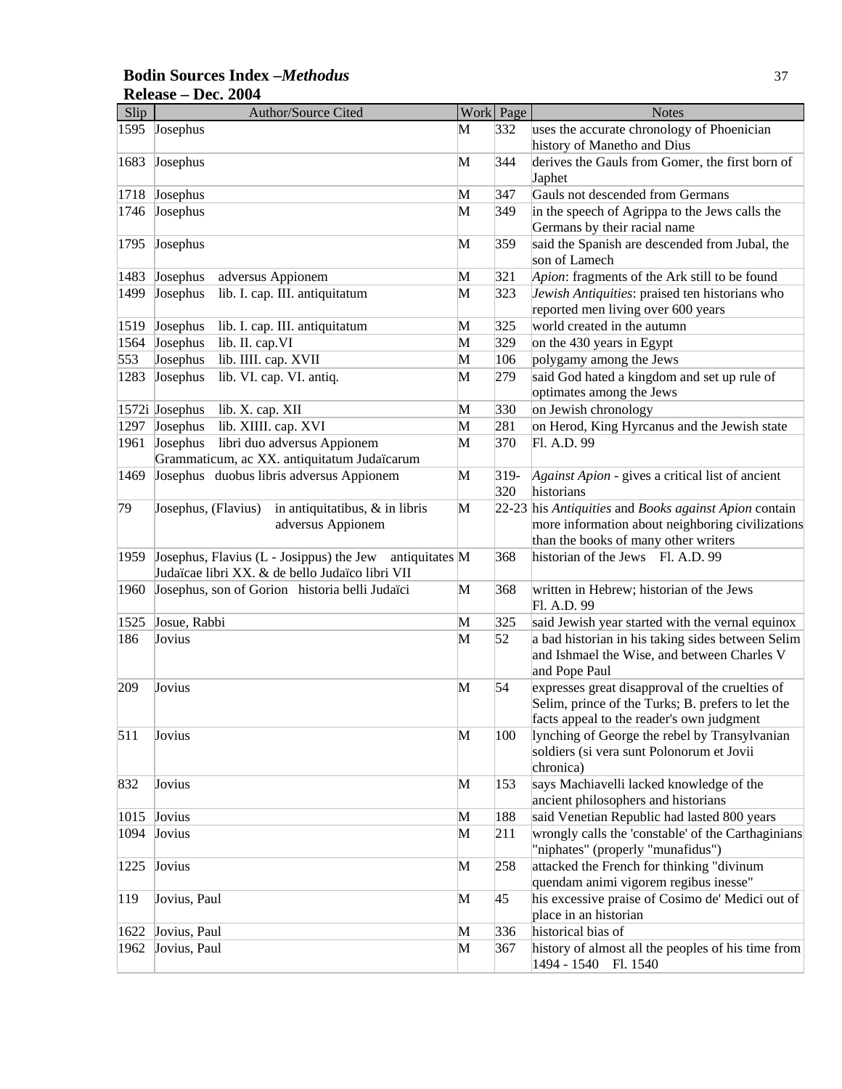### **Bodin Sources Index –***Methodus* 37 **Release – Dec. 2004**

| Slip | Author/Source Cited                                                                                           |              | Work Page     | <b>Notes</b>                                                                                                                                      |
|------|---------------------------------------------------------------------------------------------------------------|--------------|---------------|---------------------------------------------------------------------------------------------------------------------------------------------------|
| 1595 | Josephus                                                                                                      | M            | 332           | uses the accurate chronology of Phoenician<br>history of Manetho and Dius                                                                         |
| 1683 | Josephus                                                                                                      | M            | 344           | derives the Gauls from Gomer, the first born of<br>Japhet                                                                                         |
| 1718 | Josephus                                                                                                      | M            | 347           | Gauls not descended from Germans                                                                                                                  |
| 1746 | Josephus                                                                                                      | M            | 349           | in the speech of Agrippa to the Jews calls the<br>Germans by their racial name                                                                    |
| 1795 | Josephus                                                                                                      | M            | 359           | said the Spanish are descended from Jubal, the<br>son of Lamech                                                                                   |
| 1483 | Josephus<br>adversus Appionem                                                                                 | M            | 321           | Apion: fragments of the Ark still to be found                                                                                                     |
| 1499 | Josephus<br>lib. I. cap. III. antiquitatum                                                                    | M            | 323           | Jewish Antiquities: praised ten historians who<br>reported men living over 600 years                                                              |
| 1519 | Josephus<br>lib. I. cap. III. antiquitatum                                                                    | M            | 325           | world created in the autumn                                                                                                                       |
| 1564 | Josephus<br>lib. II. cap.VI                                                                                   | M            | 329           | on the 430 years in Egypt                                                                                                                         |
| 553  | lib. IIII. cap. XVII<br>Josephus                                                                              | M            | 106           | polygamy among the Jews                                                                                                                           |
| 1283 | Josephus<br>lib. VI. cap. VI. antiq.                                                                          | M            | 279           | said God hated a kingdom and set up rule of<br>optimates among the Jews                                                                           |
|      | 1572i Josephus<br>lib. X. cap. XII                                                                            | M            | 330           | on Jewish chronology                                                                                                                              |
| 1297 | Josephus<br>lib. XIIII. cap. XVI                                                                              | M            | 281           | on Herod, King Hyrcanus and the Jewish state                                                                                                      |
| 1961 | Josephus<br>libri duo adversus Appionem<br>Grammaticum, ac XX. antiquitatum Judaïcarum                        | M            | 370           | Fl. A.D. 99                                                                                                                                       |
| 1469 | Josephus duobus libris adversus Appionem                                                                      | M            | $319-$<br>320 | Against Apion - gives a critical list of ancient<br>historians                                                                                    |
| 79   | in antiquitatibus, & in libris<br>Josephus, (Flavius)<br>adversus Appionem                                    | M            |               | 22-23 his Antiquities and Books against Apion contain<br>more information about neighboring civilizations<br>than the books of many other writers |
| 1959 | Josephus, Flavius (L - Josippus) the Jew<br>antiquitates M<br>Judaïcae libri XX. & de bello Judaïco libri VII |              | 368           | historian of the Jews Fl. A.D. 99                                                                                                                 |
| 1960 | Josephus, son of Gorion historia belli Judaïci                                                                | M            | 368           | written in Hebrew; historian of the Jews<br>Fl. A.D. 99                                                                                           |
| 1525 | Josue, Rabbi                                                                                                  | M            | 325           | said Jewish year started with the vernal equinox                                                                                                  |
| 186  | Jovius                                                                                                        | M            | 52            | a bad historian in his taking sides between Selim<br>and Ishmael the Wise, and between Charles V<br>and Pope Paul                                 |
| 209  | Jovius                                                                                                        | M            | 54            | expresses great disapproval of the cruelties of<br>Selim, prince of the Turks; B. prefers to let the<br>facts appeal to the reader's own judgment |
| 511  | Jovius                                                                                                        | M            | 100           | lynching of George the rebel by Transylvanian<br>soldiers (si vera sunt Polonorum et Jovii<br>chronica)                                           |
| 832  | Jovius                                                                                                        | M            | 153           | says Machiavelli lacked knowledge of the<br>ancient philosophers and historians                                                                   |
| 1015 | Jovius                                                                                                        | $\mathbf{M}$ | 188           | said Venetian Republic had lasted 800 years                                                                                                       |
| 1094 | Jovius                                                                                                        | M            | 211           | wrongly calls the 'constable' of the Carthaginians<br>"niphates" (properly "munafidus")                                                           |
| 1225 | Jovius                                                                                                        | $\mathbf{M}$ | 258           | attacked the French for thinking "divinum<br>quendam animi vigorem regibus inesse"                                                                |
| 119  | Jovius, Paul                                                                                                  | $\mathbf{M}$ | 45            | his excessive praise of Cosimo de' Medici out of<br>place in an historian                                                                         |
| 1622 | Jovius, Paul                                                                                                  | M            | 336           | historical bias of                                                                                                                                |
| 1962 | Jovius, Paul                                                                                                  | M            | 367           | history of almost all the peoples of his time from<br>1494 - 1540 Fl. 1540                                                                        |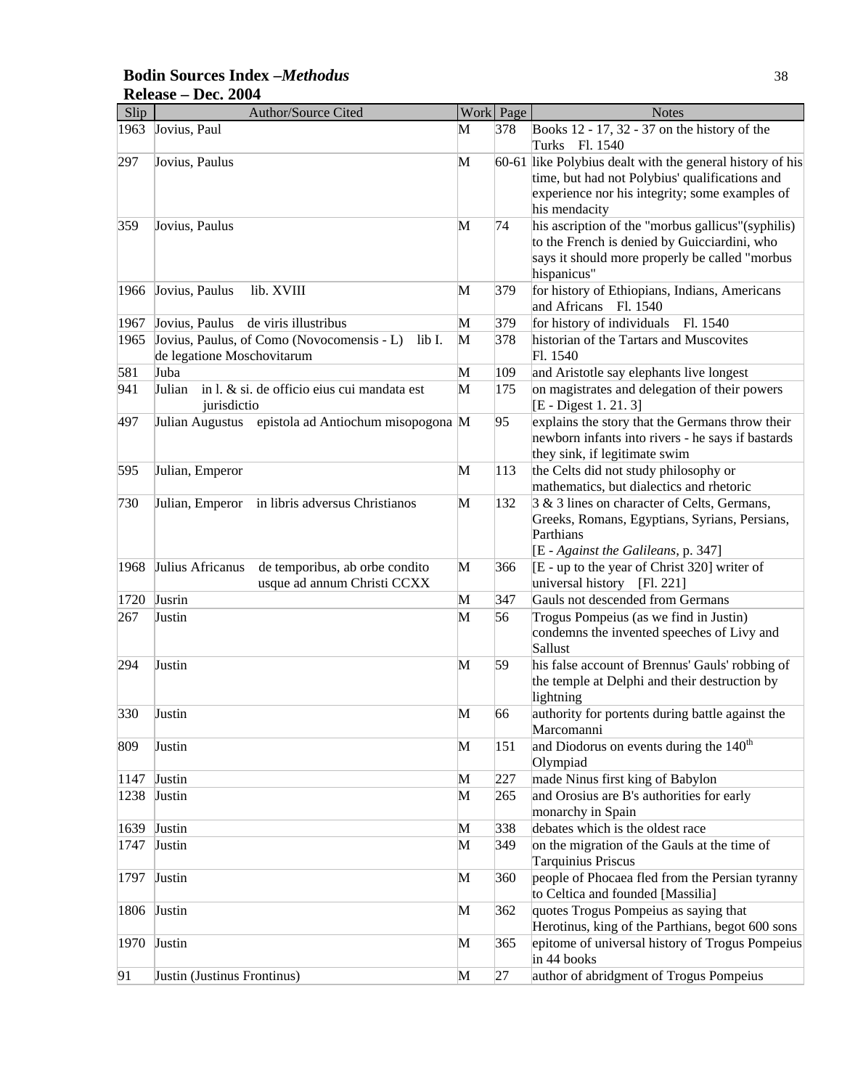### **Bodin Sources Index –***Methodus* 38 **Release – Dec. 2004**

| Slip | Author/Source Cited                                                                |   | Work Page | <b>Notes</b>                                                                                                                                                                   |
|------|------------------------------------------------------------------------------------|---|-----------|--------------------------------------------------------------------------------------------------------------------------------------------------------------------------------|
| 1963 | Jovius, Paul                                                                       | M | 378       | Books 12 - 17, 32 - 37 on the history of the<br>Turks Fl. 1540                                                                                                                 |
| 297  | Jovius, Paulus                                                                     | M |           | 60-61 like Polybius dealt with the general history of his<br>time, but had not Polybius' qualifications and<br>experience nor his integrity; some examples of<br>his mendacity |
| 359  | Jovius, Paulus                                                                     | M | 74        | his ascription of the "morbus gallicus"(syphilis)<br>to the French is denied by Guicciardini, who<br>says it should more properly be called "morbus<br>hispanicus"             |
| 1966 | Jovius, Paulus<br>lib. XVIII                                                       | M | 379       | for history of Ethiopians, Indians, Americans<br>and Africans<br>Fl. 1540                                                                                                      |
| 1967 | Jovius, Paulus<br>de viris illustribus                                             | M | 379       | for history of individuals<br>Fl. 1540                                                                                                                                         |
| 1965 | Jovius, Paulus, of Como (Novocomensis - L)<br>lib I.<br>de legatione Moschovitarum | M | 378       | historian of the Tartars and Muscovites<br>Fl. 1540                                                                                                                            |
| 581  | Juba                                                                               | M | 109       | and Aristotle say elephants live longest                                                                                                                                       |
| 941  | in l. & si. de officio eius cui mandata est<br>Julian<br>jurisdictio               | M | 175       | on magistrates and delegation of their powers<br>[E - Digest 1. 21. 3]                                                                                                         |
| 497  | Julian Augustus epistola ad Antiochum misopogona M                                 |   | 95        | explains the story that the Germans throw their<br>newborn infants into rivers - he says if bastards<br>they sink, if legitimate swim                                          |
| 595  | Julian, Emperor                                                                    | M | 113       | the Celts did not study philosophy or<br>mathematics, but dialectics and rhetoric                                                                                              |
| 730  | Julian, Emperor<br>in libris adversus Christianos                                  | M | 132       | 3 & 3 lines on character of Celts, Germans,<br>Greeks, Romans, Egyptians, Syrians, Persians,<br>Parthians<br>[E - Against the Galileans, p. 347]                               |
| 1968 | Julius Africanus<br>de temporibus, ab orbe condito<br>usque ad annum Christi CCXX  | M | 366       | [E - up to the year of Christ 320] writer of<br>universal history<br>[F1. 221]                                                                                                 |
| 1720 | Jusrin                                                                             | M | 347       | Gauls not descended from Germans                                                                                                                                               |
| 267  | Justin                                                                             | M | 56        | Trogus Pompeius (as we find in Justin)<br>condemns the invented speeches of Livy and<br>Sallust                                                                                |
| 294  | Justin                                                                             | M | 59        | his false account of Brennus' Gauls' robbing of<br>the temple at Delphi and their destruction by<br>lightning                                                                  |
| 330  | Justin                                                                             | M | 66        | authority for portents during battle against the<br>Marcomanni                                                                                                                 |
| 809  | Justin                                                                             | M | 151       | and Diodorus on events during the 140 <sup>th</sup><br>Olympiad                                                                                                                |
| 1147 | Justin                                                                             | M | 227       | made Ninus first king of Babylon                                                                                                                                               |
| 1238 | Justin                                                                             | M | 265       | and Orosius are B's authorities for early<br>monarchy in Spain                                                                                                                 |
| 1639 | Justin                                                                             | M | 338       | debates which is the oldest race                                                                                                                                               |
| 1747 | Justin                                                                             | M | 349       | on the migration of the Gauls at the time of<br><b>Tarquinius Priscus</b>                                                                                                      |
| 1797 | Justin                                                                             | M | 360       | people of Phocaea fled from the Persian tyranny<br>to Celtica and founded [Massilia]                                                                                           |
| 1806 | Justin                                                                             | M | 362       | quotes Trogus Pompeius as saying that<br>Herotinus, king of the Parthians, begot 600 sons                                                                                      |
| 1970 | Justin                                                                             | M | 365       | epitome of universal history of Trogus Pompeius<br>in 44 books                                                                                                                 |
| 91   | Justin (Justinus Frontinus)                                                        | M | 27        | author of abridgment of Trogus Pompeius                                                                                                                                        |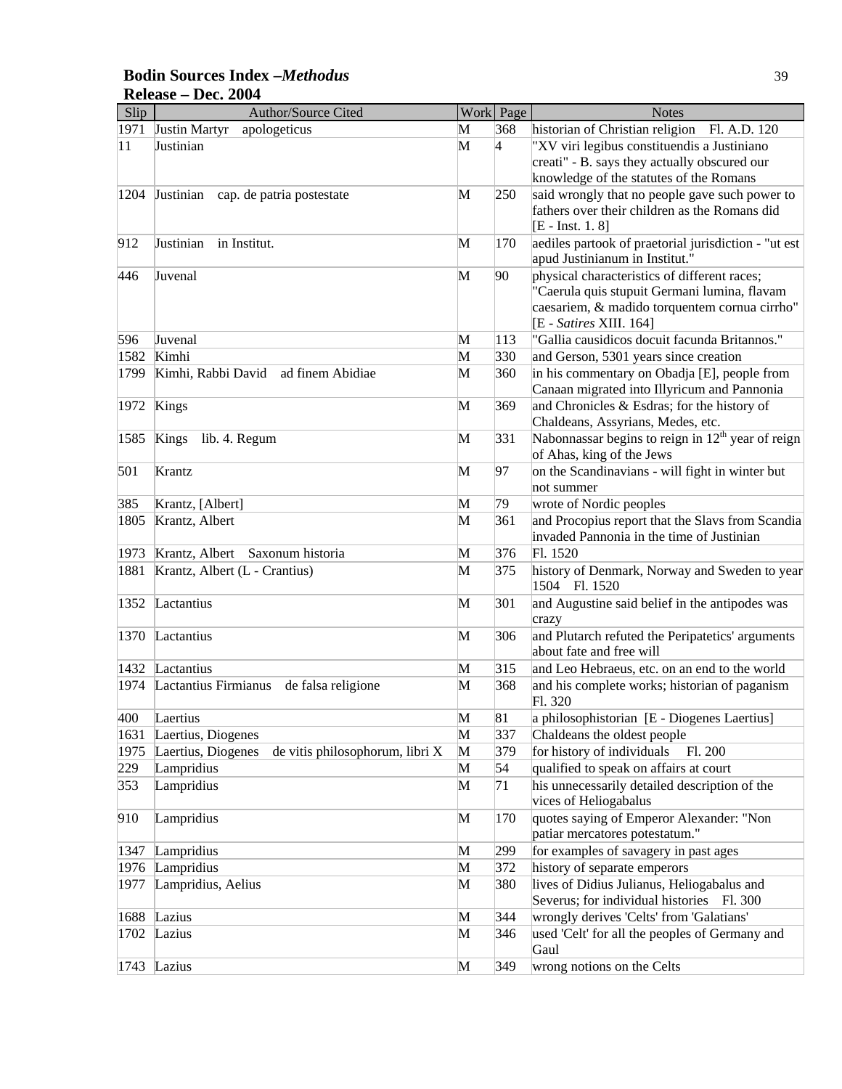### **Bodin Sources Index –***Methodus* 39 **Release – Dec. 2004**

| Slip         | Author/Source Cited                                   |   | Work Page       | <b>Notes</b>                                                                 |
|--------------|-------------------------------------------------------|---|-----------------|------------------------------------------------------------------------------|
| 1971         | apologeticus<br>Justin Martyr                         | M | 368             | historian of Christian religion<br>Fl. A.D. 120                              |
| $ 11\rangle$ | Justinian                                             | M | $\vert 4 \vert$ | "XV viri legibus constituendis a Justiniano                                  |
|              |                                                       |   |                 | creati" - B. says they actually obscured our                                 |
|              |                                                       |   |                 | knowledge of the statutes of the Romans                                      |
| 1204         | Justinian<br>cap. de patria postestate                | M | 250             | said wrongly that no people gave such power to                               |
|              |                                                       |   |                 | fathers over their children as the Romans did                                |
|              |                                                       |   |                 | $[E - Inst. 1. 8]$                                                           |
| 912          | Justinian<br>in Institut.                             | M | 170             | aediles partook of praetorial jurisdiction - "ut est                         |
|              |                                                       |   |                 | apud Justinianum in Institut."                                               |
| 446          | Juvenal                                               | M | 90              | physical characteristics of different races;                                 |
|              |                                                       |   |                 | "Caerula quis stupuit Germani lumina, flavam                                 |
|              |                                                       |   |                 | caesariem, & madido torquentem cornua cirrho"                                |
| 596          | Juvenal                                               | M | 113             | [E - Satires XIII. 164]<br>"Gallia causidicos docuit facunda Britannos."     |
| 1582         | Kimhi                                                 | M | 330             | and Gerson, 5301 years since creation                                        |
| 1799         | Kimhi, Rabbi David<br>ad finem Abidiae                | M | 360             | in his commentary on Obadja [E], people from                                 |
|              |                                                       |   |                 | Canaan migrated into Illyricum and Pannonia                                  |
| 1972         | Kings                                                 | M | 369             | and Chronicles & Esdras; for the history of                                  |
|              |                                                       |   |                 | Chaldeans, Assyrians, Medes, etc.                                            |
| 1585         | Kings lib. 4. Regum                                   | M | 331             | Nabonnassar begins to reign in 12 <sup>th</sup> year of reign                |
|              |                                                       |   |                 | of Ahas, king of the Jews                                                    |
| 501          | Krantz                                                | M | 97              | on the Scandinavians - will fight in winter but                              |
|              |                                                       |   |                 | not summer                                                                   |
| 385          | Krantz, [Albert]                                      | M | 79              | wrote of Nordic peoples                                                      |
| 1805         | Krantz, Albert                                        | M | 361             | and Procopius report that the Slavs from Scandia                             |
|              |                                                       |   |                 | invaded Pannonia in the time of Justinian                                    |
| 1973         | Krantz, Albert Saxonum historia                       | M | 376             | Fl. 1520                                                                     |
| 1881         | Krantz, Albert (L - Crantius)                         | M | 375             | history of Denmark, Norway and Sweden to year                                |
|              |                                                       |   |                 | 1504 Fl. 1520                                                                |
| 1352         | Lactantius                                            | M | 301             | and Augustine said belief in the antipodes was                               |
|              |                                                       |   |                 | crazy                                                                        |
|              | 1370 Lactantius                                       | M | 306             | and Plutarch refuted the Peripatetics' arguments<br>about fate and free will |
|              | Lactantius                                            |   |                 |                                                                              |
| 1432         |                                                       | M | 315             | and Leo Hebraeus, etc. on an end to the world                                |
| 1974         | Lactantius Firmianus<br>de falsa religione            | M | 368             | and his complete works; historian of paganism<br>Fl. 320                     |
| 400          | Laertius                                              | M | 81              | a philosophistorian [E - Diogenes Laertius]                                  |
| 1631         | Laertius, Diogenes                                    | M | 337             | Chaldeans the oldest people                                                  |
| 1975         | Laertius, Diogenes<br>de vitis philosophorum, libri X | M | 379             | for history of individuals<br>Fl. 200                                        |
| 229          | Lampridius                                            | M | 54              | qualified to speak on affairs at court                                       |
| 353          | Lampridius                                            | M | 71              | his unnecessarily detailed description of the                                |
|              |                                                       |   |                 | vices of Heliogabalus                                                        |
| 910          | Lampridius                                            | M | 170             | quotes saying of Emperor Alexander: "Non                                     |
|              |                                                       |   |                 | patiar mercatores potestatum."                                               |
| 1347         | Lampridius                                            | M | 299             | for examples of savagery in past ages                                        |
| 1976         | Lampridius                                            | M | 372             | history of separate emperors                                                 |
| 1977         | Lampridius, Aelius                                    | M | 380             | lives of Didius Julianus, Heliogabalus and                                   |
|              |                                                       |   |                 | Severus; for individual histories Fl. 300                                    |
| 1688         | Lazius                                                | M | 344             | wrongly derives 'Celts' from 'Galatians'                                     |
| 1702         | Lazius                                                | M | 346             | used 'Celt' for all the peoples of Germany and                               |
|              |                                                       |   |                 | Gaul                                                                         |
| 1743         | Lazius                                                | M | 349             | wrong notions on the Celts                                                   |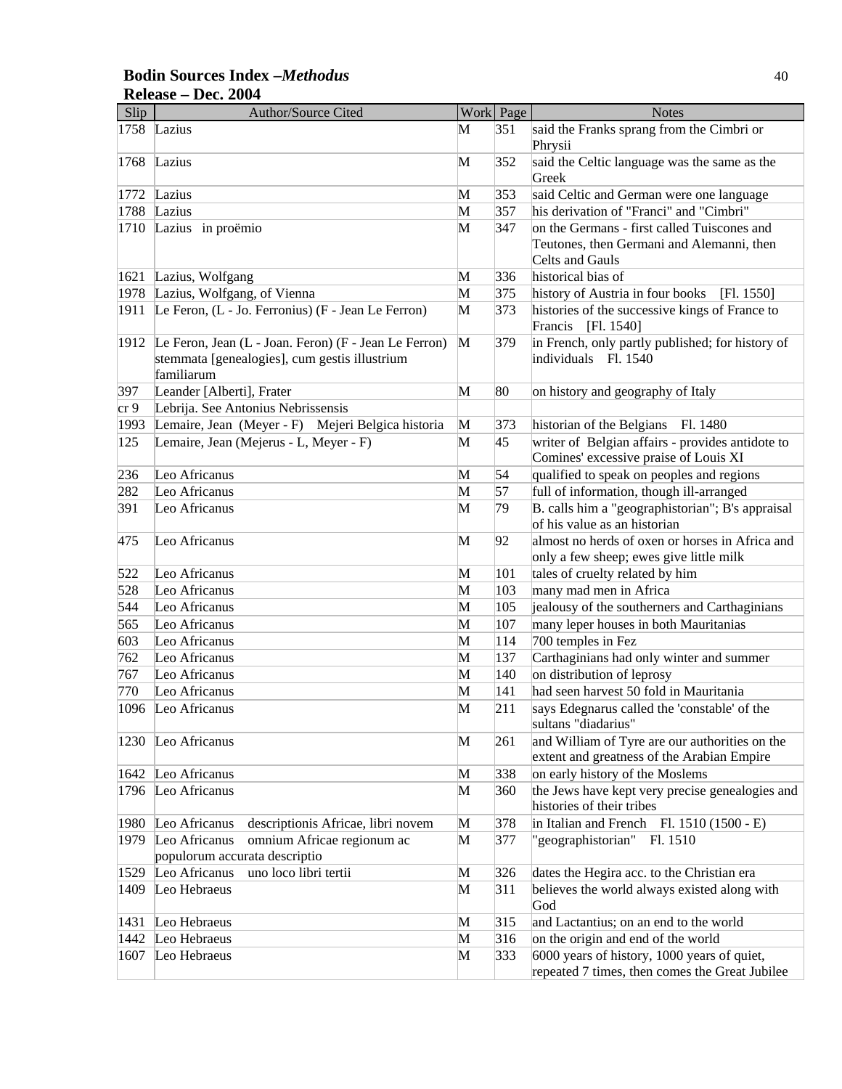### **Bodin Sources Index –***Methodus* 40 **Release – Dec. 2004**

| Slip | Author/Source Cited                                   |   | Work Page | <b>Notes</b>                                          |
|------|-------------------------------------------------------|---|-----------|-------------------------------------------------------|
| 1758 | Lazius                                                | М | 351       | said the Franks sprang from the Cimbri or<br>Phrysii  |
| 1768 | Lazius                                                | M | 352       | said the Celtic language was the same as the<br>Greek |
| 1772 | Lazius                                                | M | 353       | said Celtic and German were one language              |
| 1788 | Lazius                                                | M | 357       | his derivation of "Franci" and "Cimbri"               |
| 1710 | Lazius in proëmio                                     | M | 347       | on the Germans - first called Tuiscones and           |
|      |                                                       |   |           | Teutones, then Germani and Alemanni, then             |
|      |                                                       |   |           | Celts and Gauls                                       |
| 1621 | Lazius, Wolfgang                                      | M | 336       | historical bias of                                    |
| 1978 | Lazius, Wolfgang, of Vienna                           | M | 375       | history of Austria in four books<br>[Fl. 1550]        |
| 1911 | Le Feron, (L - Jo. Ferronius) (F - Jean Le Ferron)    | M | 373       | histories of the successive kings of France to        |
|      |                                                       |   |           | Francis [Fl. 1540]                                    |
| 1912 | Le Feron, Jean (L - Joan. Feron) (F - Jean Le Ferron) | M | 379       | in French, only partly published; for history of      |
|      | stemmata [genealogies], cum gestis illustrium         |   |           | individuals Fl. 1540                                  |
|      | familiarum                                            |   |           |                                                       |
| 397  | Leander [Alberti], Frater                             | M | 80        | on history and geography of Italy                     |
| cr9  | Lebrija. See Antonius Nebrissensis                    |   |           |                                                       |
| 1993 | Lemaire, Jean (Meyer - F) Mejeri Belgica historia     | M | 373       | historian of the Belgians Fl. 1480                    |
| 125  | Lemaire, Jean (Mejerus - L, Meyer - F)                | M | 45        | writer of Belgian affairs - provides antidote to      |
|      |                                                       |   |           | Comines' excessive praise of Louis XI                 |
| 236  | Leo Africanus                                         | M | 54        | qualified to speak on peoples and regions             |
| 282  | Leo Africanus                                         | M | 57        | full of information, though ill-arranged              |
| 391  | Leo Africanus                                         | M | 79        | B. calls him a "geographistorian"; B's appraisal      |
|      |                                                       |   |           | of his value as an historian                          |
| 475  | Leo Africanus                                         | M | 92        | almost no herds of oxen or horses in Africa and       |
|      |                                                       |   |           | only a few sheep; ewes give little milk               |
| 522  | Leo Africanus                                         | M | 101       | tales of cruelty related by him                       |
| 528  | Leo Africanus                                         | M | 103       | many mad men in Africa                                |
| 544  | Leo Africanus                                         | M | 105       | jealousy of the southerners and Carthaginians         |
| 565  | Leo Africanus                                         | M | 107       | many leper houses in both Mauritanias                 |
| 603  | Leo Africanus                                         | M | 114       | 700 temples in Fez                                    |
| 762  | Leo Africanus                                         | M | 137       | Carthaginians had only winter and summer              |
| 767  | Leo Africanus                                         | M | 140       | on distribution of leprosy                            |
| 770  | Leo Africanus                                         | M | 141       | had seen harvest 50 fold in Mauritania                |
| 1096 | Leo Africanus                                         | M | 211       | says Edegnarus called the 'constable' of the          |
|      |                                                       |   |           | sultans "diadarius"                                   |
| 1230 | Leo Africanus                                         | M | 261       | and William of Tyre are our authorities on the        |
|      |                                                       |   |           | extent and greatness of the Arabian Empire            |
| 1642 | Leo Africanus                                         | M | 338       | on early history of the Moslems                       |
| 1796 | Leo Africanus                                         | M | 360       | the Jews have kept very precise genealogies and       |
|      |                                                       |   |           | histories of their tribes                             |
| 1980 | Leo Africanus<br>descriptionis Africae, libri novem   | M | 378       | in Italian and French Fl. $1510(1500 - E)$            |
| 1979 | Leo Africanus<br>omnium Africae regionum ac           | M | 377       | "geographistorian"<br>Fl. 1510                        |
|      | populorum accurata descriptio                         |   |           |                                                       |
| 1529 | Leo Africanus<br>uno loco libri tertii                | M | 326       | dates the Hegira acc. to the Christian era            |
| 1409 | Leo Hebraeus                                          | M | 311       | believes the world always existed along with          |
|      |                                                       |   |           | God                                                   |
| 1431 | Leo Hebraeus                                          | M | 315       | and Lactantius; on an end to the world                |
| 1442 | Leo Hebraeus                                          | M | 316       | on the origin and end of the world                    |
| 1607 | Leo Hebraeus                                          | M | 333       | 6000 years of history, 1000 years of quiet,           |
|      |                                                       |   |           | repeated 7 times, then comes the Great Jubilee        |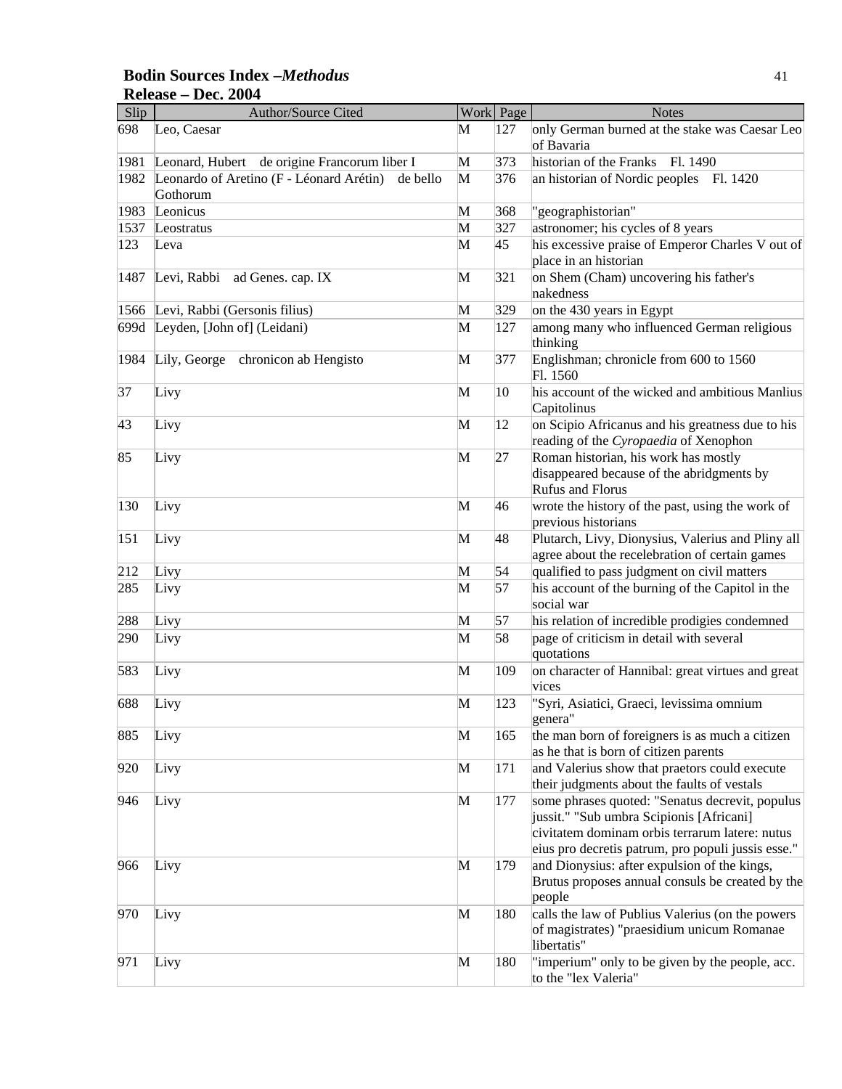### **Bodin Sources Index –***Methodus* 41 **Release – Dec. 2004**

| Slip | Author/Source Cited                                              |              | Work Page | <b>Notes</b>                                                                                                                                                                                        |
|------|------------------------------------------------------------------|--------------|-----------|-----------------------------------------------------------------------------------------------------------------------------------------------------------------------------------------------------|
| 698  | Leo, Caesar                                                      | M            | 127       | only German burned at the stake was Caesar Leo<br>of Bavaria                                                                                                                                        |
| 1981 | Leonard, Hubert de origine Francorum liber I                     | M            | 373       | historian of the Franks<br>Fl. 1490                                                                                                                                                                 |
| 1982 | Leonardo of Aretino (F - Léonard Arétin)<br>de bello<br>Gothorum | M            | 376       | an historian of Nordic peoples<br>Fl. 1420                                                                                                                                                          |
| 1983 | Leonicus                                                         | M            | 368       | "geographistorian"                                                                                                                                                                                  |
| 1537 | Leostratus                                                       | M            | 327       | astronomer; his cycles of 8 years                                                                                                                                                                   |
| 123  | Leva                                                             | M            | 45        | his excessive praise of Emperor Charles V out of                                                                                                                                                    |
|      |                                                                  |              |           | place in an historian                                                                                                                                                                               |
| 1487 | Levi, Rabbi<br>ad Genes. cap. IX                                 | M            | 321       | on Shem (Cham) uncovering his father's<br>nakedness                                                                                                                                                 |
| 1566 | Levi, Rabbi (Gersonis filius)                                    | M            | 329       | on the 430 years in Egypt                                                                                                                                                                           |
| 699d | Leyden, [John of] (Leidani)                                      | M            | 127       | among many who influenced German religious                                                                                                                                                          |
|      |                                                                  |              |           | thinking                                                                                                                                                                                            |
| 1984 | Lily, George chronicon ab Hengisto                               | M            | 377       | Englishman; chronicle from 600 to 1560<br>Fl. 1560                                                                                                                                                  |
| 37   | Livy                                                             | M            | 10        | his account of the wicked and ambitious Manlius<br>Capitolinus                                                                                                                                      |
| 43   | Livy                                                             | M            | 12        | on Scipio Africanus and his greatness due to his<br>reading of the Cyropaedia of Xenophon                                                                                                           |
| 85   | Livy                                                             | M            | 27        | Roman historian, his work has mostly<br>disappeared because of the abridgments by<br>Rufus and Florus                                                                                               |
| 130  | Livy                                                             | M            | 46        | wrote the history of the past, using the work of<br>previous historians                                                                                                                             |
| 151  | Livy                                                             | M            | 48        | Plutarch, Livy, Dionysius, Valerius and Pliny all<br>agree about the recelebration of certain games                                                                                                 |
| 212  | Livy                                                             | M            | 54        | qualified to pass judgment on civil matters                                                                                                                                                         |
| 285  | Livy                                                             | M            | 57        | his account of the burning of the Capitol in the<br>social war                                                                                                                                      |
| 288  | Livy                                                             | M            | 57        | his relation of incredible prodigies condemned                                                                                                                                                      |
| 290  | Livy                                                             | M            | 58        | page of criticism in detail with several                                                                                                                                                            |
| 583  | Livy                                                             | M            | 109       | quotations<br>on character of Hannibal: great virtues and great                                                                                                                                     |
|      |                                                                  |              |           | vices                                                                                                                                                                                               |
| 688  | Livy                                                             | M            | 123       | "Syri, Asiatici, Graeci, levissima omnium<br>genera"                                                                                                                                                |
| 885  | Livy                                                             | M            | 165       | the man born of foreigners is as much a citizen<br>as he that is born of citizen parents                                                                                                            |
| 920  | Livy                                                             | M            | 171       | and Valerius show that praetors could execute<br>their judgments about the faults of vestals                                                                                                        |
| 946  | Livy                                                             | M            | 177       | some phrases quoted: "Senatus decrevit, populus<br>jussit." "Sub umbra Scipionis [Africani]<br>civitatem dominam orbis terrarum latere: nutus<br>eius pro decretis patrum, pro populi jussis esse." |
| 966  | Livy                                                             | $\mathbf{M}$ | 179       | and Dionysius: after expulsion of the kings,<br>Brutus proposes annual consuls be created by the<br>people                                                                                          |
| 970  | Livy                                                             | M            | 180       | calls the law of Publius Valerius (on the powers<br>of magistrates) "praesidium unicum Romanae<br>libertatis"                                                                                       |
| 971  | Livy                                                             | M            | 180       | "imperium" only to be given by the people, acc.<br>to the "lex Valeria"                                                                                                                             |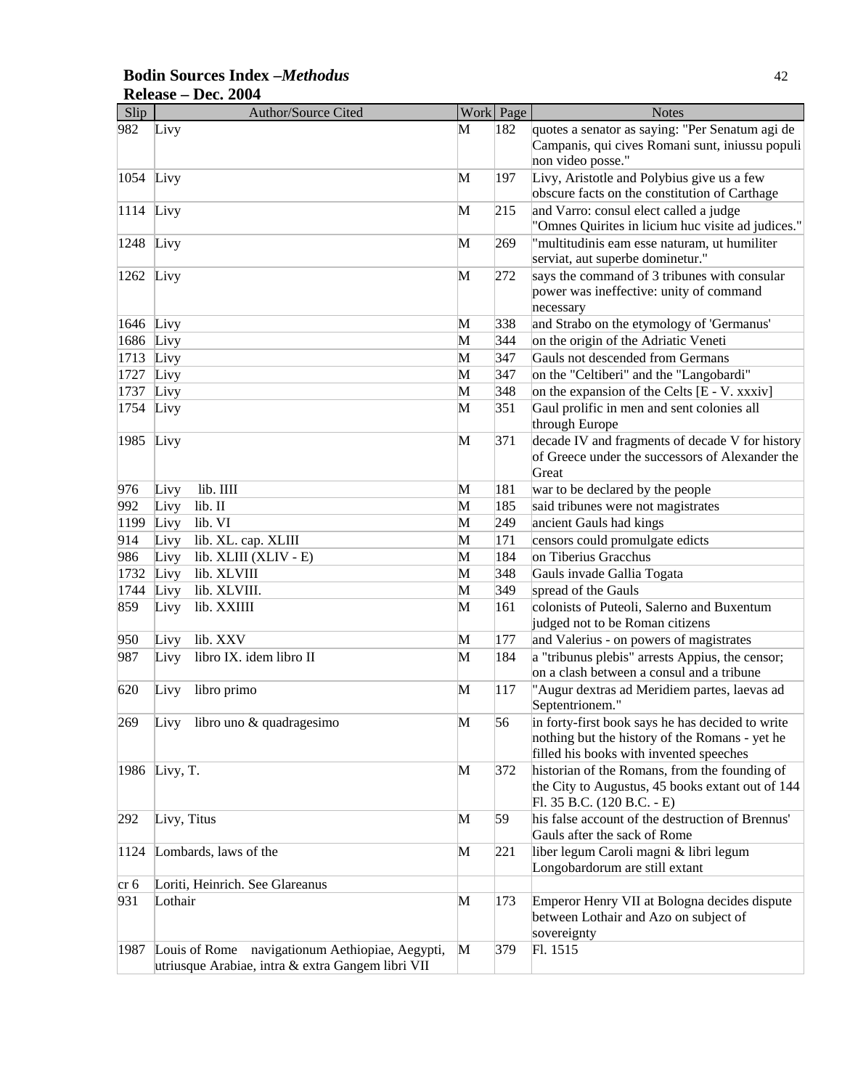| Slip         | <b>Author/Source Cited</b>                                                                           |              | Work Page | <b>Notes</b>                                                                                                                                  |
|--------------|------------------------------------------------------------------------------------------------------|--------------|-----------|-----------------------------------------------------------------------------------------------------------------------------------------------|
| 982          | Livy                                                                                                 | M            | 182       | quotes a senator as saying: "Per Senatum agi de<br>Campanis, qui cives Romani sunt, iniussu populi<br>non video posse."                       |
| 1054 Livy    |                                                                                                      | M            | 197       | Livy, Aristotle and Polybius give us a few<br>obscure facts on the constitution of Carthage                                                   |
| $1114$ Livy  |                                                                                                      | M            | 215       | and Varro: consul elect called a judge<br>"Omnes Quirites in licium huc visite ad judices."                                                   |
| $ 1248$ Livy |                                                                                                      | M            | 269       | "multitudinis eam esse naturam, ut humiliter<br>serviat, aut superbe dominetur."                                                              |
| $1262$ Livy  |                                                                                                      | M            | 272       | says the command of 3 tribunes with consular<br>power was ineffective: unity of command<br>necessary                                          |
| 1646 Livy    |                                                                                                      | M            | 338       | and Strabo on the etymology of 'Germanus'                                                                                                     |
| 1686 Livy    |                                                                                                      | M            | 344       | on the origin of the Adriatic Veneti                                                                                                          |
| 1713         | Livy                                                                                                 | M            | 347       | Gauls not descended from Germans                                                                                                              |
| 1727         | Livy                                                                                                 | M            | 347       | on the "Celtiberi" and the "Langobardi"                                                                                                       |
| 1737         | Livy                                                                                                 | M            | 348       | on the expansion of the Celts [E - V. xxxiv]                                                                                                  |
| 1754 Livy    |                                                                                                      | M            | 351       | Gaul prolific in men and sent colonies all<br>through Europe                                                                                  |
| 1985 Livy    |                                                                                                      | M            | 371       | decade IV and fragments of decade V for history<br>of Greece under the successors of Alexander the<br>Great                                   |
| 976          | lib. IIII<br>Livy                                                                                    | M            | 181       | war to be declared by the people                                                                                                              |
| 992          | lib. II<br>Livy                                                                                      | M            | 185       | said tribunes were not magistrates                                                                                                            |
| 1199         | lib. VI<br>Livy                                                                                      | M            | 249       | ancient Gauls had kings                                                                                                                       |
| 914          | lib. XL. cap. XLIII<br>Livy                                                                          | M            | 171       | censors could promulgate edicts                                                                                                               |
| 986          | lib. XLIII (XLIV - E)<br>Livy                                                                        | M            | 184       | on Tiberius Gracchus                                                                                                                          |
| 1732         | lib. XLVIII<br>Livy                                                                                  | M            | 348       | Gauls invade Gallia Togata                                                                                                                    |
| 1744         | lib. XLVIII.<br>Livy                                                                                 | M            | 349       | spread of the Gauls                                                                                                                           |
| 859          | lib. XXIIII<br>Livy                                                                                  | M            | 161       | colonists of Puteoli, Salerno and Buxentum<br>judged not to be Roman citizens                                                                 |
| 950          | lib. XXV<br>Livy                                                                                     | M            | 177       | and Valerius - on powers of magistrates                                                                                                       |
| 987          | libro IX. idem libro II<br>Livy                                                                      | M            | 184       | a "tribunus plebis" arrests Appius, the censor;<br>on a clash between a consul and a tribune                                                  |
| 620          | libro primo<br>Livy                                                                                  | M            | 117       | "Augur dextras ad Meridiem partes, laevas ad<br>Septentrionem."                                                                               |
| 269          | Livy libro uno & quadragesimo                                                                        | M            | 56        | in forty-first book says he has decided to write<br>nothing but the history of the Romans - yet he<br>filled his books with invented speeches |
|              | 1986 Livy, T.                                                                                        | $\mathbf{M}$ | 372       | historian of the Romans, from the founding of<br>the City to Augustus, 45 books extant out of 144<br>Fl. 35 B.C. (120 B.C. - E)               |
| 292          | Livy, Titus                                                                                          | M            | 59        | his false account of the destruction of Brennus'<br>Gauls after the sack of Rome                                                              |
| 1124         | Lombards, laws of the                                                                                | M            | 221       | liber legum Caroli magni & libri legum<br>Longobardorum are still extant                                                                      |
| cr 6         | Loriti, Heinrich. See Glareanus                                                                      |              |           |                                                                                                                                               |
| 931          | Lothair                                                                                              | M            | 173       | Emperor Henry VII at Bologna decides dispute<br>between Lothair and Azo on subject of<br>sovereignty                                          |
| 1987         | Louis of Rome navigationum Aethiopiae, Aegypti,<br>utriusque Arabiae, intra & extra Gangem libri VII | M            | 379       | Fl. 1515                                                                                                                                      |

# **Bodin Sources Index –***Methodus* 42 **Release – Dec. 2004**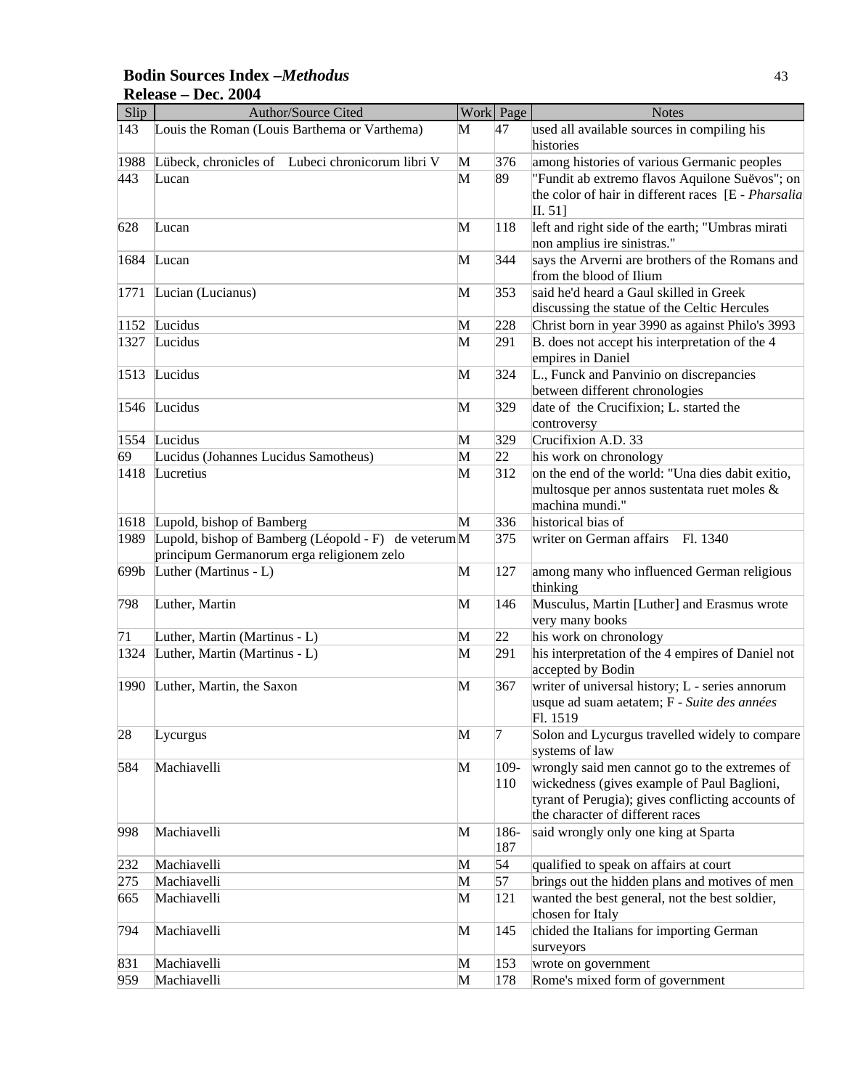#### Slip Author/Source Cited Work Page Notes 143 Louis the Roman (Louis Barthema or Varthema) M 47 used all available sources in compiling his histories 1988 Lübeck, chronicles of Lubeci chronicorum libri V M 376 among histories of various Germanic peoples 443 Lucan M 89 "Fundit ab extremo flavos Aquilone Suëvos"; on the color of hair in different races [E - *Pharsalia*  II. 51] 628 Lucan M 118 left and right side of the earth; "Umbras mirati non amplius ire sinistras." 1684 Lucan M 344 says the Arverni are brothers of the Romans and from the blood of Ilium 1771 Lucian (Lucianus) M 353 said he'd heard a Gaul skilled in Greek discussing the statue of the Celtic Hercules 1152 Lucidus M 228 Christ born in year 3990 as against Philo's 3993 1327 Lucidus M 291 B. does not accept his interpretation of the 4 empires in Daniel 1513 Lucidus M 324 L., Funck and Panvinio on discrepancies between different chronologies 1546 Lucidus M 329 date of the Crucifixion; L. started the controversy 1554 Lucidus M 329 Crucifixion A.D. 33  $\overline{69}$  Lucidus (Johannes Lucidus Samotheus) M 22 his work on chronology 1418 Lucretius M 312 on the end of the world: "Una dies dabit exitio, multosque per annos sustentata ruet moles & machina mundi." 1618 Lupold, bishop of Bamberg M 336 historical bias of 1989 Lupold, bishop of Bamberg (Léopold - F) de veterum $M$ principum Germanorum erga religionem zelo 375 writer on German affairs Fl. 1340 699b Luther (Martinus - L) M 127 among many who influenced German religious thinking 798 Luther, Martin M 146 Musculus, Martin [Luther] and Erasmus wrote very many books 71 Luther, Martin (Martinus - L)  $\mathbf{M}$  22 his work on chronology 1324 Luther, Martin (Martinus - L) M 291 his interpretation of the 4 empires of Daniel not accepted by Bodin 1990 Luther, Martin, the Saxon M 367 writer of universal history; L - series annorum usque ad suam aetatem; F - *Suite des années* Fl. 1519 28 Lycurgus 28 Lycurgus  $\mathbb{M}$  7 Solon and Lycurgus travelled widely to compare systems of law 584 Machiavelli M 109-110 wrongly said men cannot go to the extremes of wickedness (gives example of Paul Baglioni, tyrant of Perugia); gives conflicting accounts of the character of different races 998 Machiavelli M 186-187 said wrongly only one king at Sparta 232 Machiavelli M 54 qualified to speak on affairs at court 275 Machiavelli M 57 brings out the hidden plans and motives of men  $\overline{665}$  Machiavelli **M** 121 wanted the best general, not the best soldier, chosen for Italy 794 Machiavelli M 145 chided the Italians for importing German surveyors 831 Machiavelli M 153 wrote on government 959 Machiavelli M 178 Rome's mixed form of government

#### **Bodin Sources Index –***Methodus* 43 **Release – Dec. 2004**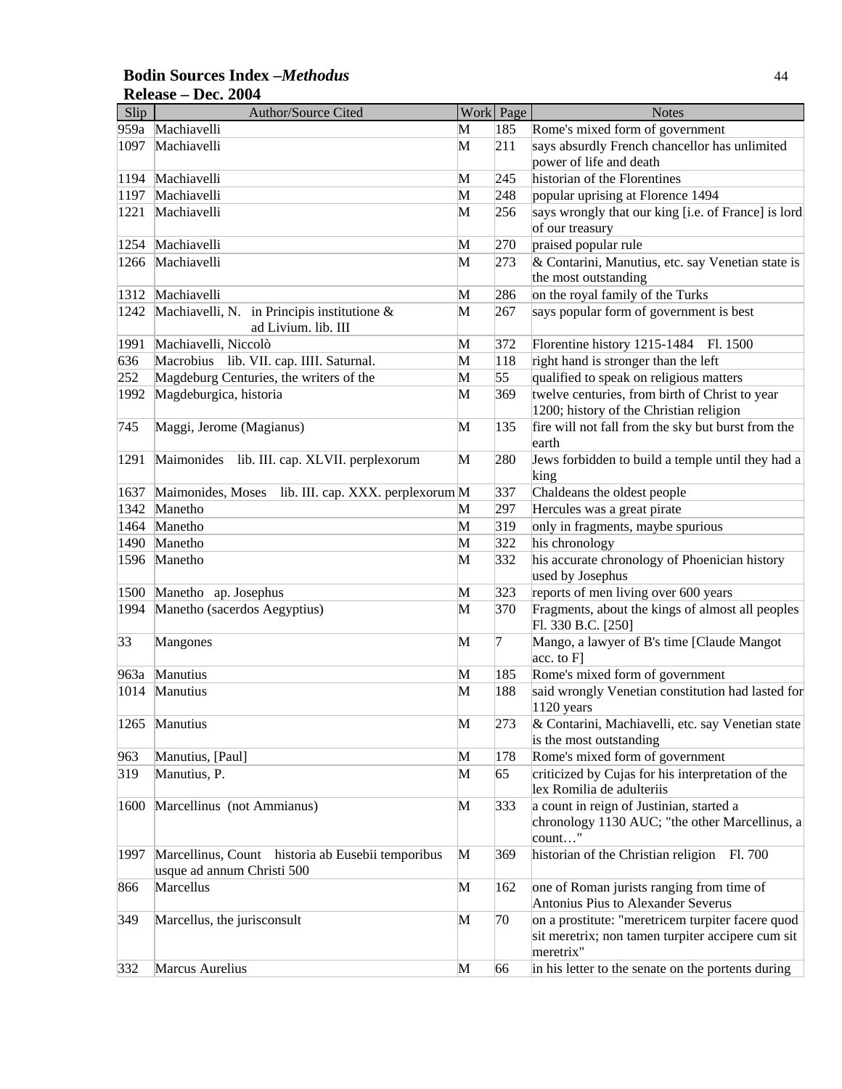### **Bodin Sources Index –***Methodus* 44 **Release – Dec. 2004**

| Slip         | Author/Source Cited                                                             |   | Work Page  | <b>Notes</b>                                                                                                        |
|--------------|---------------------------------------------------------------------------------|---|------------|---------------------------------------------------------------------------------------------------------------------|
| 959a         | Machiavelli                                                                     | M | 185        | Rome's mixed form of government                                                                                     |
| 1097         | Machiavelli                                                                     | M | 211        | says absurdly French chancellor has unlimited<br>power of life and death                                            |
|              | Machiavelli                                                                     | M |            | historian of the Florentines                                                                                        |
| 1194<br>1197 | Machiavelli                                                                     | M | 245<br>248 |                                                                                                                     |
|              | Machiavelli                                                                     |   | 256        | popular uprising at Florence 1494                                                                                   |
| 1221         |                                                                                 | M |            | says wrongly that our king [i.e. of France] is lord<br>of our treasury                                              |
| 1254         | Machiavelli                                                                     | M | 270        | praised popular rule                                                                                                |
| 1266         | Machiavelli                                                                     | M | 273        | & Contarini, Manutius, etc. say Venetian state is                                                                   |
|              |                                                                                 |   |            | the most outstanding                                                                                                |
| 1312         | Machiavelli                                                                     | M | 286        | on the royal family of the Turks                                                                                    |
| 1242         | Machiavelli, N. in Principis institutione &                                     | M | 267        | says popular form of government is best                                                                             |
|              | ad Livium. lib. III                                                             |   |            |                                                                                                                     |
| 1991         | Machiavelli, Niccolò                                                            | M | 372        | Florentine history 1215-1484<br>Fl. 1500                                                                            |
| 636          | Macrobius lib. VII. cap. IIII. Saturnal.                                        | M | 118        | right hand is stronger than the left                                                                                |
| 252          | Magdeburg Centuries, the writers of the                                         | M | 55         | qualified to speak on religious matters                                                                             |
| 1992         | Magdeburgica, historia                                                          | M | 369        | twelve centuries, from birth of Christ to year                                                                      |
|              |                                                                                 |   |            | 1200; history of the Christian religion                                                                             |
| 745          | Maggi, Jerome (Magianus)                                                        | M | 135        | fire will not fall from the sky but burst from the                                                                  |
|              |                                                                                 |   |            | earth                                                                                                               |
| 1291         | Maimonides lib. III. cap. XLVII. perplexorum                                    | M | 280        | Jews forbidden to build a temple until they had a                                                                   |
|              |                                                                                 |   |            | king                                                                                                                |
| 1637         | Maimonides, Moses<br>lib. III. cap. XXX. perplexorum M                          |   | 337        | Chaldeans the oldest people                                                                                         |
| 1342         | Manetho                                                                         | M | 297        | Hercules was a great pirate                                                                                         |
| 1464         | Manetho                                                                         | M | 319        | only in fragments, maybe spurious                                                                                   |
| 1490         | Manetho                                                                         | M | 322        | his chronology                                                                                                      |
| 1596         | Manetho                                                                         | M | 332        | his accurate chronology of Phoenician history<br>used by Josephus                                                   |
| 1500         | Manetho ap. Josephus                                                            | M | 323        | reports of men living over 600 years                                                                                |
| 1994         | Manetho (sacerdos Aegyptius)                                                    | M | 370        | Fragments, about the kings of almost all peoples<br>Fl. 330 B.C. [250]                                              |
| 33           | Mangones                                                                        | M | 7          | Mango, a lawyer of B's time [Claude Mangot]<br>[acc. to F]                                                          |
| 963a         | Manutius                                                                        | M | 185        | Rome's mixed form of government                                                                                     |
| 1014         | Manutius                                                                        | M | 188        | said wrongly Venetian constitution had lasted for<br>$1120$ years                                                   |
|              | 1265 Manutius                                                                   | M | 273        | & Contarini, Machiavelli, etc. say Venetian state<br>is the most outstanding                                        |
| 963          | Manutius, [Paul]                                                                | M | 178        | Rome's mixed form of government                                                                                     |
| 319          | Manutius, P.                                                                    | M | 65         | criticized by Cujas for his interpretation of the                                                                   |
|              |                                                                                 |   |            | lex Romilia de adulteriis                                                                                           |
| 1600         | Marcellinus (not Ammianus)                                                      | M | 333        | a count in reign of Justinian, started a<br>chronology 1130 AUC; "the other Marcellinus, a<br>count"                |
| 1997         | Marcellinus, Count historia ab Eusebii temporibus<br>usque ad annum Christi 500 | M | 369        | historian of the Christian religion Fl. 700                                                                         |
| 866          | Marcellus                                                                       | M | 162        | one of Roman jurists ranging from time of<br>Antonius Pius to Alexander Severus                                     |
| 349          | Marcellus, the jurisconsult                                                     | M | 70         | on a prostitute: "meretricem turpiter facere quod<br>sit meretrix; non tamen turpiter accipere cum sit<br>meretrix" |
| 332          | Marcus Aurelius                                                                 | M | 66         | in his letter to the senate on the portents during                                                                  |
|              |                                                                                 |   |            |                                                                                                                     |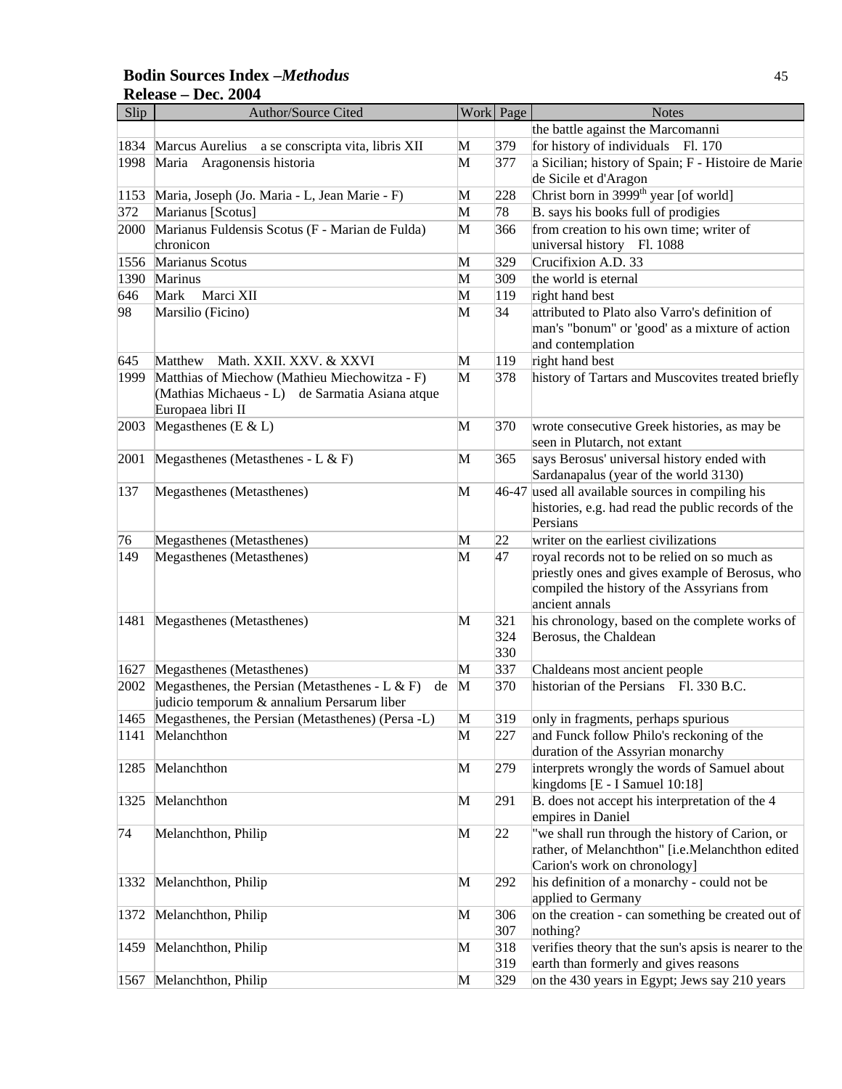### **Bodin Sources Index –***Methodus* 45 **Release – Dec. 2004**

| Slip | Author/Source Cited                                     |   | Work Page | <b>Notes</b>                                                   |
|------|---------------------------------------------------------|---|-----------|----------------------------------------------------------------|
|      |                                                         |   |           | the battle against the Marcomanni                              |
| 1834 | Marcus Aurelius a se conscripta vita, libris XII        | M | 379       | for history of individuals Fl. 170                             |
| 1998 | Maria Aragonensis historia                              | M | 377       | a Sicilian; history of Spain; F - Histoire de Marie            |
|      |                                                         |   |           | de Sicile et d'Aragon                                          |
| 1153 | Maria, Joseph (Jo. Maria - L, Jean Marie - F)           | M | 228       | Christ born in 3999 <sup>th</sup> year [of world]              |
| 372  | Marianus [Scotus]                                       | M | 78        | B. says his books full of prodigies                            |
| 2000 | Marianus Fuldensis Scotus (F - Marian de Fulda)         | M | 366       | from creation to his own time; writer of                       |
|      | chronicon                                               |   |           | universal history Fl. 1088                                     |
| 1556 | Marianus Scotus                                         | M | 329       | Crucifixion A.D. 33                                            |
| 1390 | Marinus                                                 | M | 309       | the world is eternal                                           |
| 646  | Marci XII<br>Mark                                       | M | 119       | right hand best                                                |
| 98   | Marsilio (Ficino)                                       | М | 34        | attributed to Plato also Varro's definition of                 |
|      |                                                         |   |           | man's "bonum" or 'good' as a mixture of action                 |
|      |                                                         |   |           | and contemplation                                              |
| 645  | Matthew<br>Math. XXII. XXV. & XXVI                      | M | 119       | right hand best                                                |
| 1999 | Matthias of Miechow (Mathieu Miechowitza - F)           | M | 378       | history of Tartars and Muscovites treated briefly              |
|      | (Mathias Michaeus - L) de Sarmatia Asiana atque         |   |           |                                                                |
|      | Europaea libri II                                       |   |           |                                                                |
| 2003 | Megasthenes (E & L)                                     | M | 370       | wrote consecutive Greek histories, as may be                   |
|      |                                                         |   |           | seen in Plutarch, not extant                                   |
| 2001 | Megasthenes (Metasthenes - L & F)                       | M | 365       | says Berosus' universal history ended with                     |
|      |                                                         |   |           | Sardanapalus (year of the world 3130)                          |
| 137  | Megasthenes (Metasthenes)                               | M |           | 46-47 used all available sources in compiling his              |
|      |                                                         |   |           | histories, e.g. had read the public records of the<br>Persians |
| 76   | Megasthenes (Metasthenes)                               | M | 22        | writer on the earliest civilizations                           |
| 149  | Megasthenes (Metasthenes)                               | M | 47        | royal records not to be relied on so much as                   |
|      |                                                         |   |           | priestly ones and gives example of Berosus, who                |
|      |                                                         |   |           | compiled the history of the Assyrians from                     |
|      |                                                         |   |           | ancient annals                                                 |
| 1481 | Megasthenes (Metasthenes)                               | M | 321       | his chronology, based on the complete works of                 |
|      |                                                         |   | 324       | Berosus, the Chaldean                                          |
|      |                                                         |   | 330       |                                                                |
| 1627 | Megasthenes (Metasthenes)                               | M | 337       | Chaldeans most ancient people                                  |
| 2002 | Megasthenes, the Persian (Metasthenes - $L & F$ )<br>de | M | 370       | historian of the Persians Fl. 330 B.C.                         |
|      | judicio temporum & annalium Persarum liber              |   |           |                                                                |
|      | 1465 Megasthenes, the Persian (Metasthenes) (Persa -L)  | M | 319       | only in fragments, perhaps spurious                            |
|      | 1141 Melanchthon                                        | M | 227       | and Funck follow Philo's reckoning of the                      |
|      |                                                         |   |           | duration of the Assyrian monarchy                              |
| 1285 | Melanchthon                                             | M | 279       | interprets wrongly the words of Samuel about                   |
|      |                                                         |   |           | kingdoms [E - I Samuel 10:18]                                  |
| 1325 | Melanchthon                                             | M | 291       | B. does not accept his interpretation of the 4                 |
|      |                                                         |   |           | empires in Daniel                                              |
| 74   | Melanchthon, Philip                                     | M | 22        | "we shall run through the history of Carion, or                |
|      |                                                         |   |           | rather, of Melanchthon" [i.e.Melanchthon edited                |
|      |                                                         |   |           | Carion's work on chronology]                                   |
| 1332 | Melanchthon, Philip                                     | M | 292       | his definition of a monarchy - could not be                    |
|      |                                                         |   |           | applied to Germany                                             |
| 1372 | Melanchthon, Philip                                     | M | 306       | on the creation - can something be created out of              |
|      |                                                         |   | 307       | nothing?                                                       |
| 1459 | Melanchthon, Philip                                     | M | 318       | verifies theory that the sun's apsis is nearer to the          |
|      |                                                         |   | 319       | earth than formerly and gives reasons                          |
| 1567 | Melanchthon, Philip                                     | M | 329       | on the 430 years in Egypt; Jews say 210 years                  |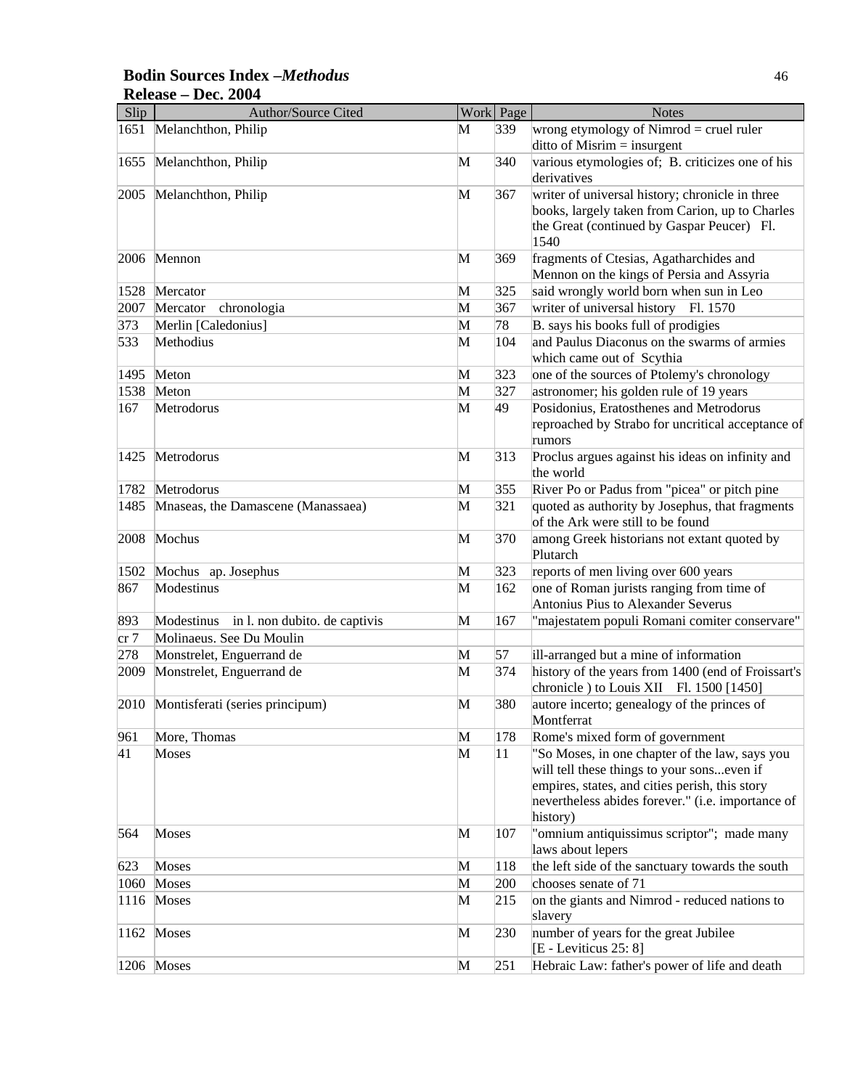### **Bodin Sources Index –***Methodus* 46 **Release – Dec. 2004**

| Slip | <b>Author/Source Cited</b>               |              | Work Page | <b>Notes</b>                                                                                                                                                                                                    |
|------|------------------------------------------|--------------|-----------|-----------------------------------------------------------------------------------------------------------------------------------------------------------------------------------------------------------------|
| 1651 | Melanchthon, Philip                      | М            | 339       | wrong etymology of Nimrod $=$ cruel ruler<br>$\text{ditto of Misrim} = \text{insurgent}$                                                                                                                        |
| 1655 | Melanchthon, Philip                      | M            | 340       | various etymologies of; B. criticizes one of his<br>derivatives                                                                                                                                                 |
| 2005 | Melanchthon, Philip                      | M            | 367       | writer of universal history; chronicle in three<br>books, largely taken from Carion, up to Charles<br>the Great (continued by Gaspar Peucer) Fl.<br>1540                                                        |
| 2006 | Mennon                                   | M            | 369       | fragments of Ctesias, Agatharchides and<br>Mennon on the kings of Persia and Assyria                                                                                                                            |
| 1528 | Mercator                                 | M            | 325       | said wrongly world born when sun in Leo                                                                                                                                                                         |
| 2007 | Mercator<br>chronologia                  | M            | 367       | writer of universal history Fl. 1570                                                                                                                                                                            |
| 373  | Merlin [Caledonius]                      | M            | 78        | B. says his books full of prodigies                                                                                                                                                                             |
| 533  | Methodius                                | M            | 104       | and Paulus Diaconus on the swarms of armies<br>which came out of Scythia                                                                                                                                        |
| 1495 | Meton                                    | M            | 323       | one of the sources of Ptolemy's chronology                                                                                                                                                                      |
| 1538 | Meton                                    | M            | 327       | astronomer; his golden rule of 19 years                                                                                                                                                                         |
| 167  | Metrodorus                               | M            | 49        | Posidonius, Eratosthenes and Metrodorus<br>reproached by Strabo for uncritical acceptance of<br>rumors                                                                                                          |
| 1425 | Metrodorus                               | M            | 313       | Proclus argues against his ideas on infinity and<br>the world                                                                                                                                                   |
| 1782 | Metrodorus                               | M            | 355       | River Po or Padus from "picea" or pitch pine                                                                                                                                                                    |
| 1485 | Mnaseas, the Damascene (Manassaea)       | M            | 321       | quoted as authority by Josephus, that fragments<br>of the Ark were still to be found                                                                                                                            |
| 2008 | Mochus                                   | M            | 370       | among Greek historians not extant quoted by<br>Plutarch                                                                                                                                                         |
| 1502 | Mochus ap. Josephus                      | M            | 323       | reports of men living over 600 years                                                                                                                                                                            |
| 867  | Modestinus                               | M            | 162       | one of Roman jurists ranging from time of<br>Antonius Pius to Alexander Severus                                                                                                                                 |
| 893  | Modestinus in l. non dubito. de captivis | M            | 167       | "majestatem populi Romani comiter conservare"                                                                                                                                                                   |
| cr 7 | Molinaeus. See Du Moulin                 |              |           |                                                                                                                                                                                                                 |
| 278  | Monstrelet, Enguerrand de                | M            | 57        | ill-arranged but a mine of information                                                                                                                                                                          |
| 2009 | Monstrelet, Enguerrand de                | M            | 374       | history of the years from 1400 (end of Froissart's<br>chronicle ) to Louis XII Fl. 1500 [1450]                                                                                                                  |
|      | 2010 Montisferati (series principum)     | M            | 380       | autore incerto; genealogy of the princes of<br>Montferrat                                                                                                                                                       |
| 961  | More, Thomas                             | M            | 178       | Rome's mixed form of government                                                                                                                                                                                 |
| 41   | Moses                                    | M            | 11        | "So Moses, in one chapter of the law, says you<br>will tell these things to your sonseven if<br>empires, states, and cities perish, this story<br>nevertheless abides forever." (i.e. importance of<br>history) |
| 564  | Moses                                    | $\mathbf{M}$ | 107       | "omnium antiquissimus scriptor"; made many<br>laws about lepers                                                                                                                                                 |
| 623  | Moses                                    | M            | 118       | the left side of the sanctuary towards the south                                                                                                                                                                |
| 1060 | Moses                                    | M            | 200       | chooses senate of 71                                                                                                                                                                                            |
| 1116 | Moses                                    | M            | 215       | on the giants and Nimrod - reduced nations to<br>slavery                                                                                                                                                        |
| 1162 | Moses                                    | $\mathbf{M}$ | 230       | number of years for the great Jubilee<br>[E - Leviticus 25: 8]                                                                                                                                                  |
|      | 1206 Moses                               | M            | 251       | Hebraic Law: father's power of life and death                                                                                                                                                                   |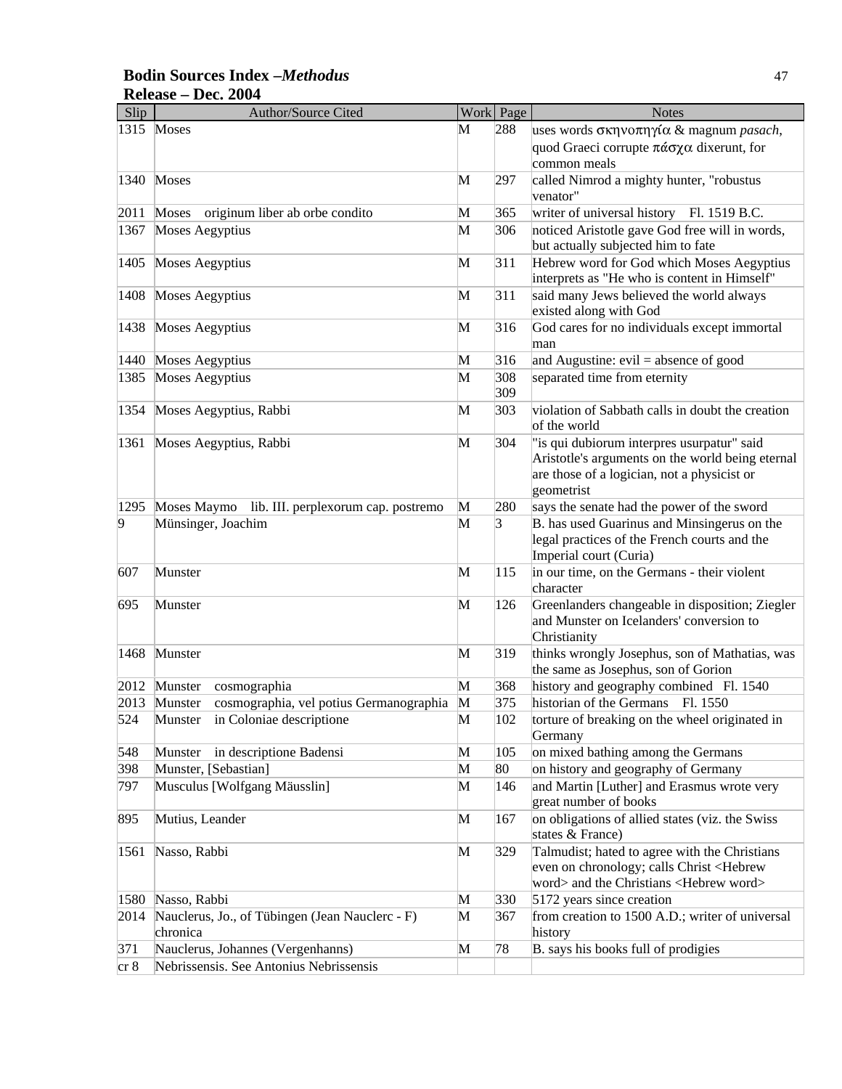# **Bodin Sources Index –***Methodus* 47 **Release – Dec. 2004**

| Slip | <b>Author/Source Cited</b>                              |              | Work Page | <b>Notes</b>                                               |
|------|---------------------------------------------------------|--------------|-----------|------------------------------------------------------------|
|      | 1315 Moses                                              | М            | 288       | uses words σκηνοπηγία & magnum pasach,                     |
|      |                                                         |              |           | quod Graeci corrupte πάσχα dixerunt, for                   |
|      |                                                         |              |           | common meals                                               |
|      | 1340 Moses                                              | M            | 297       | called Nimrod a mighty hunter, "robustus                   |
|      |                                                         |              |           | venator"                                                   |
| 2011 | originum liber ab orbe condito<br>Moses                 | M            | 365       | writer of universal history Fl. 1519 B.C.                  |
| 1367 | Moses Aegyptius                                         | M            | 306       | noticed Aristotle gave God free will in words,             |
|      |                                                         |              |           | but actually subjected him to fate                         |
| 1405 | <b>Moses Aegyptius</b>                                  | M            | 311       | Hebrew word for God which Moses Aegyptius                  |
|      |                                                         |              |           | interprets as "He who is content in Himself"               |
| 1408 | Moses Aegyptius                                         | M            | 311       | said many Jews believed the world always                   |
|      |                                                         |              |           | existed along with God                                     |
| 1438 | Moses Aegyptius                                         | M            | 316       | God cares for no individuals except immortal               |
|      |                                                         |              |           | man                                                        |
|      | 1440 Moses Aegyptius                                    | M            | 316       | and Augustine: $evil = absence of good$                    |
| 1385 | Moses Aegyptius                                         | M            | 308       | separated time from eternity                               |
|      |                                                         |              | 309       |                                                            |
| 1354 | Moses Aegyptius, Rabbi                                  | M            | 303       | violation of Sabbath calls in doubt the creation           |
|      |                                                         |              |           | of the world                                               |
| 1361 | Moses Aegyptius, Rabbi                                  | M            | 304       | "is qui dubiorum interpres usurpatur" said                 |
|      |                                                         |              |           | Aristotle's arguments on the world being eternal           |
|      |                                                         |              |           | are those of a logician, not a physicist or                |
|      |                                                         |              |           | geometrist                                                 |
| 1295 | Moses Maymo lib. III. perplexorum cap. postremo         | M            | 280       | says the senate had the power of the sword                 |
| 9    | Münsinger, Joachim                                      | M            | $\beta$   | B. has used Guarinus and Minsingerus on the                |
|      |                                                         |              |           | legal practices of the French courts and the               |
|      |                                                         |              |           | Imperial court (Curia)                                     |
| 607  | Munster                                                 | M            | 115       | in our time, on the Germans - their violent                |
|      |                                                         |              |           | character                                                  |
| 695  | Munster                                                 | M            | 126       | Greenlanders changeable in disposition; Ziegler            |
|      |                                                         |              |           | and Munster on Icelanders' conversion to<br>Christianity   |
|      | Munster                                                 | M            | 319       |                                                            |
| 1468 |                                                         |              |           | thinks wrongly Josephus, son of Mathatias, was             |
|      |                                                         |              |           | the same as Josephus, son of Gorion                        |
|      | 2012 Munster<br>cosmographia                            | M            | 368       | history and geography combined Fl. 1540                    |
|      | cosmographia, vel potius Germanographia<br>2013 Munster | $\mathbf{M}$ | 375       | historian of the Germans Fl. 1550                          |
| 524  | Munster in Coloniae descriptione                        | M            | 102       | torture of breaking on the wheel originated in             |
|      |                                                         |              |           | Germany                                                    |
| 548  | in descriptione Badensi<br>Munster                      | $\mathbf{M}$ | 105       | on mixed bathing among the Germans                         |
| 398  | Munster, [Sebastian]                                    | M            | 80        | on history and geography of Germany                        |
| 797  | Musculus [Wolfgang Mäusslin]                            | M            | 146       | and Martin [Luther] and Erasmus wrote very                 |
|      |                                                         |              |           | great number of books                                      |
| 895  | Mutius, Leander                                         | M            | 167       | on obligations of allied states (viz. the Swiss            |
|      |                                                         |              |           | states & France)                                           |
| 1561 | Nasso, Rabbi                                            | $\mathbf{M}$ | 329       | Talmudist; hated to agree with the Christians              |
|      |                                                         |              |           | even on chronology; calls Christ <hebrew< td=""></hebrew<> |
|      |                                                         |              |           | word> and the Christians <hebrew word=""></hebrew>         |
| 1580 | Nasso, Rabbi                                            | M            | 330       | 5172 years since creation                                  |
| 2014 | Nauclerus, Jo., of Tübingen (Jean Nauclerc - F)         | M            | 367       | from creation to 1500 A.D.; writer of universal            |
|      | chronica                                                |              |           | history                                                    |
| 371  | Nauclerus, Johannes (Vergenhanns)                       | M            | 78        | B. says his books full of prodigies                        |
| cr 8 | Nebrissensis. See Antonius Nebrissensis                 |              |           |                                                            |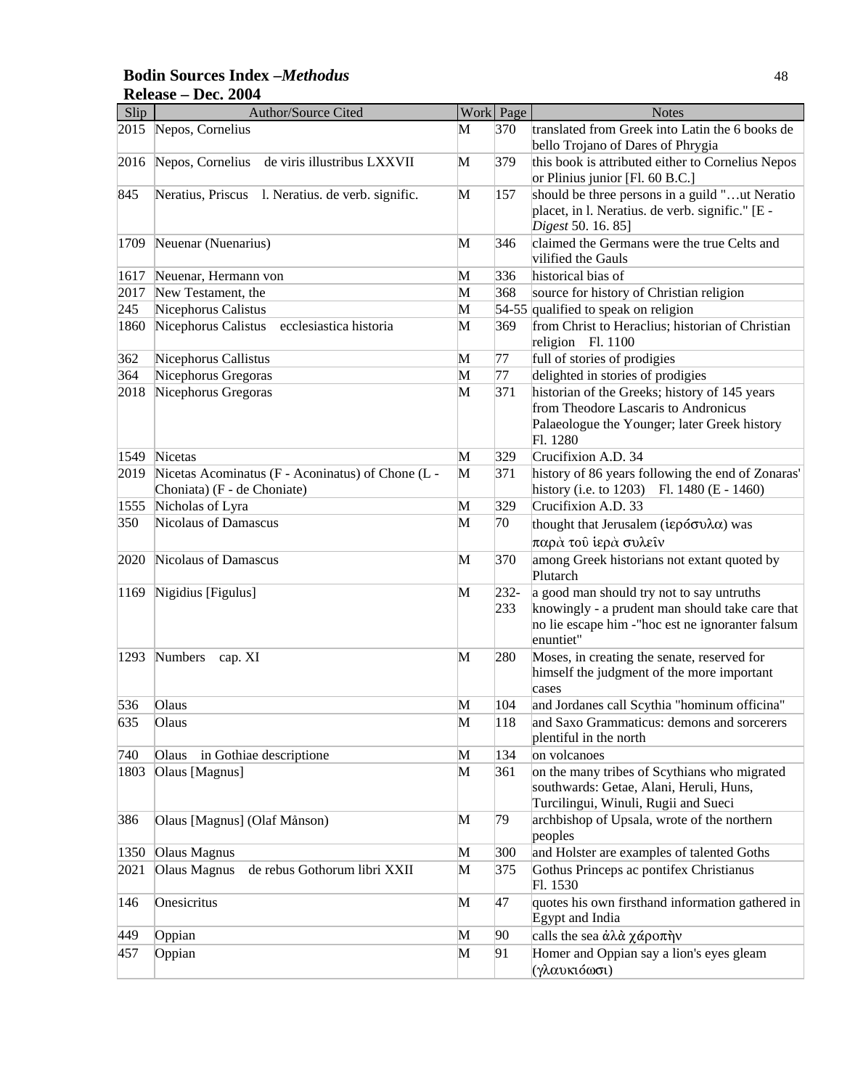### **Bodin Sources Index –***Methodus* 48 **Release – Dec. 2004**

| Slip | Author/Source Cited                                                              |              | Work Page      | <b>Notes</b>                                                                                                                                                   |
|------|----------------------------------------------------------------------------------|--------------|----------------|----------------------------------------------------------------------------------------------------------------------------------------------------------------|
| 2015 | Nepos, Cornelius                                                                 | M            | 370            | translated from Greek into Latin the 6 books de<br>bello Trojano of Dares of Phrygia                                                                           |
| 2016 | Nepos, Cornelius de viris illustribus LXXVII                                     | M            | 379            | this book is attributed either to Cornelius Nepos<br>or Plinius junior [Fl. 60 B.C.]                                                                           |
| 845  | Neratius, Priscus 1. Neratius. de verb. signific.                                | M            | 157            | should be three persons in a guild "ut Neratio<br>placet, in l. Neratius. de verb. signific." [E -<br>Digest 50. 16. 85]                                       |
| 1709 | Neuenar (Nuenarius)                                                              | M            | 346            | claimed the Germans were the true Celts and<br>vilified the Gauls                                                                                              |
| 1617 | Neuenar, Hermann von                                                             | M            | 336            | historical bias of                                                                                                                                             |
| 2017 | New Testament, the                                                               | M            | 368            | source for history of Christian religion                                                                                                                       |
| 245  | Nicephorus Calistus                                                              | M            |                | 54-55 qualified to speak on religion                                                                                                                           |
| 1860 | Nicephorus Calistus<br>ecclesiastica historia                                    | M            | 369            | from Christ to Heraclius; historian of Christian<br>religion Fl. 1100                                                                                          |
| 362  | Nicephorus Callistus                                                             | M            | 77             | full of stories of prodigies                                                                                                                                   |
| 364  | Nicephorus Gregoras                                                              | M            | 77             | delighted in stories of prodigies                                                                                                                              |
| 2018 | Nicephorus Gregoras                                                              | M            | 371            | historian of the Greeks; history of 145 years<br>from Theodore Lascaris to Andronicus<br>Palaeologue the Younger; later Greek history<br>Fl. 1280              |
| 1549 | Nicetas                                                                          | M            | 329            | Crucifixion A.D. 34                                                                                                                                            |
| 2019 | Nicetas Acominatus (F - Aconinatus) of Chone (L -<br>Choniata) (F - de Choniate) | M            | 371            | history of 86 years following the end of Zonaras'<br>history (i.e. to 1203) Fl. 1480 (E - 1460)                                                                |
| 1555 | Nicholas of Lyra                                                                 | M            | 329            | Crucifixion A.D. 33                                                                                                                                            |
| 350  | Nicolaus of Damascus                                                             | M            | 70             | thought that Jerusalem ( $i\epsilon \rho \acute{o} \sigma \nu \lambda \alpha$ ) was<br>παρά του ίερά συλείν                                                    |
| 2020 | <b>Nicolaus of Damascus</b>                                                      | M            | 370            | among Greek historians not extant quoted by<br>Plutarch                                                                                                        |
| 1169 | Nigidius [Figulus]                                                               | M            | $232 -$<br>233 | a good man should try not to say untruths<br>knowingly - a prudent man should take care that<br>no lie escape him - "hoc est ne ignoranter falsum<br>enuntiet" |
| 1293 | <b>Numbers</b><br>cap. XI                                                        | M            | 280            | Moses, in creating the senate, reserved for<br>himself the judgment of the more important<br>cases                                                             |
| 536  | Olaus                                                                            | M            | 104            | and Jordanes call Scythia "hominum officina"                                                                                                                   |
| 635  | Olaus                                                                            | M            | 118            | and Saxo Grammaticus: demons and sorcerers<br>plentiful in the north                                                                                           |
| 740  | in Gothiae descriptione<br>Olaus                                                 | M            | 134            | on volcanoes                                                                                                                                                   |
| 1803 | Olaus [Magnus]                                                                   | M            | 361            | on the many tribes of Scythians who migrated<br>southwards: Getae, Alani, Heruli, Huns,<br>Turcilingui, Winuli, Rugii and Sueci                                |
| 386  | Olaus [Magnus] (Olaf Månson)                                                     | M            | 79             | archbishop of Upsala, wrote of the northern<br>peoples                                                                                                         |
| 1350 | Olaus Magnus                                                                     | M            | 300            | and Holster are examples of talented Goths                                                                                                                     |
| 2021 | Olaus Magnus<br>de rebus Gothorum libri XXII                                     | $\mathbf{M}$ | 375            | Gothus Princeps ac pontifex Christianus<br>Fl. 1530                                                                                                            |
| 146  | Onesicritus                                                                      | M            | 47             | quotes his own firsthand information gathered in<br>Egypt and India                                                                                            |
| 449  | Oppian                                                                           | M            | 90             | calls the sea άλα χάροπην                                                                                                                                      |
| 457  | Oppian                                                                           | M            | 91             | Homer and Oppian say a lion's eyes gleam                                                                                                                       |
|      |                                                                                  |              |                | (γλαυκιόωσι)                                                                                                                                                   |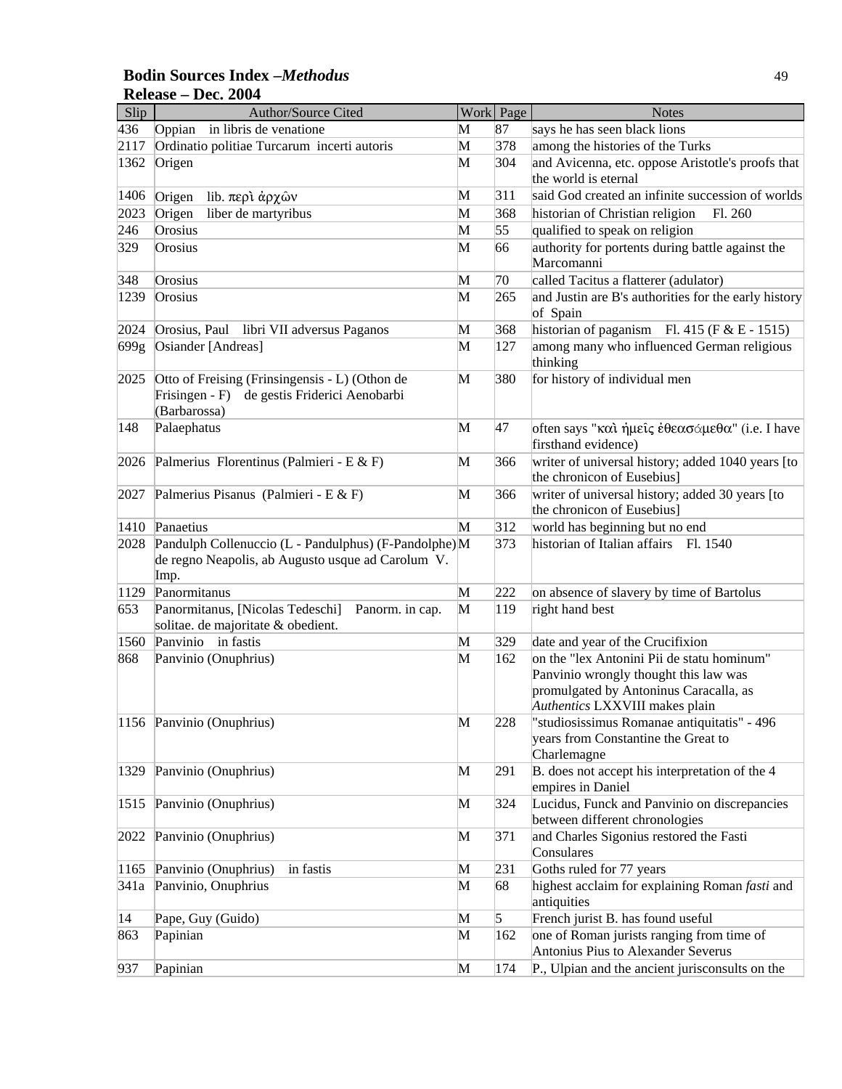### **Bodin Sources Index –***Methodus* 49 **Release – Dec. 2004**

| Slip         | Author/Source Cited                                                                       |        | Work Page      | <b>Notes</b>                                                                               |
|--------------|-------------------------------------------------------------------------------------------|--------|----------------|--------------------------------------------------------------------------------------------|
| 436          | in libris de venatione<br>Oppian                                                          | М      | 87             | says he has seen black lions                                                               |
| 2117         | Ordinatio politiae Turcarum incerti autoris                                               | M      | 378            | among the histories of the Turks                                                           |
| 1362         | Origen                                                                                    | M      | 304            | and Avicenna, etc. oppose Aristotle's proofs that<br>the world is eternal                  |
| 1406         | lib. περί άρχων<br>Origen                                                                 | М      | 311            | said God created an infinite succession of worlds                                          |
| 2023         | liber de martyribus<br>Origen                                                             | M      | 368            | historian of Christian religion<br>Fl. 260                                                 |
| 246          | Orosius                                                                                   | M      | 55             | qualified to speak on religion                                                             |
| 329          | Orosius                                                                                   | M      | 66             | authority for portents during battle against the                                           |
|              |                                                                                           |        |                | Marcomanni                                                                                 |
| 348          | Orosius                                                                                   | M      | 70             | called Tacitus a flatterer (adulator)                                                      |
| 1239         | Orosius                                                                                   | M      | 265            | and Justin are B's authorities for the early history                                       |
|              |                                                                                           |        |                | of Spain                                                                                   |
| 2024         | Orosius, Paul libri VII adversus Paganos<br>Osiander [Andreas]                            | M<br>M | 368<br>127     | historian of paganism Fl. 415 (F & E - 1515)<br>among many who influenced German religious |
| 699g         |                                                                                           |        |                | thinking                                                                                   |
| 2025         | Otto of Freising (Frinsingensis - L) (Othon de                                            | M      | 380            | for history of individual men                                                              |
|              | Frisingen - F)<br>de gestis Friderici Aenobarbi                                           |        |                |                                                                                            |
|              | (Barbarossa)                                                                              |        |                |                                                                                            |
| 148          | Palaephatus                                                                               | M      | 47             | often says "και ήμεις έθεασάμεθα" (i.e. I have                                             |
| 2026         | Palmerius Florentinus (Palmieri - E & F)                                                  | M      | 366            | firsthand evidence)<br>writer of universal history; added 1040 years [to                   |
|              |                                                                                           |        |                | the chronicon of Eusebius]                                                                 |
| 2027         | Palmerius Pisanus (Palmieri - E & F)                                                      | M      | 366            | writer of universal history; added 30 years [to                                            |
|              |                                                                                           |        |                | the chronicon of Eusebius]                                                                 |
| 1410         | Panaetius                                                                                 | M      | 312            | world has beginning but no end                                                             |
| 2028         | Pandulph Collenuccio (L - Pandulphus) (F-Pandolphe) M                                     |        | 373            | historian of Italian affairs Fl. 1540                                                      |
|              | de regno Neapolis, ab Augusto usque ad Carolum V.<br>Imp.                                 |        |                |                                                                                            |
| 1129         | Panormitanus                                                                              | M      | 222            | on absence of slavery by time of Bartolus                                                  |
| 653          | Panormitanus, [Nicolas Tedeschi]<br>Panorm. in cap.<br>solitae. de majoritate & obedient. | M      | 119            | right hand best                                                                            |
| 1560         | Panvinio<br>in fastis                                                                     | M      | 329            | date and year of the Crucifixion                                                           |
| 868          | Panvinio (Onuphrius)                                                                      | M      | 162            | on the "lex Antonini Pii de statu hominum"                                                 |
|              |                                                                                           |        |                | Panvinio wrongly thought this law was                                                      |
|              |                                                                                           |        |                | promulgated by Antoninus Caracalla, as                                                     |
|              |                                                                                           |        |                | Authentics LXXVIII makes plain                                                             |
|              | 1156 Panvinio (Onuphrius)                                                                 | M      | 228            | "studiosissimus Romanae antiquitatis" - 496                                                |
|              |                                                                                           |        |                | years from Constantine the Great to                                                        |
|              |                                                                                           |        |                | Charlemagne                                                                                |
| 1329         | Panvinio (Onuphrius)                                                                      | M      | 291            | B. does not accept his interpretation of the 4<br>empires in Daniel                        |
| 1515         | Panvinio (Onuphrius)                                                                      | M      | 324            | Lucidus, Funck and Panvinio on discrepancies<br>between different chronologies             |
| 2022         | Panvinio (Onuphrius)                                                                      | M      | 371            | and Charles Sigonius restored the Fasti                                                    |
|              |                                                                                           |        |                | Consulares                                                                                 |
| 1165         | Panvinio (Onuphrius)<br>in fastis                                                         | M      | 231            | Goths ruled for 77 years                                                                   |
| 341a         | Panvinio, Onuphrius                                                                       | M      | 68             | highest acclaim for explaining Roman fasti and<br>antiquities                              |
| $ 14\rangle$ | Pape, Guy (Guido)                                                                         | M      | $\overline{5}$ | French jurist B. has found useful                                                          |
| 863          | Papinian                                                                                  | M      | 162            | one of Roman jurists ranging from time of                                                  |
|              |                                                                                           |        |                | Antonius Pius to Alexander Severus                                                         |
| 937          | Papinian                                                                                  | M      | 174            | P., Ulpian and the ancient jurisconsults on the                                            |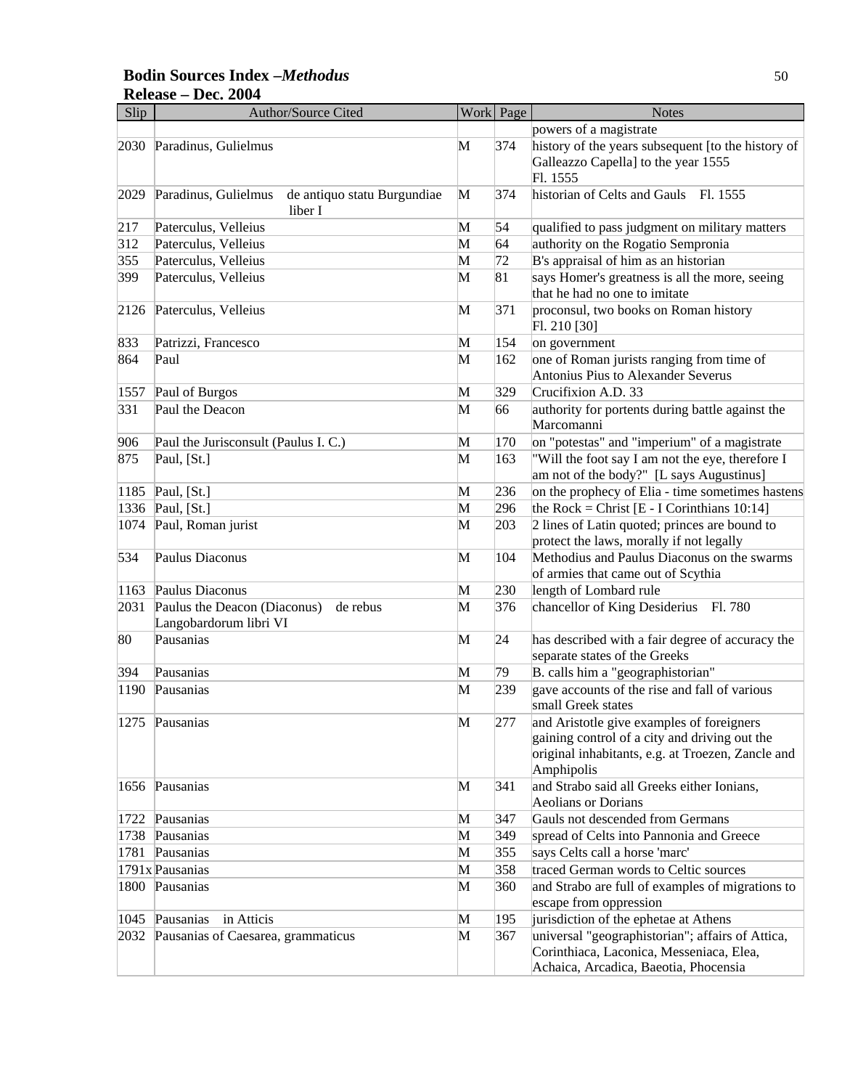### **Bodin Sources Index –***Methodus* 50 **Release – Dec. 2004**

| Slip | <b>Author/Source Cited</b>                                         |   | Work Page | <b>Notes</b>                                                                                                                                                  |
|------|--------------------------------------------------------------------|---|-----------|---------------------------------------------------------------------------------------------------------------------------------------------------------------|
|      |                                                                    |   |           | powers of a magistrate                                                                                                                                        |
| 2030 | Paradinus, Gulielmus                                               | M | 374       | history of the years subsequent [to the history of<br>Galleazzo Capella] to the year 1555<br>Fl. 1555                                                         |
| 2029 | Paradinus, Gulielmus<br>de antiquo statu Burgundiae<br>liber I     | M | 374       | historian of Celts and Gauls Fl. 1555                                                                                                                         |
| 217  | Paterculus, Velleius                                               | M | 54        | qualified to pass judgment on military matters                                                                                                                |
| 312  | Paterculus, Velleius                                               | M | 64        | authority on the Rogatio Sempronia                                                                                                                            |
| 355  | Paterculus, Velleius                                               | M | 72        | B's appraisal of him as an historian                                                                                                                          |
| 399  | Paterculus, Velleius                                               | M | 81        | says Homer's greatness is all the more, seeing<br>that he had no one to imitate                                                                               |
| 2126 | Paterculus, Velleius                                               | M | 371       | proconsul, two books on Roman history<br>Fl. 210 [30]                                                                                                         |
| 833  | Patrizzi, Francesco                                                | M | 154       | on government                                                                                                                                                 |
| 864  | Paul                                                               | M | 162       | one of Roman jurists ranging from time of<br>Antonius Pius to Alexander Severus                                                                               |
| 1557 | Paul of Burgos                                                     | M | 329       | Crucifixion A.D. 33                                                                                                                                           |
| 331  | Paul the Deacon                                                    | M | 66        | authority for portents during battle against the<br>Marcomanni                                                                                                |
| 906  | Paul the Jurisconsult (Paulus I. C.)                               | M | 170       | on "potestas" and "imperium" of a magistrate                                                                                                                  |
| 875  | Paul, [St.]                                                        | M | 163       | "Will the foot say I am not the eye, therefore I<br>am not of the body?" [L says Augustinus]                                                                  |
| 1185 | Paul, [St.]                                                        | M | 236       | on the prophecy of Elia - time sometimes hastens                                                                                                              |
| 1336 | Paul, [St.]                                                        | M | 296       | the Rock = Christ $[E - I$ Corinthians 10:14]                                                                                                                 |
| 1074 | Paul, Roman jurist                                                 | M | 203       | 2 lines of Latin quoted; princes are bound to<br>protect the laws, morally if not legally                                                                     |
| 534  | Paulus Diaconus                                                    | M | 104       | Methodius and Paulus Diaconus on the swarms<br>of armies that came out of Scythia                                                                             |
| 1163 | Paulus Diaconus                                                    | M | 230       | length of Lombard rule                                                                                                                                        |
| 2031 | Paulus the Deacon (Diaconus)<br>de rebus<br>Langobardorum libri VI | M | 376       | chancellor of King Desiderius Fl. 780                                                                                                                         |
| 80   | Pausanias                                                          | M | 24        | has described with a fair degree of accuracy the<br>separate states of the Greeks                                                                             |
| 394  | Pausanias                                                          | M | 79        | B. calls him a "geographistorian"                                                                                                                             |
| 1190 | Pausanias                                                          | M | 239       | gave accounts of the rise and fall of various<br>small Greek states                                                                                           |
|      | 1275 Pausanias                                                     | M | 277       | and Aristotle give examples of foreigners<br>gaining control of a city and driving out the<br>original inhabitants, e.g. at Troezen, Zancle and<br>Amphipolis |
|      | 1656 Pausanias                                                     | M | 341       | and Strabo said all Greeks either Ionians,<br>Aeolians or Dorians                                                                                             |
| 1722 | Pausanias                                                          | M | 347       | Gauls not descended from Germans                                                                                                                              |
| 1738 | Pausanias                                                          | M | 349       | spread of Celts into Pannonia and Greece                                                                                                                      |
| 1781 | Pausanias                                                          | M | 355       | says Celts call a horse 'marc'                                                                                                                                |
|      | 1791x Pausanias                                                    | M | 358       | traced German words to Celtic sources                                                                                                                         |
|      | 1800 Pausanias                                                     | M | 360       | and Strabo are full of examples of migrations to<br>escape from oppression                                                                                    |
| 1045 | in Atticis<br>Pausanias                                            | M | 195       | jurisdiction of the ephetae at Athens                                                                                                                         |
| 2032 | Pausanias of Caesarea, grammaticus                                 | M | 367       | universal "geographistorian"; affairs of Attica,<br>Corinthiaca, Laconica, Messeniaca, Elea,<br>Achaica, Arcadica, Baeotia, Phocensia                         |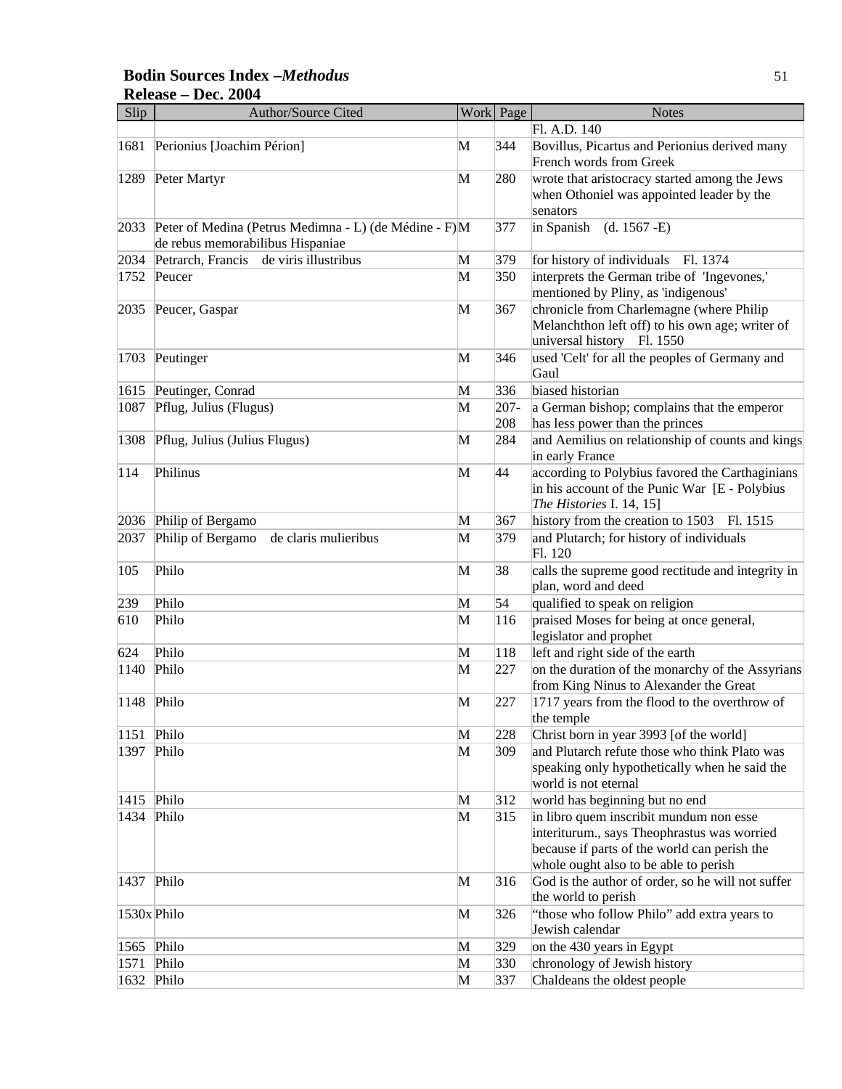# **Bodin Sources Index –***Methodus* 51 **Release – Dec. 2004**

| Slip           | <b>Author/Source Cited</b>                                                                |   | Work Page      | <b>Notes</b>                                                                                                                                                                    |
|----------------|-------------------------------------------------------------------------------------------|---|----------------|---------------------------------------------------------------------------------------------------------------------------------------------------------------------------------|
|                |                                                                                           |   |                | Fl. A.D. 140                                                                                                                                                                    |
| 1681           | Perionius [Joachim Périon]                                                                | M | 344            | Bovillus, Picartus and Perionius derived many<br>French words from Greek                                                                                                        |
| 1289           | Peter Martyr                                                                              | M | 280            | wrote that aristocracy started among the Jews<br>when Othoniel was appointed leader by the<br>senators                                                                          |
| 2033           | Peter of Medina (Petrus Medimna - L) (de Médine - F)M<br>de rebus memorabilibus Hispaniae |   | 377            | in Spanish<br>$(d. 1567 - E)$                                                                                                                                                   |
| 2034           | Petrarch, Francis de viris illustribus                                                    | M | 379            | for history of individuals Fl. 1374                                                                                                                                             |
| 1752           | Peucer                                                                                    | M | 350            | interprets the German tribe of 'Ingevones,'<br>mentioned by Pliny, as 'indigenous'                                                                                              |
| 2035           | Peucer, Gaspar                                                                            | M | 367            | chronicle from Charlemagne (where Philip<br>Melanchthon left off) to his own age; writer of<br>universal history Fl. 1550                                                       |
| 1703           | Peutinger                                                                                 | M | 346            | used 'Celt' for all the peoples of Germany and<br>Gaul                                                                                                                          |
| 1615           | Peutinger, Conrad                                                                         | M | 336            | biased historian                                                                                                                                                                |
| 1087           | Pflug, Julius (Flugus)                                                                    | M | $207 -$<br>208 | a German bishop; complains that the emperor<br>has less power than the princes                                                                                                  |
| 1308           | Pflug, Julius (Julius Flugus)                                                             | M | 284            | and Aemilius on relationship of counts and kings<br>in early France                                                                                                             |
| 114            | Philinus                                                                                  | M | 44             | according to Polybius favored the Carthaginians<br>in his account of the Punic War [E - Polybius<br>The Histories I. 14, 15]                                                    |
| 2036           | Philip of Bergamo                                                                         | M | 367            | history from the creation to 1503<br>Fl. 1515                                                                                                                                   |
| 2037           | Philip of Bergamo<br>de claris mulieribus                                                 | M | 379            | and Plutarch; for history of individuals<br>Fl. 120                                                                                                                             |
| 105            | Philo                                                                                     | M | 38             | calls the supreme good rectitude and integrity in<br>plan, word and deed                                                                                                        |
| 239            | Philo                                                                                     | M | 54             | qualified to speak on religion                                                                                                                                                  |
| 610            | Philo                                                                                     | M | 116            | praised Moses for being at once general,<br>legislator and prophet                                                                                                              |
| 624            | Philo                                                                                     | M | 118            | left and right side of the earth                                                                                                                                                |
| $ 1140\rangle$ | Philo                                                                                     | M | 227            | on the duration of the monarchy of the Assyrians<br>from King Ninus to Alexander the Great                                                                                      |
| 1148           | Philo                                                                                     | M | 227            | 1717 years from the flood to the overthrow of<br>the temple                                                                                                                     |
| 1151           | Philo                                                                                     | M | 228            | Christ born in year 3993 [of the world]                                                                                                                                         |
| 1397           | Philo                                                                                     | M | 309            | and Plutarch refute those who think Plato was<br>speaking only hypothetically when he said the<br>world is not eternal                                                          |
| 1415           | Philo                                                                                     | M | 312            | world has beginning but no end                                                                                                                                                  |
| 1434           | Philo                                                                                     | M | 315            | in libro quem inscribit mundum non esse<br>interiturum., says Theophrastus was worried<br>because if parts of the world can perish the<br>whole ought also to be able to perish |
| 1437 Philo     |                                                                                           | M | 316            | God is the author of order, so he will not suffer<br>the world to perish                                                                                                        |
| 1530x Philo    |                                                                                           | M | 326            | "those who follow Philo" add extra years to<br>Jewish calendar                                                                                                                  |
| 1565           | Philo                                                                                     | M | 329            | on the 430 years in Egypt                                                                                                                                                       |
| 1571           | Philo                                                                                     | M | 330            | chronology of Jewish history                                                                                                                                                    |
|                | 1632 Philo                                                                                | M | 337            | Chaldeans the oldest people                                                                                                                                                     |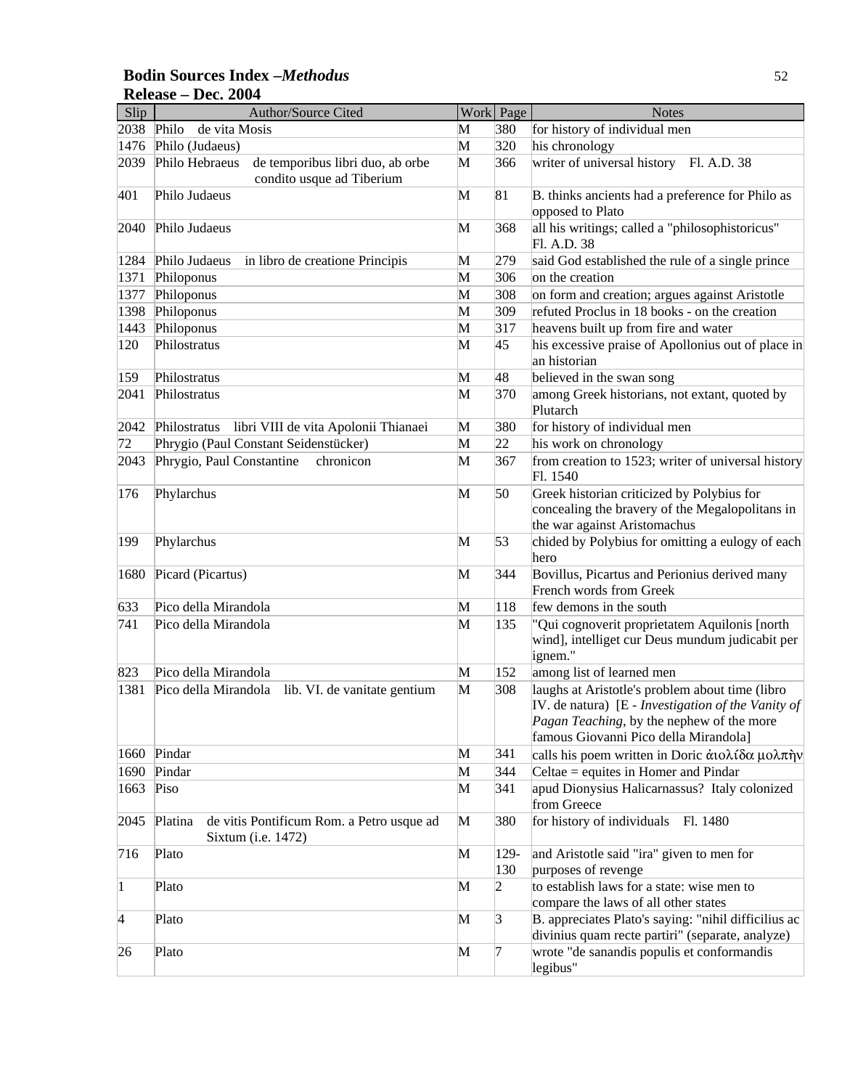### **Bodin Sources Index –***Methodus* 52 **Release – Dec. 2004**

| Slip        | <b>Author/Source Cited</b>                                                      |        | Work Page      | <b>Notes</b>                                                                                                                                                                                |
|-------------|---------------------------------------------------------------------------------|--------|----------------|---------------------------------------------------------------------------------------------------------------------------------------------------------------------------------------------|
| 2038        | de vita Mosis<br>Philo                                                          | M      | 380            | for history of individual men                                                                                                                                                               |
| 1476        | Philo (Judaeus)                                                                 | M      | 320            | his chronology                                                                                                                                                                              |
| 2039        | Philo Hebraeus<br>de temporibus libri duo, ab orbe<br>condito usque ad Tiberium | M      | 366            | writer of universal history Fl. A.D. 38                                                                                                                                                     |
| 401         | Philo Judaeus                                                                   | M      | 81             | B. thinks ancients had a preference for Philo as<br>opposed to Plato                                                                                                                        |
| 2040        | Philo Judaeus                                                                   | M      | 368            | all his writings; called a "philosophistoricus"                                                                                                                                             |
|             |                                                                                 |        |                | Fl. A.D. 38                                                                                                                                                                                 |
| 1284        | Philo Judaeus<br>in libro de creatione Principis                                | М      | 279            | said God established the rule of a single prince<br>on the creation                                                                                                                         |
| 1371        | Philoponus<br>Philoponus                                                        | M<br>M | 306            |                                                                                                                                                                                             |
| 1377        |                                                                                 | M      | 308<br>309     | on form and creation; argues against Aristotle<br>refuted Proclus in 18 books - on the creation                                                                                             |
| 1398        | Philoponus                                                                      | M      | 317            |                                                                                                                                                                                             |
| 1443        | Philoponus                                                                      |        |                | heavens built up from fire and water                                                                                                                                                        |
| 120         | Philostratus                                                                    | M      | 45             | his excessive praise of Apollonius out of place in<br>an historian                                                                                                                          |
| 159         | Philostratus                                                                    | M      | 48             | believed in the swan song                                                                                                                                                                   |
| 2041        | Philostratus                                                                    | M      | 370            | among Greek historians, not extant, quoted by<br>Plutarch                                                                                                                                   |
| 2042        | libri VIII de vita Apolonii Thianaei<br>Philostratus                            | M      | 380            | for history of individual men                                                                                                                                                               |
| 72          | Phrygio (Paul Constant Seidenstücker)                                           | M      | 22             | his work on chronology                                                                                                                                                                      |
| 2043        | Phrygio, Paul Constantine<br>chronicon                                          | M      | 367            | from creation to 1523; writer of universal history<br>Fl. 1540                                                                                                                              |
| 176         | Phylarchus                                                                      | M      | 50             | Greek historian criticized by Polybius for<br>concealing the bravery of the Megalopolitans in<br>the war against Aristomachus                                                               |
| 199         | Phylarchus                                                                      | M      | 53             | chided by Polybius for omitting a eulogy of each<br>hero                                                                                                                                    |
| 1680        | Picard (Picartus)                                                               | M      | 344            | Bovillus, Picartus and Perionius derived many<br>French words from Greek                                                                                                                    |
| 633         | Pico della Mirandola                                                            | M      | 118            | few demons in the south                                                                                                                                                                     |
| 741         | Pico della Mirandola                                                            | M      | 135            | "Qui cognoverit proprietatem Aquilonis [north<br>wind], intelliget cur Deus mundum judicabit per<br>ignem."                                                                                 |
| 823         | Pico della Mirandola                                                            | M      | 152            | among list of learned men                                                                                                                                                                   |
| 1381        | Pico della Mirandola<br>lib. VI. de vanitate gentium                            | M      | 308            | laughs at Aristotle's problem about time (libro<br>IV. de natura) [E - Investigation of the Vanity of<br>Pagan Teaching, by the nephew of the more<br>famous Giovanni Pico della Mirandola] |
| 1660        | Pindar                                                                          | M      | 341            | calls his poem written in Doric ατολίδα μολπήν                                                                                                                                              |
| 1690        | Pindar                                                                          | M      | 344            | Celtae $=$ equites in Homer and Pindar                                                                                                                                                      |
| 1663        | Piso                                                                            | M      | 341            | apud Dionysius Halicarnassus? Italy colonized<br>from Greece                                                                                                                                |
| 2045        | Platina<br>de vitis Pontificum Rom. a Petro usque ad<br>Sixtum (i.e. 1472)      | M      | 380            | for history of individuals Fl. 1480                                                                                                                                                         |
| 716         | Plato                                                                           | M      | 129-<br>130    | and Aristotle said "ira" given to men for<br>purposes of revenge                                                                                                                            |
| $\mathbf 1$ | Plato                                                                           | M      | $\overline{2}$ | to establish laws for a state: wise men to<br>compare the laws of all other states                                                                                                          |
| 4           | Plato                                                                           | M      | $\vert$ 3      | B. appreciates Plato's saying: "nihil difficilius ac<br>divinius quam recte partiri" (separate, analyze)                                                                                    |
| 26          | Plato                                                                           | M      | 7              | wrote "de sanandis populis et conformandis<br>legibus"                                                                                                                                      |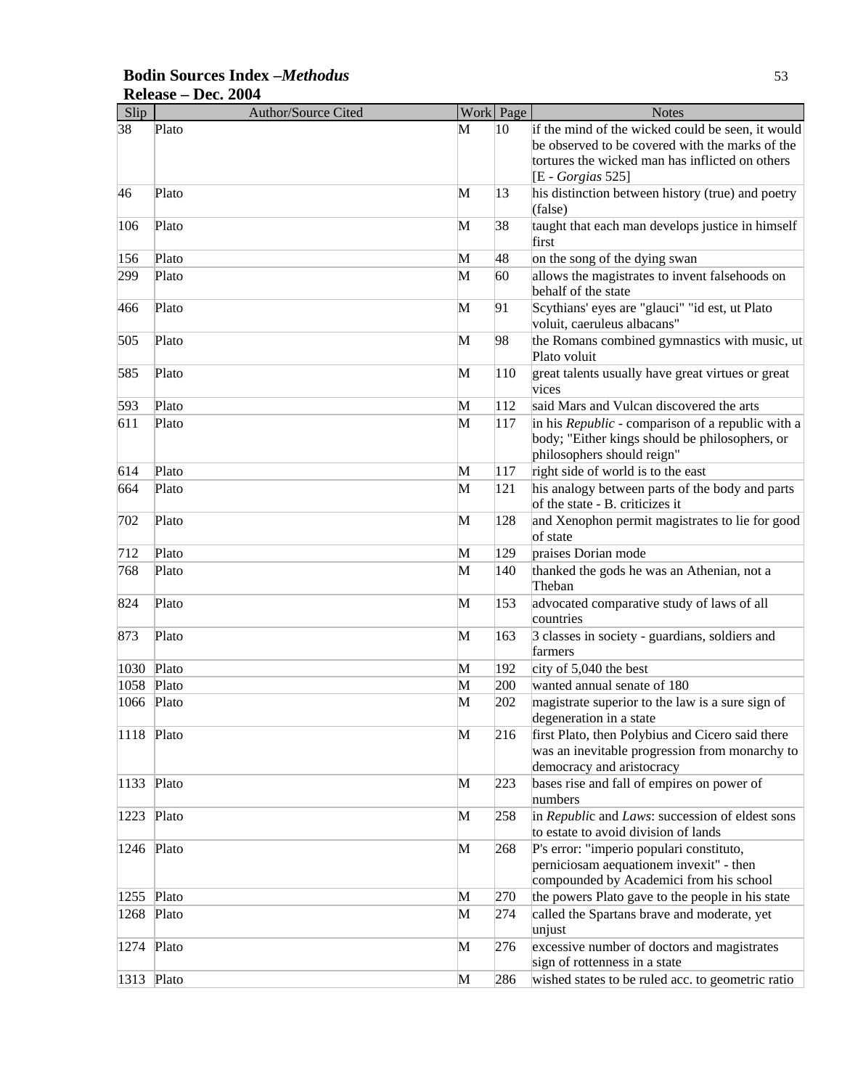| Slip         | <b>Author/Source Cited</b> |   | Work Page | <b>Notes</b>                                                |
|--------------|----------------------------|---|-----------|-------------------------------------------------------------|
| 38           | Plato                      | M | 10        | if the mind of the wicked could be seen, it would           |
|              |                            |   |           | be observed to be covered with the marks of the             |
|              |                            |   |           | tortures the wicked man has inflicted on others             |
|              |                            |   |           | [E - Gorgias 525]                                           |
| 46           | Plato                      | M | 13        | his distinction between history (true) and poetry           |
|              |                            |   |           | (false)                                                     |
| 106          | Plato                      | M | 38        | taught that each man develops justice in himself            |
|              |                            |   |           | first                                                       |
| 156          | Plato                      | M | 48        | on the song of the dying swan                               |
| 299          | Plato                      | M | 60        | allows the magistrates to invent falsehoods on              |
|              |                            |   |           | behalf of the state                                         |
| 466          | Plato                      | M | 91        | Scythians' eyes are "glauci" "id est, ut Plato              |
|              |                            |   |           | voluit, caeruleus albacans"                                 |
| 505          | Plato                      | M | 98        | the Romans combined gymnastics with music, ut               |
|              |                            |   |           | Plato voluit                                                |
| 585          | Plato                      | M | 110       | great talents usually have great virtues or great           |
|              |                            |   |           | vices                                                       |
| 593          | Plato                      | M | 112       | said Mars and Vulcan discovered the arts                    |
| 611          | Plato                      | M | 117       | in his Republic - comparison of a republic with a           |
|              |                            |   |           | body; "Either kings should be philosophers, or              |
|              |                            |   |           | philosophers should reign"                                  |
| 614          | Plato                      | M | 117       | right side of world is to the east                          |
| 664          |                            |   |           |                                                             |
|              | Plato                      | M | 121       | his analogy between parts of the body and parts             |
|              |                            |   |           | of the state - B. criticizes it                             |
| 702          | Plato                      | M | 128       | and Xenophon permit magistrates to lie for good<br>of state |
|              |                            |   |           |                                                             |
| 712          | Plato                      | M | 129       | praises Dorian mode                                         |
| 768          | Plato                      | M | 140       | thanked the gods he was an Athenian, not a                  |
|              |                            |   |           | Theban                                                      |
| 824          | Plato                      | M | 153       | advocated comparative study of laws of all                  |
|              |                            |   |           | countries                                                   |
| 873          | Plato                      | M | 163       | 3 classes in society - guardians, soldiers and              |
|              |                            |   |           | farmers                                                     |
| 1030         | Plato                      | M | 192       | city of 5,040 the best                                      |
| 1058         | Plato                      | M | 200       | wanted annual senate of 180                                 |
| 1066         | Plato                      | M | 202       | magistrate superior to the law is a sure sign of            |
|              |                            |   |           | degeneration in a state                                     |
| 1118         | Plato                      | M | 216       | first Plato, then Polybius and Cicero said there            |
|              |                            |   |           | was an inevitable progression from monarchy to              |
|              |                            |   |           | democracy and aristocracy                                   |
| 1133         | Plato                      | M | 223       | bases rise and fall of empires on power of                  |
|              |                            |   |           | numbers                                                     |
| 1223         | Plato                      | M | 258       | in Republic and Laws: succession of eldest sons             |
|              |                            |   |           | to estate to avoid division of lands                        |
| $1246$ Plato |                            | M | 268       | P's error: "imperio populari constituto,                    |
|              |                            |   |           | perniciosam aequationem invexit" - then                     |
|              |                            |   |           | compounded by Academici from his school                     |
| 1255         | Plato                      | M | 270       | the powers Plato gave to the people in his state            |
| 1268         | Plato                      | M | 274       | called the Spartans brave and moderate, yet                 |
|              |                            |   |           | unjust                                                      |
| 1274         | Plato                      | M | 276       | excessive number of doctors and magistrates                 |
|              |                            |   |           | sign of rottenness in a state                               |
| 1313 Plato   |                            | M | 286       | wished states to be ruled acc. to geometric ratio           |

# **Bodin Sources Index –***Methodus* 53 **Release – Dec. 2004**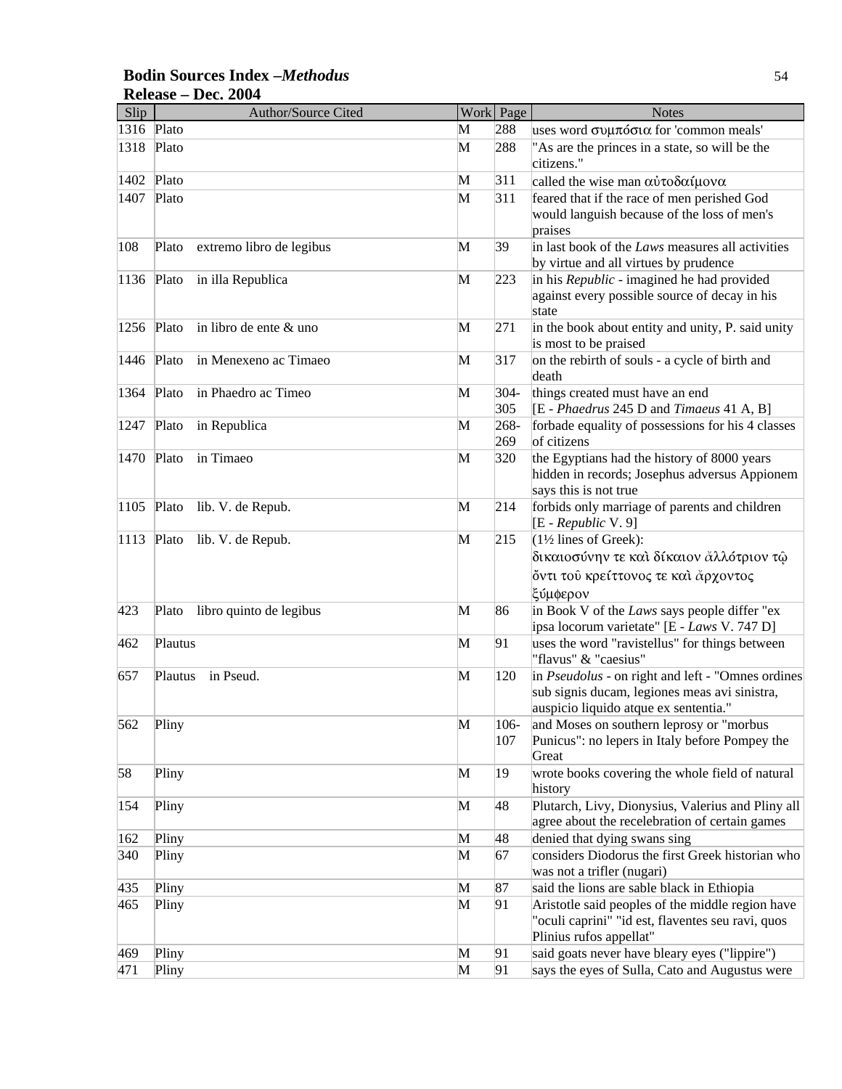#### Slip Author/Source Cited Work Page Notes 1316 Plato M 288 uses word συμπόσια for 'common meals' 1318 Plato **M** 288 <sup>"</sup>As are the princes in a state, so will be the citizens." 1402 Plato M  $\frac{311}{2}$  called the wise man αὐτοδαίμονα 1407 Plato M 311 feared that if the race of men perished God would languish because of the loss of men's praises 108 Plato extremo libro de legibus M 39 in last book of the *Laws* measures all activities by virtue and all virtues by prudence 1136 Plato in illa Republica M 223 in his *Republic* - imagined he had provided against every possible source of decay in his state 1256 Plato in libro de ente & uno M 271 in the book about entity and unity, P. said unity is most to be praised 1446 Plato in Menexeno ac Timaeo M 317 on the rebirth of souls - a cycle of birth and death 1364 Plato in Phaedro ac Timeo M 304-305 things created must have an end [E - *Phaedrus* 245 D and *Timaeus* 41 A, B] 1247 Plato in Republica M 268-269 forbade equality of possessions for his 4 classes of citizens 1470 Plato in Timaeo M 320 the Egyptians had the history of 8000 years hidden in records; Josephus adversus Appionem says this is not true 1105 Plato lib. V. de Repub. M 214 forbids only marriage of parents and children [E - *Republic* V. 9] 1113 Plato lib. V. de Repub.  $\mathbb{M}$  215  $(1\frac{1}{2})$  lines of Greek): δικαιοσύνην τε και δίκαιον άλλότριον τώ ὄντι τοῦ κρείττονος τε καὶ ἄρχοντος ξύμφερον 423 Plato libro quinto de legibus M 86 in Book V of the *Laws* says people differ "ex ipsa locorum varietate" [E - *Laws* V. 747 D] 462 Plautus M 91 uses the word "ravistellus" for things between "flavus" & "caesius" 657 Plautus in Pseud. M 120 in *Pseudolus* - on right and left - "Omnes ordines sub signis ducam, legiones meas avi sinistra, auspicio liquido atque ex sententia." 562 Pliny M 106- $|107\rangle$ and Moses on southern leprosy or "morbus Punicus": no lepers in Italy before Pompey the Great 58 Pliny M 19 wrote books covering the whole field of natural history 154 Pliny M 48 Plutarch, Livy, Dionysius, Valerius and Pliny all agree about the recelebration of certain games 162 Pliny M 48 denied that dying swans sing 340 Pliny M 67 considers Diodorus the first Greek historian who was not a trifler (nugari) 435 Pliny **M** 87 said the lions are sable black in Ethiopia 465 Pliny 2003 and  $\overline{M}$  91 Aristotle said peoples of the middle region have "oculi caprini" "id est, flaventes seu ravi, quos Plinius rufos appellat" 469 Pliny 2008 Pliny M 91 said goats never have bleary eyes ("lippire") 471 Pliny **M** 91 says the eyes of Sulla, Cato and Augustus were

#### **Bodin Sources Index –***Methodus* 54 **Release – Dec. 2004**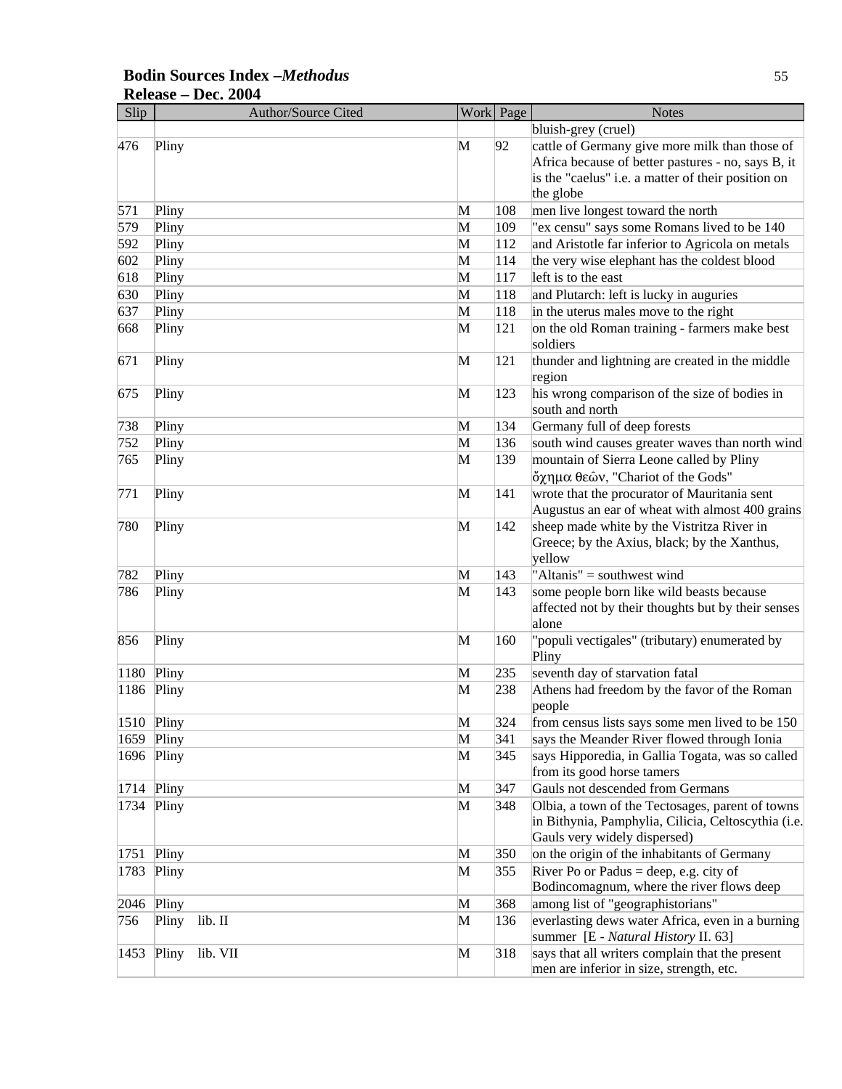#### Slip Author/Source Cited Work Page Notes bluish-grey (cruel) 476 Pliny 2 cattle of Germany give more milk than those of Africa because of better pastures - no, says B, it is the "caelus" i.e. a matter of their position on the globe 571 Pliny M  $\vert$  108 men live longest toward the north 579 Pliny M 109 "ex censu" says some Romans lived to be 140 592 Pliny M 112 and Aristotle far inferior to Agricola on metals  $\overline{M}$  114 the very wise elephant has the coldest blood  $618$  Pliny  $\mathbf{M}$  117 left is to the east 630 Pliny M 118 and Plutarch: left is lucky in auguries  $\overline{637}$  Pliny Piny M  $\overline{118}$  in the uterus males move to the right 668 Pliny M 121 on the old Roman training - farmers make best soldiers  $\overline{M}$  121 thunder and lightning are created in the middle region 675 Pliny M 123 his wrong comparison of the size of bodies in south and north 738 Pliny M 134 Germany full of deep forests 752 Pliny M 136 south wind causes greater waves than north wind 765 Pliny M 139 mountain of Sierra Leone called by Pliny Ðχημα θεäν, "Chariot of the Gods"  $771$  Pliny Pliny  $141$  wrote that the procurator of Mauritania sent Augustus an ear of wheat with almost 400 grains 780 Pliny M 142 sheep made white by the Vistritza River in Greece; by the Axius, black; by the Xanthus, yellow 782 Pliny M 143 "Altanis" = southwest wind 786 Pliny M 143 some people born like wild beasts because affected not by their thoughts but by their senses alone 856 Pliny 2008 and the M 160 "populi vectigales" (tributary) enumerated by Pliny 1180 Pliny M 235 seventh day of starvation fatal 1186 Pliny 1186 Pliny 1238 Athens had freedom by the favor of the Roman people 1510 Pliny M 324 from census lists says some men lived to be 150 1659 Pliny 2012 1659 Pliny 2013 M 341 says the Meander River flowed through Ionia 1696 Pliny M 345 says Hipporedia, in Gallia Togata, was so called from its good horse tamers 1714 Pliny 2012 1714 Pliny 2013 1714 Pliny 1734 Pliny M 348 Olbia, a town of the Tectosages, parent of towns in Bithynia, Pamphylia, Cilicia, Celtoscythia (i.e. Gauls very widely dispersed) 1751 Pliny M 350 on the origin of the inhabitants of Germany 1783 Pliny M 355 River Po or Padus = deep, e.g. city of Bodincomagnum, where the river flows deep 2046 Pliny M 368 among list of "geographistorians" 756 Pliny lib. II M 136 everlasting dews water Africa, even in a burning summer [E - *Natural History* II. 63] 1453 Pliny lib. VII M 318 says that all writers complain that the present men are inferior in size, strength, etc.

### **Bodin Sources Index –***Methodus* 55 **Release – Dec. 2004**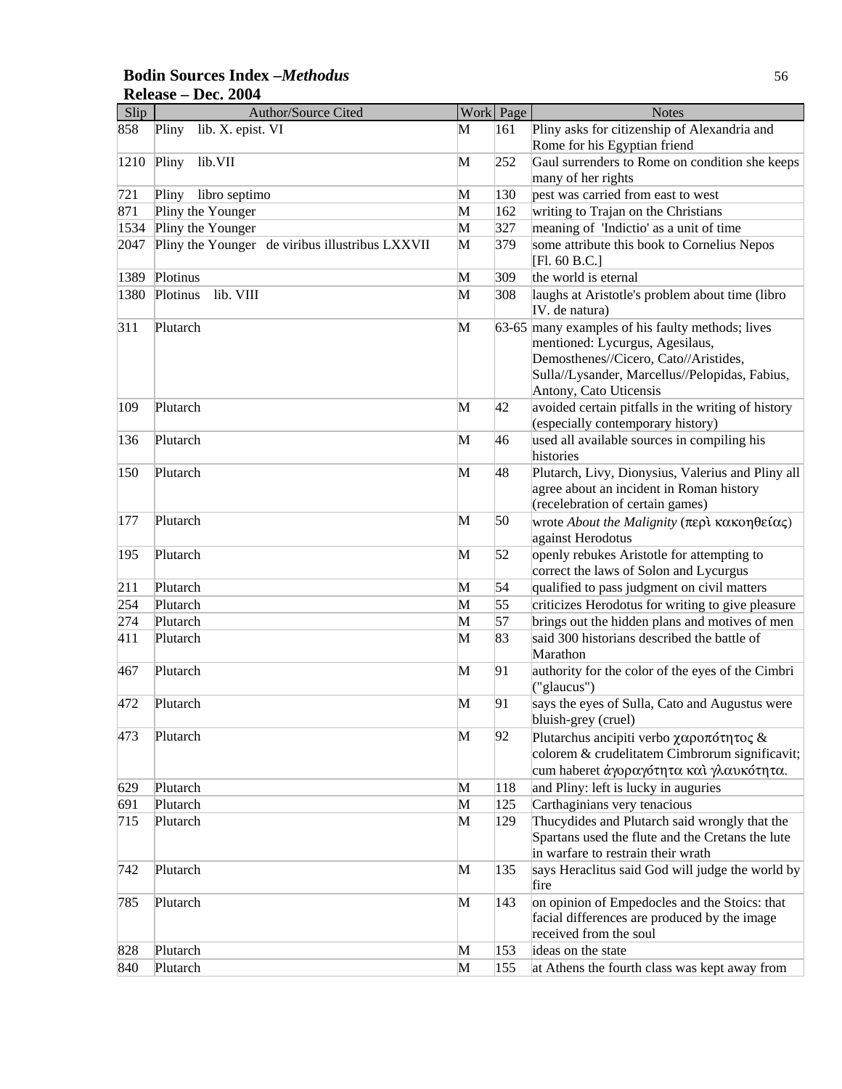### **Bodin Sources Index –***Methodus* 56 **Release – Dec. 2004**

| Slip | Author/Source Cited                             |   | Work Page | <b>Notes</b>                                                                                                                                                                                             |
|------|-------------------------------------------------|---|-----------|----------------------------------------------------------------------------------------------------------------------------------------------------------------------------------------------------------|
| 858  | lib. X. epist. VI<br>Pliny                      | М | 161       | Pliny asks for citizenship of Alexandria and<br>Rome for his Egyptian friend                                                                                                                             |
| 1210 | Pliny<br>lib.VII                                | M | 252       | Gaul surrenders to Rome on condition she keeps<br>many of her rights                                                                                                                                     |
| 721  | Pliny<br>libro septimo                          | M | 130       | pest was carried from east to west                                                                                                                                                                       |
| 871  | Pliny the Younger                               | M | 162       | writing to Trajan on the Christians                                                                                                                                                                      |
| 1534 | Pliny the Younger                               | M | 327       | meaning of 'Indictio' as a unit of time                                                                                                                                                                  |
| 2047 | Pliny the Younger de viribus illustribus LXXVII | M | 379       | some attribute this book to Cornelius Nepos                                                                                                                                                              |
|      |                                                 |   |           | [Fl. 60 B.C.]                                                                                                                                                                                            |
| 1389 | Plotinus                                        | M | 309       | the world is eternal                                                                                                                                                                                     |
| 1380 | Plotinus<br>lib. VIII                           | M | 308       | laughs at Aristotle's problem about time (libro                                                                                                                                                          |
|      |                                                 |   |           | IV. de natura)                                                                                                                                                                                           |
| 311  | Plutarch                                        | M |           | 63-65 many examples of his faulty methods; lives<br>mentioned: Lycurgus, Agesilaus,<br>Demosthenes//Cicero, Cato//Aristides,<br>Sulla//Lysander, Marcellus//Pelopidas, Fabius,<br>Antony, Cato Uticensis |
| 109  | Plutarch                                        | M | 42        | avoided certain pitfalls in the writing of history<br>(especially contemporary history)                                                                                                                  |
| 136  | Plutarch                                        | M | 46        | used all available sources in compiling his<br>histories                                                                                                                                                 |
| 150  | Plutarch                                        | M | 48        | Plutarch, Livy, Dionysius, Valerius and Pliny all<br>agree about an incident in Roman history<br>(recelebration of certain games)                                                                        |
| 177  | Plutarch                                        | M | 50        | wrote <i>About the Malignity</i> (περὶ κακοηθείας)<br>against Herodotus                                                                                                                                  |
| 195  | Plutarch                                        | M | 52        | openly rebukes Aristotle for attempting to<br>correct the laws of Solon and Lycurgus                                                                                                                     |
| 211  | Plutarch                                        | M | 54        | qualified to pass judgment on civil matters                                                                                                                                                              |
| 254  | Plutarch                                        | M | 55        | criticizes Herodotus for writing to give pleasure                                                                                                                                                        |
| 274  | Plutarch                                        | M | 57        | brings out the hidden plans and motives of men                                                                                                                                                           |
| 411  | Plutarch                                        | M | 83        | said 300 historians described the battle of<br>Marathon                                                                                                                                                  |
| 467  | Plutarch                                        | M | 91        | authority for the color of the eyes of the Cimbri<br>("glaucus")                                                                                                                                         |
| 472  | Plutarch                                        | M | 91        | says the eyes of Sulla, Cato and Augustus were<br>bluish-grey (cruel)                                                                                                                                    |
| 473  | Plutarch                                        | M | 92        | Plutarchus ancipiti verbo $\chi \alpha \rho$ o $\pi$ ó $\tau \eta \tau$ o $\varsigma \&$<br>colorem & crudelitatem Cimbrorum significavit;<br>cum haberet άγοραγότητα και γλαυκότητα.                    |
| 629  | Plutarch                                        | M | 118       | and Pliny: left is lucky in auguries                                                                                                                                                                     |
| 691  | Plutarch                                        | M | 125       | Carthaginians very tenacious                                                                                                                                                                             |
| 715  | Plutarch                                        | M | 129       | Thucydides and Plutarch said wrongly that the<br>Spartans used the flute and the Cretans the lute<br>in warfare to restrain their wrath                                                                  |
| 742  | Plutarch                                        | M | 135       | says Heraclitus said God will judge the world by<br>fire                                                                                                                                                 |
| 785  | Plutarch                                        | M | 143       | on opinion of Empedocles and the Stoics: that<br>facial differences are produced by the image<br>received from the soul                                                                                  |
| 828  | Plutarch                                        | M | 153       | ideas on the state                                                                                                                                                                                       |
| 840  | Plutarch                                        | M | 155       | at Athens the fourth class was kept away from                                                                                                                                                            |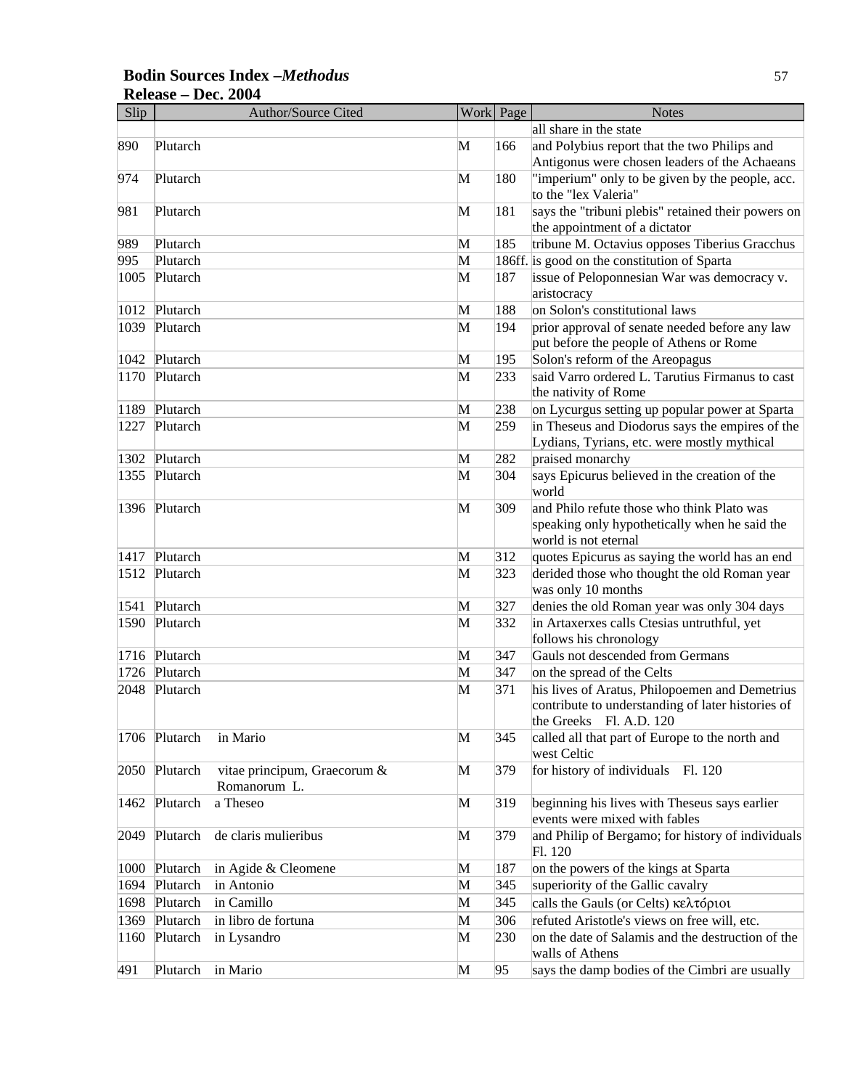### **Bodin Sources Index –***Methodus* 57 **Release – Dec. 2004**

| Slip |          | Author/Source Cited          |   | Work Page | <b>Notes</b>                                       |
|------|----------|------------------------------|---|-----------|----------------------------------------------------|
|      |          |                              |   |           | all share in the state                             |
| 890  | Plutarch |                              | М | 166       | and Polybius report that the two Philips and       |
|      |          |                              |   |           | Antigonus were chosen leaders of the Achaeans      |
| 974  | Plutarch |                              | M | 180       | "imperium" only to be given by the people, acc.    |
|      |          |                              |   |           | to the "lex Valeria"                               |
| 981  | Plutarch |                              | M | 181       | says the "tribuni plebis" retained their powers on |
|      |          |                              |   |           | the appointment of a dictator                      |
| 989  | Plutarch |                              | M | 185       | tribune M. Octavius opposes Tiberius Gracchus      |
| 995  | Plutarch |                              | M |           | 186ff. is good on the constitution of Sparta       |
| 1005 | Plutarch |                              | M | 187       | issue of Peloponnesian War was democracy v.        |
|      |          |                              |   |           | aristocracy                                        |
| 1012 | Plutarch |                              | M | 188       | on Solon's constitutional laws                     |
| 1039 | Plutarch |                              | M | 194       | prior approval of senate needed before any law     |
|      |          |                              |   |           | put before the people of Athens or Rome            |
| 1042 | Plutarch |                              | M | 195       | Solon's reform of the Areopagus                    |
| 1170 | Plutarch |                              | M | 233       | said Varro ordered L. Tarutius Firmanus to cast    |
|      |          |                              |   |           | the nativity of Rome                               |
| 1189 | Plutarch |                              | M | 238       | on Lycurgus setting up popular power at Sparta     |
| 1227 | Plutarch |                              | M | 259       | in Theseus and Diodorus says the empires of the    |
|      |          |                              |   |           | Lydians, Tyrians, etc. were mostly mythical        |
| 1302 | Plutarch |                              | M | 282       | praised monarchy                                   |
| 1355 | Plutarch |                              | M | 304       | says Epicurus believed in the creation of the      |
|      |          |                              |   |           | world                                              |
| 1396 | Plutarch |                              | M | 309       | and Philo refute those who think Plato was         |
|      |          |                              |   |           | speaking only hypothetically when he said the      |
|      |          |                              |   |           | world is not eternal                               |
| 1417 | Plutarch |                              | M | 312       | quotes Epicurus as saying the world has an end     |
| 1512 | Plutarch |                              | M | 323       | derided those who thought the old Roman year       |
|      |          |                              |   |           | was only 10 months                                 |
| 1541 | Plutarch |                              | M | 327       | denies the old Roman year was only 304 days        |
| 1590 | Plutarch |                              | M | 332       | in Artaxerxes calls Ctesias untruthful, yet        |
|      |          |                              |   |           | follows his chronology                             |
| 1716 | Plutarch |                              | M | 347       | Gauls not descended from Germans                   |
| 1726 | Plutarch |                              | M | 347       | on the spread of the Celts                         |
| 2048 | Plutarch |                              | M | 371       | his lives of Aratus, Philopoemen and Demetrius     |
|      |          |                              |   |           | contribute to understanding of later histories of  |
|      |          |                              |   |           | the Greeks Fl. A.D. 120                            |
| 1706 | Plutarch | in Mario                     | M | 345       | called all that part of Europe to the north and    |
|      |          |                              |   |           | west Celtic                                        |
| 2050 | Plutarch | vitae principum, Graecorum & | M | 379       | for history of individuals Fl. 120                 |
|      |          | Romanorum L.                 |   |           |                                                    |
| 1462 | Plutarch | a Theseo                     | M | 319       | beginning his lives with Theseus says earlier      |
|      |          |                              |   |           | events were mixed with fables                      |
| 2049 | Plutarch | de claris mulieribus         | M | 379       | and Philip of Bergamo; for history of individuals  |
|      |          |                              |   |           | Fl. 120                                            |
| 1000 | Plutarch | in Agide & Cleomene          | M | 187       | on the powers of the kings at Sparta               |
| 1694 | Plutarch | in Antonio                   | M | 345       | superiority of the Gallic cavalry                  |
| 1698 | Plutarch | in Camillo                   | M | 345       | calls the Gauls (or Celts) κελτόριοι               |
| 1369 | Plutarch | in libro de fortuna          | M | 306       | refuted Aristotle's views on free will, etc.       |
| 1160 | Plutarch | in Lysandro                  | M | 230       | on the date of Salamis and the destruction of the  |
|      |          |                              |   |           | walls of Athens                                    |
| 491  | Plutarch | in Mario                     | M | 95        | says the damp bodies of the Cimbri are usually     |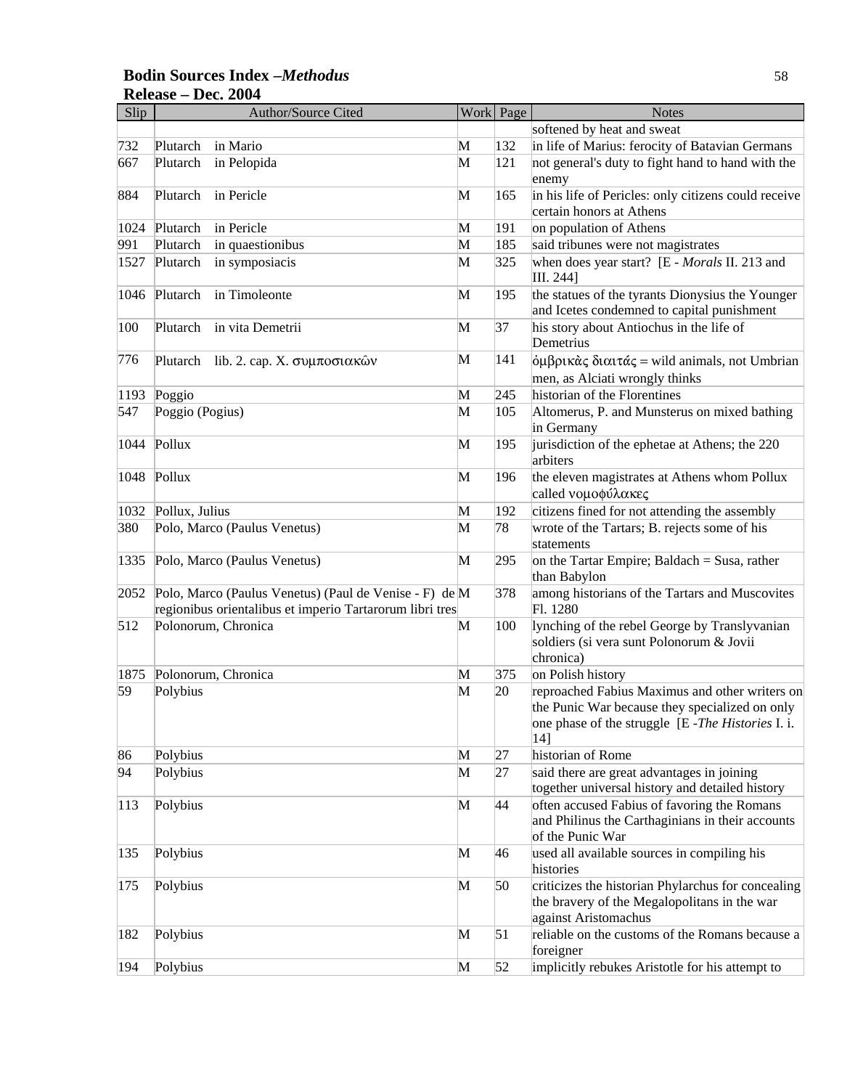### **Bodin Sources Index –***Methodus* 58 **Release – Dec. 2004**

| Slip | <b>Author/Source Cited</b>                                                                                         |   | Work Page | <b>Notes</b>                                                                                                                                                  |
|------|--------------------------------------------------------------------------------------------------------------------|---|-----------|---------------------------------------------------------------------------------------------------------------------------------------------------------------|
|      |                                                                                                                    |   |           | softened by heat and sweat                                                                                                                                    |
| 732  | Plutarch<br>in Mario                                                                                               | M | 132       | in life of Marius: ferocity of Batavian Germans                                                                                                               |
| 667  | in Pelopida<br>Plutarch                                                                                            | M | 121       | not general's duty to fight hand to hand with the<br>enemy                                                                                                    |
| 884  | in Pericle<br>Plutarch                                                                                             | M | 165       | in his life of Pericles: only citizens could receive<br>certain honors at Athens                                                                              |
| 1024 | Plutarch<br>in Pericle                                                                                             | M | 191       | on population of Athens                                                                                                                                       |
| 991  | Plutarch<br>in quaestionibus                                                                                       | M | 185       | said tribunes were not magistrates                                                                                                                            |
| 1527 | Plutarch<br>in symposiacis                                                                                         | M | 325       | when does year start? [E - Morals II. 213 and<br>III. 244]                                                                                                    |
| 1046 | in Timoleonte<br>Plutarch                                                                                          | M | 195       | the statues of the tyrants Dionysius the Younger<br>and Icetes condemned to capital punishment                                                                |
| 100  | Plutarch<br>in vita Demetrii                                                                                       | M | 37        | his story about Antiochus in the life of<br>Demetrius                                                                                                         |
| 776  | Plutarch<br>lib. 2. cap. Χ. συμποσιακών                                                                            | M | 141       | $\phi$ μβρικὰς διαιτάς = wild animals, not Umbrian<br>men, as Alciati wrongly thinks                                                                          |
| 1193 | Poggio                                                                                                             | M | 245       | historian of the Florentines                                                                                                                                  |
| 547  | Poggio (Pogius)                                                                                                    | M | 105       | Altomerus, P. and Munsterus on mixed bathing<br>in Germany                                                                                                    |
| 1044 | Pollux                                                                                                             | M | 195       | jurisdiction of the ephetae at Athens; the 220<br>arbiters                                                                                                    |
| 1048 | Pollux                                                                                                             | M | 196       | the eleven magistrates at Athens whom Pollux<br>called νομοφύλακες                                                                                            |
| 1032 | Pollux, Julius                                                                                                     | M | 192       | citizens fined for not attending the assembly                                                                                                                 |
| 380  | Polo, Marco (Paulus Venetus)                                                                                       | M | 78        | wrote of the Tartars; B. rejects some of his<br>statements                                                                                                    |
| 1335 | Polo, Marco (Paulus Venetus)                                                                                       | M | 295       | on the Tartar Empire; Baldach = Susa, rather<br>than Babylon                                                                                                  |
| 2052 | Polo, Marco (Paulus Venetus) (Paul de Venise - F) de M<br>regionibus orientalibus et imperio Tartarorum libri tres |   | 378       | among historians of the Tartars and Muscovites<br>Fl. 1280                                                                                                    |
| 512  | Polonorum, Chronica                                                                                                | M | 100       | lynching of the rebel George by Translyvanian<br>soldiers (si vera sunt Polonorum & Jovii<br>chronica)                                                        |
| 1875 | Polonorum, Chronica                                                                                                | M | 375       | on Polish history                                                                                                                                             |
| 59   | Polybius                                                                                                           | M | 20        | reproached Fabius Maximus and other writers on<br>the Punic War because they specialized on only<br>one phase of the struggle [E - The Histories I. i.<br>14] |
| 86   | Polybius                                                                                                           | M | 27        | historian of Rome                                                                                                                                             |
| 94   | Polybius                                                                                                           | M | 27        | said there are great advantages in joining<br>together universal history and detailed history                                                                 |
| 113  | Polybius                                                                                                           | M | 44        | often accused Fabius of favoring the Romans<br>and Philinus the Carthaginians in their accounts<br>of the Punic War                                           |
| 135  | Polybius                                                                                                           | M | 46        | used all available sources in compiling his<br>histories                                                                                                      |
| 175  | Polybius                                                                                                           | M | 50        | criticizes the historian Phylarchus for concealing<br>the bravery of the Megalopolitans in the war<br>against Aristomachus                                    |
| 182  | Polybius                                                                                                           | M | 51        | reliable on the customs of the Romans because a<br>foreigner                                                                                                  |
| 194  | Polybius                                                                                                           | M | 52        | implicitly rebukes Aristotle for his attempt to                                                                                                               |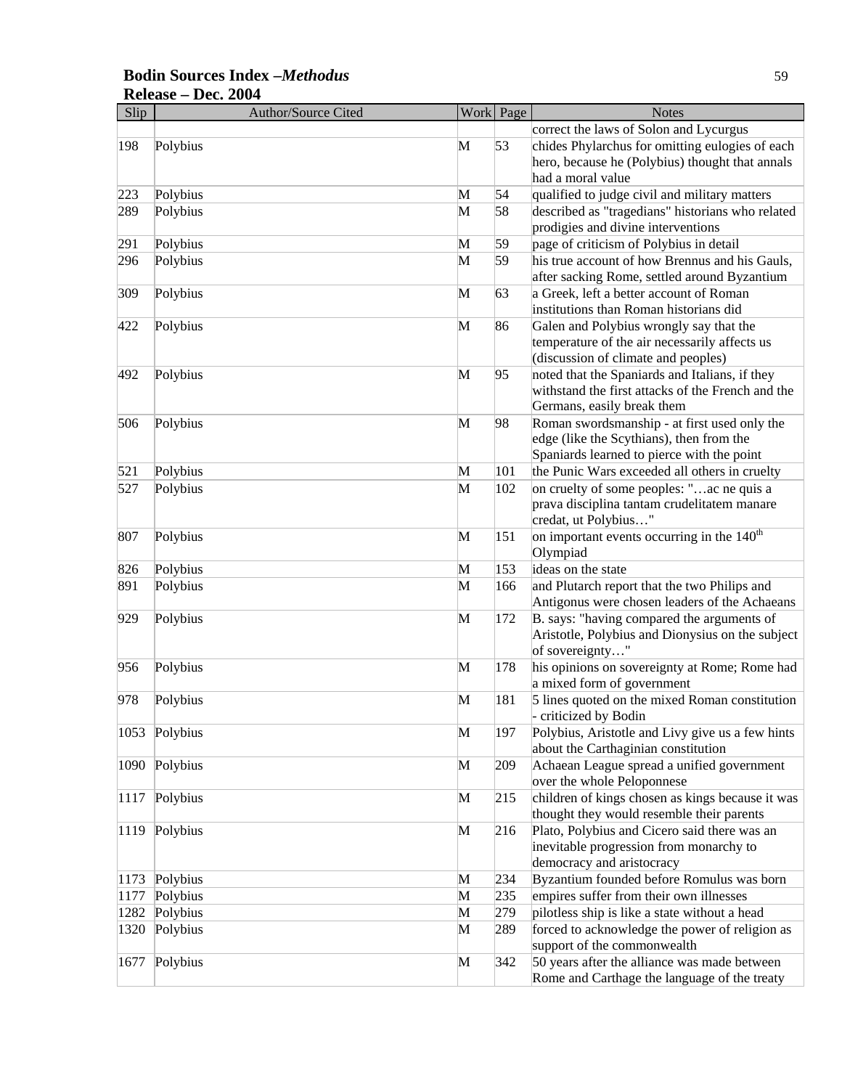# **Bodin Sources Index –***Methodus* 59 **Release – Dec. 2004**

| Slip | <b>Author/Source Cited</b> |   | Work Page | <b>Notes</b>                                           |
|------|----------------------------|---|-----------|--------------------------------------------------------|
|      |                            |   |           | correct the laws of Solon and Lycurgus                 |
| 198  | Polybius                   | M | 53        | chides Phylarchus for omitting eulogies of each        |
|      |                            |   |           | hero, because he (Polybius) thought that annals        |
|      |                            |   |           | had a moral value                                      |
| 223  | Polybius                   | М | 54        | qualified to judge civil and military matters          |
| 289  | Polybius                   | M | 58        | described as "tragedians" historians who related       |
|      |                            |   |           | prodigies and divine interventions                     |
| 291  | Polybius                   | M | 59        | page of criticism of Polybius in detail                |
| 296  | Polybius                   | M | 59        | his true account of how Brennus and his Gauls,         |
|      |                            |   |           | after sacking Rome, settled around Byzantium           |
| 309  | Polybius                   | M | 63        | a Greek, left a better account of Roman                |
|      |                            |   |           | institutions than Roman historians did                 |
| 422  | Polybius                   | M | 86        | Galen and Polybius wrongly say that the                |
|      |                            |   |           | temperature of the air necessarily affects us          |
|      |                            |   |           | (discussion of climate and peoples)                    |
| 492  | Polybius                   | M | 95        | noted that the Spaniards and Italians, if they         |
|      |                            |   |           | withstand the first attacks of the French and the      |
|      |                            |   |           | Germans, easily break them                             |
| 506  | Polybius                   | M | 98        | Roman swordsmanship - at first used only the           |
|      |                            |   |           | edge (like the Scythians), then from the               |
|      |                            |   |           | Spaniards learned to pierce with the point             |
| 521  | Polybius                   | M | 101       | the Punic Wars exceeded all others in cruelty          |
| 527  | Polybius                   | M | 102       | on cruelty of some peoples: "ac ne quis a              |
|      |                            |   |           | prava disciplina tantam crudelitatem manare            |
|      |                            |   |           | credat, ut Polybius"                                   |
| 807  | Polybius                   | M | 151       | on important events occurring in the $140^{\text{th}}$ |
|      |                            |   |           | Olympiad                                               |
| 826  | Polybius                   | M | 153       | ideas on the state                                     |
| 891  | Polybius                   | M | 166       | and Plutarch report that the two Philips and           |
|      |                            |   |           | Antigonus were chosen leaders of the Achaeans          |
| 929  | Polybius                   | M | 172       | B. says: "having compared the arguments of             |
|      |                            |   |           | Aristotle, Polybius and Dionysius on the subject       |
|      |                            |   |           | of sovereignty"                                        |
| 956  | Polybius                   | M | 178       | his opinions on sovereignty at Rome; Rome had          |
|      |                            |   |           | a mixed form of government                             |
| 978  | Polybius                   | M | 181       | 5 lines quoted on the mixed Roman constitution         |
|      |                            |   |           | - criticized by Bodin                                  |
|      | 1053 Polybius              | M | 197       | Polybius, Aristotle and Livy give us a few hints       |
|      |                            |   |           | about the Carthaginian constitution                    |
| 1090 | Polybius                   | M | 209       | Achaean League spread a unified government             |
|      |                            |   |           | over the whole Peloponnese                             |
| 1117 | Polybius                   | M | 215       | children of kings chosen as kings because it was       |
|      |                            |   |           | thought they would resemble their parents              |
| 1119 | Polybius                   | M | 216       | Plato, Polybius and Cicero said there was an           |
|      |                            |   |           | inevitable progression from monarchy to                |
|      |                            |   |           | democracy and aristocracy                              |
| 1173 | Polybius                   | M | 234       | Byzantium founded before Romulus was born              |
| 1177 | Polybius                   | M | 235       | empires suffer from their own illnesses                |
| 1282 | Polybius                   | M | 279       | pilotless ship is like a state without a head          |
| 1320 | Polybius                   | M | 289       | forced to acknowledge the power of religion as         |
|      |                            |   |           | support of the commonwealth                            |
| 1677 | Polybius                   | M | 342       | 50 years after the alliance was made between           |
|      |                            |   |           | Rome and Carthage the language of the treaty           |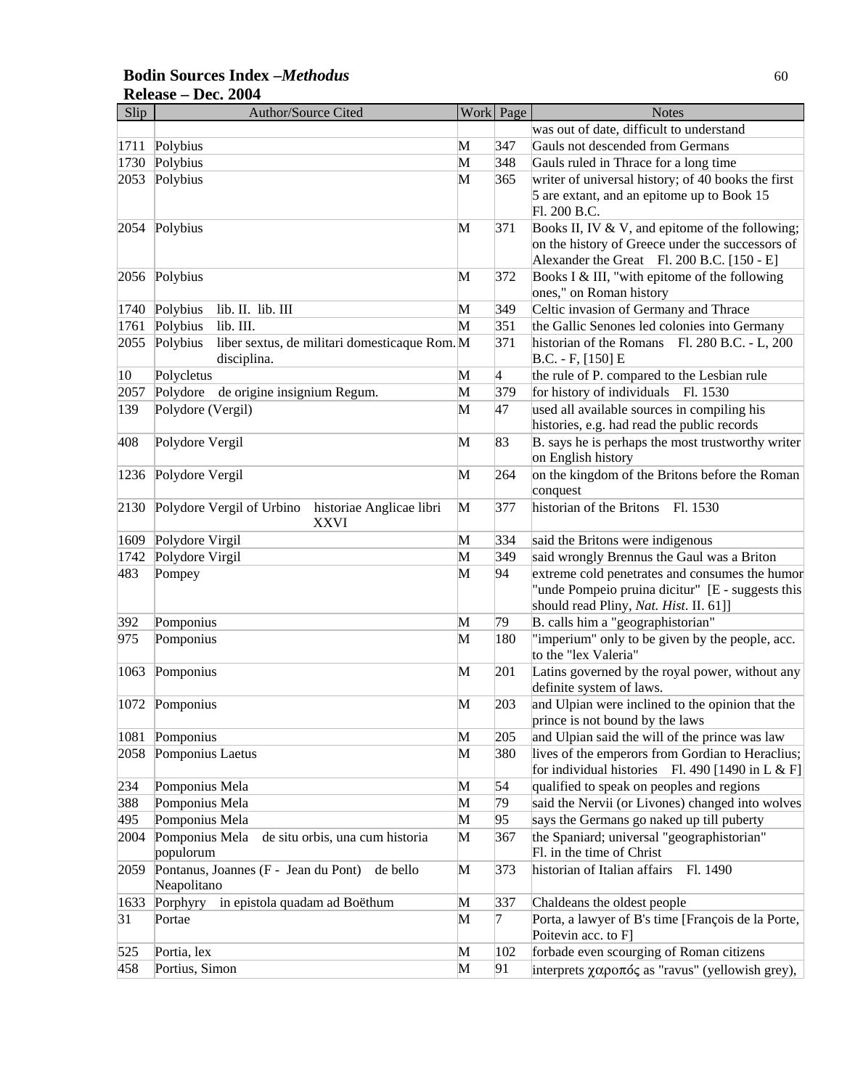### **Bodin Sources Index –***Methodus* 60 **Release – Dec. 2004**

| Slip       | Author/Source Cited                                                  |        | Work Page                | <b>Notes</b>                                                                                   |
|------------|----------------------------------------------------------------------|--------|--------------------------|------------------------------------------------------------------------------------------------|
|            |                                                                      |        |                          | was out of date, difficult to understand                                                       |
| 1711       | Polybius                                                             | М      | 347                      | Gauls not descended from Germans                                                               |
| 1730       | Polybius                                                             | M      | 348                      | Gauls ruled in Thrace for a long time                                                          |
| 2053       | Polybius                                                             | M      | 365                      | writer of universal history; of 40 books the first                                             |
|            |                                                                      |        |                          | 5 are extant, and an epitome up to Book 15                                                     |
|            |                                                                      |        |                          | Fl. 200 B.C.                                                                                   |
| 2054       | Polybius                                                             | M      | 371                      | Books II, IV & V, and epitome of the following;                                                |
|            |                                                                      |        |                          | on the history of Greece under the successors of<br>Alexander the Great Fl. 200 B.C. [150 - E] |
| 2056       | Polybius                                                             | M      | 372                      | Books I & III, "with epitome of the following                                                  |
|            |                                                                      |        |                          | ones," on Roman history                                                                        |
| 1740       | Polybius<br>lib. II. lib. III                                        | M      | 349                      | Celtic invasion of Germany and Thrace                                                          |
| 1761       | lib. III.<br>Polybius                                                | M      | 351                      | the Gallic Senones led colonies into Germany                                                   |
| 2055       | Polybius<br>liber sextus, de militari domesticaque Rom.M             |        | 371                      | historian of the Romans Fl. 280 B.C. - L, 200                                                  |
|            | disciplina.                                                          |        |                          | $B.C. - F, [150] E$                                                                            |
| 10         | Polycletus                                                           | M      | $\overline{\mathcal{A}}$ | the rule of P. compared to the Lesbian rule                                                    |
| 2057       | Polydore<br>de origine insignium Regum.                              | M      | 379                      | for history of individuals Fl. 1530                                                            |
| 139        | Polydore (Vergil)                                                    | M      | 47                       | used all available sources in compiling his                                                    |
|            |                                                                      |        |                          | histories, e.g. had read the public records                                                    |
| 408        | Polydore Vergil                                                      | M      | 83                       | B. says he is perhaps the most trustworthy writer                                              |
|            |                                                                      |        |                          | on English history                                                                             |
| 1236       | Polydore Vergil                                                      | M      | 264                      | on the kingdom of the Britons before the Roman<br>conquest                                     |
| 2130       | Polydore Vergil of Urbino<br>historiae Anglicae libri<br><b>XXVI</b> | M      | 377                      | historian of the Britons<br>Fl. 1530                                                           |
| 1609       | Polydore Virgil                                                      | M      | 334                      | said the Britons were indigenous                                                               |
| 1742       | Polydore Virgil                                                      | M      | 349                      | said wrongly Brennus the Gaul was a Briton                                                     |
| 483        | Pompey                                                               | M      | 94                       | extreme cold penetrates and consumes the humor                                                 |
|            |                                                                      |        |                          | "unde Pompeio pruina dicitur" [E - suggests this                                               |
|            |                                                                      |        |                          | should read Pliny, Nat. Hist. II. 61]]                                                         |
| 392        | Pomponius                                                            | M      | 79                       | B. calls him a "geographistorian"                                                              |
| 975        | Pomponius                                                            | M      | 180                      | "imperium" only to be given by the people, acc.<br>to the "lex Valeria"                        |
| 1063       | Pomponius                                                            | M      | 201                      | Latins governed by the royal power, without any                                                |
|            |                                                                      |        |                          | definite system of laws.                                                                       |
|            | 1072 Pomponius                                                       | M      | 203                      | and Ulpian were inclined to the opinion that the                                               |
|            |                                                                      |        |                          | prince is not bound by the laws                                                                |
| 1081       | Pomponius                                                            | M      | 205                      | and Ulpian said the will of the prince was law                                                 |
| 2058       | Pomponius Laetus                                                     | M      | 380                      | lives of the emperors from Gordian to Heraclius;                                               |
|            |                                                                      |        | 54                       | for individual histories Fl. 490 [1490 in L & F]                                               |
| 234        | Pomponius Mela                                                       | M      | 79                       | qualified to speak on peoples and regions<br>said the Nervii (or Livones) changed into wolves  |
| 388<br>495 | Pomponius Mela                                                       | M<br>M | 95                       |                                                                                                |
|            | Pomponius Mela<br>Pomponius Mela<br>de situ orbis, una cum historia  | M      | 367                      | says the Germans go naked up till puberty<br>the Spaniard; universal "geographistorian"        |
| 2004       | populorum                                                            |        |                          | Fl. in the time of Christ                                                                      |
| 2059       | Pontanus, Joannes (F - Jean du Pont)<br>de bello                     | M      | 373                      | historian of Italian affairs<br>Fl. 1490                                                       |
|            | Neapolitano                                                          |        |                          |                                                                                                |
| 1633       | Porphyry<br>in epistola quadam ad Boëthum                            | M      | 337                      | Chaldeans the oldest people                                                                    |
| 31         | Portae                                                               | M      | 7                        | Porta, a lawyer of B's time [François de la Porte,                                             |
|            |                                                                      |        |                          | Poitevin acc. to F]                                                                            |
| 525        | Portia, lex                                                          | M      | 102                      | forbade even scourging of Roman citizens                                                       |
| 458        | Portius, Simon                                                       | M      | 91                       | interprets $\chi \alpha \rho$ or $\sigma \zeta$ as "ravus" (yellowish grey),                   |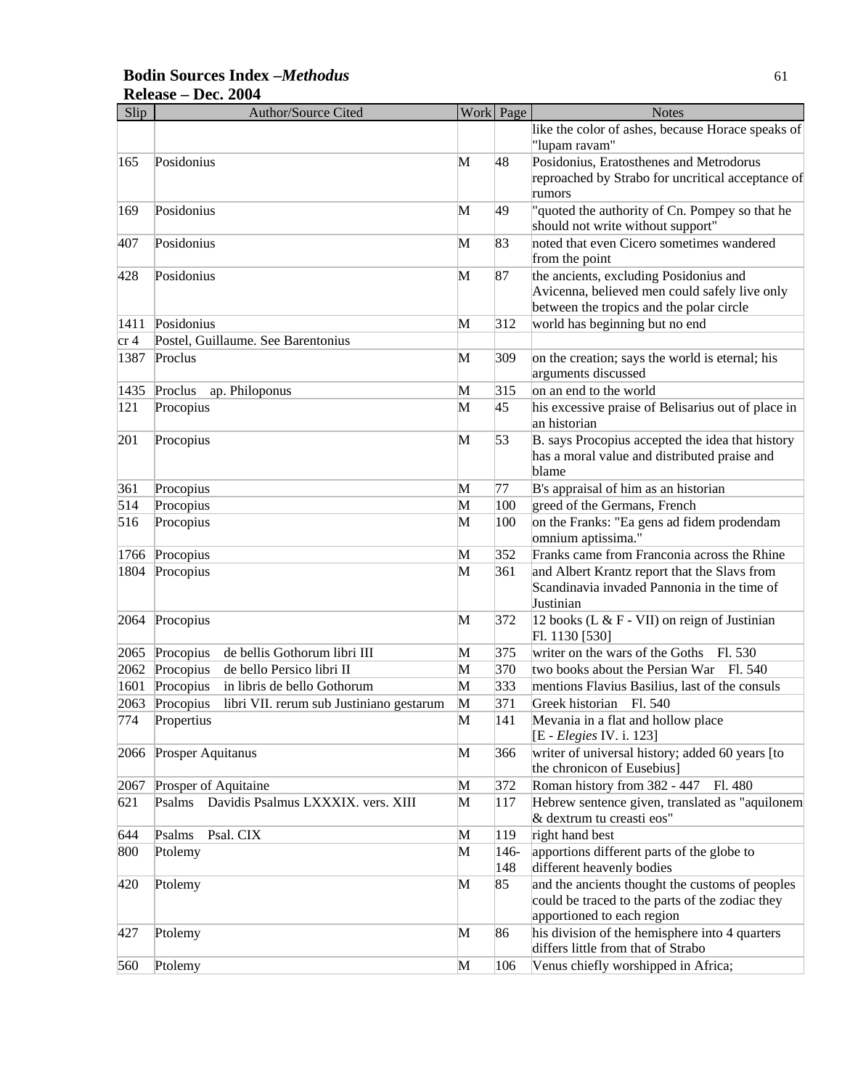### **Bodin Sources Index –***Methodus* 61 **Release – Dec. 2004**

| Slip | <b>Author/Source Cited</b>                            |   | Work Page   | <b>Notes</b>                                                                                                                        |
|------|-------------------------------------------------------|---|-------------|-------------------------------------------------------------------------------------------------------------------------------------|
|      |                                                       |   |             | like the color of ashes, because Horace speaks of<br>"lupam ravam"                                                                  |
| 165  | Posidonius                                            | М | 48          | Posidonius, Eratosthenes and Metrodorus<br>reproached by Strabo for uncritical acceptance of<br>rumors                              |
| 169  | Posidonius                                            | M | 49          | "quoted the authority of Cn. Pompey so that he<br>should not write without support"                                                 |
| 407  | Posidonius                                            | M | 83          | noted that even Cicero sometimes wandered<br>from the point                                                                         |
| 428  | Posidonius                                            | M | 87          | the ancients, excluding Posidonius and<br>Avicenna, believed men could safely live only<br>between the tropics and the polar circle |
| 1411 | Posidonius                                            | M | 312         | world has beginning but no end                                                                                                      |
| cr 4 | Postel, Guillaume. See Barentonius                    |   |             |                                                                                                                                     |
| 1387 | Proclus                                               | M | 309         | on the creation; says the world is eternal; his<br>arguments discussed                                                              |
| 1435 | ap. Philoponus<br>Proclus                             | M | 315         | on an end to the world                                                                                                              |
| 121  | Procopius                                             | M | 45          | his excessive praise of Belisarius out of place in<br>an historian                                                                  |
| 201  | Procopius                                             | M | 53          | B. says Procopius accepted the idea that history<br>has a moral value and distributed praise and<br>blame                           |
| 361  | Procopius                                             | M | 77          | B's appraisal of him as an historian                                                                                                |
| 514  | Procopius                                             | M | 100         | greed of the Germans, French                                                                                                        |
| 516  | Procopius                                             | M | 100         | on the Franks: "Ea gens ad fidem prodendam<br>omnium aptissima."                                                                    |
| 1766 | Procopius                                             | M | 352         | Franks came from Franconia across the Rhine                                                                                         |
| 1804 | Procopius                                             | M | 361         | and Albert Krantz report that the Slavs from<br>Scandinavia invaded Pannonia in the time of<br>Justinian                            |
| 2064 | Procopius                                             | M | 372         | 12 books (L & F - VII) on reign of Justinian<br>Fl. 1130 [530]                                                                      |
| 2065 | de bellis Gothorum libri III<br>Procopius             | M | 375         | writer on the wars of the Goths<br>Fl. 530                                                                                          |
| 2062 | Procopius<br>de bello Persico libri II                | M | 370         | two books about the Persian War Fl. 540                                                                                             |
| 1601 | in libris de bello Gothorum<br>Procopius              | M | 333         | mentions Flavius Basilius, last of the consuls                                                                                      |
| 2063 | Procopius<br>libri VII. rerum sub Justiniano gestarum | M | 371         | Greek historian Fl. 540                                                                                                             |
| 774  | Propertius                                            | M | 141         | Mevania in a flat and hollow place<br>[E - <i>Elegies</i> IV. i. 123]                                                               |
| 2066 | Prosper Aquitanus                                     | M | 366         | writer of universal history; added 60 years [to<br>the chronicon of Eusebius]                                                       |
| 2067 | Prosper of Aquitaine                                  | M | 372         | Roman history from 382 - 447<br>Fl. 480                                                                                             |
| 621  | Psalms Davidis Psalmus LXXXIX. vers. XIII             | M | 117         | Hebrew sentence given, translated as "aquilonem<br>& dextrum tu creasti eos"                                                        |
| 644  | Psalms<br>Psal. CIX                                   | M | 119         | right hand best                                                                                                                     |
| 800  | Ptolemy                                               | M | 146-<br>148 | apportions different parts of the globe to<br>different heavenly bodies                                                             |
| 420  | Ptolemy                                               | M | 85          | and the ancients thought the customs of peoples<br>could be traced to the parts of the zodiac they<br>apportioned to each region    |
| 427  | Ptolemy                                               | M | 86          | his division of the hemisphere into 4 quarters<br>differs little from that of Strabo                                                |
| 560  | Ptolemy                                               | M | 106         | Venus chiefly worshipped in Africa;                                                                                                 |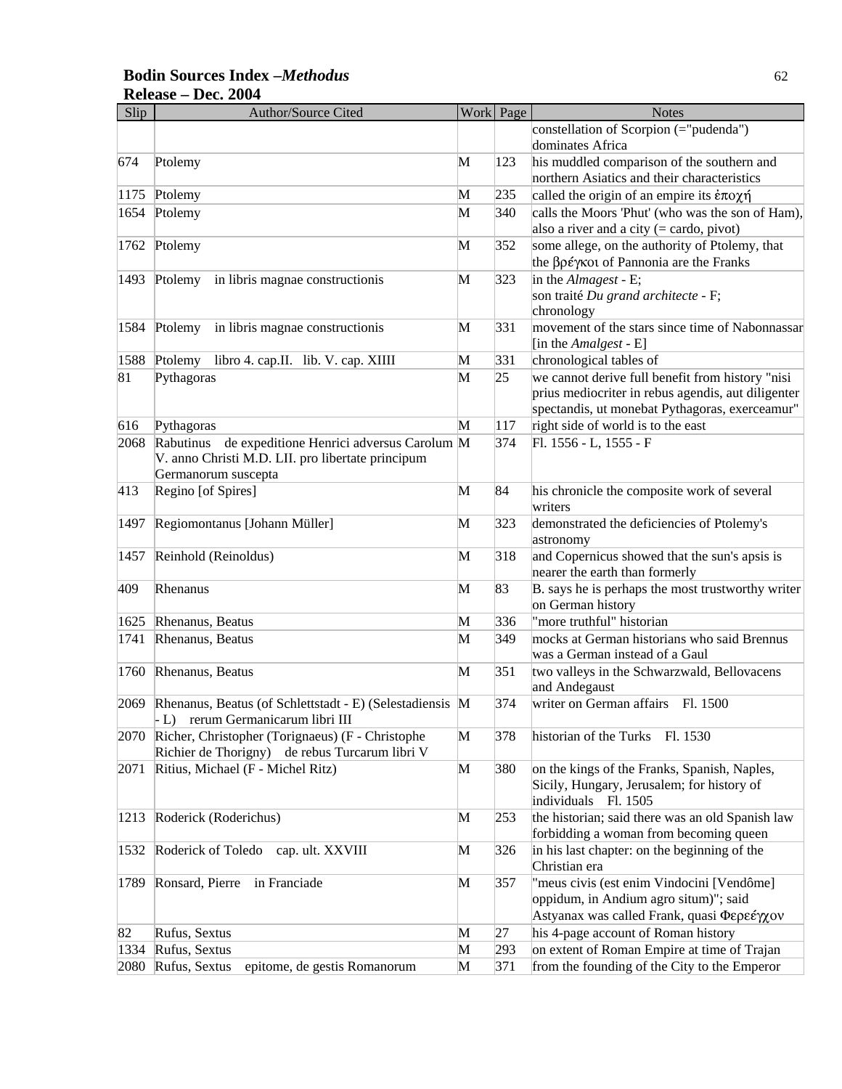### **Bodin Sources Index –***Methodus* 62 **Release – Dec. 2004**

| Slip         | Author/Source Cited                                      |   | Work Page | <b>Notes</b>                                                       |
|--------------|----------------------------------------------------------|---|-----------|--------------------------------------------------------------------|
|              |                                                          |   |           | constellation of Scorpion (="pudenda")                             |
|              |                                                          |   |           | dominates Africa                                                   |
| 674          | Ptolemy                                                  | M | 123       | his muddled comparison of the southern and                         |
|              |                                                          |   |           | northern Asiatics and their characteristics                        |
| 1175         | Ptolemy                                                  | M | 235       | called the origin of an empire its $\dot{\epsilon} \pi$ o $\chi$ n |
| 1654         | Ptolemy                                                  | M | 340       | calls the Moors 'Phut' (who was the son of Ham),                   |
|              |                                                          |   |           | also a river and a city $(=\text{cardo}, \text{pivot})$            |
| 1762         | Ptolemy                                                  | M | 352       | some allege, on the authority of Ptolemy, that                     |
|              |                                                          |   |           | the βρέγκοι of Pannonia are the Franks                             |
| 1493         | Ptolemy<br>in libris magnae constructionis               | M | 323       | in the Almagest - E;                                               |
|              |                                                          |   |           | son traité Du grand architecte - F;                                |
|              |                                                          |   |           | chronology                                                         |
| 1584         | Ptolemy<br>in libris magnae constructionis               | M | 331       | movement of the stars since time of Nabonnassar                    |
|              |                                                          |   |           | [in the Amalgest - E]                                              |
| 1588         | Ptolemy<br>libro 4. cap.II. lib. V. cap. XIIII           | M | 331       | chronological tables of                                            |
| 81           | Pythagoras                                               | M | 25        | we cannot derive full benefit from history "nisi                   |
|              |                                                          |   |           | prius mediocriter in rebus agendis, aut diligenter                 |
|              |                                                          |   |           | spectandis, ut monebat Pythagoras, exerceamur"                     |
| 616          | Pythagoras                                               | M | 117       | right side of world is to the east                                 |
| 2068         | de expeditione Henrici adversus Carolum M<br>Rabutinus   |   | 374       | Fl. 1556 - L, 1555 - F                                             |
|              | V. anno Christi M.D. LII. pro libertate principum        |   |           |                                                                    |
|              | Germanorum suscepta                                      |   |           |                                                                    |
| 413          | Regino [of Spires]                                       | M | 84        | his chronicle the composite work of several                        |
|              |                                                          |   |           | writers                                                            |
| 1497         | Regiomontanus [Johann Müller]                            | M | 323       | demonstrated the deficiencies of Ptolemy's                         |
|              |                                                          |   |           | astronomy                                                          |
| 1457         | Reinhold (Reinoldus)                                     | M | 318       | and Copernicus showed that the sun's apsis is                      |
|              |                                                          |   |           | nearer the earth than formerly                                     |
| 409          | Rhenanus                                                 | M | 83        | B. says he is perhaps the most trustworthy writer                  |
|              |                                                          | M | 336       | on German history<br>"more truthful" historian                     |
| 1625<br>1741 | Rhenanus, Beatus                                         | M | 349       | mocks at German historians who said Brennus                        |
|              | Rhenanus, Beatus                                         |   |           | was a German instead of a Gaul                                     |
| 1760         | Rhenanus, Beatus                                         | M | 351       | two valleys in the Schwarzwald, Bellovacens                        |
|              |                                                          |   |           | and Andegaust                                                      |
| 2069         | Rhenanus, Beatus (of Schlettstadt - E) (Selestadiensis M |   | 374       | writer on German affairs Fl. 1500                                  |
|              | - L) rerum Germanicarum libri III                        |   |           |                                                                    |
| 2070         | Richer, Christopher (Torignaeus) (F - Christophe         | M | 378       | historian of the Turks Fl. 1530                                    |
|              | Richier de Thorigny) de rebus Turcarum libri V           |   |           |                                                                    |
| 2071         | Ritius, Michael (F - Michel Ritz)                        | M | 380       | on the kings of the Franks, Spanish, Naples,                       |
|              |                                                          |   |           | Sicily, Hungary, Jerusalem; for history of                         |
|              |                                                          |   |           | individuals Fl. 1505                                               |
| 1213         | Roderick (Roderichus)                                    | M | 253       | the historian; said there was an old Spanish law                   |
|              |                                                          |   |           | forbidding a woman from becoming queen                             |
| 1532         | Roderick of Toledo<br>cap. ult. XXVIII                   | M | 326       | in his last chapter: on the beginning of the                       |
|              |                                                          |   |           | Christian era                                                      |
| 1789         | Ronsard, Pierre in Franciade                             | M | 357       | "meus civis (est enim Vindocini [Vendôme]                          |
|              |                                                          |   |           | oppidum, in Andium agro situm)"; said                              |
|              |                                                          |   |           | Astyanax was called Frank, quasi Φερεέγχον                         |
| 82           | Rufus, Sextus                                            | M | 27        | his 4-page account of Roman history                                |
| 1334         | Rufus, Sextus                                            | M | 293       | on extent of Roman Empire at time of Trajan                        |
| 2080         | Rufus, Sextus<br>epitome, de gestis Romanorum            | M | 371       | from the founding of the City to the Emperor                       |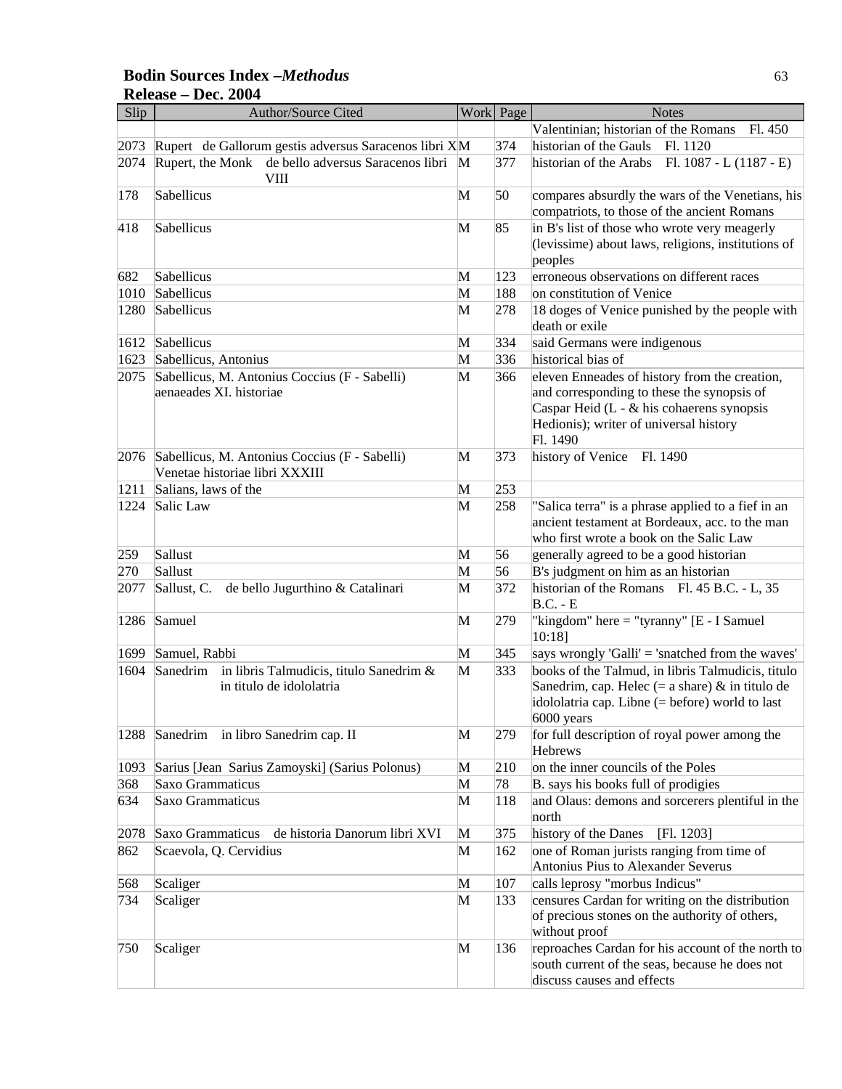### **Bodin Sources Index –***Methodus* 63 **Release – Dec. 2004**

| Slip | Author/Source Cited                                               |   | Work Page | <b>Notes</b>                                                                                    |
|------|-------------------------------------------------------------------|---|-----------|-------------------------------------------------------------------------------------------------|
|      |                                                                   |   |           | Valentinian; historian of the Romans<br>Fl. 450                                                 |
| 2073 | Rupert de Gallorum gestis adversus Saracenos libri XM             |   | 374       | historian of the Gauls<br>Fl. 1120                                                              |
| 2074 | Rupert, the Monk de bello adversus Saracenos libri<br><b>VIII</b> | M | 377       | historian of the Arabs Fl. $1087 - L (1187 - E)$                                                |
| 178  | Sabellicus                                                        | M | 50        | compares absurdly the wars of the Venetians, his<br>compatriots, to those of the ancient Romans |
| 418  | Sabellicus                                                        | M | 85        | in B's list of those who wrote very meagerly                                                    |
|      |                                                                   |   |           | (levissime) about laws, religions, institutions of                                              |
|      |                                                                   |   |           | peoples                                                                                         |
| 682  | Sabellicus                                                        | M | 123       | erroneous observations on different races                                                       |
| 1010 | Sabellicus                                                        | M | 188       | on constitution of Venice                                                                       |
| 1280 | Sabellicus                                                        | M | 278       | 18 doges of Venice punished by the people with                                                  |
|      |                                                                   |   |           | death or exile                                                                                  |
| 1612 | Sabellicus                                                        | M | 334       | said Germans were indigenous                                                                    |
| 1623 | Sabellicus, Antonius                                              | M | 336       | historical bias of                                                                              |
| 2075 | Sabellicus, M. Antonius Coccius (F - Sabelli)                     | M | 366       | eleven Enneades of history from the creation,                                                   |
|      | aenaeades XI. historiae                                           |   |           | and corresponding to these the synopsis of                                                      |
|      |                                                                   |   |           | Caspar Heid ( $L - \&$ his cohaerens synopsis                                                   |
|      |                                                                   |   |           | Hedionis); writer of universal history                                                          |
|      |                                                                   |   |           | Fl. 1490                                                                                        |
|      | 2076 Sabellicus, M. Antonius Coccius (F - Sabelli)                | М | 373       | history of Venice Fl. 1490                                                                      |
|      | Venetae historiae libri XXXIII                                    |   |           |                                                                                                 |
| 1211 | Salians, laws of the                                              | M | 253       |                                                                                                 |
| 1224 | Salic Law                                                         | M | 258       | "Salica terra" is a phrase applied to a fief in an                                              |
|      |                                                                   |   |           | ancient testament at Bordeaux, acc. to the man                                                  |
|      |                                                                   |   |           | who first wrote a book on the Salic Law                                                         |
| 259  | Sallust                                                           | M | 56        | generally agreed to be a good historian                                                         |
| 270  | Sallust                                                           | M | 56        | B's judgment on him as an historian                                                             |
| 2077 | Sallust, C.<br>de bello Jugurthino & Catalinari                   | M | 372       | historian of the Romans Fl. 45 B.C. - L, 35<br>$B.C.-E$                                         |
| 1286 | Samuel                                                            | M | 279       | "kingdom" here = "tyranny" [E - I Samuel<br>10:18]                                              |
| 1699 | Samuel, Rabbi                                                     | M | 345       | says wrongly 'Galli' = 'snatched from the waves'                                                |
| 1604 | Sanedrim in libris Talmudicis, titulo Sanedrim &                  | M | 333       | books of the Talmud, in libris Talmudicis, titulo                                               |
|      | in titulo de idololatria                                          |   |           | Sanedrim, cap. Helec $(= a \text{ share}) \& \text{ in } \text{titulo } \text{de}$              |
|      |                                                                   |   |           | idololatria cap. Libne (= before) world to last                                                 |
|      |                                                                   |   |           | 6000 years                                                                                      |
|      | 1288 Sanedrim in libro Sanedrim cap. II                           | M | 279       | for full description of royal power among the                                                   |
| 1093 | Sarius [Jean Sarius Zamoyski] (Sarius Polonus)                    | M | 210       | Hebrews<br>on the inner councils of the Poles                                                   |
| 368  | Saxo Grammaticus                                                  | M | 78        | B. says his books full of prodigies                                                             |
| 634  | Saxo Grammaticus                                                  | M | 118       | and Olaus: demons and sorcerers plentiful in the                                                |
|      |                                                                   |   |           | north                                                                                           |
| 2078 | de historia Danorum libri XVI<br>Saxo Grammaticus                 | M | 375       | history of the Danes<br>[F1. 1203]                                                              |
| 862  | Scaevola, Q. Cervidius                                            | M | 162       | one of Roman jurists ranging from time of                                                       |
|      |                                                                   |   |           | Antonius Pius to Alexander Severus                                                              |
| 568  | Scaliger                                                          | M | 107       | calls leprosy "morbus Indicus"                                                                  |
| 734  | Scaliger                                                          | M | 133       | censures Cardan for writing on the distribution                                                 |
|      |                                                                   |   |           | of precious stones on the authority of others,<br>without proof                                 |
| 750  | Scaliger                                                          | M | 136       | reproaches Cardan for his account of the north to                                               |
|      |                                                                   |   |           | south current of the seas, because he does not                                                  |
|      |                                                                   |   |           | discuss causes and effects                                                                      |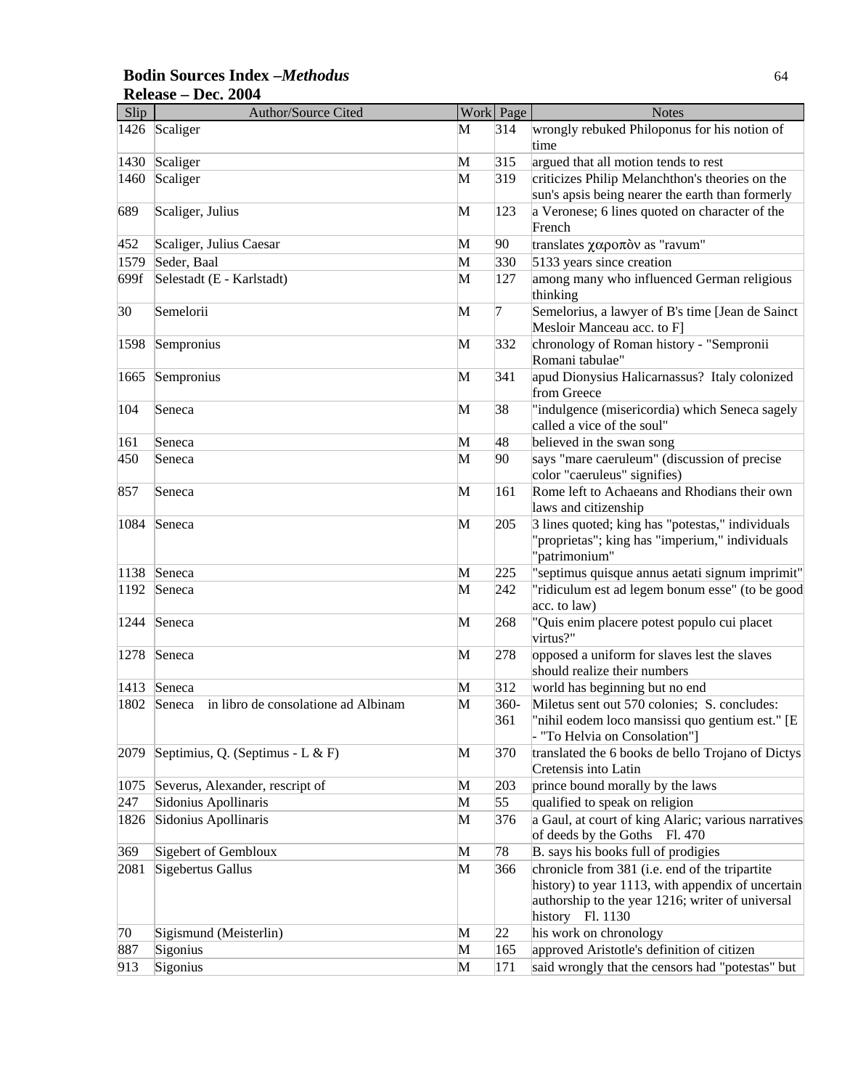### **Bodin Sources Index –***Methodus* 64 **Release – Dec. 2004**

| Slip | <b>Author/Source Cited</b>                    |              | Work Page      | <b>Notes</b>                                                                                                                                                                |
|------|-----------------------------------------------|--------------|----------------|-----------------------------------------------------------------------------------------------------------------------------------------------------------------------------|
|      | 1426 Scaliger                                 | M            | 314            | wrongly rebuked Philoponus for his notion of<br>time                                                                                                                        |
|      | 1430 Scaliger                                 | M            | 315            | argued that all motion tends to rest                                                                                                                                        |
| 1460 | Scaliger                                      | M            | 319            | criticizes Philip Melanchthon's theories on the<br>sun's apsis being nearer the earth than formerly                                                                         |
| 689  | Scaliger, Julius                              | M            | 123            | a Veronese; 6 lines quoted on character of the<br>French                                                                                                                    |
| 452  | Scaliger, Julius Caesar                       | M            | 90             | translates χαροπόν as "ravum"                                                                                                                                               |
| 1579 | Seder, Baal                                   | M            | 330            | 5133 years since creation                                                                                                                                                   |
| 699f | Selestadt (E - Karlstadt)                     | M            | 127            | among many who influenced German religious<br>thinking                                                                                                                      |
| 30   | Semelorii                                     | M            | 7              | Semelorius, a lawyer of B's time [Jean de Sainct<br>Mesloir Manceau acc. to F]                                                                                              |
| 1598 | Sempronius                                    | M            | 332            | chronology of Roman history - "Sempronii<br>Romani tabulae"                                                                                                                 |
| 1665 | Sempronius                                    | M            | 341            | apud Dionysius Halicarnassus? Italy colonized<br>from Greece                                                                                                                |
| 104  | Seneca                                        | M            | 38             | "indulgence (misericordia) which Seneca sagely<br>called a vice of the soul"                                                                                                |
| 161  | Seneca                                        | M            | 48             | believed in the swan song                                                                                                                                                   |
| 450  | Seneca                                        | M            | 90             | says "mare caeruleum" (discussion of precise<br>color "caeruleus" signifies)                                                                                                |
| 857  | Seneca                                        | M            | 161            | Rome left to Achaeans and Rhodians their own<br>laws and citizenship                                                                                                        |
| 1084 | Seneca                                        | M            | 205            | 3 lines quoted; king has "potestas," individuals<br>'proprietas"; king has "imperium," individuals<br>'patrimonium"                                                         |
| 1138 | Seneca                                        | M            | 225            | "septimus quisque annus aetati signum imprimit"                                                                                                                             |
| 1192 | Seneca                                        | M            | 242            | "ridiculum est ad legem bonum esse" (to be good<br>acc. to law)                                                                                                             |
| 1244 | Seneca                                        | M            | 268            | "Quis enim placere potest populo cui placet<br>virtus?"                                                                                                                     |
| 1278 | Seneca                                        | M            | 278            | opposed a uniform for slaves lest the slaves<br>should realize their numbers                                                                                                |
| 1413 | Seneca                                        | M            | 312            | world has beginning but no end                                                                                                                                              |
| 1802 | Seneca<br>in libro de consolatione ad Albinam | M            | $360 -$<br>361 | Miletus sent out 570 colonies; S. concludes:<br>"nihil eodem loco mansissi quo gentium est." [E<br>"To Helvia on Consolation"]                                              |
| 2079 | Septimius, Q. (Septimus - L & F)              | M            | 370            | translated the 6 books de bello Trojano of Dictys<br>Cretensis into Latin                                                                                                   |
| 1075 | Severus, Alexander, rescript of               | M            | 203            | prince bound morally by the laws                                                                                                                                            |
| 247  | Sidonius Apollinaris                          | M            | 55             | qualified to speak on religion                                                                                                                                              |
| 1826 | Sidonius Apollinaris                          | M            | 376            | a Gaul, at court of king Alaric; various narratives<br>of deeds by the Goths Fl. 470                                                                                        |
| 369  | Sigebert of Gembloux                          | M            | 78             | B. says his books full of prodigies                                                                                                                                         |
| 2081 | Sigebertus Gallus                             | M            | 366            | chronicle from 381 (i.e. end of the tripartite<br>history) to year 1113, with appendix of uncertain<br>authorship to the year 1216; writer of universal<br>history Fl. 1130 |
| 70   | Sigismund (Meisterlin)                        | $\mathbf{M}$ | 22             | his work on chronology                                                                                                                                                      |
| 887  | Sigonius                                      | $\mathbf{M}$ | 165            | approved Aristotle's definition of citizen                                                                                                                                  |
| 913  | Sigonius                                      | M            | 171            | said wrongly that the censors had "potestas" but                                                                                                                            |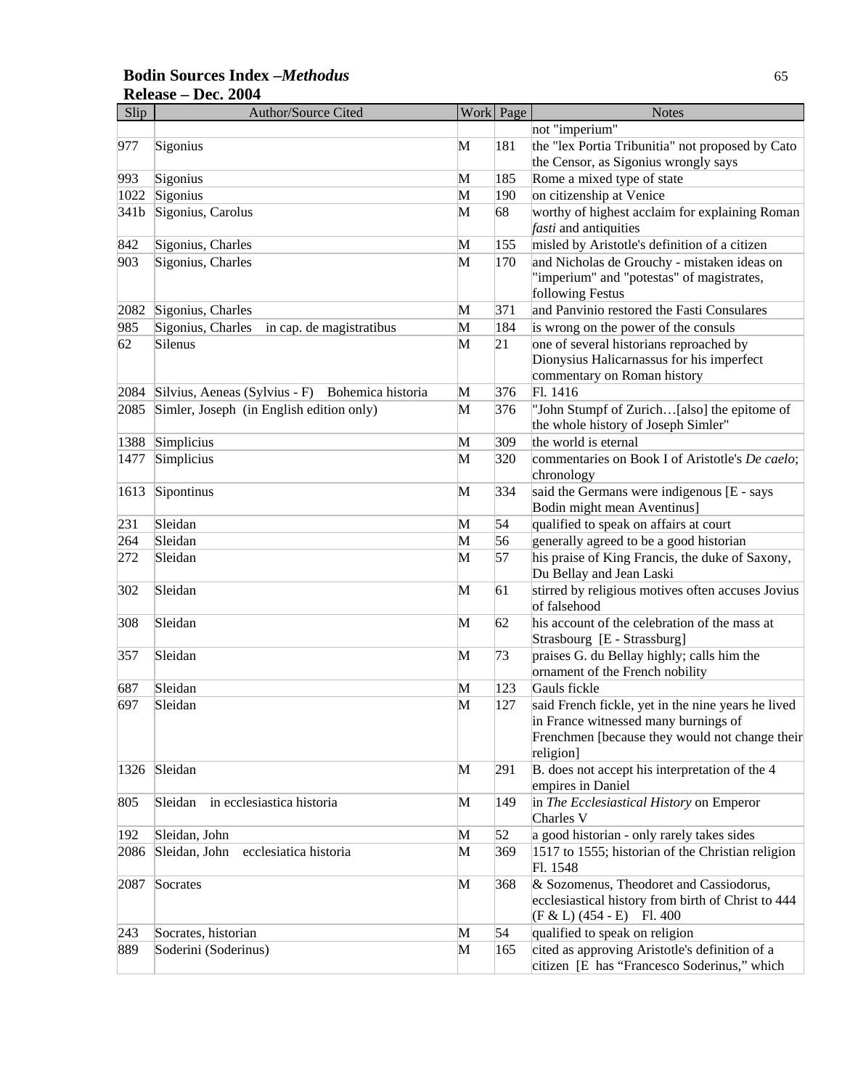### **Bodin Sources Index –***Methodus* 65 **Release – Dec. 2004**

| Slip             | Author/Source Cited                             |   | Work Page | <b>Notes</b>                                                                                                                                              |
|------------------|-------------------------------------------------|---|-----------|-----------------------------------------------------------------------------------------------------------------------------------------------------------|
|                  |                                                 |   |           | not "imperium"                                                                                                                                            |
| 977              | Sigonius                                        | M | 181       | the "lex Portia Tribunitia" not proposed by Cato<br>the Censor, as Sigonius wrongly says                                                                  |
| 993              | Sigonius                                        | M | 185       | Rome a mixed type of state                                                                                                                                |
| 1022             | Sigonius                                        | M | 190       | on citizenship at Venice                                                                                                                                  |
| 341 <sub>b</sub> | Sigonius, Carolus                               | M | 68        | worthy of highest acclaim for explaining Roman                                                                                                            |
|                  |                                                 |   |           | fasti and antiquities                                                                                                                                     |
| 842              | Sigonius, Charles                               | M | 155       | misled by Aristotle's definition of a citizen                                                                                                             |
| 903              | Sigonius, Charles                               | M | 170       | and Nicholas de Grouchy - mistaken ideas on                                                                                                               |
|                  |                                                 |   |           | "imperium" and "potestas" of magistrates,<br>following Festus                                                                                             |
| 2082             | Sigonius, Charles                               | M | 371       | and Panvinio restored the Fasti Consulares                                                                                                                |
| 985              | Sigonius, Charles<br>in cap. de magistratibus   | M | 184       | is wrong on the power of the consuls                                                                                                                      |
| 62               | Silenus                                         | M | 21        | one of several historians reproached by<br>Dionysius Halicarnassus for his imperfect<br>commentary on Roman history                                       |
| 2084             | Silvius, Aeneas (Sylvius - F) Bohemica historia | M | 376       | Fl. 1416                                                                                                                                                  |
| 2085             | Simler, Joseph (in English edition only)        | M | 376       | "John Stumpf of Zurich[also] the epitome of<br>the whole history of Joseph Simler"                                                                        |
| 1388             | Simplicius                                      | M | 309       | the world is eternal                                                                                                                                      |
| 1477             | Simplicius                                      | M | 320       | commentaries on Book I of Aristotle's De caelo;<br>chronology                                                                                             |
| 1613             | Sipontinus                                      | M | 334       | said the Germans were indigenous [E - says<br>Bodin might mean Aventinus]                                                                                 |
| 231              | Sleidan                                         | M | 54        | qualified to speak on affairs at court                                                                                                                    |
| 264              | Sleidan                                         | M | 56        | generally agreed to be a good historian                                                                                                                   |
| 272              | Sleidan                                         | M | 57        | his praise of King Francis, the duke of Saxony,<br>Du Bellay and Jean Laski                                                                               |
| 302              | Sleidan                                         | M | 61        | stirred by religious motives often accuses Jovius<br>of falsehood                                                                                         |
| 308              | Sleidan                                         | M | 62        | his account of the celebration of the mass at<br>Strasbourg [E - Strassburg]                                                                              |
| 357              | Sleidan                                         | M | 73        | praises G. du Bellay highly; calls him the<br>ornament of the French nobility                                                                             |
| 687              | Sleidan                                         | M | 123       | Gauls fickle                                                                                                                                              |
| 697              | Sleidan                                         | M | 127       | said French fickle, yet in the nine years he lived<br>in France witnessed many burnings of<br>Frenchmen [because they would not change their<br>religion] |
|                  | 1326 Sleidan                                    | M | 291       | B. does not accept his interpretation of the 4<br>empires in Daniel                                                                                       |
| 805              | Sleidan<br>in ecclesiastica historia            | M | 149       | in The Ecclesiastical History on Emperor<br>Charles V                                                                                                     |
| 192              | Sleidan, John                                   | M | 52        | a good historian - only rarely takes sides                                                                                                                |
| 2086             | Sleidan, John<br>ecclesiatica historia          | M | 369       | 1517 to 1555; historian of the Christian religion<br>Fl. 1548                                                                                             |
| 2087             | Socrates                                        | M | 368       | & Sozomenus, Theodoret and Cassiodorus,<br>ecclesiastical history from birth of Christ to 444<br>$(F & L) (454 - E)$ Fl. 400                              |
| 243              | Socrates, historian                             | M | 54        | qualified to speak on religion                                                                                                                            |
| 889              | Soderini (Soderinus)                            | M | 165       | cited as approving Aristotle's definition of a<br>citizen [E has "Francesco Soderinus," which                                                             |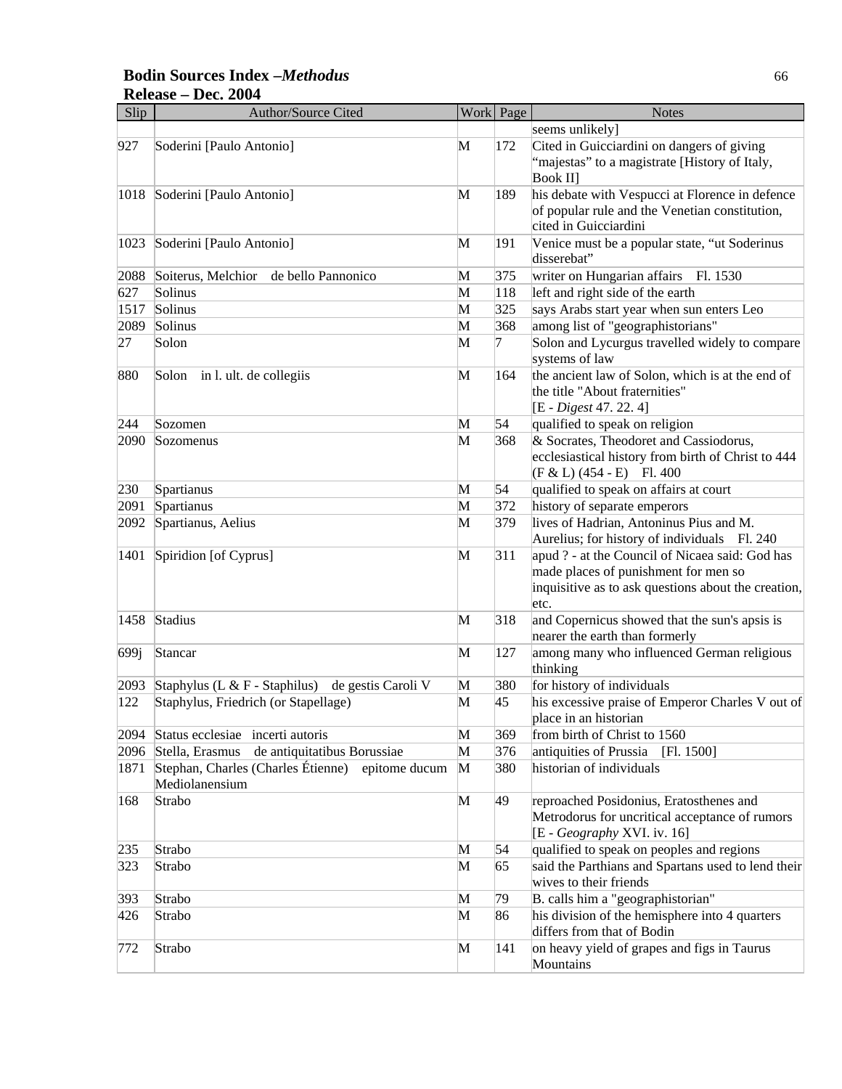### **Bodin Sources Index –***Methodus* 66 **Release – Dec. 2004**

| Slip | <b>Author/Source Cited</b>                                         |   | Work Page | <b>Notes</b>                                                                                                                                           |
|------|--------------------------------------------------------------------|---|-----------|--------------------------------------------------------------------------------------------------------------------------------------------------------|
|      |                                                                    |   |           | seems unlikely]                                                                                                                                        |
| 927  | Soderini [Paulo Antonio]                                           | M | 172       | Cited in Guicciardini on dangers of giving<br>"majestas" to a magistrate [History of Italy,<br>Book II]                                                |
|      | 1018 Soderini [Paulo Antonio]                                      | M | 189       | his debate with Vespucci at Florence in defence<br>of popular rule and the Venetian constitution,<br>cited in Guicciardini                             |
| 1023 | Soderini [Paulo Antonio]                                           | M | 191       | Venice must be a popular state, "ut Soderinus<br>disserebat"                                                                                           |
| 2088 | Soiterus, Melchior<br>de bello Pannonico                           | M | 375       | writer on Hungarian affairs Fl. 1530                                                                                                                   |
| 627  | Solinus                                                            | M | 118       | left and right side of the earth                                                                                                                       |
| 1517 | Solinus                                                            | M | 325       | says Arabs start year when sun enters Leo                                                                                                              |
| 2089 | Solinus                                                            | M | 368       | among list of "geographistorians"                                                                                                                      |
| 27   | Solon                                                              | M | 7         | Solon and Lycurgus travelled widely to compare<br>systems of law                                                                                       |
| 880  | Solon<br>in l. ult. de collegiis                                   | M | 164       | the ancient law of Solon, which is at the end of<br>the title "About fraternities"<br>[E - Digest 47. 22. 4]                                           |
| 244  | Sozomen                                                            | M | 54        | qualified to speak on religion                                                                                                                         |
| 2090 | Sozomenus                                                          | M | 368       | & Socrates, Theodoret and Cassiodorus,<br>ecclesiastical history from birth of Christ to 444<br>$(F & L) (454 - E)$ Fl. 400                            |
| 230  | Spartianus                                                         | M | 54        | qualified to speak on affairs at court                                                                                                                 |
| 2091 | Spartianus                                                         | M | 372       | history of separate emperors                                                                                                                           |
| 2092 | Spartianus, Aelius                                                 | M | 379       | lives of Hadrian, Antoninus Pius and M.<br>Aurelius; for history of individuals Fl. 240                                                                |
| 1401 | Spiridion [of Cyprus]                                              | M | 311       | apud ? - at the Council of Nicaea said: God has<br>made places of punishment for men so<br>inquisitive as to ask questions about the creation,<br>etc. |
| 1458 | Stadius                                                            | M | 318       | and Copernicus showed that the sun's apsis is<br>nearer the earth than formerly                                                                        |
| 699j | Stancar                                                            | M | 127       | among many who influenced German religious<br>thinking                                                                                                 |
| 2093 | Staphylus (L $&\mathsf{F}$ - Staphilus)<br>de gestis Caroli V      | M | 380       | for history of individuals                                                                                                                             |
| 122  | Staphylus, Friedrich (or Stapellage)                               | M | 45        | his excessive praise of Emperor Charles V out of<br>place in an historian                                                                              |
| 2094 | Status ecclesiae incerti autoris                                   | M | 369       | from birth of Christ to 1560                                                                                                                           |
| 2096 | de antiquitatibus Borussiae<br>Stella, Erasmus                     | M | 376       | antiquities of Prussia<br>[F1. 1500]                                                                                                                   |
| 1871 | Stephan, Charles (Charles Étienne) epitome ducum<br>Mediolanensium | M | 380       | historian of individuals                                                                                                                               |
| 168  | Strabo                                                             | M | 49        | reproached Posidonius, Eratosthenes and<br>Metrodorus for uncritical acceptance of rumors<br>[E - Geography XVI. iv. 16]                               |
| 235  | Strabo                                                             | M | 54        | qualified to speak on peoples and regions                                                                                                              |
| 323  | Strabo                                                             | M | 65        | said the Parthians and Spartans used to lend their<br>wives to their friends                                                                           |
| 393  | Strabo                                                             | M | 79        | B. calls him a "geographistorian"                                                                                                                      |
| 426  | Strabo                                                             | M | 86        | his division of the hemisphere into 4 quarters<br>differs from that of Bodin                                                                           |
| 772  | Strabo                                                             | M | 141       | on heavy yield of grapes and figs in Taurus<br>Mountains                                                                                               |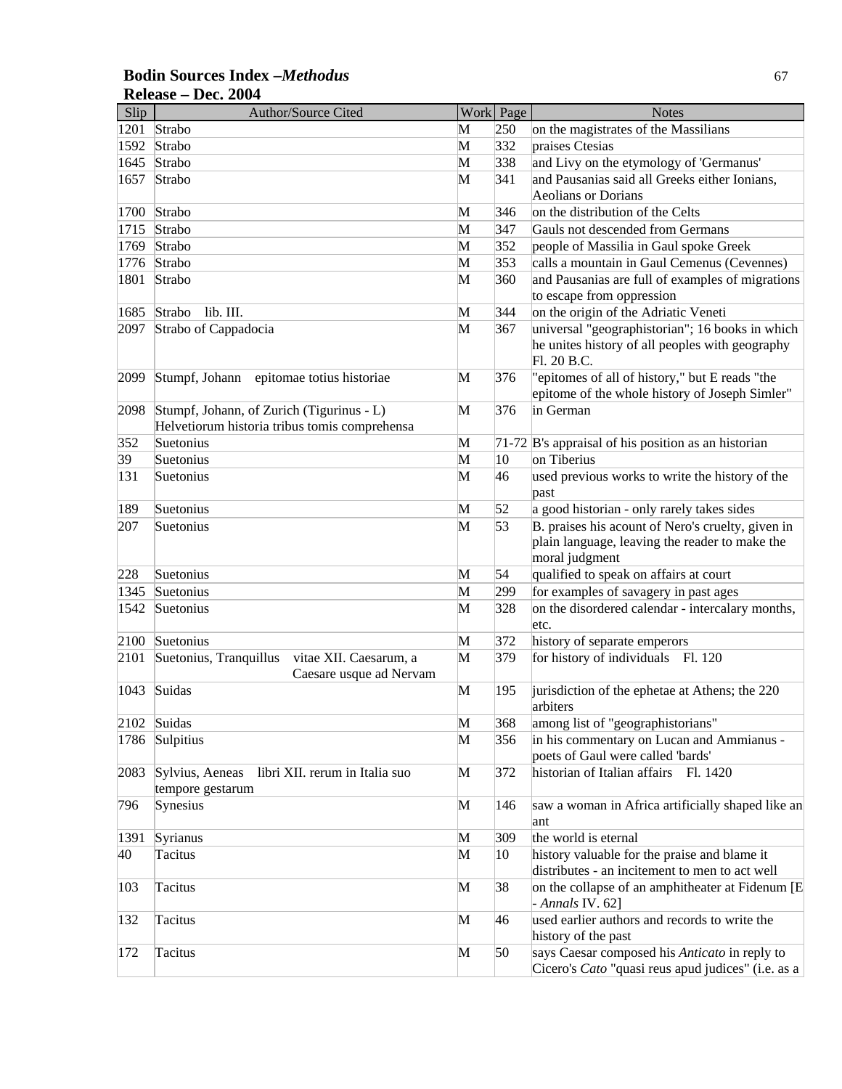| Slip | Author/Source Cited                                                                        |   | Work Page    | <b>Notes</b>                                        |
|------|--------------------------------------------------------------------------------------------|---|--------------|-----------------------------------------------------|
|      | 1201 Strabo                                                                                | M | 250          | on the magistrates of the Massilians                |
| 1592 | Strabo                                                                                     | M | 332          | praises Ctesias                                     |
| 1645 | Strabo                                                                                     | M | 338          | and Livy on the etymology of 'Germanus'             |
| 1657 | Strabo                                                                                     | M | 341          | and Pausanias said all Greeks either Ionians,       |
|      |                                                                                            |   |              | Aeolians or Dorians                                 |
| 1700 | Strabo                                                                                     | M | 346          | on the distribution of the Celts                    |
| 1715 | Strabo                                                                                     | M | 347          | Gauls not descended from Germans                    |
| 1769 | Strabo                                                                                     | M | 352          | people of Massilia in Gaul spoke Greek              |
| 1776 | Strabo                                                                                     | M | 353          | calls a mountain in Gaul Cemenus (Cevennes)         |
| 1801 | Strabo                                                                                     | M | 360          | and Pausanias are full of examples of migrations    |
|      |                                                                                            |   |              | to escape from oppression                           |
| 1685 | lib. III.<br>Strabo                                                                        | M | 344          | on the origin of the Adriatic Veneti                |
| 2097 | Strabo of Cappadocia                                                                       | M | 367          | universal "geographistorian"; 16 books in which     |
|      |                                                                                            |   |              | he unites history of all peoples with geography     |
|      |                                                                                            |   |              | Fl. 20 B.C.                                         |
| 2099 | Stumpf, Johann<br>epitomae totius historiae                                                | M | 376          | "epitomes of all of history," but E reads "the      |
|      |                                                                                            |   |              | epitome of the whole history of Joseph Simler"      |
| 2098 | Stumpf, Johann, of Zurich (Tigurinus - L)<br>Helvetiorum historia tribus tomis comprehensa | M | 376          | in German                                           |
| 352  | Suetonius                                                                                  | M |              | 71-72 B's appraisal of his position as an historian |
| 39   | Suetonius                                                                                  | M | $ 10\rangle$ | on Tiberius                                         |
| 131  | Suetonius                                                                                  | M | 46           | used previous works to write the history of the     |
|      |                                                                                            |   |              | past                                                |
| 189  | Suetonius                                                                                  | M | 52           | a good historian - only rarely takes sides          |
| 207  | Suetonius                                                                                  | M | 53           | B. praises his acount of Nero's cruelty, given in   |
|      |                                                                                            |   |              | plain language, leaving the reader to make the      |
|      |                                                                                            |   |              | moral judgment                                      |
| 228  | Suetonius                                                                                  | M | 54           | qualified to speak on affairs at court              |
| 1345 | Suetonius                                                                                  | M | 299          | for examples of savagery in past ages               |
| 1542 | Suetonius                                                                                  | M | 328          | on the disordered calendar - intercalary months,    |
|      |                                                                                            |   |              | etc.                                                |
| 2100 | Suetonius                                                                                  | M | 372          | history of separate emperors                        |
| 2101 | Suetonius, Tranquillus<br>vitae XII. Caesarum, a                                           | M | 379          | for history of individuals Fl. 120                  |
|      | Caesare usque ad Nervam                                                                    |   |              |                                                     |
| 1043 | Suidas                                                                                     | M | 195          | jurisdiction of the ephetae at Athens; the 220      |
|      |                                                                                            |   |              | arbiters                                            |
|      | 2102 Suidas                                                                                | M | 368          | among list of "geographistorians"                   |
|      | 1786 Sulpitius                                                                             | M | 356          | in his commentary on Lucan and Ammianus -           |
|      |                                                                                            |   |              | poets of Gaul were called 'bards'                   |
| 2083 | Sylvius, Aeneas<br>libri XII. rerum in Italia suo                                          | M | 372          | historian of Italian affairs<br>Fl. 1420            |
| 796  | tempore gestarum<br>Synesius                                                               | M | 146          | saw a woman in Africa artificially shaped like an   |
|      |                                                                                            |   |              | ant                                                 |
| 1391 | Syrianus                                                                                   | M | 309          | the world is eternal                                |
| 40   | Tacitus                                                                                    | M | 10           | history valuable for the praise and blame it        |
|      |                                                                                            |   |              | distributes - an incitement to men to act well      |
| 103  | Tacitus                                                                                    | M | 38           | on the collapse of an amphitheater at Fidenum [E    |
|      |                                                                                            |   |              | $-$ Annals IV. 62]                                  |
| 132  | Tacitus                                                                                    | M | 46           | used earlier authors and records to write the       |
|      |                                                                                            |   |              | history of the past                                 |
| 172  | Tacitus                                                                                    | M | 50           | says Caesar composed his Anticato in reply to       |
|      |                                                                                            |   |              | Cicero's Cato "quasi reus apud judices" (i.e. as a  |

### **Bodin Sources Index –***Methodus* 67 **Release – Dec. 2004**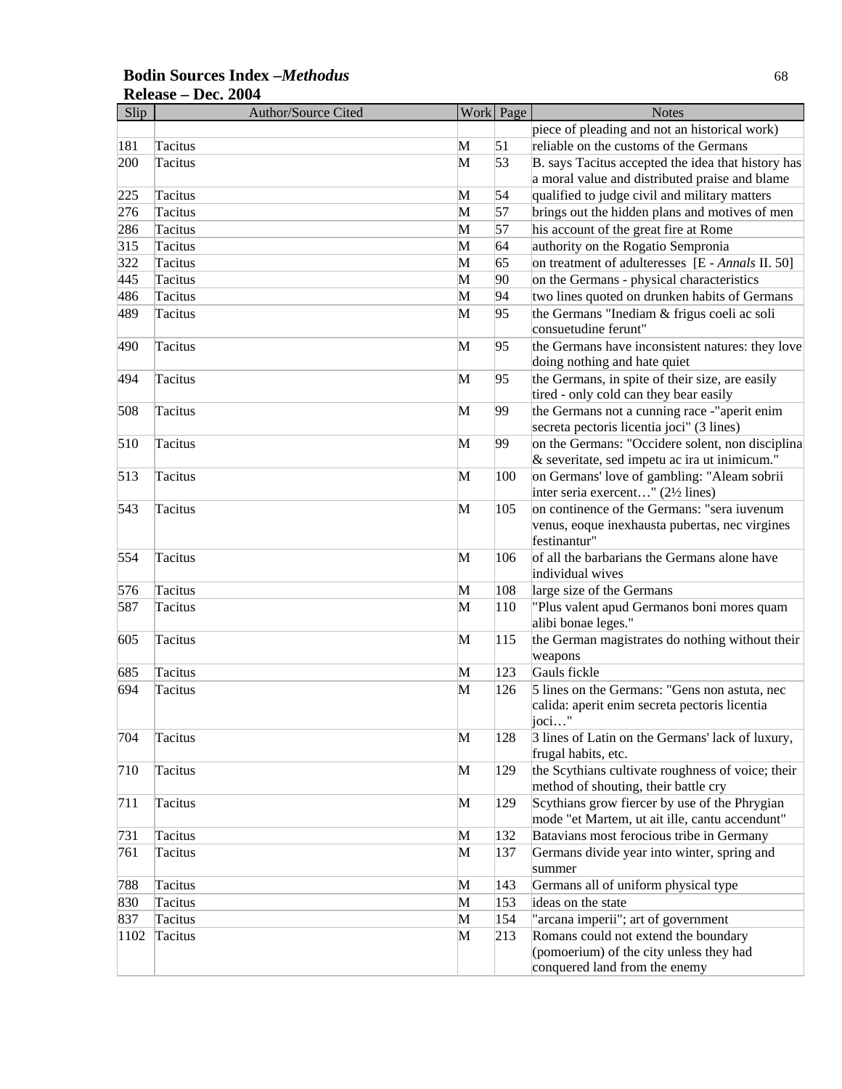| <b>Bodin Sources Index -Methodus</b> |  |
|--------------------------------------|--|
| Release – Dec. 2004                  |  |

| Slip | <b>Author/Source Cited</b> |   | Work Page | <b>Notes</b>                                                                     |
|------|----------------------------|---|-----------|----------------------------------------------------------------------------------|
|      |                            |   |           | piece of pleading and not an historical work)                                    |
| 181  | Tacitus                    | M | 51        | reliable on the customs of the Germans                                           |
| 200  | Tacitus                    | M | 53        | B. says Tacitus accepted the idea that history has                               |
|      |                            |   |           | a moral value and distributed praise and blame                                   |
| 225  | Tacitus                    | M | 54        | qualified to judge civil and military matters                                    |
| 276  | Tacitus                    | M | 57        | brings out the hidden plans and motives of men                                   |
| 286  | Tacitus                    | M | 57        | his account of the great fire at Rome                                            |
| 315  | Tacitus                    | M | 64        | authority on the Rogatio Sempronia                                               |
| 322  | Tacitus                    | M | 65        | on treatment of adulteresses [E - Annals II. 50]                                 |
| 445  | Tacitus                    | M | 90        | on the Germans - physical characteristics                                        |
| 486  | Tacitus                    | M | 94        | two lines quoted on drunken habits of Germans                                    |
| 489  | Tacitus                    | M | 95        | the Germans "Inediam & frigus coeli ac soli                                      |
|      |                            |   |           | consuetudine ferunt"                                                             |
| 490  | Tacitus                    | M | 95        | the Germans have inconsistent natures: they love<br>doing nothing and hate quiet |
| 494  | Tacitus                    | M | 95        | the Germans, in spite of their size, are easily                                  |
|      |                            |   |           | tired - only cold can they bear easily                                           |
| 508  | Tacitus                    | M | 99        | the Germans not a cunning race -"aperit enim                                     |
|      |                            |   |           | secreta pectoris licentia joci" (3 lines)                                        |
| 510  | Tacitus                    | M | 99        | on the Germans: "Occidere solent, non disciplina                                 |
|      |                            |   |           | & severitate, sed impetu ac ira ut inimicum."                                    |
| 513  | Tacitus                    | M | 100       | on Germans' love of gambling: "Aleam sobrii                                      |
|      |                            |   |           | inter seria exercent" (2½ lines)                                                 |
| 543  | Tacitus                    | M | 105       | on continence of the Germans: "sera iuvenum                                      |
|      |                            |   |           | venus, eoque inexhausta pubertas, nec virgines<br>festinantur"                   |
| 554  | Tacitus                    | M | 106       | of all the barbarians the Germans alone have                                     |
|      |                            |   |           | individual wives                                                                 |
| 576  | Tacitus                    | M | 108       | large size of the Germans                                                        |
| 587  | Tacitus                    | M | 110       | "Plus valent apud Germanos boni mores quam                                       |
|      |                            |   |           | alibi bonae leges."                                                              |
| 605  | Tacitus                    | M | 115       | the German magistrates do nothing without their                                  |
|      |                            |   |           | weapons                                                                          |
| 685  | Tacitus                    | M | 123       | Gauls fickle                                                                     |
| 694  | Tacitus                    | M | 126       | 5 lines on the Germans: "Gens non astuta, nec                                    |
|      |                            |   |           | calida: aperit enim secreta pectoris licentia                                    |
|      |                            |   |           | $j$ oci"                                                                         |
| 704  | Tacitus                    | M | 128       | 3 lines of Latin on the Germans' lack of luxury,                                 |
| 710  | Tacitus                    | M | 129       | frugal habits, etc.<br>the Scythians cultivate roughness of voice; their         |
|      |                            |   |           | method of shouting, their battle cry                                             |
| 711  | Tacitus                    | M | 129       | Scythians grow fiercer by use of the Phrygian                                    |
|      |                            |   |           | mode "et Martem, ut ait ille, cantu accendunt"                                   |
| 731  | Tacitus                    | M | 132       | Batavians most ferocious tribe in Germany                                        |
| 761  | Tacitus                    | M | 137       | Germans divide year into winter, spring and                                      |
|      |                            |   |           | summer                                                                           |
| 788  | Tacitus                    | M | 143       | Germans all of uniform physical type                                             |
| 830  | Tacitus                    | M | 153       | ideas on the state                                                               |
| 837  | Tacitus                    | M | 154       | "arcana imperii"; art of government                                              |
| 1102 | Tacitus                    | M | 213       | Romans could not extend the boundary                                             |
|      |                            |   |           | (pomoerium) of the city unless they had                                          |
|      |                            |   |           | conquered land from the enemy                                                    |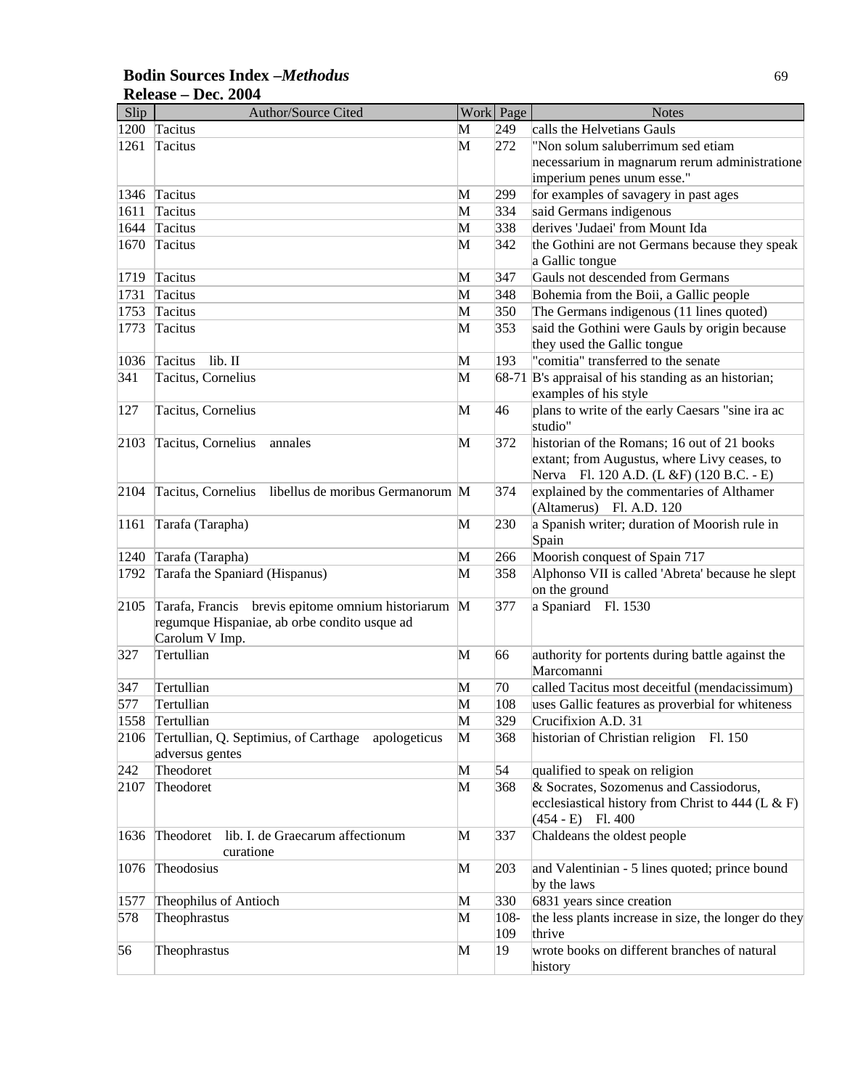| Slip | <b>Author/Source Cited</b>                                     |   | Work Page | <b>Notes</b>                                                |
|------|----------------------------------------------------------------|---|-----------|-------------------------------------------------------------|
| 1200 | Tacitus                                                        | М | 249       | calls the Helvetians Gauls                                  |
| 1261 | Tacitus                                                        | M | 272       | "Non solum saluberrimum sed etiam                           |
|      |                                                                |   |           | necessarium in magnarum rerum administratione               |
|      |                                                                |   |           | imperium penes unum esse."                                  |
| 1346 | Tacitus                                                        | M | 299       | for examples of savagery in past ages                       |
| 1611 | Tacitus                                                        | M | 334       | said Germans indigenous                                     |
| 1644 | Tacitus                                                        | M | 338       | derives 'Judaei' from Mount Ida                             |
| 1670 | Tacitus                                                        | M | 342       | the Gothini are not Germans because they speak              |
|      |                                                                |   |           | a Gallic tongue                                             |
| 1719 | Tacitus                                                        | M | 347       | Gauls not descended from Germans                            |
| 1731 | Tacitus                                                        | M | 348       | Bohemia from the Boii, a Gallic people                      |
| 1753 | Tacitus                                                        | M | 350       | The Germans indigenous (11 lines quoted)                    |
| 1773 | <b>Tacitus</b>                                                 | M | 353       | said the Gothini were Gauls by origin because               |
|      |                                                                |   |           | they used the Gallic tongue                                 |
| 1036 | $lib.$ II<br>Tacitus                                           | M | 193       | "comitia" transferred to the senate                         |
| 341  | Tacitus, Cornelius                                             | M |           | 68-71 B's appraisal of his standing as an historian;        |
|      |                                                                |   |           | examples of his style                                       |
| 127  | Tacitus, Cornelius                                             | M | 46        | plans to write of the early Caesars "sine ira ac<br>studio" |
| 2103 | Tacitus, Cornelius<br>annales                                  | M | 372       | historian of the Romans; 16 out of 21 books                 |
|      |                                                                |   |           | extant; from Augustus, where Livy ceases, to                |
|      |                                                                |   |           | Nerva Fl. 120 A.D. (L &F) (120 B.C. - E)                    |
| 2104 | Tacitus, Cornelius<br>libellus de moribus Germanorum M         |   | 374       | explained by the commentaries of Althamer                   |
|      |                                                                |   |           | (Altamerus) Fl. A.D. 120                                    |
| 1161 | Tarafa (Tarapha)                                               | M | 230       | a Spanish writer; duration of Moorish rule in               |
|      |                                                                |   |           | Spain                                                       |
| 1240 | Tarafa (Tarapha)                                               | M | 266       | Moorish conquest of Spain 717                               |
| 1792 | Tarafa the Spaniard (Hispanus)                                 | M | 358       | Alphonso VII is called 'Abreta' because he slept            |
|      |                                                                |   |           | on the ground                                               |
| 2105 | Tarafa, Francis<br>brevis epitome omnium historiarum M         |   | 377       | a Spaniard Fl. 1530                                         |
|      | regumque Hispaniae, ab orbe condito usque ad<br>Carolum V Imp. |   |           |                                                             |
| 327  | Tertullian                                                     | M | 66        | authority for portents during battle against the            |
|      |                                                                |   |           | Marcomanni                                                  |
| 347  | Tertullian                                                     | M | 70        | called Tacitus most deceitful (mendacissimum)               |
| 577  | Tertullian                                                     | M | 108       | uses Gallic features as proverbial for whiteness            |
| 1558 | Tertullian                                                     | M | 329       | Crucifixion A.D. 31                                         |
| 2106 | Tertullian, Q. Septimius, of Carthage<br>apologeticus          | M | 368       | historian of Christian religion Fl. 150                     |
|      | adversus gentes                                                |   |           |                                                             |
| 242  | Theodoret                                                      | M | 54        | qualified to speak on religion                              |
| 2107 | Theodoret                                                      | M | 368       | & Socrates, Sozomenus and Cassiodorus,                      |
|      |                                                                |   |           | ecclesiastical history from Christ to 444 (L $\&$ F)        |
|      |                                                                |   |           | $(454 - E)$ Fl. 400                                         |
| 1636 | lib. I. de Graecarum affectionum<br>Theodoret                  | M | 337       | Chaldeans the oldest people                                 |
|      | curatione                                                      |   |           |                                                             |
| 1076 | Theodosius                                                     | M | 203       | and Valentinian - 5 lines quoted; prince bound              |
|      |                                                                |   |           | by the laws                                                 |
| 1577 | Theophilus of Antioch                                          | M | 330       | 6831 years since creation                                   |
| 578  | Theophrastus                                                   | M | $108 -$   | the less plants increase in size, the longer do they        |
|      |                                                                |   | 109       | thrive                                                      |
| 56   | Theophrastus                                                   | M | 19        | wrote books on different branches of natural                |
|      |                                                                |   |           | history                                                     |

### **Bodin Sources Index –***Methodus* 69 **Release – Dec. 2004**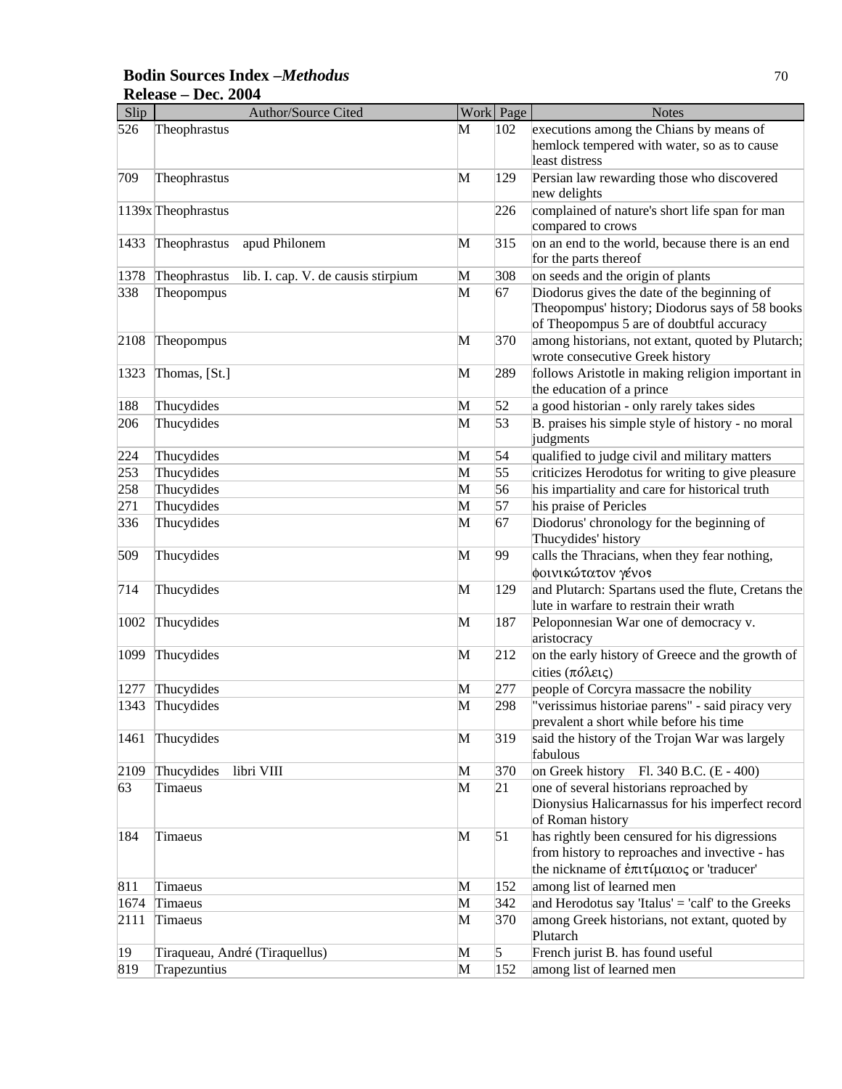### **Bodin Sources Index –***Methodus* 70 **Release – Dec. 2004**

| Slip | Author/Source Cited                                |              | Work Page | <b>Notes</b>                                                                                                                                |
|------|----------------------------------------------------|--------------|-----------|---------------------------------------------------------------------------------------------------------------------------------------------|
| 526  | Theophrastus                                       | M            | 102       | executions among the Chians by means of<br>hemlock tempered with water, so as to cause<br>least distress                                    |
| 709  | Theophrastus                                       | M            | 129       | Persian law rewarding those who discovered<br>new delights                                                                                  |
|      | 1139x Theophrastus                                 |              | 226       | complained of nature's short life span for man<br>compared to crows                                                                         |
| 1433 | apud Philonem<br>Theophrastus                      | $\mathbf{M}$ | 315       | on an end to the world, because there is an end<br>for the parts thereof                                                                    |
| 1378 | Theophrastus<br>lib. I. cap. V. de causis stirpium | M            | 308       | on seeds and the origin of plants                                                                                                           |
| 338  | Theopompus                                         | M            | 67        | Diodorus gives the date of the beginning of<br>Theopompus' history; Diodorus says of 58 books<br>of Theopompus 5 are of doubtful accuracy   |
| 2108 | Theopompus                                         | M            | 370       | among historians, not extant, quoted by Plutarch;<br>wrote consecutive Greek history                                                        |
| 1323 | Thomas, [St.]                                      | M            | 289       | follows Aristotle in making religion important in<br>the education of a prince                                                              |
| 188  | Thucydides                                         | M            | 52        | a good historian - only rarely takes sides                                                                                                  |
| 206  | Thucydides                                         | M            | 53        | B. praises his simple style of history - no moral<br>judgments                                                                              |
| 224  | Thucydides                                         | M            | 54        | qualified to judge civil and military matters                                                                                               |
| 253  | Thucydides                                         | M            | 55        | criticizes Herodotus for writing to give pleasure                                                                                           |
| 258  | Thucydides                                         | M            | 56        | his impartiality and care for historical truth                                                                                              |
| 271  | Thucydides                                         | M            | 57        | his praise of Pericles                                                                                                                      |
| 336  | Thucydides                                         | M            | 67        | Diodorus' chronology for the beginning of<br>Thucydides' history                                                                            |
| 509  | Thucydides                                         | M            | 99        | calls the Thracians, when they fear nothing,<br>φοινικώτατον γένοs                                                                          |
| 714  | Thucydides                                         | M            | 129       | and Plutarch: Spartans used the flute, Cretans the<br>lute in warfare to restrain their wrath                                               |
| 1002 | Thucydides                                         | M            | 187       | Peloponnesian War one of democracy v.<br>aristocracy                                                                                        |
| 1099 | Thucydides                                         | M            | 212       | on the early history of Greece and the growth of<br>cities $(\pi \delta \lambda \varepsilon \iota \zeta)$                                   |
| 1277 | Thucydides                                         | M            | 277       | people of Corcyra massacre the nobility                                                                                                     |
| 1343 | Thucydides                                         | M            | 298       | "verissimus historiae parens" - said piracy very<br>prevalent a short while before his time                                                 |
| 1461 | Thucydides                                         | M            | 319       | said the history of the Trojan War was largely<br>fabulous                                                                                  |
| 2109 | Thucydides<br>libri VIII                           | M            | 370       | on Greek history Fl. 340 B.C. (E - 400)                                                                                                     |
| 63   | Timaeus                                            | M            | 21        | one of several historians reproached by<br>Dionysius Halicarnassus for his imperfect record<br>of Roman history                             |
| 184  | Timaeus                                            | M            | 51        | has rightly been censured for his digressions<br>from history to reproaches and invective - has<br>the nickname of έπιτίμαιος or 'traducer' |
| 811  | Timaeus                                            | M            | 152       | among list of learned men                                                                                                                   |
| 1674 | Timaeus                                            | M            | 342       | and Herodotus say 'Italus' = 'calf' to the Greeks                                                                                           |
| 2111 | Timaeus                                            | M            | 370       | among Greek historians, not extant, quoted by<br>Plutarch                                                                                   |
| 19   | Tiraqueau, André (Tiraquellus)                     | M            | 5         | French jurist B. has found useful                                                                                                           |
| 819  | Trapezuntius                                       | M            | 152       | among list of learned men                                                                                                                   |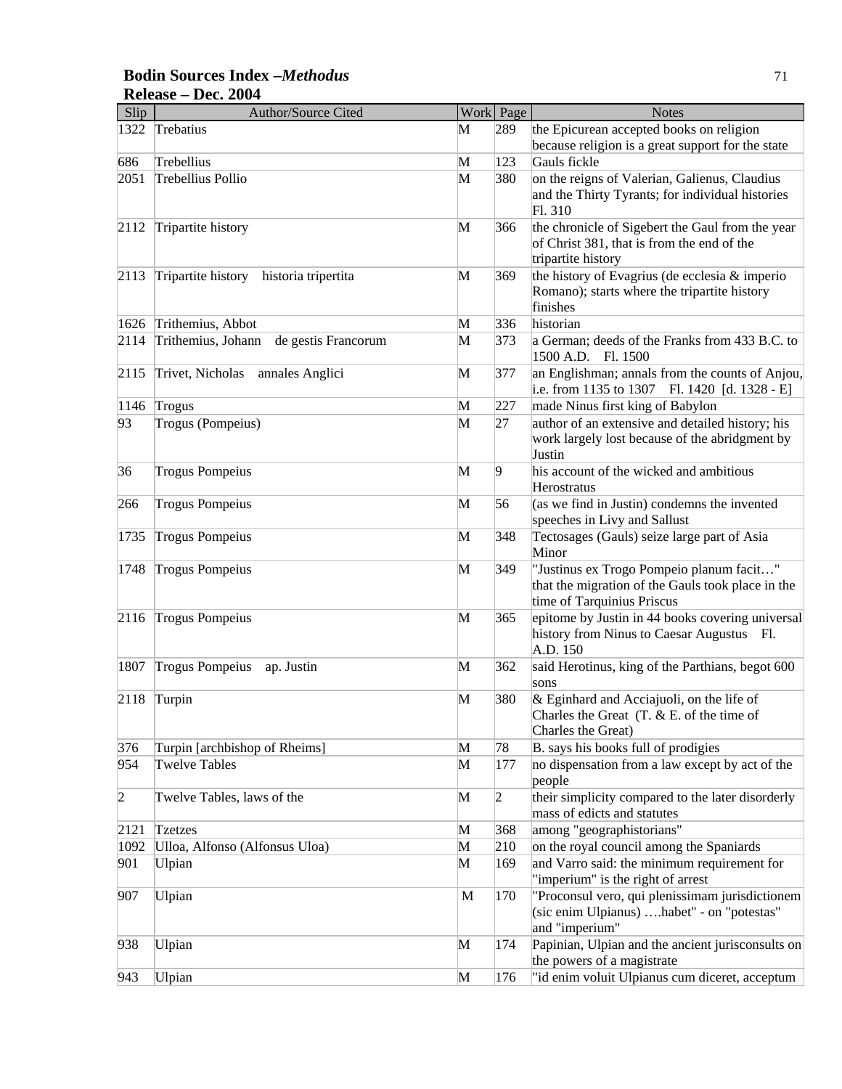### **Bodin Sources Index –***Methodus* 71 **Release – Dec. 2004**

| Slip           | <b>Author/Source Cited</b>                |   | Work Page      | <b>Notes</b>                                                                                  |
|----------------|-------------------------------------------|---|----------------|-----------------------------------------------------------------------------------------------|
| 1322           | Trebatius                                 | М | 289            | the Epicurean accepted books on religion<br>because religion is a great support for the state |
| 686            | Trebellius                                | M | 123            | Gauls fickle                                                                                  |
| 2051           | Trebellius Pollio                         | M | 380            | on the reigns of Valerian, Galienus, Claudius                                                 |
|                |                                           |   |                | and the Thirty Tyrants; for individual histories                                              |
|                |                                           |   |                | Fl. 310                                                                                       |
| 2112           | Tripartite history                        | M | 366            | the chronicle of Sigebert the Gaul from the year                                              |
|                |                                           |   |                | of Christ 381, that is from the end of the                                                    |
|                |                                           |   |                | tripartite history                                                                            |
| 2113           | Tripartite history historia tripertita    | M | 369            | the history of Evagrius (de ecclesia & imperio                                                |
|                |                                           |   |                | Romano); starts where the tripartite history                                                  |
|                |                                           |   |                | finishes                                                                                      |
| 1626           | Trithemius, Abbot                         | M | 336            | historian                                                                                     |
| 2114           | Trithemius, Johann<br>de gestis Francorum | M | 373            | a German; deeds of the Franks from 433 B.C. to<br>1500 A.D. Fl. 1500                          |
| 2115           | Trivet, Nicholas annales Anglici          | M | 377            | an Englishman; annals from the counts of Anjou,                                               |
|                |                                           |   |                | i.e. from 1135 to 1307 Fl. 1420 [d. 1328 - E]                                                 |
| 1146           | Trogus                                    | M | 227            | made Ninus first king of Babylon                                                              |
| 93             | Trogus (Pompeius)                         | M | 27             | author of an extensive and detailed history; his                                              |
|                |                                           |   |                | work largely lost because of the abridgment by                                                |
|                |                                           |   |                | Justin                                                                                        |
| 36             | <b>Trogus Pompeius</b>                    | M | 9              | his account of the wicked and ambitious                                                       |
|                |                                           |   |                | Herostratus                                                                                   |
| 266            | <b>Trogus Pompeius</b>                    | M | 56             | (as we find in Justin) condemns the invented                                                  |
|                |                                           |   |                | speeches in Livy and Sallust                                                                  |
| 1735           | <b>Trogus Pompeius</b>                    | M | 348            | Tectosages (Gauls) seize large part of Asia                                                   |
|                |                                           |   |                | Minor                                                                                         |
| 1748           | <b>Trogus Pompeius</b>                    | M | 349            | "Justinus ex Trogo Pompeio planum facit"                                                      |
|                |                                           |   |                | that the migration of the Gauls took place in the<br>time of Tarquinius Priscus               |
| 2116           | <b>Trogus Pompeius</b>                    | M | 365            | epitome by Justin in 44 books covering universal                                              |
|                |                                           |   |                | history from Ninus to Caesar Augustus Fl.                                                     |
|                |                                           |   |                | A.D. 150                                                                                      |
| 1807           | <b>Trogus Pompeius</b><br>ap. Justin      | M | 362            | said Herotinus, king of the Parthians, begot 600                                              |
|                |                                           |   |                | sons                                                                                          |
| 2118           | Turpin                                    | M | 380            | & Eginhard and Acciajuoli, on the life of                                                     |
|                |                                           |   |                | Charles the Great $(T. & E.$ of the time of                                                   |
|                |                                           |   |                | Charles the Great)                                                                            |
| 376            | Turpin [archbishop of Rheims]             | M | 78             | B. says his books full of prodigies                                                           |
| 954            | <b>Twelve Tables</b>                      | M | 177            | no dispensation from a law except by act of the                                               |
|                |                                           |   |                | people                                                                                        |
| $\overline{2}$ | Twelve Tables, laws of the                | M | $\overline{2}$ | their simplicity compared to the later disorderly<br>mass of edicts and statutes              |
| 2121           | Tzetzes                                   | M | 368            | among "geographistorians"                                                                     |
| 1092           | Ulloa, Alfonso (Alfonsus Uloa)            | M | 210            | on the royal council among the Spaniards                                                      |
| 901            | Ulpian                                    | M | 169            | and Varro said: the minimum requirement for                                                   |
|                |                                           |   |                | "imperium" is the right of arrest                                                             |
| 907            | Ulpian                                    | M | 170            | "Proconsul vero, qui plenissimam jurisdictionem                                               |
|                |                                           |   |                | (sic enim Ulpianus) habet" - on "potestas"                                                    |
|                |                                           |   |                | and "imperium"                                                                                |
| 938            | Ulpian                                    | M | 174            | Papinian, Ulpian and the ancient jurisconsults on                                             |
|                |                                           |   |                | the powers of a magistrate                                                                    |
| 943            | Ulpian                                    | M | 176            | "id enim voluit Ulpianus cum diceret, acceptum                                                |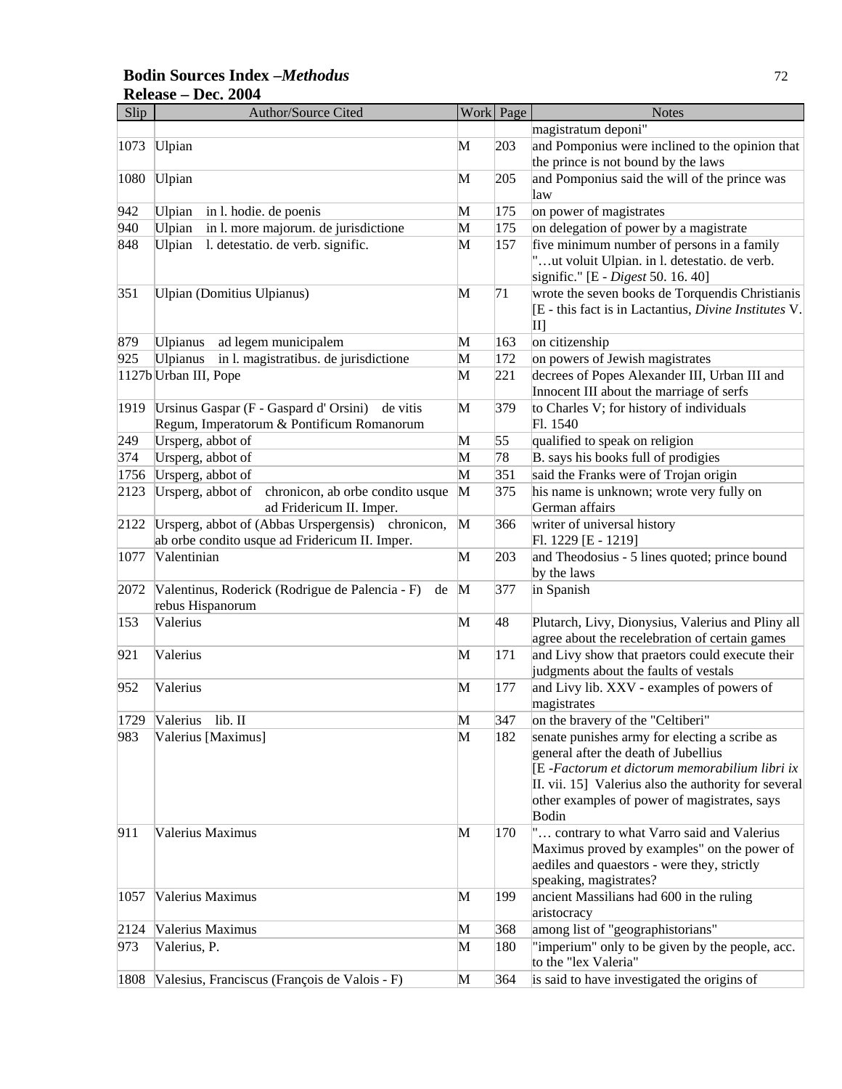### **Bodin Sources Index –***Methodus* 72 **Release – Dec. 2004**

| Slip | Author/Source Cited                                                               |              | Work Page  | <b>Notes</b>                                                                     |
|------|-----------------------------------------------------------------------------------|--------------|------------|----------------------------------------------------------------------------------|
|      |                                                                                   |              |            | magistratum deponi"                                                              |
| 1073 | Ulpian                                                                            | M            | 203        | and Pomponius were inclined to the opinion that                                  |
|      |                                                                                   |              |            | the prince is not bound by the laws                                              |
| 1080 | Ulpian                                                                            | М            | 205        | and Pomponius said the will of the prince was                                    |
|      |                                                                                   |              |            | law                                                                              |
| 942  | Ulpian<br>in l. hodie. de poenis                                                  | М            | 175        | on power of magistrates                                                          |
| 940  | Ulpian<br>in l. more majorum. de jurisdictione                                    | M            | 175        | on delegation of power by a magistrate                                           |
| 848  | l. detestatio. de verb. signific.<br>Ulpian                                       | M            | 157        | five minimum number of persons in a family                                       |
|      |                                                                                   |              |            | "ut voluit Ulpian. in l. detestatio. de verb.                                    |
|      |                                                                                   |              |            | signific." [E - Digest 50. 16. 40]                                               |
| 351  | Ulpian (Domitius Ulpianus)                                                        | M            | 71         | wrote the seven books de Torquendis Christianis                                  |
|      |                                                                                   |              |            | [E - this fact is in Lactantius, Divine Institutes V.                            |
|      |                                                                                   |              |            | $\mathbf{II}$                                                                    |
| 879  | <b>Ulpianus</b><br>ad legem municipalem                                           | M            | 163        | on citizenship                                                                   |
| 925  | <b>Ulpianus</b><br>in l. magistratibus. de jurisdictione<br>1127b Urban III, Pope | M<br>M       | 172<br>221 | on powers of Jewish magistrates<br>decrees of Popes Alexander III, Urban III and |
|      |                                                                                   |              |            | Innocent III about the marriage of serfs                                         |
| 1919 | Ursinus Gaspar (F - Gaspard d'Orsini)<br>de vitis                                 | M            | 379        | to Charles V; for history of individuals                                         |
|      | Regum, Imperatorum & Pontificum Romanorum                                         |              |            | Fl. 1540                                                                         |
| 249  | Ursperg, abbot of                                                                 | M            | 55         | qualified to speak on religion                                                   |
| 374  | Ursperg, abbot of                                                                 | M            | 78         | B. says his books full of prodigies                                              |
| 1756 | Ursperg, abbot of                                                                 | M            | 351        | said the Franks were of Trojan origin                                            |
| 2123 | Ursperg, abbot of<br>chronicon, ab orbe condito usque                             | M            | 375        | his name is unknown; wrote very fully on                                         |
|      | ad Fridericum II. Imper.                                                          |              |            | German affairs                                                                   |
| 2122 | Ursperg, abbot of (Abbas Urspergensis) chronicon,                                 | M            | 366        | writer of universal history                                                      |
|      | ab orbe condito usque ad Fridericum II. Imper.                                    |              |            | Fl. 1229 [E - 1219]                                                              |
| 1077 | Valentinian                                                                       | M            | 203        | and Theodosius - 5 lines quoted; prince bound                                    |
|      |                                                                                   |              |            | by the laws                                                                      |
| 2072 | Valentinus, Roderick (Rodrigue de Palencia - F)<br>de                             | $\mathbf{M}$ | 377        | in Spanish                                                                       |
|      | rebus Hispanorum                                                                  |              |            |                                                                                  |
| 153  | Valerius                                                                          | M            | 48         | Plutarch, Livy, Dionysius, Valerius and Pliny all                                |
|      |                                                                                   |              |            | agree about the recelebration of certain games                                   |
| 921  | Valerius                                                                          | M            | 171        | and Livy show that praetors could execute their                                  |
|      | Valerius                                                                          |              |            | judgments about the faults of vestals                                            |
| 952  |                                                                                   | M            | 177        | and Livy lib. XXV - examples of powers of<br>magistrates                         |
|      | 1729 Valerius lib. II                                                             | M            | 347        | on the bravery of the "Celtiberi"                                                |
| 983  | Valerius [Maximus]                                                                | M            | 182        | senate punishes army for electing a scribe as                                    |
|      |                                                                                   |              |            | general after the death of Jubellius                                             |
|      |                                                                                   |              |            | [E-Factorum et dictorum memorabilium libri ix                                    |
|      |                                                                                   |              |            | II. vii. 15] Valerius also the authority for several                             |
|      |                                                                                   |              |            | other examples of power of magistrates, says                                     |
|      |                                                                                   |              |            | Bodin                                                                            |
| 911  | Valerius Maximus                                                                  | M            | 170        | " contrary to what Varro said and Valerius                                       |
|      |                                                                                   |              |            | Maximus proved by examples" on the power of                                      |
|      |                                                                                   |              |            | aediles and quaestors - were they, strictly                                      |
|      |                                                                                   |              |            | speaking, magistrates?                                                           |
| 1057 | Valerius Maximus                                                                  | M            | 199        | ancient Massilians had 600 in the ruling                                         |
|      |                                                                                   |              |            | aristocracy                                                                      |
| 2124 | Valerius Maximus                                                                  | M            | 368        | among list of "geographistorians"                                                |
| 973  | Valerius, P.                                                                      | M            | 180        | "imperium" only to be given by the people, acc.<br>to the "lex Valeria"          |
| 1808 | Valesius, Franciscus (François de Valois - F)                                     | M            | 364        | is said to have investigated the origins of                                      |
|      |                                                                                   |              |            |                                                                                  |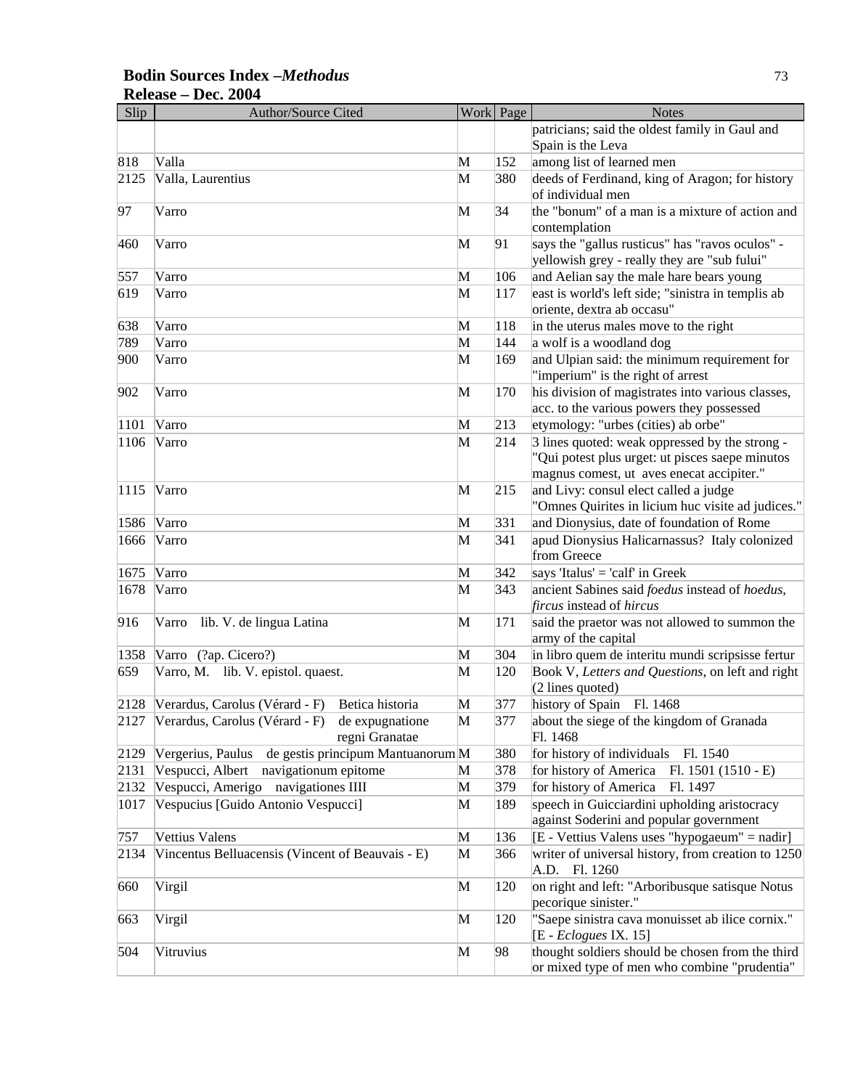## **Bodin Sources Index –***Methodus* 73 **Release – Dec. 2004**

| Slip | <b>Author/Source Cited</b>                             |   | Work Page | <b>Notes</b>                                                               |
|------|--------------------------------------------------------|---|-----------|----------------------------------------------------------------------------|
|      |                                                        |   |           | patricians; said the oldest family in Gaul and                             |
|      |                                                        |   |           | Spain is the Leva                                                          |
| 818  | Valla                                                  | M | 152       | among list of learned men                                                  |
| 2125 | Valla, Laurentius                                      | M | 380       | deeds of Ferdinand, king of Aragon; for history                            |
|      |                                                        |   |           | of individual men                                                          |
| 97   | Varro                                                  | M | 34        | the "bonum" of a man is a mixture of action and                            |
|      |                                                        |   |           | contemplation                                                              |
| 460  | Varro                                                  | M | 91        | says the "gallus rusticus" has "ravos oculos" -                            |
|      |                                                        |   |           | yellowish grey - really they are "sub fului"                               |
| 557  | Varro                                                  | M | 106       | and Aelian say the male hare bears young                                   |
| 619  | Varro                                                  | M | 117       | east is world's left side; "sinistra in templis ab                         |
|      |                                                        |   |           | oriente, dextra ab occasu"                                                 |
| 638  | Varro                                                  | M | 118       | in the uterus males move to the right                                      |
| 789  | Varro                                                  | M | 144       | a wolf is a woodland dog                                                   |
| 900  | Varro                                                  | M | 169       | and Ulpian said: the minimum requirement for                               |
|      |                                                        |   |           | "imperium" is the right of arrest                                          |
| 902  | Varro                                                  | M | 170       | his division of magistrates into various classes,                          |
|      |                                                        |   |           | acc. to the various powers they possessed                                  |
| 1101 | Varro                                                  | M | 213       | etymology: "urbes (cities) ab orbe"                                        |
| 1106 | Varro                                                  | M | 214       | 3 lines quoted: weak oppressed by the strong -                             |
|      |                                                        |   |           | "Qui potest plus urget: ut pisces saepe minutos                            |
|      |                                                        |   |           | magnus comest, ut aves enecat accipiter."                                  |
| 1115 | Varro                                                  | M | 215       | and Livy: consul elect called a judge                                      |
|      |                                                        |   |           | "Omnes Quirites in licium huc visite ad judices."                          |
| 1586 | Varro                                                  | M | 331       | and Dionysius, date of foundation of Rome                                  |
| 1666 | Varro                                                  | M | 341       | apud Dionysius Halicarnassus? Italy colonized                              |
| 1675 | Varro                                                  | M | 342       | from Greece                                                                |
| 1678 |                                                        |   | 343       | says 'Italus' = 'calf' in Greek                                            |
|      | Varro                                                  | M |           | ancient Sabines said foedus instead of hoedus,<br>fircus instead of hircus |
| 916  | Varro<br>lib. V. de lingua Latina                      | M | 171       | said the praetor was not allowed to summon the                             |
|      |                                                        |   |           | army of the capital                                                        |
| 1358 | Varro (?ap. Cicero?)                                   | M | 304       | in libro quem de interitu mundi scripsisse fertur                          |
| 659  | Varro, M. lib. V. epistol. quaest.                     | M | 120       | Book V, Letters and Questions, on left and right                           |
|      |                                                        |   |           | $(2$ lines quoted)                                                         |
| 2128 | Verardus, Carolus (Vérard - F)<br>Betica historia      | M | 377       | history of Spain<br>Fl. 1468                                               |
|      | 2127 Verardus, Carolus (Vérard - F) de expugnatione    | M | 377       | about the siege of the kingdom of Granada                                  |
|      | regni Granatae                                         |   |           | Fl. 1468                                                                   |
| 2129 | de gestis principum Mantuanorum M<br>Vergerius, Paulus |   | 380       | for history of individuals<br>Fl. 1540                                     |
| 2131 | Vespucci, Albert<br>navigationum epitome               | M | 378       | for history of America<br>Fl. $1501(1510 - E)$                             |
| 2132 | Vespucci, Amerigo navigationes IIII                    | M | 379       | for history of America<br>Fl. 1497                                         |
| 1017 | Vespucius [Guido Antonio Vespucci]                     | M | 189       | speech in Guicciardini upholding aristocracy                               |
|      |                                                        |   |           | against Soderini and popular government                                    |
| 757  | Vettius Valens                                         | M | 136       | [E - Vettius Valens uses "hypogaeum" = nadir]                              |
| 2134 | Vincentus Belluacensis (Vincent of Beauvais - E)       | M | 366       | writer of universal history, from creation to 1250                         |
|      |                                                        |   |           | A.D. Fl. 1260                                                              |
| 660  | Virgil                                                 | M | 120       | on right and left: "Arboribusque satisque Notus                            |
|      |                                                        |   |           | pecorique sinister."                                                       |
| 663  | Virgil                                                 | M | 120       | "Saepe sinistra cava monuisset ab ilice cornix."                           |
|      |                                                        |   |           | $[E - Eclogues$ IX. 15]                                                    |
| 504  | Vitruvius                                              | M | 98        | thought soldiers should be chosen from the third                           |
|      |                                                        |   |           | or mixed type of men who combine "prudentia"                               |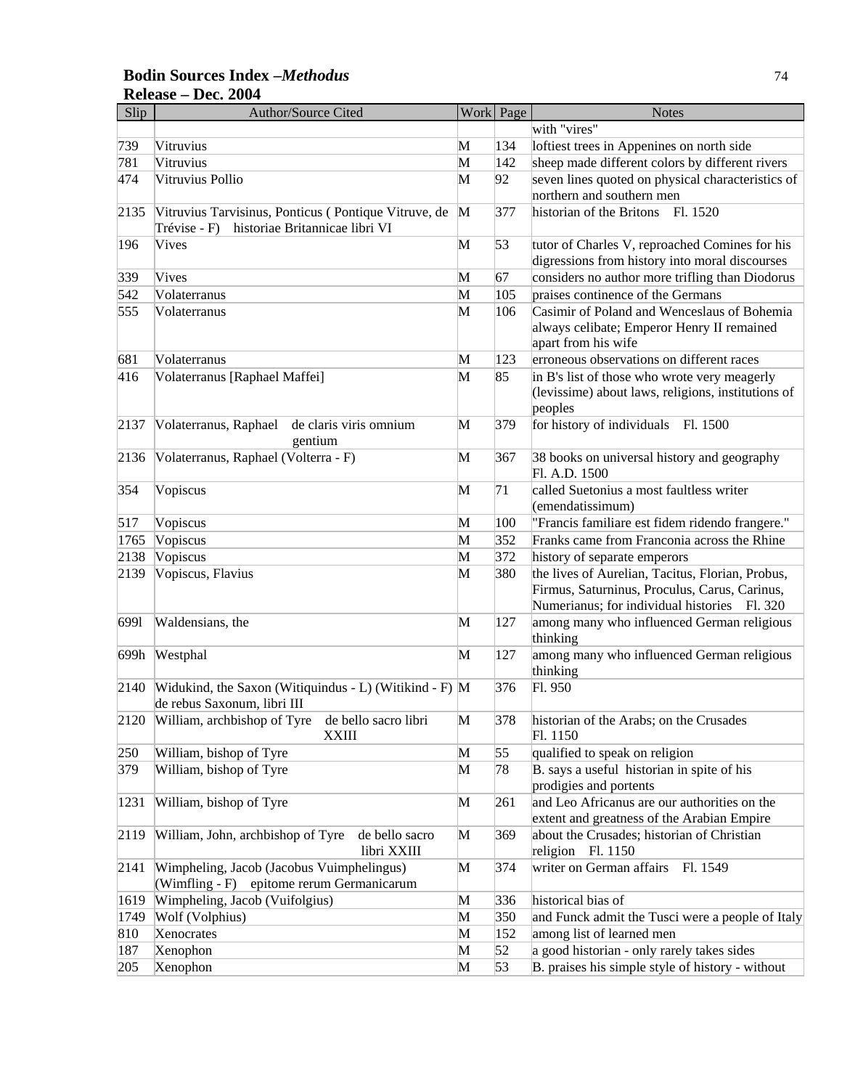## **Bodin Sources Index –***Methodus* 74 **Release – Dec. 2004**

| Slip | <b>Author/Source Cited</b>                                         |   | Work Page | <b>Notes</b>                                       |
|------|--------------------------------------------------------------------|---|-----------|----------------------------------------------------|
|      |                                                                    |   |           | with "vires"                                       |
| 739  | Vitruvius                                                          | M | 134       | loftiest trees in Appenines on north side          |
| 781  | Vitruvius                                                          | M | 142       | sheep made different colors by different rivers    |
| 474  | Vitruvius Pollio                                                   | M | 92        | seven lines quoted on physical characteristics of  |
|      |                                                                    |   |           | northern and southern men                          |
| 2135 | Vitruvius Tarvisinus, Ponticus (Pontique Vitruve, de               | M | 377       | historian of the Britons Fl. 1520                  |
|      | historiae Britannicae libri VI<br>Trévise - F)                     |   |           |                                                    |
| 196  | Vives                                                              | M | 53        | tutor of Charles V, reproached Comines for his     |
|      |                                                                    |   |           | digressions from history into moral discourses     |
| 339  | Vives                                                              | M | 67        | considers no author more trifling than Diodorus    |
| 542  | Volaterranus                                                       | M | 105       | praises continence of the Germans                  |
| 555  | Volaterranus                                                       | M | 106       | Casimir of Poland and Wenceslaus of Bohemia        |
|      |                                                                    |   |           | always celibate; Emperor Henry II remained         |
|      |                                                                    |   |           | apart from his wife                                |
| 681  | Volaterranus                                                       | M | 123       | erroneous observations on different races          |
| 416  | Volaterranus [Raphael Maffei]                                      | М | 85        | in B's list of those who wrote very meagerly       |
|      |                                                                    |   |           | (levissime) about laws, religions, institutions of |
|      |                                                                    |   |           | peoples                                            |
| 2137 | Volaterranus, Raphael<br>de claris viris omnium                    | M | 379       | for history of individuals Fl. 1500                |
|      | gentium                                                            |   |           |                                                    |
| 2136 | Volaterranus, Raphael (Volterra - F)                               | M | 367       | 38 books on universal history and geography        |
|      |                                                                    |   |           | Fl. A.D. 1500                                      |
| 354  | Vopiscus                                                           | M | 71        | called Suetonius a most faultless writer           |
|      |                                                                    |   |           | (emendatissimum)                                   |
| 517  | Vopiscus                                                           | M | 100       | "Francis familiare est fidem ridendo frangere."    |
| 1765 | Vopiscus                                                           | M | 352       | Franks came from Franconia across the Rhine        |
| 2138 | Vopiscus                                                           | M | 372       | history of separate emperors                       |
| 2139 | Vopiscus, Flavius                                                  | M | 380       | the lives of Aurelian, Tacitus, Florian, Probus,   |
|      |                                                                    |   |           | Firmus, Saturninus, Proculus, Carus, Carinus,      |
|      |                                                                    |   |           | Numerianus; for individual histories Fl. 320       |
| 6991 | Waldensians, the                                                   | M | 127       | among many who influenced German religious         |
|      |                                                                    |   |           | thinking                                           |
| 699h | Westphal                                                           | M | 127       | among many who influenced German religious         |
|      |                                                                    |   |           | thinking                                           |
| 2140 | Widukind, the Saxon (Witiquindus - L) (Witikind - F) M             |   | 376       | Fl. 950                                            |
|      | de rebus Saxonum, libri III                                        |   |           |                                                    |
|      | 2120 William, archbishop of Tyre de bello sacro libri              | M | 378       | historian of the Arabs; on the Crusades            |
|      | <b>XXIII</b>                                                       |   |           | Fl. 1150                                           |
| 250  | William, bishop of Tyre                                            | M | 55        | qualified to speak on religion                     |
| 379  | William, bishop of Tyre                                            | M | 78        | B. says a useful historian in spite of his         |
|      |                                                                    |   |           | prodigies and portents                             |
| 1231 | William, bishop of Tyre                                            | M | 261       | and Leo Africanus are our authorities on the       |
|      |                                                                    |   |           | extent and greatness of the Arabian Empire         |
| 2119 | William, John, archbishop of Tyre<br>de bello sacro<br>libri XXIII | M | 369       | about the Crusades; historian of Christian         |
|      |                                                                    |   |           | religion Fl. 1150                                  |
| 2141 | Wimpheling, Jacob (Jacobus Vuimphelingus)                          | M | 374       | writer on German affairs<br>Fl. 1549               |
|      | (Wimfling - F) epitome rerum Germanicarum                          |   |           |                                                    |
| 1619 | Wimpheling, Jacob (Vuifolgius)                                     | M | 336       | historical bias of                                 |
| 1749 | Wolf (Volphius)                                                    | M | 350       | and Funck admit the Tusci were a people of Italy   |
| 810  | Xenocrates                                                         | M | 152       | among list of learned men                          |
| 187  | Xenophon                                                           | M | 52        | a good historian - only rarely takes sides         |
| 205  | Xenophon                                                           | M | 53        | B. praises his simple style of history - without   |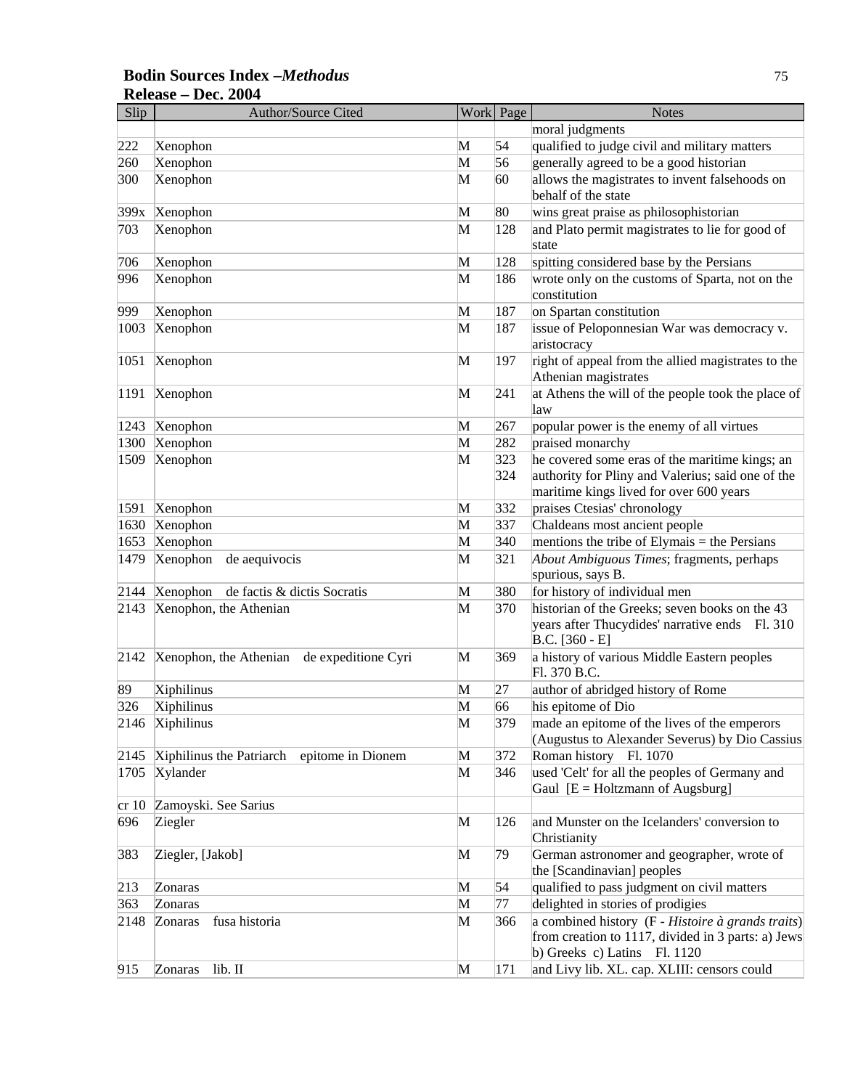## **Bodin Sources Index –***Methodus* 75 **Release – Dec. 2004**

| Slip | Author/Source Cited                           |   | Work Page  | <b>Notes</b>                                                                                                                                   |
|------|-----------------------------------------------|---|------------|------------------------------------------------------------------------------------------------------------------------------------------------|
|      |                                               |   |            | moral judgments                                                                                                                                |
| 222  | Xenophon                                      | М | 54         | qualified to judge civil and military matters                                                                                                  |
| 260  | Xenophon                                      | M | 56         | generally agreed to be a good historian                                                                                                        |
| 300  | Xenophon                                      | M | 60         | allows the magistrates to invent falsehoods on<br>behalf of the state                                                                          |
| 399x | Xenophon                                      | M | 80         | wins great praise as philosophistorian                                                                                                         |
| 703  | Xenophon                                      | M | 128        | and Plato permit magistrates to lie for good of<br>state                                                                                       |
| 706  | Xenophon                                      | M | 128        | spitting considered base by the Persians                                                                                                       |
| 996  | Xenophon                                      | M | 186        | wrote only on the customs of Sparta, not on the<br>constitution                                                                                |
| 999  | Xenophon                                      | M | 187        | on Spartan constitution                                                                                                                        |
| 1003 | Xenophon                                      | M | 187        | issue of Peloponnesian War was democracy v.<br>aristocracy                                                                                     |
| 1051 | Xenophon                                      | M | 197        | right of appeal from the allied magistrates to the<br>Athenian magistrates                                                                     |
| 1191 | Xenophon                                      | M | 241        | at Athens the will of the people took the place of<br>law                                                                                      |
| 1243 | Xenophon                                      | M | 267        | popular power is the enemy of all virtues                                                                                                      |
| 1300 | Xenophon                                      | M | 282        | praised monarchy                                                                                                                               |
| 1509 | Xenophon                                      | M | 323<br>324 | he covered some eras of the maritime kings; an<br>authority for Pliny and Valerius; said one of the<br>maritime kings lived for over 600 years |
| 1591 | Xenophon                                      | M | 332        | praises Ctesias' chronology                                                                                                                    |
| 1630 | Xenophon                                      | M | 337        | Chaldeans most ancient people                                                                                                                  |
| 1653 | Xenophon                                      | M | 340        | mentions the tribe of Elymais $=$ the Persians                                                                                                 |
| 1479 | Xenophon<br>de aequivocis                     | M | 321        | About Ambiguous Times; fragments, perhaps<br>spurious, says B.                                                                                 |
| 2144 | Xenophon de factis & dictis Socratis          | M | 380        | for history of individual men                                                                                                                  |
| 2143 | Xenophon, the Athenian                        | M | 370        | historian of the Greeks; seven books on the 43<br>years after Thucydides' narrative ends Fl. 310<br>$B.C. [360 - E]$                           |
| 2142 | Xenophon, the Athenian de expeditione Cyri    | M | 369        | a history of various Middle Eastern peoples<br>Fl. 370 B.C.                                                                                    |
| 89   | Xiphilinus                                    | M | 27         | author of abridged history of Rome                                                                                                             |
| 326  | Xiphilinus                                    | M | 66         | his epitome of Dio                                                                                                                             |
|      | 2146 Xiphilinus                               | M | 379        | made an epitome of the lives of the emperors<br>(Augustus to Alexander Severus) by Dio Cassius                                                 |
| 2145 | Xiphilinus the Patriarch<br>epitome in Dionem | M | 372        | Roman history Fl. 1070                                                                                                                         |
| 1705 | Xylander                                      | M | 346        | used 'Celt' for all the peoples of Germany and<br>Gaul $[E = Holzmann of Augsburg]$                                                            |
| cr10 | Zamoyski. See Sarius                          |   |            |                                                                                                                                                |
| 696  | Ziegler                                       | M | 126        | and Munster on the Icelanders' conversion to<br>Christianity                                                                                   |
| 383  | Ziegler, [Jakob]                              | M | 79         | German astronomer and geographer, wrote of<br>the [Scandinavian] peoples                                                                       |
| 213  | Zonaras                                       | M | 54         | qualified to pass judgment on civil matters                                                                                                    |
| 363  | Zonaras                                       | M | 77         | delighted in stories of prodigies                                                                                                              |
| 2148 | fusa historia<br>Zonaras                      | M | 366        | a combined history (F - Histoire à grands traits)<br>from creation to 1117, divided in 3 parts: a) Jews<br>b) Greeks c) Latins Fl. 1120        |
| 915  | Zonaras<br>lib. II                            | M | 171        | and Livy lib. XL. cap. XLIII: censors could                                                                                                    |